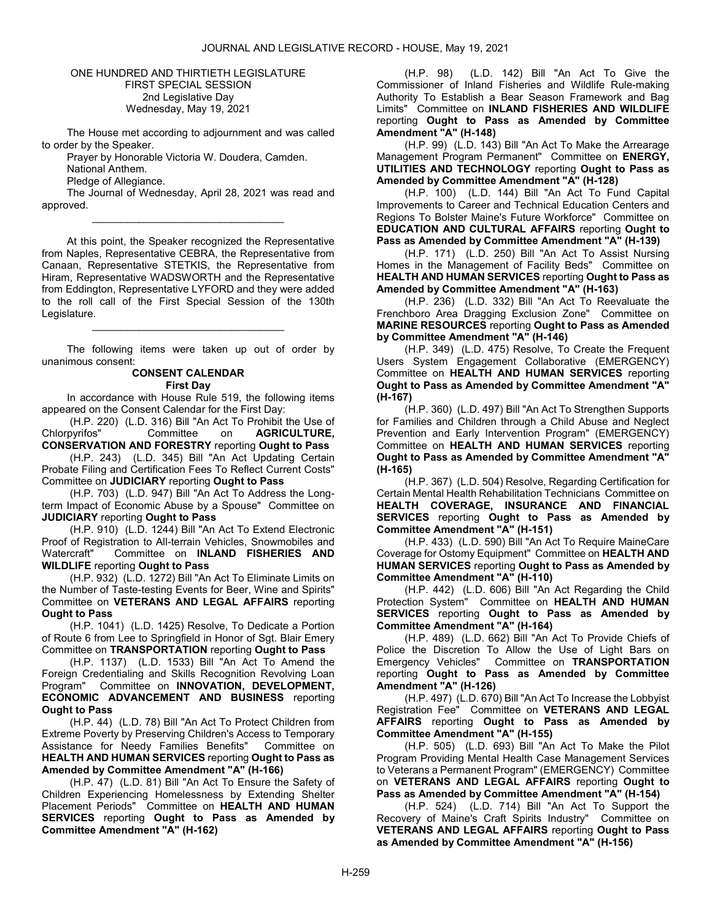### ONE HUNDRED AND THIRTIETH LEGISLATURE FIRST SPECIAL SESSION 2nd Legislative Day Wednesday, May 19, 2021

 The House met according to adjournment and was called to order by the Speaker.

Prayer by Honorable Victoria W. Doudera, Camden.

National Anthem.

Pledge of Allegiance.

 The Journal of Wednesday, April 28, 2021 was read and approved. \_\_\_\_\_\_\_\_\_\_\_\_\_\_\_\_\_\_\_\_\_\_\_\_\_\_\_\_\_\_\_\_\_

 At this point, the Speaker recognized the Representative from Naples, Representative CEBRA, the Representative from Canaan, Representative STETKIS, the Representative from Hiram, Representative WADSWORTH and the Representative from Eddington, Representative LYFORD and they were added to the roll call of the First Special Session of the 130th Legislature.

 The following items were taken up out of order by unanimous consent:

\_\_\_\_\_\_\_\_\_\_\_\_\_\_\_\_\_\_\_\_\_\_\_\_\_\_\_\_\_\_\_\_\_

#### CONSENT CALENDAR First Day

 In accordance with House Rule 519, the following items appeared on the Consent Calendar for the First Day:

 (H.P. 220) (L.D. 316) Bill "An Act To Prohibit the Use of Chlorpyrifos" Committee on AGRICULTURE, CONSERVATION AND FORESTRY reporting Ought to Pass

 (H.P. 243) (L.D. 345) Bill "An Act Updating Certain Probate Filing and Certification Fees To Reflect Current Costs" Committee on JUDICIARY reporting Ought to Pass

 (H.P. 703) (L.D. 947) Bill "An Act To Address the Longterm Impact of Economic Abuse by a Spouse" Committee on JUDICIARY reporting Ought to Pass

 (H.P. 910) (L.D. 1244) Bill "An Act To Extend Electronic Proof of Registration to All-terrain Vehicles, Snowmobiles and Watercraft" Committee on INLAND FISHERIES AND WILDLIFE reporting Ought to Pass

 (H.P. 932) (L.D. 1272) Bill "An Act To Eliminate Limits on the Number of Taste-testing Events for Beer, Wine and Spirits" Committee on VETERANS AND LEGAL AFFAIRS reporting Ought to Pass

 (H.P. 1041) (L.D. 1425) Resolve, To Dedicate a Portion of Route 6 from Lee to Springfield in Honor of Sgt. Blair Emery Committee on TRANSPORTATION reporting Ought to Pass

 (H.P. 1137) (L.D. 1533) Bill "An Act To Amend the Foreign Credentialing and Skills Recognition Revolving Loan Program" Committee on **INNOVATION, DEVELOPMENT,** ECONOMIC ADVANCEMENT AND BUSINESS reporting Ought to Pass

 (H.P. 44) (L.D. 78) Bill "An Act To Protect Children from Extreme Poverty by Preserving Children's Access to Temporary Assistance for Needy Families Benefits" Committee on HEALTH AND HUMAN SERVICES reporting Ought to Pass as Amended by Committee Amendment "A" (H-166)

 (H.P. 47) (L.D. 81) Bill "An Act To Ensure the Safety of Children Experiencing Homelessness by Extending Shelter Placement Periods" Committee on HEALTH AND HUMAN SERVICES reporting Ought to Pass as Amended by Committee Amendment "A" (H-162)

 (H.P. 98) (L.D. 142) Bill "An Act To Give the Commissioner of Inland Fisheries and Wildlife Rule-making Authority To Establish a Bear Season Framework and Bag Limits" Committee on INLAND FISHERIES AND WILDLIFE reporting Ought to Pass as Amended by Committee Amendment "A" (H-148)

 (H.P. 99) (L.D. 143) Bill "An Act To Make the Arrearage Management Program Permanent" Committee on ENERGY. UTILITIES AND TECHNOLOGY reporting Ought to Pass as Amended by Committee Amendment "A" (H-128)

 (H.P. 100) (L.D. 144) Bill "An Act To Fund Capital Improvements to Career and Technical Education Centers and Regions To Bolster Maine's Future Workforce" Committee on EDUCATION AND CULTURAL AFFAIRS reporting Ought to Pass as Amended by Committee Amendment "A" (H-139)

 (H.P. 171) (L.D. 250) Bill "An Act To Assist Nursing Homes in the Management of Facility Beds" Committee on HEALTH AND HUMAN SERVICES reporting Ought to Pass as Amended by Committee Amendment "A" (H-163)

 (H.P. 236) (L.D. 332) Bill "An Act To Reevaluate the Frenchboro Area Dragging Exclusion Zone" Committee on MARINE RESOURCES reporting Ought to Pass as Amended by Committee Amendment "A" (H-146)

 (H.P. 349) (L.D. 475) Resolve, To Create the Frequent Users System Engagement Collaborative (EMERGENCY) Committee on HEALTH AND HUMAN SERVICES reporting Ought to Pass as Amended by Committee Amendment "A" (H-167)

 (H.P. 360) (L.D. 497) Bill "An Act To Strengthen Supports for Families and Children through a Child Abuse and Neglect Prevention and Early Intervention Program" (EMERGENCY) Committee on HEALTH AND HUMAN SERVICES reporting Ought to Pass as Amended by Committee Amendment "A" (H-165)

 (H.P. 367) (L.D. 504) Resolve, Regarding Certification for Certain Mental Health Rehabilitation Technicians Committee on HEALTH COVERAGE, INSURANCE AND FINANCIAL SERVICES reporting Ought to Pass as Amended by Committee Amendment "A" (H-151)

 (H.P. 433) (L.D. 590) Bill "An Act To Require MaineCare Coverage for Ostomy Equipment" Committee on HEALTH AND HUMAN SERVICES reporting Ought to Pass as Amended by Committee Amendment "A" (H-110)

 (H.P. 442) (L.D. 606) Bill "An Act Regarding the Child Protection System" Committee on HEALTH AND HUMAN SERVICES reporting Ought to Pass as Amended by Committee Amendment "A" (H-164)

 (H.P. 489) (L.D. 662) Bill "An Act To Provide Chiefs of Police the Discretion To Allow the Use of Light Bars on Emergency Vehicles" Committee on TRANSPORTATION reporting Ought to Pass as Amended by Committee Amendment "A" (H-126)

 (H.P. 497) (L.D. 670) Bill "An Act To Increase the Lobbyist Registration Fee" Committee on VETERANS AND LEGAL AFFAIRS reporting Ought to Pass as Amended by Committee Amendment "A" (H-155)

 (H.P. 505) (L.D. 693) Bill "An Act To Make the Pilot Program Providing Mental Health Case Management Services to Veterans a Permanent Program" (EMERGENCY) Committee on VETERANS AND LEGAL AFFAIRS reporting Ought to Pass as Amended by Committee Amendment "A" (H-154)

 (H.P. 524) (L.D. 714) Bill "An Act To Support the Recovery of Maine's Craft Spirits Industry" Committee on VETERANS AND LEGAL AFFAIRS reporting Ought to Pass as Amended by Committee Amendment "A" (H-156)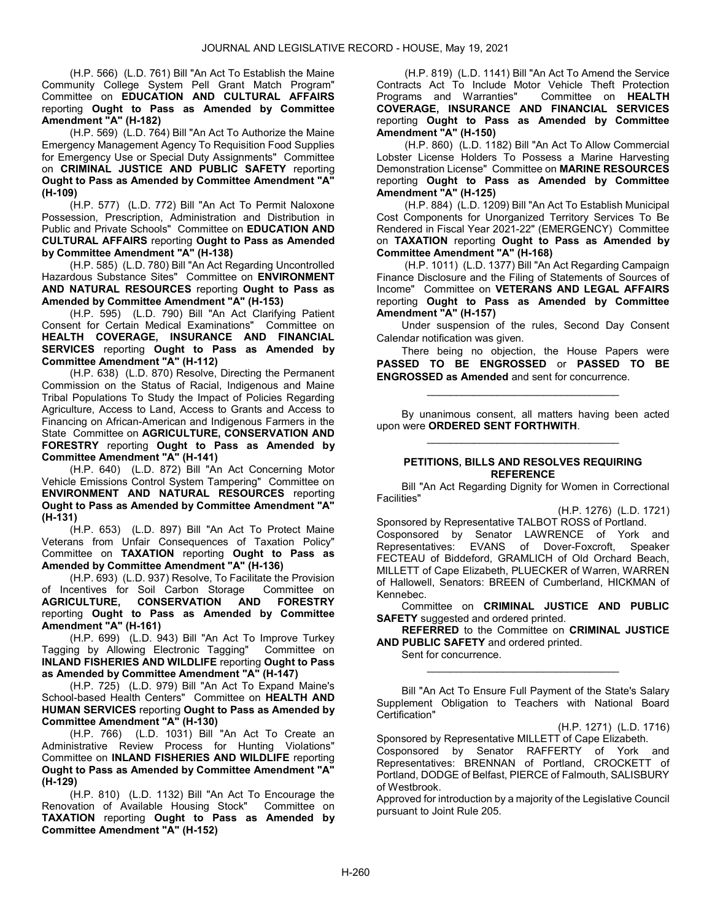(H.P. 566) (L.D. 761) Bill "An Act To Establish the Maine Community College System Pell Grant Match Program" Committee on EDUCATION AND CULTURAL AFFAIRS reporting Ought to Pass as Amended by Committee Amendment "A" (H-182)

 (H.P. 569) (L.D. 764) Bill "An Act To Authorize the Maine Emergency Management Agency To Requisition Food Supplies for Emergency Use or Special Duty Assignments" Committee on CRIMINAL JUSTICE AND PUBLIC SAFETY reporting Ought to Pass as Amended by Committee Amendment "A" (H-109)

 (H.P. 577) (L.D. 772) Bill "An Act To Permit Naloxone Possession, Prescription, Administration and Distribution in Public and Private Schools" Committee on EDUCATION AND CULTURAL AFFAIRS reporting Ought to Pass as Amended by Committee Amendment "A" (H-138)

 (H.P. 585) (L.D. 780) Bill "An Act Regarding Uncontrolled Hazardous Substance Sites" Committee on ENVIRONMENT AND NATURAL RESOURCES reporting Ought to Pass as Amended by Committee Amendment "A" (H-153)

 (H.P. 595) (L.D. 790) Bill "An Act Clarifying Patient Consent for Certain Medical Examinations" Committee on HEALTH COVERAGE, INSURANCE AND FINANCIAL SERVICES reporting Ought to Pass as Amended by Committee Amendment "A" (H-112)

 (H.P. 638) (L.D. 870) Resolve, Directing the Permanent Commission on the Status of Racial, Indigenous and Maine Tribal Populations To Study the Impact of Policies Regarding Agriculture, Access to Land, Access to Grants and Access to Financing on African-American and Indigenous Farmers in the State Committee on AGRICULTURE, CONSERVATION AND FORESTRY reporting Ought to Pass as Amended by Committee Amendment "A" (H-141)

 (H.P. 640) (L.D. 872) Bill "An Act Concerning Motor Vehicle Emissions Control System Tampering" Committee on ENVIRONMENT AND NATURAL RESOURCES reporting Ought to Pass as Amended by Committee Amendment "A" (H-131)

 (H.P. 653) (L.D. 897) Bill "An Act To Protect Maine Veterans from Unfair Consequences of Taxation Policy" Committee on TAXATION reporting Ought to Pass as Amended by Committee Amendment "A" (H-136)

 (H.P. 693) (L.D. 937) Resolve, To Facilitate the Provision of Incentives for Soil Carbon Storage Committee on **AGRICULTURE, CONSERVATION AND FORESTRY** AGRICULTURE, CONSERVATION AND FORESTRY reporting Ought to Pass as Amended by Committee Amendment "A" (H-161)

 (H.P. 699) (L.D. 943) Bill "An Act To Improve Turkey Tagging by Allowing Electronic Tagging" Committee on INLAND FISHERIES AND WILDLIFE reporting Ought to Pass as Amended by Committee Amendment "A" (H-147)

 (H.P. 725) (L.D. 979) Bill "An Act To Expand Maine's School-based Health Centers" Committee on HEALTH AND HUMAN SERVICES reporting Ought to Pass as Amended by Committee Amendment "A" (H-130)

 (H.P. 766) (L.D. 1031) Bill "An Act To Create an Administrative Review Process for Hunting Violations" Committee on INLAND FISHERIES AND WILDLIFE reporting Ought to Pass as Amended by Committee Amendment "A" (H-129)

 (H.P. 810) (L.D. 1132) Bill "An Act To Encourage the Renovation of Available Housing Stock" Committee on TAXATION reporting Ought to Pass as Amended by Committee Amendment "A" (H-152)

 (H.P. 819) (L.D. 1141) Bill "An Act To Amend the Service Contracts Act To Include Motor Vehicle Theft Protection<br>Programs and Warranties" Committee on HEALTH Programs and Warranties" COVERAGE, INSURANCE AND FINANCIAL SERVICES reporting Ought to Pass as Amended by Committee Amendment "A" (H-150)

 (H.P. 860) (L.D. 1182) Bill "An Act To Allow Commercial Lobster License Holders To Possess a Marine Harvesting Demonstration License" Committee on MARINE RESOURCES reporting Ought to Pass as Amended by Committee Amendment "A" (H-125)

 (H.P. 884) (L.D. 1209) Bill "An Act To Establish Municipal Cost Components for Unorganized Territory Services To Be Rendered in Fiscal Year 2021-22" (EMERGENCY) Committee on TAXATION reporting Ought to Pass as Amended by Committee Amendment "A" (H-168)

 (H.P. 1011) (L.D. 1377) Bill "An Act Regarding Campaign Finance Disclosure and the Filing of Statements of Sources of Income" Committee on VETERANS AND LEGAL AFFAIRS reporting Ought to Pass as Amended by Committee Amendment "A" (H-157)

 Under suspension of the rules, Second Day Consent Calendar notification was given.

 There being no objection, the House Papers were PASSED TO BE ENGROSSED or PASSED TO BE ENGROSSED as Amended and sent for concurrence.

\_\_\_\_\_\_\_\_\_\_\_\_\_\_\_\_\_\_\_\_\_\_\_\_\_\_\_\_\_\_\_\_\_

 By unanimous consent, all matters having been acted upon were ORDERED SENT FORTHWITH. \_\_\_\_\_\_\_\_\_\_\_\_\_\_\_\_\_\_\_\_\_\_\_\_\_\_\_\_\_\_\_\_\_

#### PETITIONS, BILLS AND RESOLVES REQUIRING **REFERENCE**

 Bill "An Act Regarding Dignity for Women in Correctional Facilities"

(H.P. 1276) (L.D. 1721)

Sponsored by Representative TALBOT ROSS of Portland. Cosponsored by Senator LAWRENCE of York and Representatives: EVANS of Dover-Foxcroft, Speaker FECTEAU of Biddeford, GRAMLICH of Old Orchard Beach, MILLETT of Cape Elizabeth, PLUECKER of Warren, WARREN of Hallowell, Senators: BREEN of Cumberland, HICKMAN of Kennebec.

 Committee on CRIMINAL JUSTICE AND PUBLIC **SAFETY** suggested and ordered printed.

REFERRED to the Committee on CRIMINAL JUSTICE AND PUBLIC SAFETY and ordered printed.

\_\_\_\_\_\_\_\_\_\_\_\_\_\_\_\_\_\_\_\_\_\_\_\_\_\_\_\_\_\_\_\_\_

Sent for concurrence.

 Bill "An Act To Ensure Full Payment of the State's Salary Supplement Obligation to Teachers with National Board Certification"

(H.P. 1271) (L.D. 1716)

Sponsored by Representative MILLETT of Cape Elizabeth. Cosponsored by Senator RAFFERTY of York and Representatives: BRENNAN of Portland, CROCKETT of Portland, DODGE of Belfast, PIERCE of Falmouth, SALISBURY of Westbrook.

Approved for introduction by a majority of the Legislative Council pursuant to Joint Rule 205.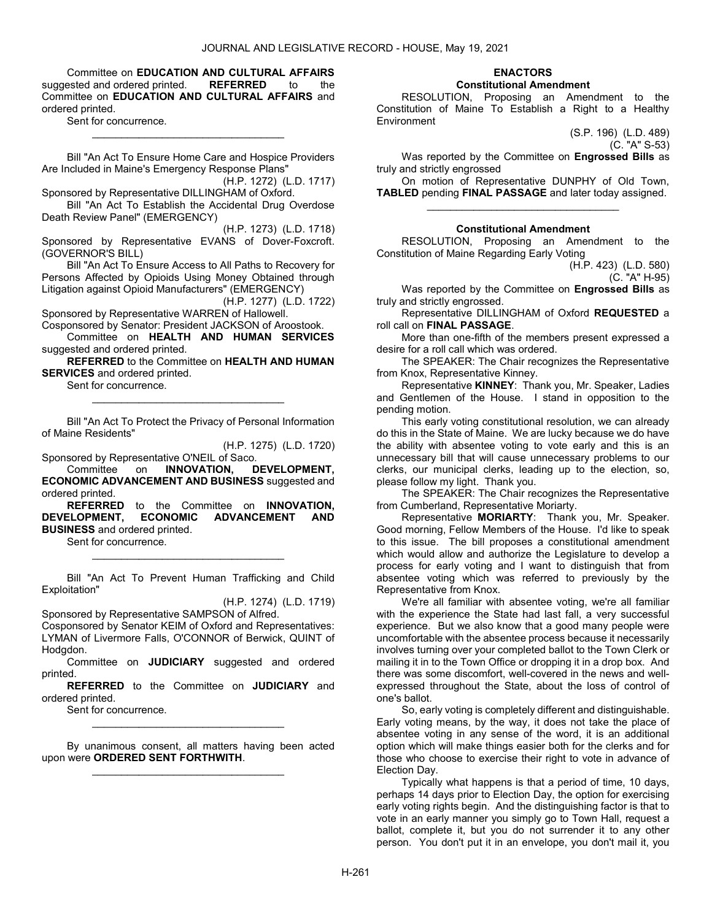Committee on EDUCATION AND CULTURAL AFFAIRS suggested and ordered printed. REFERRED to the Committee on EDUCATION AND CULTURAL AFFAIRS and ordered printed.

Sent for concurrence.

 Bill "An Act To Ensure Home Care and Hospice Providers Are Included in Maine's Emergency Response Plans"

\_\_\_\_\_\_\_\_\_\_\_\_\_\_\_\_\_\_\_\_\_\_\_\_\_\_\_\_\_\_\_\_\_

(H.P. 1272) (L.D. 1717) Sponsored by Representative DILLINGHAM of Oxford.

 Bill "An Act To Establish the Accidental Drug Overdose Death Review Panel" (EMERGENCY)

(H.P. 1273) (L.D. 1718) Sponsored by Representative EVANS of Dover-Foxcroft. (GOVERNOR'S BILL)

 Bill "An Act To Ensure Access to All Paths to Recovery for Persons Affected by Opioids Using Money Obtained through Litigation against Opioid Manufacturers" (EMERGENCY)

(H.P. 1277) (L.D. 1722) Sponsored by Representative WARREN of Hallowell.

Cosponsored by Senator: President JACKSON of Aroostook. Committee on HEALTH AND HUMAN SERVICES suggested and ordered printed.

REFERRED to the Committee on HEALTH AND HUMAN **SERVICES** and ordered printed.

Sent for concurrence.

 Bill "An Act To Protect the Privacy of Personal Information of Maine Residents"

\_\_\_\_\_\_\_\_\_\_\_\_\_\_\_\_\_\_\_\_\_\_\_\_\_\_\_\_\_\_\_\_\_

(H.P. 1275) (L.D. 1720)

Sponsored by Representative O'NEIL of Saco. Committee on INNOVATION, DEVELOPMENT, ECONOMIC ADVANCEMENT AND BUSINESS suggested and ordered printed.

REFERRED to the Committee on INNOVATION, DEVELOPMENT, ECONOMIC ADVANCEMENT AND BUSINESS and ordered printed.

Sent for concurrence.

 Bill "An Act To Prevent Human Trafficking and Child Exploitation"

\_\_\_\_\_\_\_\_\_\_\_\_\_\_\_\_\_\_\_\_\_\_\_\_\_\_\_\_\_\_\_\_\_

(H.P. 1274) (L.D. 1719)

Sponsored by Representative SAMPSON of Alfred.

Cosponsored by Senator KEIM of Oxford and Representatives: LYMAN of Livermore Falls, O'CONNOR of Berwick, QUINT of Hodgdon.

 Committee on JUDICIARY suggested and ordered printed.

REFERRED to the Committee on JUDICIARY and ordered printed.

\_\_\_\_\_\_\_\_\_\_\_\_\_\_\_\_\_\_\_\_\_\_\_\_\_\_\_\_\_\_\_\_\_

Sent for concurrence.

 By unanimous consent, all matters having been acted upon were ORDERED SENT FORTHWITH. \_\_\_\_\_\_\_\_\_\_\_\_\_\_\_\_\_\_\_\_\_\_\_\_\_\_\_\_\_\_\_\_\_

# ENACTORS

### Constitutional Amendment

 RESOLUTION, Proposing an Amendment to the Constitution of Maine To Establish a Right to a Healthy **Environment** 

(S.P. 196) (L.D. 489)

(C. "A" S-53)

Was reported by the Committee on Engrossed Bills as truly and strictly engrossed

 On motion of Representative DUNPHY of Old Town, TABLED pending FINAL PASSAGE and later today assigned. \_\_\_\_\_\_\_\_\_\_\_\_\_\_\_\_\_\_\_\_\_\_\_\_\_\_\_\_\_\_\_\_\_

### Constitutional Amendment

 RESOLUTION, Proposing an Amendment to the Constitution of Maine Regarding Early Voting

> (H.P. 423) (L.D. 580) (C. "A" H-95)

Was reported by the Committee on Engrossed Bills as truly and strictly engrossed.

 Representative DILLINGHAM of Oxford REQUESTED a roll call on FINAL PASSAGE.

 More than one-fifth of the members present expressed a desire for a roll call which was ordered.

 The SPEAKER: The Chair recognizes the Representative from Knox, Representative Kinney.

 Representative KINNEY: Thank you, Mr. Speaker, Ladies and Gentlemen of the House. I stand in opposition to the pending motion.

 This early voting constitutional resolution, we can already do this in the State of Maine. We are lucky because we do have the ability with absentee voting to vote early and this is an unnecessary bill that will cause unnecessary problems to our clerks, our municipal clerks, leading up to the election, so, please follow my light. Thank you.

 The SPEAKER: The Chair recognizes the Representative from Cumberland, Representative Moriarty.

 Representative MORIARTY: Thank you, Mr. Speaker. Good morning, Fellow Members of the House. I'd like to speak to this issue. The bill proposes a constitutional amendment which would allow and authorize the Legislature to develop a process for early voting and I want to distinguish that from absentee voting which was referred to previously by the Representative from Knox.

 We're all familiar with absentee voting, we're all familiar with the experience the State had last fall, a very successful experience. But we also know that a good many people were uncomfortable with the absentee process because it necessarily involves turning over your completed ballot to the Town Clerk or mailing it in to the Town Office or dropping it in a drop box. And there was some discomfort, well-covered in the news and wellexpressed throughout the State, about the loss of control of one's ballot.

 So, early voting is completely different and distinguishable. Early voting means, by the way, it does not take the place of absentee voting in any sense of the word, it is an additional option which will make things easier both for the clerks and for those who choose to exercise their right to vote in advance of Election Day.

 Typically what happens is that a period of time, 10 days, perhaps 14 days prior to Election Day, the option for exercising early voting rights begin. And the distinguishing factor is that to vote in an early manner you simply go to Town Hall, request a ballot, complete it, but you do not surrender it to any other person. You don't put it in an envelope, you don't mail it, you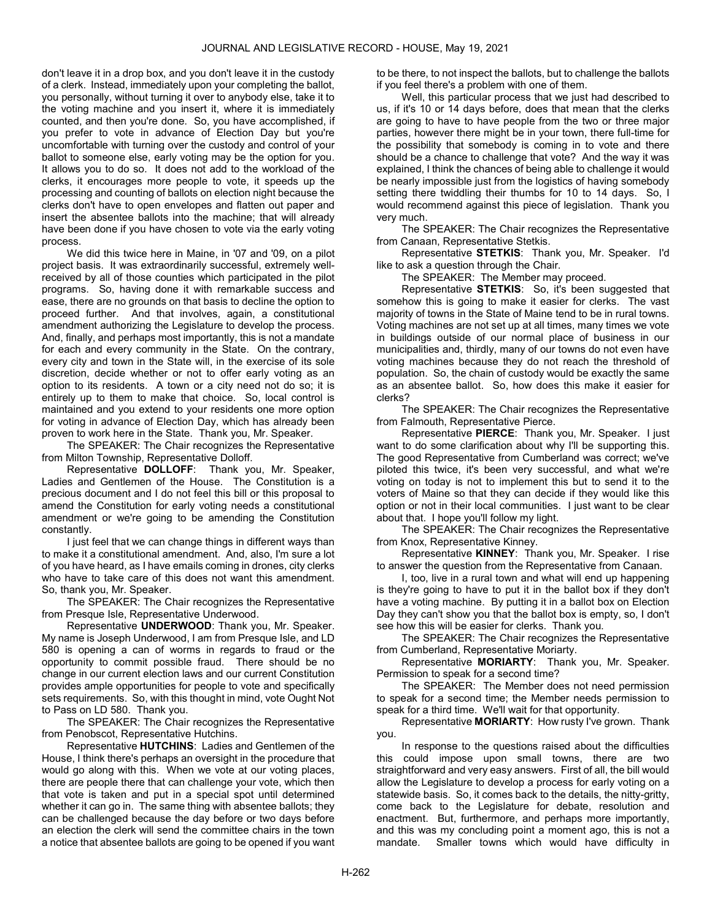don't leave it in a drop box, and you don't leave it in the custody of a clerk. Instead, immediately upon your completing the ballot, you personally, without turning it over to anybody else, take it to the voting machine and you insert it, where it is immediately counted, and then you're done. So, you have accomplished, if you prefer to vote in advance of Election Day but you're uncomfortable with turning over the custody and control of your ballot to someone else, early voting may be the option for you. It allows you to do so. It does not add to the workload of the clerks, it encourages more people to vote, it speeds up the processing and counting of ballots on election night because the clerks don't have to open envelopes and flatten out paper and insert the absentee ballots into the machine; that will already have been done if you have chosen to vote via the early voting process.

 We did this twice here in Maine, in '07 and '09, on a pilot project basis. It was extraordinarily successful, extremely wellreceived by all of those counties which participated in the pilot programs. So, having done it with remarkable success and ease, there are no grounds on that basis to decline the option to proceed further. And that involves, again, a constitutional amendment authorizing the Legislature to develop the process. And, finally, and perhaps most importantly, this is not a mandate for each and every community in the State. On the contrary, every city and town in the State will, in the exercise of its sole discretion, decide whether or not to offer early voting as an option to its residents. A town or a city need not do so; it is entirely up to them to make that choice. So, local control is maintained and you extend to your residents one more option for voting in advance of Election Day, which has already been proven to work here in the State. Thank you, Mr. Speaker.

 The SPEAKER: The Chair recognizes the Representative from Milton Township, Representative Dolloff.

 Representative DOLLOFF: Thank you, Mr. Speaker, Ladies and Gentlemen of the House. The Constitution is a precious document and I do not feel this bill or this proposal to amend the Constitution for early voting needs a constitutional amendment or we're going to be amending the Constitution constantly.

 I just feel that we can change things in different ways than to make it a constitutional amendment. And, also, I'm sure a lot of you have heard, as I have emails coming in drones, city clerks who have to take care of this does not want this amendment. So, thank you, Mr. Speaker.

 The SPEAKER: The Chair recognizes the Representative from Presque Isle, Representative Underwood.

 Representative UNDERWOOD: Thank you, Mr. Speaker. My name is Joseph Underwood, I am from Presque Isle, and LD 580 is opening a can of worms in regards to fraud or the opportunity to commit possible fraud. There should be no change in our current election laws and our current Constitution provides ample opportunities for people to vote and specifically sets requirements. So, with this thought in mind, vote Ought Not to Pass on LD 580. Thank you.

 The SPEAKER: The Chair recognizes the Representative from Penobscot, Representative Hutchins.

 Representative HUTCHINS: Ladies and Gentlemen of the House, I think there's perhaps an oversight in the procedure that would go along with this. When we vote at our voting places, there are people there that can challenge your vote, which then that vote is taken and put in a special spot until determined whether it can go in. The same thing with absentee ballots; they can be challenged because the day before or two days before an election the clerk will send the committee chairs in the town a notice that absentee ballots are going to be opened if you want to be there, to not inspect the ballots, but to challenge the ballots if you feel there's a problem with one of them.

 Well, this particular process that we just had described to us, if it's 10 or 14 days before, does that mean that the clerks are going to have to have people from the two or three major parties, however there might be in your town, there full-time for the possibility that somebody is coming in to vote and there should be a chance to challenge that vote? And the way it was explained, I think the chances of being able to challenge it would be nearly impossible just from the logistics of having somebody setting there twiddling their thumbs for 10 to 14 days. So, I would recommend against this piece of legislation. Thank you very much.

 The SPEAKER: The Chair recognizes the Representative from Canaan, Representative Stetkis.

 Representative STETKIS: Thank you, Mr. Speaker. I'd like to ask a question through the Chair.

The SPEAKER: The Member may proceed.

 Representative STETKIS: So, it's been suggested that somehow this is going to make it easier for clerks. The vast majority of towns in the State of Maine tend to be in rural towns. Voting machines are not set up at all times, many times we vote in buildings outside of our normal place of business in our municipalities and, thirdly, many of our towns do not even have voting machines because they do not reach the threshold of population. So, the chain of custody would be exactly the same as an absentee ballot. So, how does this make it easier for clerks?

 The SPEAKER: The Chair recognizes the Representative from Falmouth, Representative Pierce.

 Representative PIERCE: Thank you, Mr. Speaker. I just want to do some clarification about why I'll be supporting this. The good Representative from Cumberland was correct; we've piloted this twice, it's been very successful, and what we're voting on today is not to implement this but to send it to the voters of Maine so that they can decide if they would like this option or not in their local communities. I just want to be clear about that. I hope you'll follow my light.

 The SPEAKER: The Chair recognizes the Representative from Knox, Representative Kinney.

 Representative KINNEY: Thank you, Mr. Speaker. I rise to answer the question from the Representative from Canaan.

 I, too, live in a rural town and what will end up happening is they're going to have to put it in the ballot box if they don't have a voting machine. By putting it in a ballot box on Election Day they can't show you that the ballot box is empty, so, I don't see how this will be easier for clerks. Thank you.

 The SPEAKER: The Chair recognizes the Representative from Cumberland, Representative Moriarty.

 Representative MORIARTY: Thank you, Mr. Speaker. Permission to speak for a second time?

 The SPEAKER: The Member does not need permission to speak for a second time; the Member needs permission to speak for a third time. We'll wait for that opportunity.

 Representative MORIARTY: How rusty I've grown. Thank you.

 In response to the questions raised about the difficulties this could impose upon small towns, there are two straightforward and very easy answers. First of all, the bill would allow the Legislature to develop a process for early voting on a statewide basis. So, it comes back to the details, the nitty-gritty, come back to the Legislature for debate, resolution and enactment. But, furthermore, and perhaps more importantly, and this was my concluding point a moment ago, this is not a mandate. Smaller towns which would have difficulty in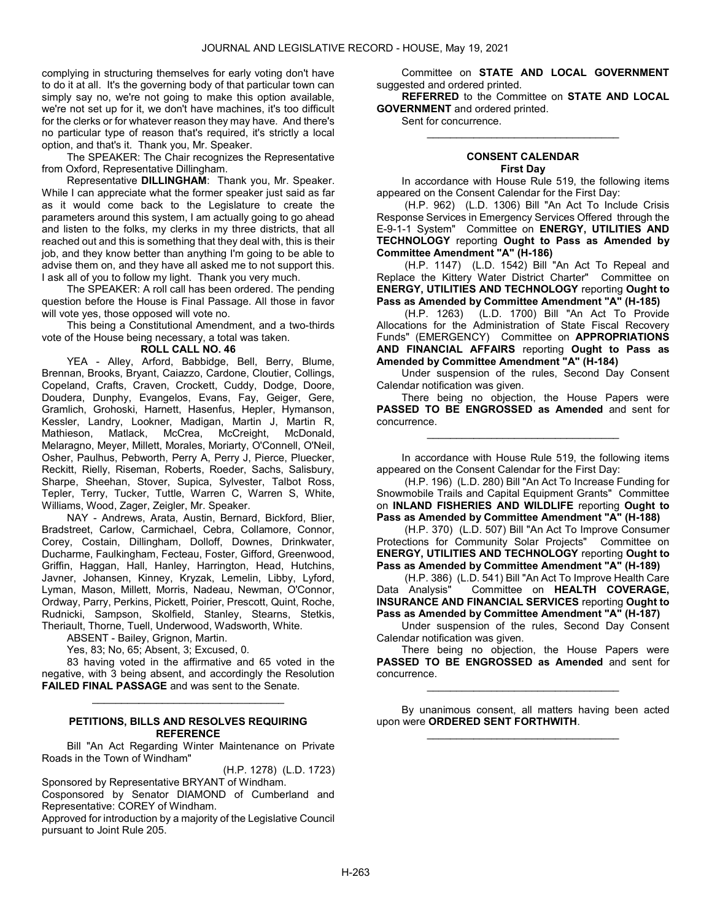complying in structuring themselves for early voting don't have to do it at all. It's the governing body of that particular town can simply say no, we're not going to make this option available, we're not set up for it, we don't have machines, it's too difficult for the clerks or for whatever reason they may have. And there's no particular type of reason that's required, it's strictly a local option, and that's it. Thank you, Mr. Speaker.

 The SPEAKER: The Chair recognizes the Representative from Oxford, Representative Dillingham.

 Representative DILLINGHAM: Thank you, Mr. Speaker. While I can appreciate what the former speaker just said as far as it would come back to the Legislature to create the parameters around this system, I am actually going to go ahead and listen to the folks, my clerks in my three districts, that all reached out and this is something that they deal with, this is their job, and they know better than anything I'm going to be able to advise them on, and they have all asked me to not support this. I ask all of you to follow my light. Thank you very much.

 The SPEAKER: A roll call has been ordered. The pending question before the House is Final Passage. All those in favor will vote yes, those opposed will vote no.

 This being a Constitutional Amendment, and a two-thirds vote of the House being necessary, a total was taken.

#### ROLL CALL NO. 46

 YEA - Alley, Arford, Babbidge, Bell, Berry, Blume, Brennan, Brooks, Bryant, Caiazzo, Cardone, Cloutier, Collings, Copeland, Crafts, Craven, Crockett, Cuddy, Dodge, Doore, Doudera, Dunphy, Evangelos, Evans, Fay, Geiger, Gere, Gramlich, Grohoski, Harnett, Hasenfus, Hepler, Hymanson, Kessler, Landry, Lookner, Madigan, Martin J, Martin R, Mathieson, Matlack, McCrea, Melaragno, Meyer, Millett, Morales, Moriarty, O'Connell, O'Neil, Osher, Paulhus, Pebworth, Perry A, Perry J, Pierce, Pluecker, Reckitt, Rielly, Riseman, Roberts, Roeder, Sachs, Salisbury, Sharpe, Sheehan, Stover, Supica, Sylvester, Talbot Ross, Tepler, Terry, Tucker, Tuttle, Warren C, Warren S, White, Williams, Wood, Zager, Zeigler, Mr. Speaker.

 NAY - Andrews, Arata, Austin, Bernard, Bickford, Blier, Bradstreet, Carlow, Carmichael, Cebra, Collamore, Connor, Corey, Costain, Dillingham, Dolloff, Downes, Drinkwater, Ducharme, Faulkingham, Fecteau, Foster, Gifford, Greenwood, Griffin, Haggan, Hall, Hanley, Harrington, Head, Hutchins, Javner, Johansen, Kinney, Kryzak, Lemelin, Libby, Lyford, Lyman, Mason, Millett, Morris, Nadeau, Newman, O'Connor, Ordway, Parry, Perkins, Pickett, Poirier, Prescott, Quint, Roche, Rudnicki, Sampson, Skolfield, Stanley, Stearns, Stetkis, Theriault, Thorne, Tuell, Underwood, Wadsworth, White.

ABSENT - Bailey, Grignon, Martin.

Yes, 83; No, 65; Absent, 3; Excused, 0.

 83 having voted in the affirmative and 65 voted in the negative, with 3 being absent, and accordingly the Resolution FAILED FINAL PASSAGE and was sent to the Senate.

\_\_\_\_\_\_\_\_\_\_\_\_\_\_\_\_\_\_\_\_\_\_\_\_\_\_\_\_\_\_\_\_\_

#### PETITIONS, BILLS AND RESOLVES REQUIRING **REFERENCE**

 Bill "An Act Regarding Winter Maintenance on Private Roads in the Town of Windham"

(H.P. 1278) (L.D. 1723) Sponsored by Representative BRYANT of Windham.

Cosponsored by Senator DIAMOND of Cumberland and Representative: COREY of Windham.

Approved for introduction by a majority of the Legislative Council pursuant to Joint Rule 205.

 Committee on STATE AND LOCAL GOVERNMENT suggested and ordered printed.

REFERRED to the Committee on STATE AND LOCAL GOVERNMENT and ordered printed.

Sent for concurrence.

#### CONSENT CALENDAR First Day

\_\_\_\_\_\_\_\_\_\_\_\_\_\_\_\_\_\_\_\_\_\_\_\_\_\_\_\_\_\_\_\_\_

 In accordance with House Rule 519, the following items appeared on the Consent Calendar for the First Day:

 (H.P. 962) (L.D. 1306) Bill "An Act To Include Crisis Response Services in Emergency Services Offered through the E-9-1-1 System" Committee on ENERGY, UTILITIES AND TECHNOLOGY reporting Ought to Pass as Amended by Committee Amendment "A" (H-186)

 (H.P. 1147) (L.D. 1542) Bill "An Act To Repeal and Replace the Kittery Water District Charter" Committee on ENERGY, UTILITIES AND TECHNOLOGY reporting Ought to Pass as Amended by Committee Amendment "A" (H-185)

 (H.P. 1263) (L.D. 1700) Bill "An Act To Provide Allocations for the Administration of State Fiscal Recovery Funds" (EMERGENCY) Committee on APPROPRIATIONS AND FINANCIAL AFFAIRS reporting Ought to Pass as Amended by Committee Amendment "A" (H-184)

 Under suspension of the rules, Second Day Consent Calendar notification was given.

 There being no objection, the House Papers were PASSED TO BE ENGROSSED as Amended and sent for concurrence.

\_\_\_\_\_\_\_\_\_\_\_\_\_\_\_\_\_\_\_\_\_\_\_\_\_\_\_\_\_\_\_\_\_

 In accordance with House Rule 519, the following items appeared on the Consent Calendar for the First Day:

 (H.P. 196) (L.D. 280) Bill "An Act To Increase Funding for Snowmobile Trails and Capital Equipment Grants" Committee on INLAND FISHERIES AND WILDLIFE reporting Ought to Pass as Amended by Committee Amendment "A" (H-188)

 (H.P. 370) (L.D. 507) Bill "An Act To Improve Consumer Protections for Community Solar Projects" Committee on ENERGY, UTILITIES AND TECHNOLOGY reporting Ought to Pass as Amended by Committee Amendment "A" (H-189)

(H.P. 386) (L.D. 541) Bill "An Act To Improve Health Care<br>Data Analysis" Committee on HEALTH COVERAGE. Committee on HEALTH COVERAGE, INSURANCE AND FINANCIAL SERVICES reporting Ought to Pass as Amended by Committee Amendment "A" (H-187)

 Under suspension of the rules, Second Day Consent Calendar notification was given.

 There being no objection, the House Papers were PASSED TO BE ENGROSSED as Amended and sent for concurrence.

\_\_\_\_\_\_\_\_\_\_\_\_\_\_\_\_\_\_\_\_\_\_\_\_\_\_\_\_\_\_\_\_\_

 By unanimous consent, all matters having been acted upon were ORDERED SENT FORTHWITH. \_\_\_\_\_\_\_\_\_\_\_\_\_\_\_\_\_\_\_\_\_\_\_\_\_\_\_\_\_\_\_\_\_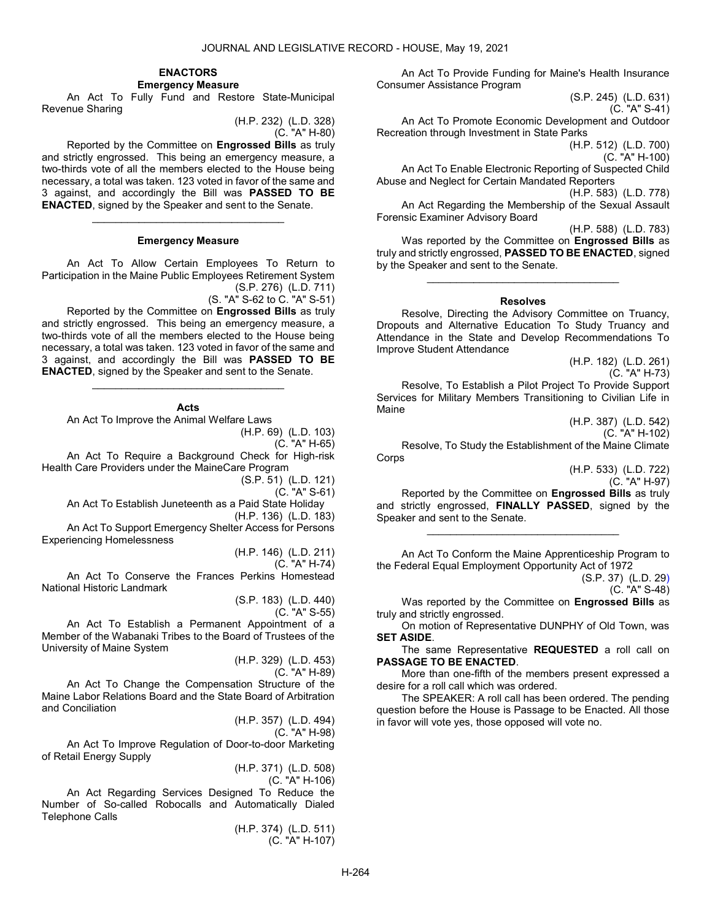#### ENACTORS Emergency Measure

 An Act To Fully Fund and Restore State-Municipal Revenue Sharing

> (H.P. 232) (L.D. 328) (C. "A" H-80)

 Reported by the Committee on Engrossed Bills as truly and strictly engrossed. This being an emergency measure, a two-thirds vote of all the members elected to the House being necessary, a total was taken. 123 voted in favor of the same and 3 against, and accordingly the Bill was PASSED TO BE ENACTED, signed by the Speaker and sent to the Senate.

#### Emergency Measure

\_\_\_\_\_\_\_\_\_\_\_\_\_\_\_\_\_\_\_\_\_\_\_\_\_\_\_\_\_\_\_\_\_

 An Act To Allow Certain Employees To Return to Participation in the Maine Public Employees Retirement System (S.P. 276) (L.D. 711)

(S. "A" S-62 to C. "A" S-51)

 Reported by the Committee on Engrossed Bills as truly and strictly engrossed. This being an emergency measure, a two-thirds vote of all the members elected to the House being necessary, a total was taken. 123 voted in favor of the same and 3 against, and accordingly the Bill was PASSED TO BE ENACTED, signed by the Speaker and sent to the Senate.

### Acts

\_\_\_\_\_\_\_\_\_\_\_\_\_\_\_\_\_\_\_\_\_\_\_\_\_\_\_\_\_\_\_\_\_

An Act To Improve the Animal Welfare Laws

(H.P. 69) (L.D. 103)

(C. "A" H-65)

 An Act To Require a Background Check for High-risk Health Care Providers under the MaineCare Program

(S.P. 51) (L.D. 121)

(C. "A" S-61) An Act To Establish Juneteenth as a Paid State Holiday (H.P. 136) (L.D. 183)

 An Act To Support Emergency Shelter Access for Persons Experiencing Homelessness

(H.P. 146) (L.D. 211)

(C. "A" H-74)

 An Act To Conserve the Frances Perkins Homestead National Historic Landmark

(S.P. 183) (L.D. 440)

(C. "A" S-55)

 An Act To Establish a Permanent Appointment of a Member of the Wabanaki Tribes to the Board of Trustees of the University of Maine System

(H.P. 329) (L.D. 453)

(C. "A" H-89)

 An Act To Change the Compensation Structure of the Maine Labor Relations Board and the State Board of Arbitration and Conciliation

(H.P. 357) (L.D. 494)

(C. "A" H-98)

 An Act To Improve Regulation of Door-to-door Marketing of Retail Energy Supply

> (H.P. 371) (L.D. 508) (C. "A" H-106)

 An Act Regarding Services Designed To Reduce the Number of So-called Robocalls and Automatically Dialed Telephone Calls

> (H.P. 374) (L.D. 511) (C. "A" H-107)

 An Act To Provide Funding for Maine's Health Insurance Consumer Assistance Program

> (S.P. 245) (L.D. 631)  $(C. "A" S-41)$

 An Act To Promote Economic Development and Outdoor Recreation through Investment in State Parks

(H.P. 512) (L.D. 700)

(C. "A" H-100)

 An Act To Enable Electronic Reporting of Suspected Child Abuse and Neglect for Certain Mandated Reporters

(H.P. 583) (L.D. 778)

 An Act Regarding the Membership of the Sexual Assault Forensic Examiner Advisory Board

(H.P. 588) (L.D. 783)

 Was reported by the Committee on Engrossed Bills as truly and strictly engrossed, PASSED TO BE ENACTED, signed by the Speaker and sent to the Senate.

\_\_\_\_\_\_\_\_\_\_\_\_\_\_\_\_\_\_\_\_\_\_\_\_\_\_\_\_\_\_\_\_\_

#### Resolves

 Resolve, Directing the Advisory Committee on Truancy, Dropouts and Alternative Education To Study Truancy and Attendance in the State and Develop Recommendations To Improve Student Attendance

(H.P. 182) (L.D. 261)

(C. "A" H-73)

 Resolve, To Establish a Pilot Project To Provide Support Services for Military Members Transitioning to Civilian Life in Maine

> (H.P. 387) (L.D. 542) (C. "A" H-102)

 Resolve, To Study the Establishment of the Maine Climate Corps

(H.P. 533) (L.D. 722) (C. "A" H-97)

 Reported by the Committee on Engrossed Bills as truly and strictly engrossed, FINALLY PASSED, signed by the Speaker and sent to the Senate.

\_\_\_\_\_\_\_\_\_\_\_\_\_\_\_\_\_\_\_\_\_\_\_\_\_\_\_\_\_\_\_\_\_

 An Act To Conform the Maine Apprenticeship Program to the Federal Equal Employment Opportunity Act of 1972

> (S.P. 37) (L.D. 29) (C. "A" S-48)

 Was reported by the Committee on Engrossed Bills as truly and strictly engrossed.

 On motion of Representative DUNPHY of Old Town, was SET ASIDE.

The same Representative REQUESTED a roll call on PASSAGE TO BE ENACTED.

 More than one-fifth of the members present expressed a desire for a roll call which was ordered.

 The SPEAKER: A roll call has been ordered. The pending question before the House is Passage to be Enacted. All those in favor will vote yes, those opposed will vote no.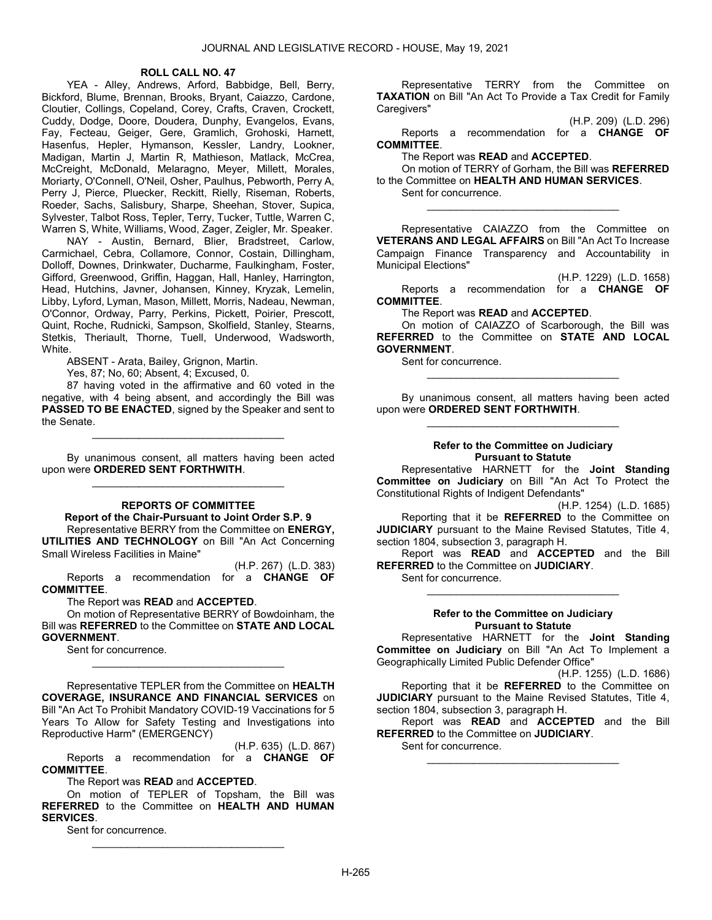### ROLL CALL NO. 47

 YEA - Alley, Andrews, Arford, Babbidge, Bell, Berry, Bickford, Blume, Brennan, Brooks, Bryant, Caiazzo, Cardone, Cloutier, Collings, Copeland, Corey, Crafts, Craven, Crockett, Cuddy, Dodge, Doore, Doudera, Dunphy, Evangelos, Evans, Fay, Fecteau, Geiger, Gere, Gramlich, Grohoski, Harnett, Hasenfus, Hepler, Hymanson, Kessler, Landry, Lookner, Madigan, Martin J, Martin R, Mathieson, Matlack, McCrea, McCreight, McDonald, Melaragno, Meyer, Millett, Morales, Moriarty, O'Connell, O'Neil, Osher, Paulhus, Pebworth, Perry A, Perry J, Pierce, Pluecker, Reckitt, Rielly, Riseman, Roberts, Roeder, Sachs, Salisbury, Sharpe, Sheehan, Stover, Supica, Sylvester, Talbot Ross, Tepler, Terry, Tucker, Tuttle, Warren C, Warren S, White, Williams, Wood, Zager, Zeigler, Mr. Speaker.

 NAY - Austin, Bernard, Blier, Bradstreet, Carlow, Carmichael, Cebra, Collamore, Connor, Costain, Dillingham, Dolloff, Downes, Drinkwater, Ducharme, Faulkingham, Foster, Gifford, Greenwood, Griffin, Haggan, Hall, Hanley, Harrington, Head, Hutchins, Javner, Johansen, Kinney, Kryzak, Lemelin, Libby, Lyford, Lyman, Mason, Millett, Morris, Nadeau, Newman, O'Connor, Ordway, Parry, Perkins, Pickett, Poirier, Prescott, Quint, Roche, Rudnicki, Sampson, Skolfield, Stanley, Stearns, Stetkis, Theriault, Thorne, Tuell, Underwood, Wadsworth, White.

ABSENT - Arata, Bailey, Grignon, Martin.

Yes, 87; No, 60; Absent, 4; Excused, 0.

 87 having voted in the affirmative and 60 voted in the negative, with 4 being absent, and accordingly the Bill was PASSED TO BE ENACTED, signed by the Speaker and sent to the Senate.

\_\_\_\_\_\_\_\_\_\_\_\_\_\_\_\_\_\_\_\_\_\_\_\_\_\_\_\_\_\_\_\_\_

 By unanimous consent, all matters having been acted upon were ORDERED SENT FORTHWITH. \_\_\_\_\_\_\_\_\_\_\_\_\_\_\_\_\_\_\_\_\_\_\_\_\_\_\_\_\_\_\_\_\_

#### REPORTS OF COMMITTEE

#### Report of the Chair-Pursuant to Joint Order S.P. 9

 Representative BERRY from the Committee on ENERGY, UTILITIES AND TECHNOLOGY on Bill "An Act Concerning Small Wireless Facilities in Maine"

(H.P. 267) (L.D. 383) Reports a recommendation for a CHANGE OF COMMITTEE.

The Report was READ and ACCEPTED.

On motion of Representative BERRY of Bowdoinham, the Bill was REFERRED to the Committee on STATE AND LOCAL GOVERNMENT.

\_\_\_\_\_\_\_\_\_\_\_\_\_\_\_\_\_\_\_\_\_\_\_\_\_\_\_\_\_\_\_\_\_

Sent for concurrence.

 Representative TEPLER from the Committee on HEALTH COVERAGE, INSURANCE AND FINANCIAL SERVICES on Bill "An Act To Prohibit Mandatory COVID-19 Vaccinations for 5 Years To Allow for Safety Testing and Investigations into Reproductive Harm" (EMERGENCY)

(H.P. 635) (L.D. 867) Reports a recommendation for a CHANGE OF COMMITTEE.

### The Report was READ and ACCEPTED.

On motion of TEPLER of Topsham, the Bill was REFERRED to the Committee on HEALTH AND HUMAN SERVICES.

\_\_\_\_\_\_\_\_\_\_\_\_\_\_\_\_\_\_\_\_\_\_\_\_\_\_\_\_\_\_\_\_\_

Sent for concurrence.

 Representative TERRY from the Committee on TAXATION on Bill "An Act To Provide a Tax Credit for Family Caregivers"

(H.P. 209) (L.D. 296)

 Reports a recommendation for a CHANGE OF COMMITTEE.

The Report was READ and ACCEPTED.

On motion of TERRY of Gorham, the Bill was REFERRED to the Committee on HEALTH AND HUMAN SERVICES.

\_\_\_\_\_\_\_\_\_\_\_\_\_\_\_\_\_\_\_\_\_\_\_\_\_\_\_\_\_\_\_\_\_

Sent for concurrence.

 Representative CAIAZZO from the Committee on VETERANS AND LEGAL AFFAIRS on Bill "An Act To Increase Campaign Finance Transparency and Accountability in Municipal Elections"

(H.P. 1229) (L.D. 1658)

 Reports a recommendation for a CHANGE OF COMMITTEE.

The Report was READ and ACCEPTED.

On motion of CAIAZZO of Scarborough, the Bill was REFERRED to the Committee on STATE AND LOCAL GOVERNMENT.

Sent for concurrence.

 By unanimous consent, all matters having been acted upon were ORDERED SENT FORTHWITH. \_\_\_\_\_\_\_\_\_\_\_\_\_\_\_\_\_\_\_\_\_\_\_\_\_\_\_\_\_\_\_\_\_

\_\_\_\_\_\_\_\_\_\_\_\_\_\_\_\_\_\_\_\_\_\_\_\_\_\_\_\_\_\_\_\_\_

#### Refer to the Committee on Judiciary Pursuant to Statute

 Representative HARNETT for the Joint Standing Committee on Judiciary on Bill "An Act To Protect the Constitutional Rights of Indigent Defendants"

(H.P. 1254) (L.D. 1685)

Reporting that it be REFERRED to the Committee on **JUDICIARY** pursuant to the Maine Revised Statutes, Title 4, section 1804, subsection 3, paragraph H.

 Report was READ and ACCEPTED and the Bill REFERRED to the Committee on JUDICIARY.

Sent for concurrence.

#### Refer to the Committee on Judiciary Pursuant to Statute

\_\_\_\_\_\_\_\_\_\_\_\_\_\_\_\_\_\_\_\_\_\_\_\_\_\_\_\_\_\_\_\_\_

 Representative HARNETT for the Joint Standing Committee on Judiciary on Bill "An Act To Implement a Geographically Limited Public Defender Office"

(H.P. 1255) (L.D. 1686) Reporting that it be **REFERRED** to the Committee on **JUDICIARY** pursuant to the Maine Revised Statutes, Title 4, section 1804, subsection 3, paragraph H.

 Report was READ and ACCEPTED and the Bill REFERRED to the Committee on JUDICIARY.

\_\_\_\_\_\_\_\_\_\_\_\_\_\_\_\_\_\_\_\_\_\_\_\_\_\_\_\_\_\_\_\_\_

Sent for concurrence.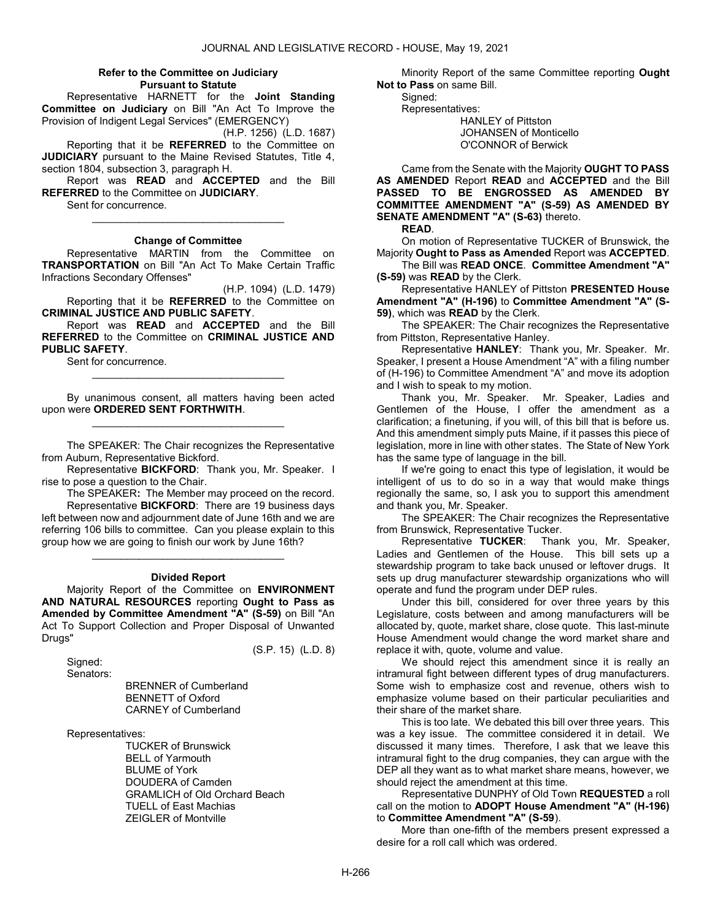#### Refer to the Committee on Judiciary Pursuant to Statute

 Representative HARNETT for the Joint Standing Committee on Judiciary on Bill "An Act To Improve the Provision of Indigent Legal Services" (EMERGENCY)

(H.P. 1256) (L.D. 1687)

 Reporting that it be REFERRED to the Committee on JUDICIARY pursuant to the Maine Revised Statutes, Title 4, section 1804, subsection 3, paragraph H.

 Report was READ and ACCEPTED and the Bill REFERRED to the Committee on JUDICIARY.

Sent for concurrence.

#### Change of Committee

\_\_\_\_\_\_\_\_\_\_\_\_\_\_\_\_\_\_\_\_\_\_\_\_\_\_\_\_\_\_\_\_\_

 Representative MARTIN from the Committee on TRANSPORTATION on Bill "An Act To Make Certain Traffic Infractions Secondary Offenses"

(H.P. 1094) (L.D. 1479) Reporting that it be REFERRED to the Committee on CRIMINAL JUSTICE AND PUBLIC SAFETY.

 Report was READ and ACCEPTED and the Bill REFERRED to the Committee on CRIMINAL JUSTICE AND PUBLIC SAFETY.

\_\_\_\_\_\_\_\_\_\_\_\_\_\_\_\_\_\_\_\_\_\_\_\_\_\_\_\_\_\_\_\_\_

Sent for concurrence.

 By unanimous consent, all matters having been acted upon were ORDERED SENT FORTHWITH. \_\_\_\_\_\_\_\_\_\_\_\_\_\_\_\_\_\_\_\_\_\_\_\_\_\_\_\_\_\_\_\_\_

 The SPEAKER: The Chair recognizes the Representative from Auburn, Representative Bickford.

Representative **BICKFORD:** Thank you, Mr. Speaker. I rise to pose a question to the Chair.

 The SPEAKER: The Member may proceed on the record. Representative BICKFORD: There are 19 business days left between now and adjournment date of June 16th and we are referring 106 bills to committee. Can you please explain to this group how we are going to finish our work by June 16th?

# \_\_\_\_\_\_\_\_\_\_\_\_\_\_\_\_\_\_\_\_\_\_\_\_\_\_\_\_\_\_\_\_\_ Divided Report

 Majority Report of the Committee on ENVIRONMENT AND NATURAL RESOURCES reporting Ought to Pass as Amended by Committee Amendment "A" (S-59) on Bill "An Act To Support Collection and Proper Disposal of Unwanted Drugs"

(S.P. 15) (L.D. 8)

 Signed: Senators:

> BRENNER of Cumberland BENNETT of Oxford CARNEY of Cumberland

Representatives:

 TUCKER of Brunswick BELL of Yarmouth BLUME of York DOUDERA of Camden GRAMLICH of Old Orchard Beach TUELL of East Machias ZEIGLER of Montville

 Minority Report of the same Committee reporting Ought Not to Pass on same Bill.

 Signed: Representatives: HANLEY of Pittston JOHANSEN of Monticello O'CONNOR of Berwick

 Came from the Senate with the Majority OUGHT TO PASS AS AMENDED Report READ and ACCEPTED and the Bill PASSED TO BE ENGROSSED AS AMENDED BY COMMITTEE AMENDMENT "A" (S-59) AS AMENDED BY SENATE AMENDMENT "A" (S-63) thereto.

#### READ.

 On motion of Representative TUCKER of Brunswick, the Majority Ought to Pass as Amended Report was ACCEPTED.

 The Bill was READ ONCE. Committee Amendment "A" (S-59) was READ by the Clerk.

 Representative HANLEY of Pittston PRESENTED House Amendment "A" (H-196) to Committee Amendment "A" (S-59), which was READ by the Clerk.

 The SPEAKER: The Chair recognizes the Representative from Pittston, Representative Hanley.

 Representative HANLEY: Thank you, Mr. Speaker. Mr. Speaker, I present a House Amendment "A" with a filing number of (H-196) to Committee Amendment "A" and move its adoption and I wish to speak to my motion.

 Thank you, Mr. Speaker. Mr. Speaker, Ladies and Gentlemen of the House, I offer the amendment as a clarification; a finetuning, if you will, of this bill that is before us. And this amendment simply puts Maine, if it passes this piece of legislation, more in line with other states. The State of New York has the same type of language in the bill.

 If we're going to enact this type of legislation, it would be intelligent of us to do so in a way that would make things regionally the same, so, I ask you to support this amendment and thank you, Mr. Speaker.

 The SPEAKER: The Chair recognizes the Representative from Brunswick, Representative Tucker.

 Representative TUCKER: Thank you, Mr. Speaker, Ladies and Gentlemen of the House. This bill sets up a stewardship program to take back unused or leftover drugs. It sets up drug manufacturer stewardship organizations who will operate and fund the program under DEP rules.

 Under this bill, considered for over three years by this Legislature, costs between and among manufacturers will be allocated by, quote, market share, close quote. This last-minute House Amendment would change the word market share and replace it with, quote, volume and value.

 We should reject this amendment since it is really an intramural fight between different types of drug manufacturers. Some wish to emphasize cost and revenue, others wish to emphasize volume based on their particular peculiarities and their share of the market share.

 This is too late. We debated this bill over three years. This was a key issue. The committee considered it in detail. We discussed it many times. Therefore, I ask that we leave this intramural fight to the drug companies, they can argue with the DEP all they want as to what market share means, however, we should reject the amendment at this time.

 Representative DUNPHY of Old Town REQUESTED a roll call on the motion to ADOPT House Amendment "A" (H-196) to Committee Amendment "A" (S-59).

 More than one-fifth of the members present expressed a desire for a roll call which was ordered.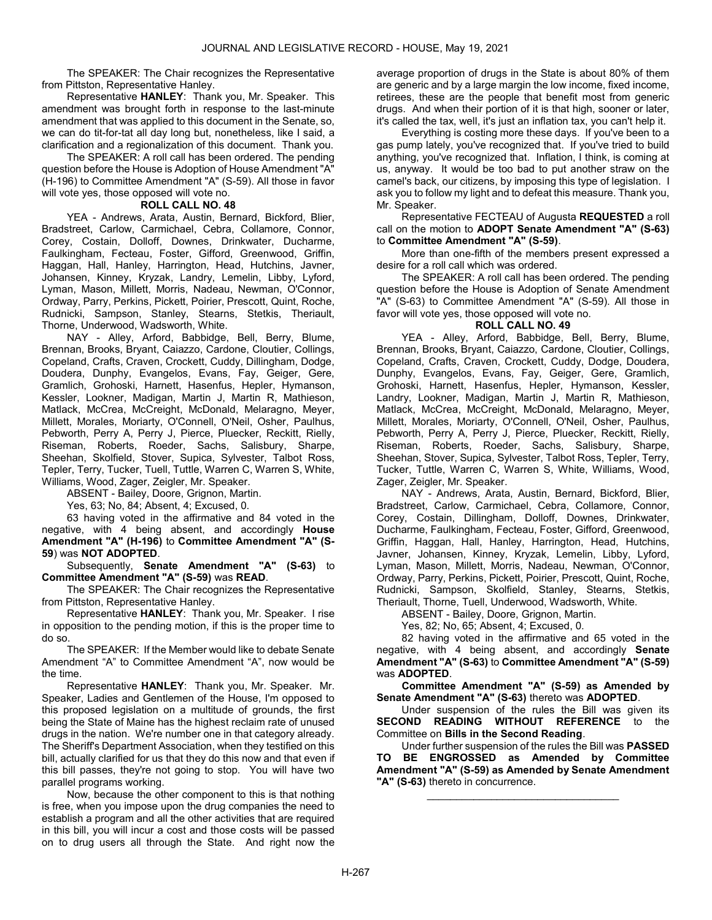The SPEAKER: The Chair recognizes the Representative from Pittston, Representative Hanley.

 Representative HANLEY: Thank you, Mr. Speaker. This amendment was brought forth in response to the last-minute amendment that was applied to this document in the Senate, so, we can do tit-for-tat all day long but, nonetheless, like I said, a clarification and a regionalization of this document. Thank you.

 The SPEAKER: A roll call has been ordered. The pending question before the House is Adoption of House Amendment "A" (H-196) to Committee Amendment "A" (S-59). All those in favor will vote yes, those opposed will vote no.

### ROLL CALL NO. 48

 YEA - Andrews, Arata, Austin, Bernard, Bickford, Blier, Bradstreet, Carlow, Carmichael, Cebra, Collamore, Connor, Corey, Costain, Dolloff, Downes, Drinkwater, Ducharme, Faulkingham, Fecteau, Foster, Gifford, Greenwood, Griffin, Haggan, Hall, Hanley, Harrington, Head, Hutchins, Javner, Johansen, Kinney, Kryzak, Landry, Lemelin, Libby, Lyford, Lyman, Mason, Millett, Morris, Nadeau, Newman, O'Connor, Ordway, Parry, Perkins, Pickett, Poirier, Prescott, Quint, Roche, Rudnicki, Sampson, Stanley, Stearns, Stetkis, Theriault, Thorne, Underwood, Wadsworth, White.

 NAY - Alley, Arford, Babbidge, Bell, Berry, Blume, Brennan, Brooks, Bryant, Caiazzo, Cardone, Cloutier, Collings, Copeland, Crafts, Craven, Crockett, Cuddy, Dillingham, Dodge, Doudera, Dunphy, Evangelos, Evans, Fay, Geiger, Gere, Gramlich, Grohoski, Harnett, Hasenfus, Hepler, Hymanson, Kessler, Lookner, Madigan, Martin J, Martin R, Mathieson, Matlack, McCrea, McCreight, McDonald, Melaragno, Meyer, Millett, Morales, Moriarty, O'Connell, O'Neil, Osher, Paulhus, Pebworth, Perry A, Perry J, Pierce, Pluecker, Reckitt, Rielly, Riseman, Roberts, Roeder, Sachs, Salisbury, Sharpe, Sheehan, Skolfield, Stover, Supica, Sylvester, Talbot Ross, Tepler, Terry, Tucker, Tuell, Tuttle, Warren C, Warren S, White, Williams, Wood, Zager, Zeigler, Mr. Speaker.

ABSENT - Bailey, Doore, Grignon, Martin.

Yes, 63; No, 84; Absent, 4; Excused, 0.

 63 having voted in the affirmative and 84 voted in the negative, with 4 being absent, and accordingly House Amendment "A" (H-196) to Committee Amendment "A" (S-59) was NOT ADOPTED.

 Subsequently, Senate Amendment "A" (S-63) to Committee Amendment "A" (S-59) was READ.

 The SPEAKER: The Chair recognizes the Representative from Pittston, Representative Hanley.

 Representative HANLEY: Thank you, Mr. Speaker. I rise in opposition to the pending motion, if this is the proper time to do so.

 The SPEAKER: If the Member would like to debate Senate Amendment "A" to Committee Amendment "A", now would be the time.

 Representative HANLEY: Thank you, Mr. Speaker. Mr. Speaker, Ladies and Gentlemen of the House, I'm opposed to this proposed legislation on a multitude of grounds, the first being the State of Maine has the highest reclaim rate of unused drugs in the nation. We're number one in that category already. The Sheriff's Department Association, when they testified on this bill, actually clarified for us that they do this now and that even if this bill passes, they're not going to stop. You will have two parallel programs working.

 Now, because the other component to this is that nothing is free, when you impose upon the drug companies the need to establish a program and all the other activities that are required in this bill, you will incur a cost and those costs will be passed on to drug users all through the State. And right now the

average proportion of drugs in the State is about 80% of them are generic and by a large margin the low income, fixed income, retirees, these are the people that benefit most from generic drugs. And when their portion of it is that high, sooner or later, it's called the tax, well, it's just an inflation tax, you can't help it.

 Everything is costing more these days. If you've been to a gas pump lately, you've recognized that. If you've tried to build anything, you've recognized that. Inflation, I think, is coming at us, anyway. It would be too bad to put another straw on the camel's back, our citizens, by imposing this type of legislation. I ask you to follow my light and to defeat this measure. Thank you, Mr. Speaker.

 Representative FECTEAU of Augusta REQUESTED a roll call on the motion to ADOPT Senate Amendment "A" (S-63) to Committee Amendment "A" (S-59).

 More than one-fifth of the members present expressed a desire for a roll call which was ordered.

 The SPEAKER: A roll call has been ordered. The pending question before the House is Adoption of Senate Amendment "A" (S-63) to Committee Amendment "A" (S-59). All those in favor will vote yes, those opposed will vote no.

### ROLL CALL NO. 49

 YEA - Alley, Arford, Babbidge, Bell, Berry, Blume, Brennan, Brooks, Bryant, Caiazzo, Cardone, Cloutier, Collings, Copeland, Crafts, Craven, Crockett, Cuddy, Dodge, Doudera, Dunphy, Evangelos, Evans, Fay, Geiger, Gere, Gramlich, Grohoski, Harnett, Hasenfus, Hepler, Hymanson, Kessler, Landry, Lookner, Madigan, Martin J, Martin R, Mathieson, Matlack, McCrea, McCreight, McDonald, Melaragno, Meyer, Millett, Morales, Moriarty, O'Connell, O'Neil, Osher, Paulhus, Pebworth, Perry A, Perry J, Pierce, Pluecker, Reckitt, Rielly, Riseman, Roberts, Roeder, Sachs, Salisbury, Sharpe, Sheehan, Stover, Supica, Sylvester, Talbot Ross, Tepler, Terry, Tucker, Tuttle, Warren C, Warren S, White, Williams, Wood, Zager, Zeigler, Mr. Speaker.

 NAY - Andrews, Arata, Austin, Bernard, Bickford, Blier, Bradstreet, Carlow, Carmichael, Cebra, Collamore, Connor, Corey, Costain, Dillingham, Dolloff, Downes, Drinkwater, Ducharme, Faulkingham, Fecteau, Foster, Gifford, Greenwood, Griffin, Haggan, Hall, Hanley, Harrington, Head, Hutchins, Javner, Johansen, Kinney, Kryzak, Lemelin, Libby, Lyford, Lyman, Mason, Millett, Morris, Nadeau, Newman, O'Connor, Ordway, Parry, Perkins, Pickett, Poirier, Prescott, Quint, Roche, Rudnicki, Sampson, Skolfield, Stanley, Stearns, Stetkis, Theriault, Thorne, Tuell, Underwood, Wadsworth, White.

ABSENT - Bailey, Doore, Grignon, Martin.

Yes, 82; No, 65; Absent, 4; Excused, 0.

 82 having voted in the affirmative and 65 voted in the negative, with 4 being absent, and accordingly **Senate** Amendment "A" (S-63) to Committee Amendment "A" (S-59) was ADOPTED.

Committee Amendment "A" (S-59) as Amended by Senate Amendment "A" (S-63) thereto was ADOPTED.

 Under suspension of the rules the Bill was given its SECOND READING WITHOUT REFERENCE to the Committee on Bills in the Second Reading.

 Under further suspension of the rules the Bill was PASSED TO BE ENGROSSED as Amended by Committee Amendment "A" (S-59) as Amended by Senate Amendment "A" (S-63) thereto in concurrence.

\_\_\_\_\_\_\_\_\_\_\_\_\_\_\_\_\_\_\_\_\_\_\_\_\_\_\_\_\_\_\_\_\_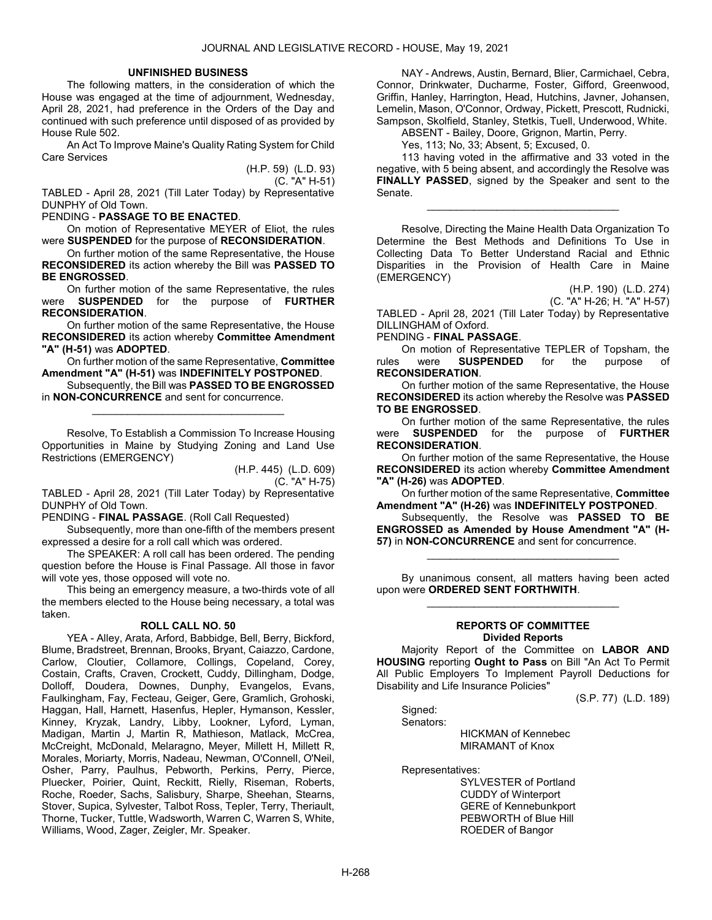#### UNFINISHED BUSINESS

 The following matters, in the consideration of which the House was engaged at the time of adjournment, Wednesday, April 28, 2021, had preference in the Orders of the Day and continued with such preference until disposed of as provided by House Rule 502.

 An Act To Improve Maine's Quality Rating System for Child Care Services

> (H.P. 59) (L.D. 93) (C. "A" H-51)

TABLED - April 28, 2021 (Till Later Today) by Representative DUNPHY of Old Town.

### PENDING - PASSAGE TO BE ENACTED.

 On motion of Representative MEYER of Eliot, the rules were SUSPENDED for the purpose of RECONSIDERATION.

 On further motion of the same Representative, the House RECONSIDERED its action whereby the Bill was PASSED TO BE ENGROSSED.

 On further motion of the same Representative, the rules were SUSPENDED for the purpose of FURTHER RECONSIDERATION.

 On further motion of the same Representative, the House RECONSIDERED its action whereby Committee Amendment "A" (H-51) was ADOPTED.

 On further motion of the same Representative, Committee Amendment "A" (H-51) was INDEFINITELY POSTPONED.

Subsequently, the Bill was PASSED TO BE ENGROSSED in NON-CONCURRENCE and sent for concurrence.

\_\_\_\_\_\_\_\_\_\_\_\_\_\_\_\_\_\_\_\_\_\_\_\_\_\_\_\_\_\_\_\_\_

 Resolve, To Establish a Commission To Increase Housing Opportunities in Maine by Studying Zoning and Land Use Restrictions (EMERGENCY)

> (H.P. 445) (L.D. 609) (C. "A" H-75)

TABLED - April 28, 2021 (Till Later Today) by Representative DUNPHY of Old Town.

PENDING - FINAL PASSAGE. (Roll Call Requested)

 Subsequently, more than one-fifth of the members present expressed a desire for a roll call which was ordered.

 The SPEAKER: A roll call has been ordered. The pending question before the House is Final Passage. All those in favor will vote yes, those opposed will vote no.

 This being an emergency measure, a two-thirds vote of all the members elected to the House being necessary, a total was taken.

#### ROLL CALL NO. 50

 YEA - Alley, Arata, Arford, Babbidge, Bell, Berry, Bickford, Blume, Bradstreet, Brennan, Brooks, Bryant, Caiazzo, Cardone, Carlow, Cloutier, Collamore, Collings, Copeland, Corey, Costain, Crafts, Craven, Crockett, Cuddy, Dillingham, Dodge, Dolloff, Doudera, Downes, Dunphy, Evangelos, Evans, Faulkingham, Fay, Fecteau, Geiger, Gere, Gramlich, Grohoski, Haggan, Hall, Harnett, Hasenfus, Hepler, Hymanson, Kessler, Kinney, Kryzak, Landry, Libby, Lookner, Lyford, Lyman, Madigan, Martin J, Martin R, Mathieson, Matlack, McCrea, McCreight, McDonald, Melaragno, Meyer, Millett H, Millett R, Morales, Moriarty, Morris, Nadeau, Newman, O'Connell, O'Neil, Osher, Parry, Paulhus, Pebworth, Perkins, Perry, Pierce, Pluecker, Poirier, Quint, Reckitt, Rielly, Riseman, Roberts, Roche, Roeder, Sachs, Salisbury, Sharpe, Sheehan, Stearns, Stover, Supica, Sylvester, Talbot Ross, Tepler, Terry, Theriault, Thorne, Tucker, Tuttle, Wadsworth, Warren C, Warren S, White, Williams, Wood, Zager, Zeigler, Mr. Speaker.

 NAY - Andrews, Austin, Bernard, Blier, Carmichael, Cebra, Connor, Drinkwater, Ducharme, Foster, Gifford, Greenwood, Griffin, Hanley, Harrington, Head, Hutchins, Javner, Johansen, Lemelin, Mason, O'Connor, Ordway, Pickett, Prescott, Rudnicki, Sampson, Skolfield, Stanley, Stetkis, Tuell, Underwood, White.

ABSENT - Bailey, Doore, Grignon, Martin, Perry.

Yes, 113; No, 33; Absent, 5; Excused, 0.

 113 having voted in the affirmative and 33 voted in the negative, with 5 being absent, and accordingly the Resolve was FINALLY PASSED, signed by the Speaker and sent to the Senate.

\_\_\_\_\_\_\_\_\_\_\_\_\_\_\_\_\_\_\_\_\_\_\_\_\_\_\_\_\_\_\_\_\_

 Resolve, Directing the Maine Health Data Organization To Determine the Best Methods and Definitions To Use in Collecting Data To Better Understand Racial and Ethnic Disparities in the Provision of Health Care in Maine (EMERGENCY)

(H.P. 190) (L.D. 274) (C. "A" H-26; H. "A" H-57)

TABLED - April 28, 2021 (Till Later Today) by Representative DILLINGHAM of Oxford.

PENDING - FINAL PASSAGE.

 On motion of Representative TEPLER of Topsham, the rules were **SUSPENDED** for the purpose of RECONSIDERATION.

 On further motion of the same Representative, the House RECONSIDERED its action whereby the Resolve was PASSED TO BE ENGROSSED.

 On further motion of the same Representative, the rules were **SUSPENDED** for the purpose of FURTHER RECONSIDERATION.

 On further motion of the same Representative, the House RECONSIDERED its action whereby Committee Amendment "A" (H-26) was ADOPTED.

 On further motion of the same Representative, Committee Amendment "A" (H-26) was INDEFINITELY POSTPONED.

 Subsequently, the Resolve was PASSED TO BE ENGROSSED as Amended by House Amendment "A" (H-57) in NON-CONCURRENCE and sent for concurrence.

\_\_\_\_\_\_\_\_\_\_\_\_\_\_\_\_\_\_\_\_\_\_\_\_\_\_\_\_\_\_\_\_\_

 By unanimous consent, all matters having been acted upon were ORDERED SENT FORTHWITH. \_\_\_\_\_\_\_\_\_\_\_\_\_\_\_\_\_\_\_\_\_\_\_\_\_\_\_\_\_\_\_\_\_

#### REPORTS OF COMMITTEE Divided Reports

 Majority Report of the Committee on LABOR AND HOUSING reporting Ought to Pass on Bill "An Act To Permit All Public Employers To Implement Payroll Deductions for Disability and Life Insurance Policies"

(S.P. 77) (L.D. 189)

 Signed: Senators:

 HICKMAN of Kennebec MIRAMANT of Knox

Representatives:

 SYLVESTER of Portland CUDDY of Winterport GERE of Kennebunkport PEBWORTH of Blue Hill ROEDER of Bangor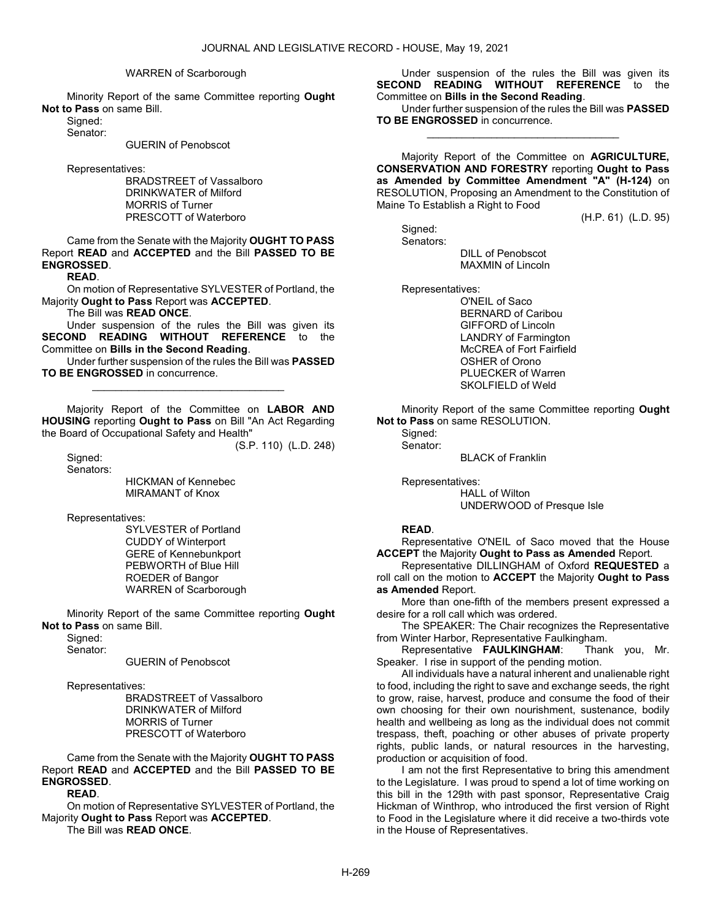#### WARREN of Scarborough

 Minority Report of the same Committee reporting Ought Not to Pass on same Bill.

Signed: Senator:

GUERIN of Penobscot

Representatives:

 BRADSTREET of Vassalboro DRINKWATER of Milford MORRIS of Turner PRESCOTT of Waterboro

 Came from the Senate with the Majority OUGHT TO PASS Report READ and ACCEPTED and the Bill PASSED TO BE ENGROSSED.

READ.

 On motion of Representative SYLVESTER of Portland, the Majority Ought to Pass Report was ACCEPTED.

The Bill was READ ONCE.

 Under suspension of the rules the Bill was given its SECOND READING WITHOUT REFERENCE to the Committee on Bills in the Second Reading.

 Under further suspension of the rules the Bill was PASSED TO BE ENGROSSED in concurrence. \_\_\_\_\_\_\_\_\_\_\_\_\_\_\_\_\_\_\_\_\_\_\_\_\_\_\_\_\_\_\_\_\_

 Majority Report of the Committee on LABOR AND HOUSING reporting Ought to Pass on Bill "An Act Regarding the Board of Occupational Safety and Health"

(S.P. 110) (L.D. 248)

 Signed: Senators:

> HICKMAN of Kennebec MIRAMANT of Knox

Representatives:

 SYLVESTER of Portland CUDDY of Winterport GERE of Kennebunkport PEBWORTH of Blue Hill ROEDER of Bangor WARREN of Scarborough

 Minority Report of the same Committee reporting Ought Not to Pass on same Bill.

Signed:

Senator:

GUERIN of Penobscot

Representatives:

 BRADSTREET of Vassalboro DRINKWATER of Milford MORRIS of Turner PRESCOTT of Waterboro

 Came from the Senate with the Majority OUGHT TO PASS Report READ and ACCEPTED and the Bill PASSED TO BE ENGROSSED.

READ.

 On motion of Representative SYLVESTER of Portland, the Majority Ought to Pass Report was ACCEPTED. The Bill was READ ONCE.

 Under suspension of the rules the Bill was given its SECOND READING WITHOUT REFERENCE to the Committee on Bills in the Second Reading.

 Under further suspension of the rules the Bill was PASSED TO BE ENGROSSED in concurrence. \_\_\_\_\_\_\_\_\_\_\_\_\_\_\_\_\_\_\_\_\_\_\_\_\_\_\_\_\_\_\_\_\_

 Majority Report of the Committee on AGRICULTURE, CONSERVATION AND FORESTRY reporting Ought to Pass as Amended by Committee Amendment "A" (H-124) on RESOLUTION, Proposing an Amendment to the Constitution of Maine To Establish a Right to Food

(H.P. 61) (L.D. 95)

 Signed: Senators: DILL of Penobscot MAXMIN of Lincoln

Representatives:

 O'NEIL of Saco BERNARD of Caribou GIFFORD of Lincoln LANDRY of Farmington McCREA of Fort Fairfield OSHER of Orono PLUECKER of Warren SKOLFIELD of Weld

 Minority Report of the same Committee reporting Ought Not to Pass on same RESOLUTION.

Signed: Senator:

BLACK of Franklin

Representatives:

 HALL of Wilton UNDERWOOD of Presque Isle

### READ.

 Representative O'NEIL of Saco moved that the House ACCEPT the Majority Ought to Pass as Amended Report.

 Representative DILLINGHAM of Oxford REQUESTED a roll call on the motion to ACCEPT the Majority Ought to Pass as Amended Report.

 More than one-fifth of the members present expressed a desire for a roll call which was ordered.

 The SPEAKER: The Chair recognizes the Representative from Winter Harbor, Representative Faulkingham.

 Representative FAULKINGHAM: Thank you, Mr. Speaker. I rise in support of the pending motion.

 All individuals have a natural inherent and unalienable right to food, including the right to save and exchange seeds, the right to grow, raise, harvest, produce and consume the food of their own choosing for their own nourishment, sustenance, bodily health and wellbeing as long as the individual does not commit trespass, theft, poaching or other abuses of private property rights, public lands, or natural resources in the harvesting, production or acquisition of food.

 I am not the first Representative to bring this amendment to the Legislature. I was proud to spend a lot of time working on this bill in the 129th with past sponsor, Representative Craig Hickman of Winthrop, who introduced the first version of Right to Food in the Legislature where it did receive a two-thirds vote in the House of Representatives.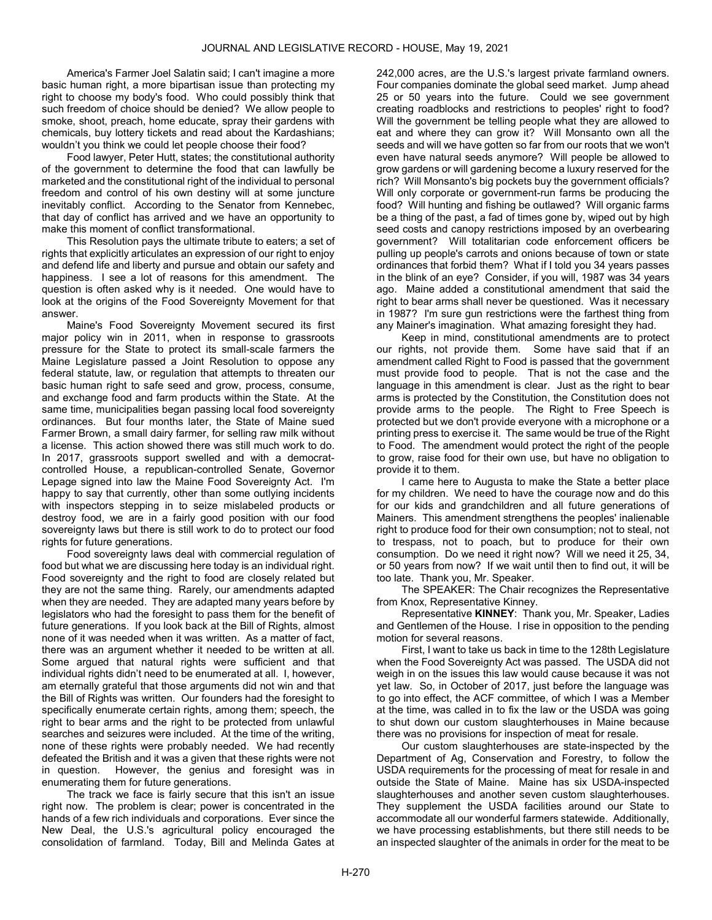America's Farmer Joel Salatin said; I can't imagine a more basic human right, a more bipartisan issue than protecting my right to choose my body's food. Who could possibly think that such freedom of choice should be denied? We allow people to smoke, shoot, preach, home educate, spray their gardens with chemicals, buy lottery tickets and read about the Kardashians; wouldn't you think we could let people choose their food?

 Food lawyer, Peter Hutt, states; the constitutional authority of the government to determine the food that can lawfully be marketed and the constitutional right of the individual to personal freedom and control of his own destiny will at some juncture inevitably conflict. According to the Senator from Kennebec, that day of conflict has arrived and we have an opportunity to make this moment of conflict transformational.

 This Resolution pays the ultimate tribute to eaters; a set of rights that explicitly articulates an expression of our right to enjoy and defend life and liberty and pursue and obtain our safety and happiness. I see a lot of reasons for this amendment. The question is often asked why is it needed. One would have to look at the origins of the Food Sovereignty Movement for that answer.

 Maine's Food Sovereignty Movement secured its first major policy win in 2011, when in response to grassroots pressure for the State to protect its small-scale farmers the Maine Legislature passed a Joint Resolution to oppose any federal statute, law, or regulation that attempts to threaten our basic human right to safe seed and grow, process, consume, and exchange food and farm products within the State. At the same time, municipalities began passing local food sovereignty ordinances. But four months later, the State of Maine sued Farmer Brown, a small dairy farmer, for selling raw milk without a license. This action showed there was still much work to do. In 2017, grassroots support swelled and with a democratcontrolled House, a republican-controlled Senate, Governor Lepage signed into law the Maine Food Sovereignty Act. I'm happy to say that currently, other than some outlying incidents with inspectors stepping in to seize mislabeled products or destroy food, we are in a fairly good position with our food sovereignty laws but there is still work to do to protect our food rights for future generations.

 Food sovereignty laws deal with commercial regulation of food but what we are discussing here today is an individual right. Food sovereignty and the right to food are closely related but they are not the same thing. Rarely, our amendments adapted when they are needed. They are adapted many years before by legislators who had the foresight to pass them for the benefit of future generations. If you look back at the Bill of Rights, almost none of it was needed when it was written. As a matter of fact, there was an argument whether it needed to be written at all. Some argued that natural rights were sufficient and that individual rights didn't need to be enumerated at all. I, however, am eternally grateful that those arguments did not win and that the Bill of Rights was written. Our founders had the foresight to specifically enumerate certain rights, among them; speech, the right to bear arms and the right to be protected from unlawful searches and seizures were included. At the time of the writing, none of these rights were probably needed. We had recently defeated the British and it was a given that these rights were not in question. However, the genius and foresight was in enumerating them for future generations.

 The track we face is fairly secure that this isn't an issue right now. The problem is clear; power is concentrated in the hands of a few rich individuals and corporations. Ever since the New Deal, the U.S.'s agricultural policy encouraged the consolidation of farmland. Today, Bill and Melinda Gates at 242,000 acres, are the U.S.'s largest private farmland owners. Four companies dominate the global seed market. Jump ahead 25 or 50 years into the future. Could we see government creating roadblocks and restrictions to peoples' right to food? Will the government be telling people what they are allowed to eat and where they can grow it? Will Monsanto own all the seeds and will we have gotten so far from our roots that we won't even have natural seeds anymore? Will people be allowed to grow gardens or will gardening become a luxury reserved for the rich? Will Monsanto's big pockets buy the government officials? Will only corporate or government-run farms be producing the food? Will hunting and fishing be outlawed? Will organic farms be a thing of the past, a fad of times gone by, wiped out by high seed costs and canopy restrictions imposed by an overbearing government? Will totalitarian code enforcement officers be pulling up people's carrots and onions because of town or state ordinances that forbid them? What if I told you 34 years passes in the blink of an eye? Consider, if you will, 1987 was 34 years ago. Maine added a constitutional amendment that said the right to bear arms shall never be questioned. Was it necessary in 1987? I'm sure gun restrictions were the farthest thing from any Mainer's imagination. What amazing foresight they had.

 Keep in mind, constitutional amendments are to protect our rights, not provide them. Some have said that if an amendment called Right to Food is passed that the government must provide food to people. That is not the case and the language in this amendment is clear. Just as the right to bear arms is protected by the Constitution, the Constitution does not provide arms to the people. The Right to Free Speech is protected but we don't provide everyone with a microphone or a printing press to exercise it. The same would be true of the Right to Food. The amendment would protect the right of the people to grow, raise food for their own use, but have no obligation to provide it to them.

 I came here to Augusta to make the State a better place for my children. We need to have the courage now and do this for our kids and grandchildren and all future generations of Mainers. This amendment strengthens the peoples' inalienable right to produce food for their own consumption; not to steal, not to trespass, not to poach, but to produce for their own consumption. Do we need it right now? Will we need it 25, 34, or 50 years from now? If we wait until then to find out, it will be too late. Thank you, Mr. Speaker.

 The SPEAKER: The Chair recognizes the Representative from Knox, Representative Kinney.

 Representative KINNEY: Thank you, Mr. Speaker, Ladies and Gentlemen of the House. I rise in opposition to the pending motion for several reasons.

 First, I want to take us back in time to the 128th Legislature when the Food Sovereignty Act was passed. The USDA did not weigh in on the issues this law would cause because it was not yet law. So, in October of 2017, just before the language was to go into effect, the ACF committee, of which I was a Member at the time, was called in to fix the law or the USDA was going to shut down our custom slaughterhouses in Maine because there was no provisions for inspection of meat for resale.

 Our custom slaughterhouses are state-inspected by the Department of Ag, Conservation and Forestry, to follow the USDA requirements for the processing of meat for resale in and outside the State of Maine. Maine has six USDA-inspected slaughterhouses and another seven custom slaughterhouses. They supplement the USDA facilities around our State to accommodate all our wonderful farmers statewide. Additionally, we have processing establishments, but there still needs to be an inspected slaughter of the animals in order for the meat to be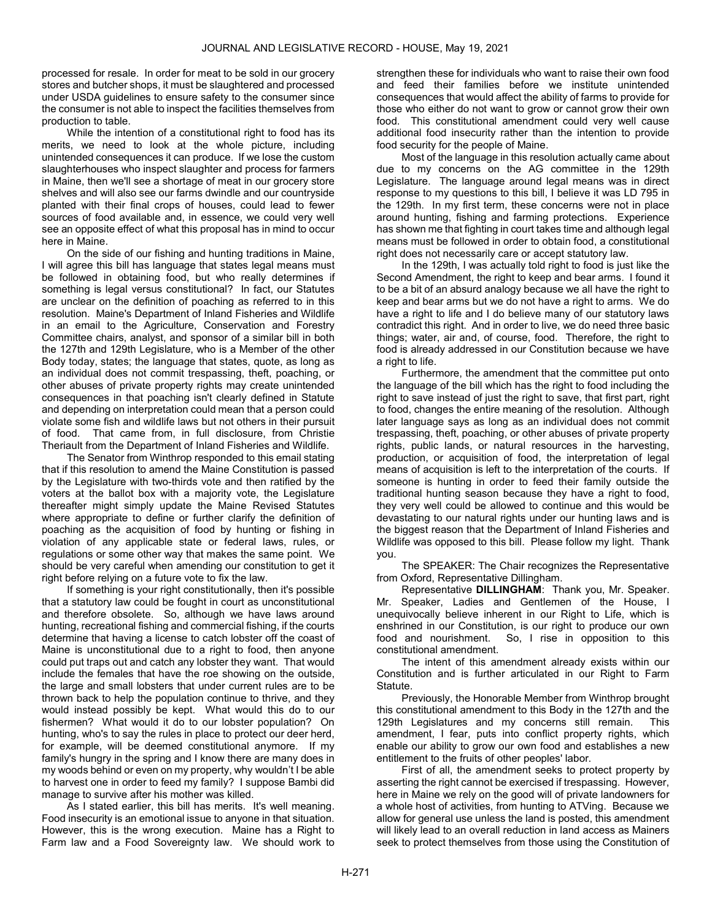processed for resale. In order for meat to be sold in our grocery stores and butcher shops, it must be slaughtered and processed under USDA guidelines to ensure safety to the consumer since the consumer is not able to inspect the facilities themselves from production to table.

 While the intention of a constitutional right to food has its merits, we need to look at the whole picture, including unintended consequences it can produce. If we lose the custom slaughterhouses who inspect slaughter and process for farmers in Maine, then we'll see a shortage of meat in our grocery store shelves and will also see our farms dwindle and our countryside planted with their final crops of houses, could lead to fewer sources of food available and, in essence, we could very well see an opposite effect of what this proposal has in mind to occur here in Maine.

 On the side of our fishing and hunting traditions in Maine, I will agree this bill has language that states legal means must be followed in obtaining food, but who really determines if something is legal versus constitutional? In fact, our Statutes are unclear on the definition of poaching as referred to in this resolution. Maine's Department of Inland Fisheries and Wildlife in an email to the Agriculture, Conservation and Forestry Committee chairs, analyst, and sponsor of a similar bill in both the 127th and 129th Legislature, who is a Member of the other Body today, states; the language that states, quote, as long as an individual does not commit trespassing, theft, poaching, or other abuses of private property rights may create unintended consequences in that poaching isn't clearly defined in Statute and depending on interpretation could mean that a person could violate some fish and wildlife laws but not others in their pursuit of food. That came from, in full disclosure, from Christie Theriault from the Department of Inland Fisheries and Wildlife.

 The Senator from Winthrop responded to this email stating that if this resolution to amend the Maine Constitution is passed by the Legislature with two-thirds vote and then ratified by the voters at the ballot box with a majority vote, the Legislature thereafter might simply update the Maine Revised Statutes where appropriate to define or further clarify the definition of poaching as the acquisition of food by hunting or fishing in violation of any applicable state or federal laws, rules, or regulations or some other way that makes the same point. We should be very careful when amending our constitution to get it right before relying on a future vote to fix the law.

 If something is your right constitutionally, then it's possible that a statutory law could be fought in court as unconstitutional and therefore obsolete. So, although we have laws around hunting, recreational fishing and commercial fishing, if the courts determine that having a license to catch lobster off the coast of Maine is unconstitutional due to a right to food, then anyone could put traps out and catch any lobster they want. That would include the females that have the roe showing on the outside, the large and small lobsters that under current rules are to be thrown back to help the population continue to thrive, and they would instead possibly be kept. What would this do to our fishermen? What would it do to our lobster population? On hunting, who's to say the rules in place to protect our deer herd, for example, will be deemed constitutional anymore. If my family's hungry in the spring and I know there are many does in my woods behind or even on my property, why wouldn't I be able to harvest one in order to feed my family? I suppose Bambi did manage to survive after his mother was killed.

 As I stated earlier, this bill has merits. It's well meaning. Food insecurity is an emotional issue to anyone in that situation. However, this is the wrong execution. Maine has a Right to Farm law and a Food Sovereignty law. We should work to strengthen these for individuals who want to raise their own food and feed their families before we institute unintended consequences that would affect the ability of farms to provide for those who either do not want to grow or cannot grow their own food. This constitutional amendment could very well cause additional food insecurity rather than the intention to provide food security for the people of Maine.

 Most of the language in this resolution actually came about due to my concerns on the AG committee in the 129th Legislature. The language around legal means was in direct response to my questions to this bill, I believe it was LD 795 in the 129th. In my first term, these concerns were not in place around hunting, fishing and farming protections. Experience has shown me that fighting in court takes time and although legal means must be followed in order to obtain food, a constitutional right does not necessarily care or accept statutory law.

 In the 129th, I was actually told right to food is just like the Second Amendment, the right to keep and bear arms. I found it to be a bit of an absurd analogy because we all have the right to keep and bear arms but we do not have a right to arms. We do have a right to life and I do believe many of our statutory laws contradict this right. And in order to live, we do need three basic things; water, air and, of course, food. Therefore, the right to food is already addressed in our Constitution because we have a right to life.

 Furthermore, the amendment that the committee put onto the language of the bill which has the right to food including the right to save instead of just the right to save, that first part, right to food, changes the entire meaning of the resolution. Although later language says as long as an individual does not commit trespassing, theft, poaching, or other abuses of private property rights, public lands, or natural resources in the harvesting, production, or acquisition of food, the interpretation of legal means of acquisition is left to the interpretation of the courts. If someone is hunting in order to feed their family outside the traditional hunting season because they have a right to food, they very well could be allowed to continue and this would be devastating to our natural rights under our hunting laws and is the biggest reason that the Department of Inland Fisheries and Wildlife was opposed to this bill. Please follow my light. Thank you.

 The SPEAKER: The Chair recognizes the Representative from Oxford, Representative Dillingham.

 Representative DILLINGHAM: Thank you, Mr. Speaker. Mr. Speaker, Ladies and Gentlemen of the House, I unequivocally believe inherent in our Right to Life, which is enshrined in our Constitution, is our right to produce our own food and nourishment. So, I rise in opposition to this constitutional amendment.

 The intent of this amendment already exists within our Constitution and is further articulated in our Right to Farm Statute.

 Previously, the Honorable Member from Winthrop brought this constitutional amendment to this Body in the 127th and the 129th Legislatures and my concerns still remain. This amendment, I fear, puts into conflict property rights, which enable our ability to grow our own food and establishes a new entitlement to the fruits of other peoples' labor.

 First of all, the amendment seeks to protect property by asserting the right cannot be exercised if trespassing. However, here in Maine we rely on the good will of private landowners for a whole host of activities, from hunting to ATVing. Because we allow for general use unless the land is posted, this amendment will likely lead to an overall reduction in land access as Mainers seek to protect themselves from those using the Constitution of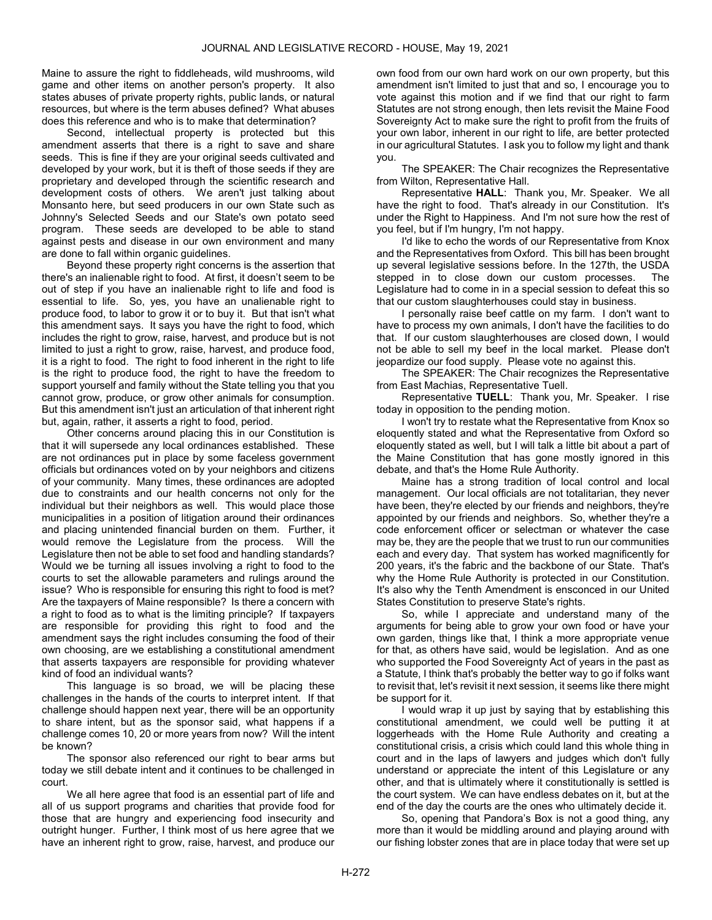Maine to assure the right to fiddleheads, wild mushrooms, wild game and other items on another person's property. It also states abuses of private property rights, public lands, or natural resources, but where is the term abuses defined? What abuses does this reference and who is to make that determination?

 Second, intellectual property is protected but this amendment asserts that there is a right to save and share seeds. This is fine if they are your original seeds cultivated and developed by your work, but it is theft of those seeds if they are proprietary and developed through the scientific research and development costs of others. We aren't just talking about Monsanto here, but seed producers in our own State such as Johnny's Selected Seeds and our State's own potato seed program. These seeds are developed to be able to stand against pests and disease in our own environment and many are done to fall within organic guidelines.

 Beyond these property right concerns is the assertion that there's an inalienable right to food. At first, it doesn't seem to be out of step if you have an inalienable right to life and food is essential to life. So, yes, you have an unalienable right to produce food, to labor to grow it or to buy it. But that isn't what this amendment says. It says you have the right to food, which includes the right to grow, raise, harvest, and produce but is not limited to just a right to grow, raise, harvest, and produce food, it is a right to food. The right to food inherent in the right to life is the right to produce food, the right to have the freedom to support yourself and family without the State telling you that you cannot grow, produce, or grow other animals for consumption. But this amendment isn't just an articulation of that inherent right but, again, rather, it asserts a right to food, period.

 Other concerns around placing this in our Constitution is that it will supersede any local ordinances established. These are not ordinances put in place by some faceless government officials but ordinances voted on by your neighbors and citizens of your community. Many times, these ordinances are adopted due to constraints and our health concerns not only for the individual but their neighbors as well. This would place those municipalities in a position of litigation around their ordinances and placing unintended financial burden on them. Further, it would remove the Legislature from the process. Will the Legislature then not be able to set food and handling standards? Would we be turning all issues involving a right to food to the courts to set the allowable parameters and rulings around the issue? Who is responsible for ensuring this right to food is met? Are the taxpayers of Maine responsible? Is there a concern with a right to food as to what is the limiting principle? If taxpayers are responsible for providing this right to food and the amendment says the right includes consuming the food of their own choosing, are we establishing a constitutional amendment that asserts taxpayers are responsible for providing whatever kind of food an individual wants?

 This language is so broad, we will be placing these challenges in the hands of the courts to interpret intent. If that challenge should happen next year, there will be an opportunity to share intent, but as the sponsor said, what happens if a challenge comes 10, 20 or more years from now? Will the intent be known?

 The sponsor also referenced our right to bear arms but today we still debate intent and it continues to be challenged in court.

 We all here agree that food is an essential part of life and all of us support programs and charities that provide food for those that are hungry and experiencing food insecurity and outright hunger. Further, I think most of us here agree that we have an inherent right to grow, raise, harvest, and produce our

own food from our own hard work on our own property, but this amendment isn't limited to just that and so, I encourage you to vote against this motion and if we find that our right to farm Statutes are not strong enough, then lets revisit the Maine Food Sovereignty Act to make sure the right to profit from the fruits of your own labor, inherent in our right to life, are better protected in our agricultural Statutes. I ask you to follow my light and thank you.

 The SPEAKER: The Chair recognizes the Representative from Wilton, Representative Hall.

 Representative HALL: Thank you, Mr. Speaker. We all have the right to food. That's already in our Constitution. It's under the Right to Happiness. And I'm not sure how the rest of you feel, but if I'm hungry, I'm not happy.

 I'd like to echo the words of our Representative from Knox and the Representatives from Oxford. This bill has been brought up several legislative sessions before. In the 127th, the USDA stepped in to close down our custom processes. The Legislature had to come in in a special session to defeat this so that our custom slaughterhouses could stay in business.

 I personally raise beef cattle on my farm. I don't want to have to process my own animals, I don't have the facilities to do that. If our custom slaughterhouses are closed down, I would not be able to sell my beef in the local market. Please don't jeopardize our food supply. Please vote no against this.

 The SPEAKER: The Chair recognizes the Representative from East Machias, Representative Tuell.

 Representative TUELL: Thank you, Mr. Speaker. I rise today in opposition to the pending motion.

 I won't try to restate what the Representative from Knox so eloquently stated and what the Representative from Oxford so eloquently stated as well, but I will talk a little bit about a part of the Maine Constitution that has gone mostly ignored in this debate, and that's the Home Rule Authority.

 Maine has a strong tradition of local control and local management. Our local officials are not totalitarian, they never have been, they're elected by our friends and neighbors, they're appointed by our friends and neighbors. So, whether they're a code enforcement officer or selectman or whatever the case may be, they are the people that we trust to run our communities each and every day. That system has worked magnificently for 200 years, it's the fabric and the backbone of our State. That's why the Home Rule Authority is protected in our Constitution. It's also why the Tenth Amendment is ensconced in our United States Constitution to preserve State's rights.

 So, while I appreciate and understand many of the arguments for being able to grow your own food or have your own garden, things like that, I think a more appropriate venue for that, as others have said, would be legislation. And as one who supported the Food Sovereignty Act of years in the past as a Statute, I think that's probably the better way to go if folks want to revisit that, let's revisit it next session, it seems like there might be support for it.

 I would wrap it up just by saying that by establishing this constitutional amendment, we could well be putting it at loggerheads with the Home Rule Authority and creating a constitutional crisis, a crisis which could land this whole thing in court and in the laps of lawyers and judges which don't fully understand or appreciate the intent of this Legislature or any other, and that is ultimately where it constitutionally is settled is the court system. We can have endless debates on it, but at the end of the day the courts are the ones who ultimately decide it.

 So, opening that Pandora's Box is not a good thing, any more than it would be middling around and playing around with our fishing lobster zones that are in place today that were set up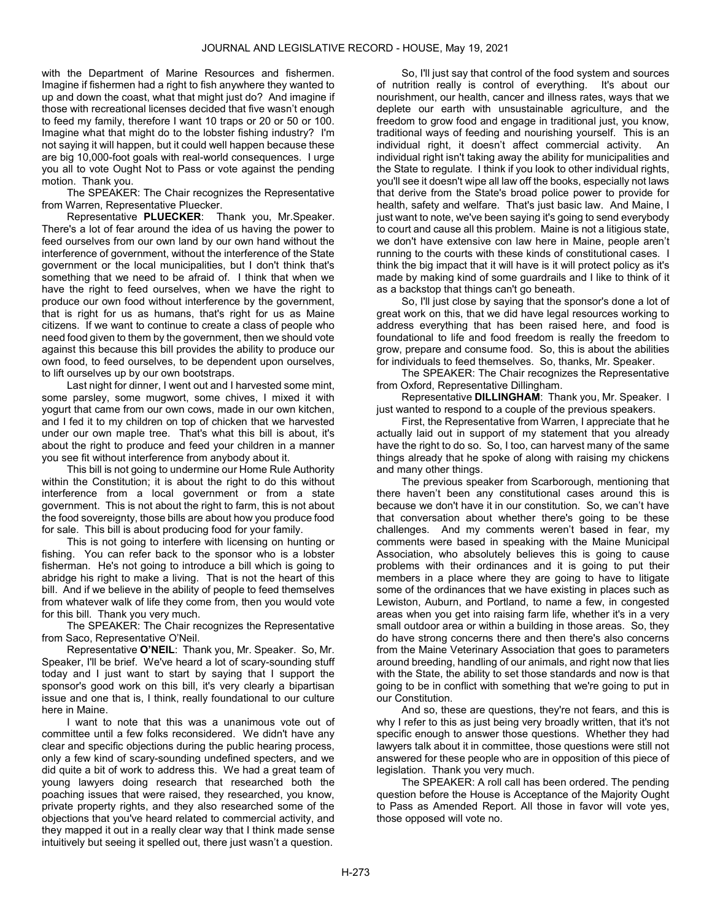with the Department of Marine Resources and fishermen. Imagine if fishermen had a right to fish anywhere they wanted to up and down the coast, what that might just do? And imagine if those with recreational licenses decided that five wasn't enough to feed my family, therefore I want 10 traps or 20 or 50 or 100. Imagine what that might do to the lobster fishing industry? I'm not saying it will happen, but it could well happen because these are big 10,000-foot goals with real-world consequences. I urge you all to vote Ought Not to Pass or vote against the pending motion. Thank you.

 The SPEAKER: The Chair recognizes the Representative from Warren, Representative Pluecker.

 Representative PLUECKER: Thank you, Mr.Speaker. There's a lot of fear around the idea of us having the power to feed ourselves from our own land by our own hand without the interference of government, without the interference of the State government or the local municipalities, but I don't think that's something that we need to be afraid of. I think that when we have the right to feed ourselves, when we have the right to produce our own food without interference by the government, that is right for us as humans, that's right for us as Maine citizens. If we want to continue to create a class of people who need food given to them by the government, then we should vote against this because this bill provides the ability to produce our own food, to feed ourselves, to be dependent upon ourselves, to lift ourselves up by our own bootstraps.

 Last night for dinner, I went out and I harvested some mint, some parsley, some mugwort, some chives, I mixed it with yogurt that came from our own cows, made in our own kitchen, and I fed it to my children on top of chicken that we harvested under our own maple tree. That's what this bill is about, it's about the right to produce and feed your children in a manner you see fit without interference from anybody about it.

 This bill is not going to undermine our Home Rule Authority within the Constitution; it is about the right to do this without interference from a local government or from a state government. This is not about the right to farm, this is not about the food sovereignty, those bills are about how you produce food for sale. This bill is about producing food for your family.

 This is not going to interfere with licensing on hunting or fishing. You can refer back to the sponsor who is a lobster fisherman. He's not going to introduce a bill which is going to abridge his right to make a living. That is not the heart of this bill. And if we believe in the ability of people to feed themselves from whatever walk of life they come from, then you would vote for this bill. Thank you very much.

 The SPEAKER: The Chair recognizes the Representative from Saco, Representative O'Neil.

 Representative O'NEIL: Thank you, Mr. Speaker. So, Mr. Speaker, I'll be brief. We've heard a lot of scary-sounding stuff today and I just want to start by saying that I support the sponsor's good work on this bill, it's very clearly a bipartisan issue and one that is, I think, really foundational to our culture here in Maine.

 I want to note that this was a unanimous vote out of committee until a few folks reconsidered. We didn't have any clear and specific objections during the public hearing process, only a few kind of scary-sounding undefined specters, and we did quite a bit of work to address this. We had a great team of young lawyers doing research that researched both the poaching issues that were raised, they researched, you know, private property rights, and they also researched some of the objections that you've heard related to commercial activity, and they mapped it out in a really clear way that I think made sense intuitively but seeing it spelled out, there just wasn't a question.

 So, I'll just say that control of the food system and sources of nutrition really is control of everything. It's about our nourishment, our health, cancer and illness rates, ways that we deplete our earth with unsustainable agriculture, and the freedom to grow food and engage in traditional just, you know, traditional ways of feeding and nourishing yourself. This is an individual right, it doesn't affect commercial activity. An individual right isn't taking away the ability for municipalities and the State to regulate. I think if you look to other individual rights, you'll see it doesn't wipe all law off the books, especially not laws that derive from the State's broad police power to provide for health, safety and welfare. That's just basic law. And Maine, I just want to note, we've been saying it's going to send everybody to court and cause all this problem. Maine is not a litigious state, we don't have extensive con law here in Maine, people aren't running to the courts with these kinds of constitutional cases. I think the big impact that it will have is it will protect policy as it's made by making kind of some guardrails and I like to think of it as a backstop that things can't go beneath.

 So, I'll just close by saying that the sponsor's done a lot of great work on this, that we did have legal resources working to address everything that has been raised here, and food is foundational to life and food freedom is really the freedom to grow, prepare and consume food. So, this is about the abilities for individuals to feed themselves. So, thanks, Mr. Speaker.

 The SPEAKER: The Chair recognizes the Representative from Oxford, Representative Dillingham.

 Representative DILLINGHAM: Thank you, Mr. Speaker. I just wanted to respond to a couple of the previous speakers.

 First, the Representative from Warren, I appreciate that he actually laid out in support of my statement that you already have the right to do so. So, I too, can harvest many of the same things already that he spoke of along with raising my chickens and many other things.

 The previous speaker from Scarborough, mentioning that there haven't been any constitutional cases around this is because we don't have it in our constitution. So, we can't have that conversation about whether there's going to be these challenges. And my comments weren't based in fear, my comments were based in speaking with the Maine Municipal Association, who absolutely believes this is going to cause problems with their ordinances and it is going to put their members in a place where they are going to have to litigate some of the ordinances that we have existing in places such as Lewiston, Auburn, and Portland, to name a few, in congested areas when you get into raising farm life, whether it's in a very small outdoor area or within a building in those areas. So, they do have strong concerns there and then there's also concerns from the Maine Veterinary Association that goes to parameters around breeding, handling of our animals, and right now that lies with the State, the ability to set those standards and now is that going to be in conflict with something that we're going to put in our Constitution.

 And so, these are questions, they're not fears, and this is why I refer to this as just being very broadly written, that it's not specific enough to answer those questions. Whether they had lawyers talk about it in committee, those questions were still not answered for these people who are in opposition of this piece of legislation. Thank you very much.

 The SPEAKER: A roll call has been ordered. The pending question before the House is Acceptance of the Majority Ought to Pass as Amended Report. All those in favor will vote yes, those opposed will vote no.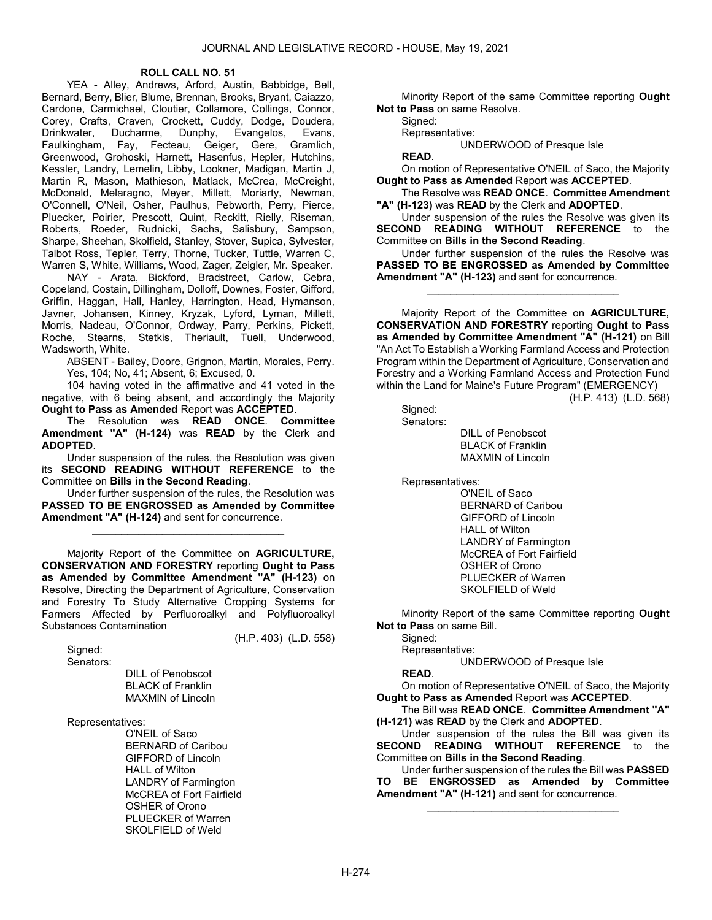### ROLL CALL NO. 51

 YEA - Alley, Andrews, Arford, Austin, Babbidge, Bell, Bernard, Berry, Blier, Blume, Brennan, Brooks, Bryant, Caiazzo, Cardone, Carmichael, Cloutier, Collamore, Collings, Connor, Corey, Crafts, Craven, Crockett, Cuddy, Dodge, Doudera, Drinkwater, Ducharme, Dunphy, Evangelos, Evans, Faulkingham, Fay, Fecteau, Geiger, Gere, Gramlich, Greenwood, Grohoski, Harnett, Hasenfus, Hepler, Hutchins, Kessler, Landry, Lemelin, Libby, Lookner, Madigan, Martin J, Martin R, Mason, Mathieson, Matlack, McCrea, McCreight, McDonald, Melaragno, Meyer, Millett, Moriarty, Newman, O'Connell, O'Neil, Osher, Paulhus, Pebworth, Perry, Pierce, Pluecker, Poirier, Prescott, Quint, Reckitt, Rielly, Riseman, Roberts, Roeder, Rudnicki, Sachs, Salisbury, Sampson, Sharpe, Sheehan, Skolfield, Stanley, Stover, Supica, Sylvester, Talbot Ross, Tepler, Terry, Thorne, Tucker, Tuttle, Warren C, Warren S, White, Williams, Wood, Zager, Zeigler, Mr. Speaker.

 NAY - Arata, Bickford, Bradstreet, Carlow, Cebra, Copeland, Costain, Dillingham, Dolloff, Downes, Foster, Gifford, Griffin, Haggan, Hall, Hanley, Harrington, Head, Hymanson, Javner, Johansen, Kinney, Kryzak, Lyford, Lyman, Millett, Morris, Nadeau, O'Connor, Ordway, Parry, Perkins, Pickett, Roche, Stearns, Stetkis, Theriault, Tuell, Underwood, Wadsworth, White.

 ABSENT - Bailey, Doore, Grignon, Martin, Morales, Perry. Yes, 104; No, 41; Absent, 6; Excused, 0.

 104 having voted in the affirmative and 41 voted in the negative, with 6 being absent, and accordingly the Majority Ought to Pass as Amended Report was ACCEPTED.

 The Resolution was READ ONCE. Committee Amendment "A" (H-124) was READ by the Clerk and ADOPTED.

 Under suspension of the rules, the Resolution was given its SECOND READING WITHOUT REFERENCE to the Committee on Bills in the Second Reading.

 Under further suspension of the rules, the Resolution was PASSED TO BE ENGROSSED as Amended by Committee Amendment "A" (H-124) and sent for concurrence.

\_\_\_\_\_\_\_\_\_\_\_\_\_\_\_\_\_\_\_\_\_\_\_\_\_\_\_\_\_\_\_\_\_

 Majority Report of the Committee on AGRICULTURE, CONSERVATION AND FORESTRY reporting Ought to Pass as Amended by Committee Amendment "A" (H-123) on Resolve, Directing the Department of Agriculture, Conservation and Forestry To Study Alternative Cropping Systems for Farmers Affected by Perfluoroalkyl and Polyfluoroalkyl Substances Contamination

(H.P. 403) (L.D. 558)

Signed:

Senators:

 DILL of Penobscot BLACK of Franklin MAXMIN of Lincoln

Representatives:

 O'NEIL of Saco BERNARD of Caribou GIFFORD of Lincoln HALL of Wilton LANDRY of Farmington McCREA of Fort Fairfield OSHER of Orono PLUECKER of Warren SKOLFIELD of Weld

 Minority Report of the same Committee reporting Ought Not to Pass on same Resolve.

Signed:

Representative:

UNDERWOOD of Presque Isle

READ.

 On motion of Representative O'NEIL of Saco, the Majority Ought to Pass as Amended Report was ACCEPTED.

 The Resolve was READ ONCE. Committee Amendment "A" (H-123) was READ by the Clerk and ADOPTED.

 Under suspension of the rules the Resolve was given its SECOND READING WITHOUT REFERENCE to the Committee on Bills in the Second Reading.

 Under further suspension of the rules the Resolve was PASSED TO BE ENGROSSED as Amended by Committee Amendment "A" (H-123) and sent for concurrence.

\_\_\_\_\_\_\_\_\_\_\_\_\_\_\_\_\_\_\_\_\_\_\_\_\_\_\_\_\_\_\_\_\_

 Majority Report of the Committee on AGRICULTURE, CONSERVATION AND FORESTRY reporting Ought to Pass as Amended by Committee Amendment "A" (H-121) on Bill "An Act To Establish a Working Farmland Access and Protection Program within the Department of Agriculture, Conservation and Forestry and a Working Farmland Access and Protection Fund within the Land for Maine's Future Program" (EMERGENCY)

(H.P. 413) (L.D. 568)

 Signed: Senators:

 DILL of Penobscot BLACK of Franklin MAXMIN of Lincoln

Representatives:

 O'NEIL of Saco BERNARD of Caribou GIFFORD of Lincoln HALL of Wilton LANDRY of Farmington McCREA of Fort Fairfield OSHER of Orono PLUECKER of Warren SKOLFIELD of Weld

 Minority Report of the same Committee reporting Ought Not to Pass on same Bill.

Signed:

Representative:

UNDERWOOD of Presque Isle

### READ.

 On motion of Representative O'NEIL of Saco, the Majority Ought to Pass as Amended Report was ACCEPTED.

 The Bill was READ ONCE. Committee Amendment "A" (H-121) was READ by the Clerk and ADOPTED.

 Under suspension of the rules the Bill was given its SECOND READING WITHOUT REFERENCE to the Committee on Bills in the Second Reading.

 Under further suspension of the rules the Bill was PASSED TO BE ENGROSSED as Amended by Committee Amendment "A" (H-121) and sent for concurrence.

\_\_\_\_\_\_\_\_\_\_\_\_\_\_\_\_\_\_\_\_\_\_\_\_\_\_\_\_\_\_\_\_\_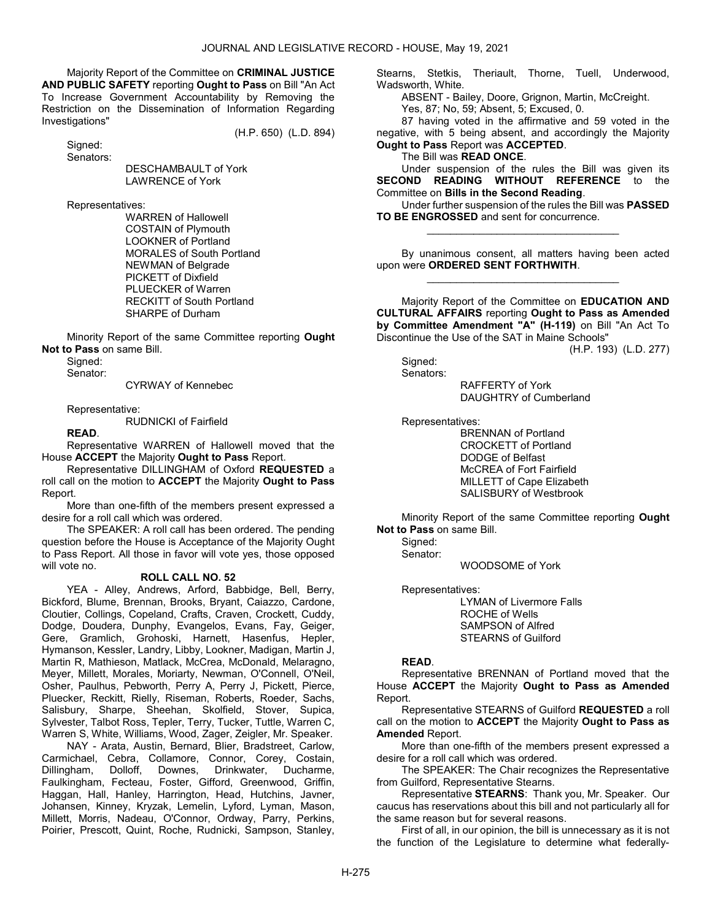Majority Report of the Committee on CRIMINAL JUSTICE AND PUBLIC SAFETY reporting Ought to Pass on Bill "An Act To Increase Government Accountability by Removing the Restriction on the Dissemination of Information Regarding Investigations"

(H.P. 650) (L.D. 894)

 Signed: Senators:

 DESCHAMBAULT of York LAWRENCE of York

Representatives:

 WARREN of Hallowell COSTAIN of Plymouth LOOKNER of Portland MORALES of South Portland NEWMAN of Belgrade PICKETT of Dixfield PLUECKER of Warren RECKITT of South Portland SHARPE of Durham

 Minority Report of the same Committee reporting Ought Not to Pass on same Bill.

Signed: Senator:

CYRWAY of Kennebec

Representative:

RUDNICKI of Fairfield

READ.

 Representative WARREN of Hallowell moved that the House ACCEPT the Majority Ought to Pass Report.

 Representative DILLINGHAM of Oxford REQUESTED a roll call on the motion to **ACCEPT** the Majority **Ought to Pass** Report.

 More than one-fifth of the members present expressed a desire for a roll call which was ordered.

 The SPEAKER: A roll call has been ordered. The pending question before the House is Acceptance of the Majority Ought to Pass Report. All those in favor will vote yes, those opposed will vote no.

### ROLL CALL NO. 52

 YEA - Alley, Andrews, Arford, Babbidge, Bell, Berry, Bickford, Blume, Brennan, Brooks, Bryant, Caiazzo, Cardone, Cloutier, Collings, Copeland, Crafts, Craven, Crockett, Cuddy, Dodge, Doudera, Dunphy, Evangelos, Evans, Fay, Geiger, Gere, Gramlich, Grohoski, Harnett, Hasenfus, Hepler, Hymanson, Kessler, Landry, Libby, Lookner, Madigan, Martin J, Martin R, Mathieson, Matlack, McCrea, McDonald, Melaragno, Meyer, Millett, Morales, Moriarty, Newman, O'Connell, O'Neil, Osher, Paulhus, Pebworth, Perry A, Perry J, Pickett, Pierce, Pluecker, Reckitt, Rielly, Riseman, Roberts, Roeder, Sachs, Salisbury, Sharpe, Sheehan, Skolfield, Stover, Supica, Sylvester, Talbot Ross, Tepler, Terry, Tucker, Tuttle, Warren C, Warren S, White, Williams, Wood, Zager, Zeigler, Mr. Speaker.

 NAY - Arata, Austin, Bernard, Blier, Bradstreet, Carlow, Carmichael, Cebra, Collamore, Connor, Corey, Costain, Dillingham, Dolloff, Downes, Drinkwater, Ducharme, Faulkingham, Fecteau, Foster, Gifford, Greenwood, Griffin, Haggan, Hall, Hanley, Harrington, Head, Hutchins, Javner, Johansen, Kinney, Kryzak, Lemelin, Lyford, Lyman, Mason, Millett, Morris, Nadeau, O'Connor, Ordway, Parry, Perkins, Poirier, Prescott, Quint, Roche, Rudnicki, Sampson, Stanley, Stearns, Stetkis, Theriault, Thorne, Tuell, Underwood, Wadsworth, White.

ABSENT - Bailey, Doore, Grignon, Martin, McCreight.

Yes, 87; No, 59; Absent, 5; Excused, 0.

 87 having voted in the affirmative and 59 voted in the negative, with 5 being absent, and accordingly the Majority Ought to Pass Report was ACCEPTED.

The Bill was READ ONCE.

 Under suspension of the rules the Bill was given its SECOND READING WITHOUT REFERENCE to the Committee on Bills in the Second Reading.

 Under further suspension of the rules the Bill was PASSED TO BE ENGROSSED and sent for concurrence. \_\_\_\_\_\_\_\_\_\_\_\_\_\_\_\_\_\_\_\_\_\_\_\_\_\_\_\_\_\_\_\_\_

 By unanimous consent, all matters having been acted upon were ORDERED SENT FORTHWITH. \_\_\_\_\_\_\_\_\_\_\_\_\_\_\_\_\_\_\_\_\_\_\_\_\_\_\_\_\_\_\_\_\_

 Majority Report of the Committee on EDUCATION AND CULTURAL AFFAIRS reporting Ought to Pass as Amended by Committee Amendment "A" (H-119) on Bill "An Act To Discontinue the Use of the SAT in Maine Schools"

(H.P. 193) (L.D. 277)

Signed: Senators:

 RAFFERTY of York DAUGHTRY of Cumberland

Representatives:

 BRENNAN of Portland CROCKETT of Portland DODGE of Belfast McCREA of Fort Fairfield MILLETT of Cape Elizabeth SALISBURY of Westbrook

 Minority Report of the same Committee reporting Ought Not to Pass on same Bill.

Signed:

Senator:

WOODSOME of York

Representatives:

 LYMAN of Livermore Falls ROCHE of Wells SAMPSON of Alfred STEARNS of Guilford

### READ.

 Representative BRENNAN of Portland moved that the House ACCEPT the Majority Ought to Pass as Amended Report.

 Representative STEARNS of Guilford REQUESTED a roll call on the motion to ACCEPT the Majority Ought to Pass as Amended Report.

 More than one-fifth of the members present expressed a desire for a roll call which was ordered.

 The SPEAKER: The Chair recognizes the Representative from Guilford, Representative Stearns.

 Representative STEARNS: Thank you, Mr. Speaker. Our caucus has reservations about this bill and not particularly all for the same reason but for several reasons.

 First of all, in our opinion, the bill is unnecessary as it is not the function of the Legislature to determine what federally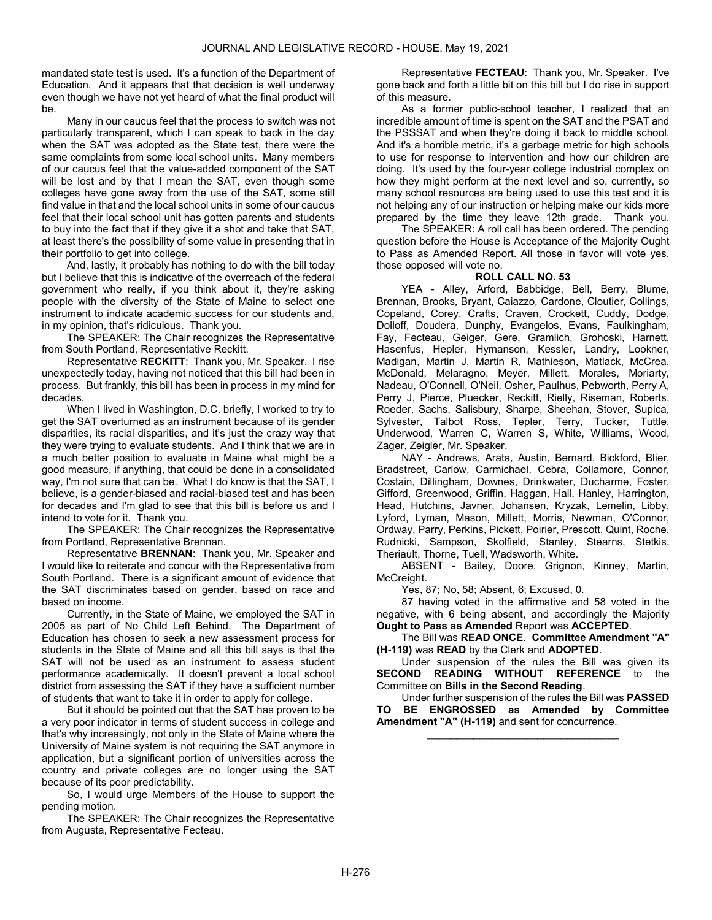mandated state test is used. It's a function of the Department of Education. And it appears that that decision is well underway even though we have not yet heard of what the final product will be.

 Many in our caucus feel that the process to switch was not particularly transparent, which I can speak to back in the day when the SAT was adopted as the State test, there were the same complaints from some local school units. Many members of our caucus feel that the value-added component of the SAT will be lost and by that I mean the SAT, even though some colleges have gone away from the use of the SAT, some still find value in that and the local school units in some of our caucus feel that their local school unit has gotten parents and students to buy into the fact that if they give it a shot and take that SAT, at least there's the possibility of some value in presenting that in their portfolio to get into college.

 And, lastly, it probably has nothing to do with the bill today but I believe that this is indicative of the overreach of the federal government who really, if you think about it, they're asking people with the diversity of the State of Maine to select one instrument to indicate academic success for our students and, in my opinion, that's ridiculous. Thank you.

 The SPEAKER: The Chair recognizes the Representative from South Portland, Representative Reckitt.

 Representative RECKITT: Thank you, Mr. Speaker. I rise unexpectedly today, having not noticed that this bill had been in process. But frankly, this bill has been in process in my mind for decades.

 When I lived in Washington, D.C. briefly, I worked to try to get the SAT overturned as an instrument because of its gender disparities, its racial disparities, and it's just the crazy way that they were trying to evaluate students. And I think that we are in a much better position to evaluate in Maine what might be a good measure, if anything, that could be done in a consolidated way, I'm not sure that can be. What I do know is that the SAT, I believe, is a gender-biased and racial-biased test and has been for decades and I'm glad to see that this bill is before us and I intend to vote for it. Thank you.

 The SPEAKER: The Chair recognizes the Representative from Portland, Representative Brennan.

 Representative BRENNAN: Thank you, Mr. Speaker and I would like to reiterate and concur with the Representative from South Portland. There is a significant amount of evidence that the SAT discriminates based on gender, based on race and based on income.

 Currently, in the State of Maine, we employed the SAT in 2005 as part of No Child Left Behind. The Department of Education has chosen to seek a new assessment process for students in the State of Maine and all this bill says is that the SAT will not be used as an instrument to assess student performance academically. It doesn't prevent a local school district from assessing the SAT if they have a sufficient number of students that want to take it in order to apply for college.

 But it should be pointed out that the SAT has proven to be a very poor indicator in terms of student success in college and that's why increasingly, not only in the State of Maine where the University of Maine system is not requiring the SAT anymore in application, but a significant portion of universities across the country and private colleges are no longer using the SAT because of its poor predictability.

 So, I would urge Members of the House to support the pending motion.

 The SPEAKER: The Chair recognizes the Representative from Augusta, Representative Fecteau.

 Representative FECTEAU: Thank you, Mr. Speaker. I've gone back and forth a little bit on this bill but I do rise in support of this measure.

 As a former public-school teacher, I realized that an incredible amount of time is spent on the SAT and the PSAT and the PSSSAT and when they're doing it back to middle school. And it's a horrible metric, it's a garbage metric for high schools to use for response to intervention and how our children are doing. It's used by the four-year college industrial complex on how they might perform at the next level and so, currently, so many school resources are being used to use this test and it is not helping any of our instruction or helping make our kids more prepared by the time they leave 12th grade. Thank you.

 The SPEAKER: A roll call has been ordered. The pending question before the House is Acceptance of the Majority Ought to Pass as Amended Report. All those in favor will vote yes, those opposed will vote no.

### ROLL CALL NO. 53

 YEA - Alley, Arford, Babbidge, Bell, Berry, Blume, Brennan, Brooks, Bryant, Caiazzo, Cardone, Cloutier, Collings, Copeland, Corey, Crafts, Craven, Crockett, Cuddy, Dodge, Dolloff, Doudera, Dunphy, Evangelos, Evans, Faulkingham, Fay, Fecteau, Geiger, Gere, Gramlich, Grohoski, Harnett, Hasenfus, Hepler, Hymanson, Kessler, Landry, Lookner, Madigan, Martin J, Martin R, Mathieson, Matlack, McCrea, McDonald, Melaragno, Meyer, Millett, Morales, Moriarty, Nadeau, O'Connell, O'Neil, Osher, Paulhus, Pebworth, Perry A, Perry J, Pierce, Pluecker, Reckitt, Rielly, Riseman, Roberts, Roeder, Sachs, Salisbury, Sharpe, Sheehan, Stover, Supica, Sylvester, Talbot Ross, Tepler, Terry, Tucker, Tuttle, Underwood, Warren C, Warren S, White, Williams, Wood, Zager, Zeigler, Mr. Speaker.

 NAY - Andrews, Arata, Austin, Bernard, Bickford, Blier, Bradstreet, Carlow, Carmichael, Cebra, Collamore, Connor, Costain, Dillingham, Downes, Drinkwater, Ducharme, Foster, Gifford, Greenwood, Griffin, Haggan, Hall, Hanley, Harrington, Head, Hutchins, Javner, Johansen, Kryzak, Lemelin, Libby, Lyford, Lyman, Mason, Millett, Morris, Newman, O'Connor, Ordway, Parry, Perkins, Pickett, Poirier, Prescott, Quint, Roche, Rudnicki, Sampson, Skolfield, Stanley, Stearns, Stetkis, Theriault, Thorne, Tuell, Wadsworth, White.

 ABSENT - Bailey, Doore, Grignon, Kinney, Martin, McCreight.

Yes, 87; No, 58; Absent, 6; Excused, 0.

 87 having voted in the affirmative and 58 voted in the negative, with 6 being absent, and accordingly the Majority Ought to Pass as Amended Report was ACCEPTED.

 The Bill was READ ONCE. Committee Amendment "A" (H-119) was READ by the Clerk and ADOPTED.

 Under suspension of the rules the Bill was given its SECOND READING WITHOUT REFERENCE to the Committee on Bills in the Second Reading.

 Under further suspension of the rules the Bill was PASSED TO BE ENGROSSED as Amended by Committee Amendment "A" (H-119) and sent for concurrence.

\_\_\_\_\_\_\_\_\_\_\_\_\_\_\_\_\_\_\_\_\_\_\_\_\_\_\_\_\_\_\_\_\_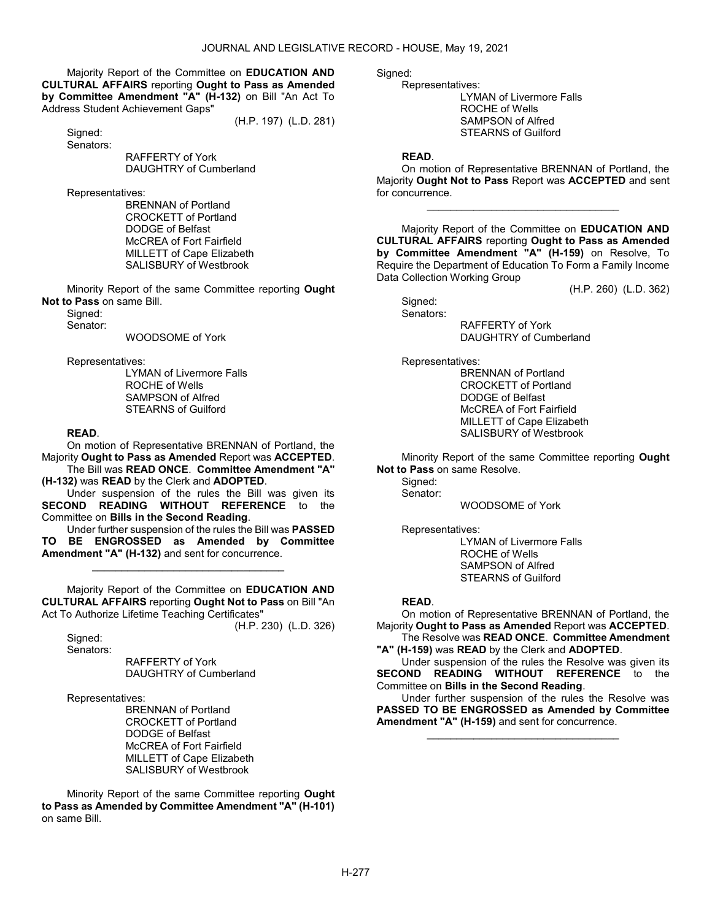Majority Report of the Committee on EDUCATION AND CULTURAL AFFAIRS reporting Ought to Pass as Amended by Committee Amendment "A" (H-132) on Bill "An Act To Address Student Achievement Gaps"

(H.P. 197) (L.D. 281)

Signed: Senators:

 RAFFERTY of York DAUGHTRY of Cumberland

Representatives:

 BRENNAN of Portland CROCKETT of Portland DODGE of Belfast McCREA of Fort Fairfield MILLETT of Cape Elizabeth SALISBURY of Westbrook

 Minority Report of the same Committee reporting Ought Not to Pass on same Bill.

Signed:

Senator:

WOODSOME of York

Representatives:

 LYMAN of Livermore Falls ROCHE of Wells SAMPSON of Alfred STEARNS of Guilford

### READ.

 On motion of Representative BRENNAN of Portland, the Majority Ought to Pass as Amended Report was ACCEPTED.

 The Bill was READ ONCE. Committee Amendment "A" (H-132) was READ by the Clerk and ADOPTED.

 Under suspension of the rules the Bill was given its SECOND READING WITHOUT REFERENCE to the Committee on Bills in the Second Reading.

 Under further suspension of the rules the Bill was PASSED TO BE ENGROSSED as Amended by Committee Amendment "A" (H-132) and sent for concurrence.

\_\_\_\_\_\_\_\_\_\_\_\_\_\_\_\_\_\_\_\_\_\_\_\_\_\_\_\_\_\_\_\_\_

 Majority Report of the Committee on EDUCATION AND CULTURAL AFFAIRS reporting Ought Not to Pass on Bill "An Act To Authorize Lifetime Teaching Certificates"

(H.P. 230) (L.D. 326)

 Signed: Senators:

> RAFFERTY of York DAUGHTRY of Cumberland

Representatives:

 BRENNAN of Portland CROCKETT of Portland DODGE of Belfast McCREA of Fort Fairfield MILLETT of Cape Elizabeth SALISBURY of Westbrook

 Minority Report of the same Committee reporting Ought to Pass as Amended by Committee Amendment "A" (H-101) on same Bill.

Signed:

 Representatives: LYMAN of Livermore Falls ROCHE of Wells SAMPSON of Alfred STEARNS of Guilford

### READ.

 On motion of Representative BRENNAN of Portland, the Majority Ought Not to Pass Report was ACCEPTED and sent for concurrence.

\_\_\_\_\_\_\_\_\_\_\_\_\_\_\_\_\_\_\_\_\_\_\_\_\_\_\_\_\_\_\_\_\_

 Majority Report of the Committee on EDUCATION AND CULTURAL AFFAIRS reporting Ought to Pass as Amended by Committee Amendment "A" (H-159) on Resolve, To Require the Department of Education To Form a Family Income Data Collection Working Group

(H.P. 260) (L.D. 362)

 Signed: Senators:

 RAFFERTY of York DAUGHTRY of Cumberland

Representatives:

 BRENNAN of Portland CROCKETT of Portland DODGE of Belfast McCREA of Fort Fairfield MILLETT of Cape Elizabeth SALISBURY of Westbrook

 Minority Report of the same Committee reporting Ought Not to Pass on same Resolve.

Sianed: Senator:

WOODSOME of York

Representatives:

 LYMAN of Livermore Falls ROCHE of Wells SAMPSON of Alfred STEARNS of Guilford

### READ.

 On motion of Representative BRENNAN of Portland, the Majority Ought to Pass as Amended Report was ACCEPTED. The Resolve was READ ONCE. Committee Amendment

"A" (H-159) was READ by the Clerk and ADOPTED.

 Under suspension of the rules the Resolve was given its SECOND READING WITHOUT REFERENCE to the Committee on Bills in the Second Reading.

 Under further suspension of the rules the Resolve was PASSED TO BE ENGROSSED as Amended by Committee Amendment "A" (H-159) and sent for concurrence.

\_\_\_\_\_\_\_\_\_\_\_\_\_\_\_\_\_\_\_\_\_\_\_\_\_\_\_\_\_\_\_\_\_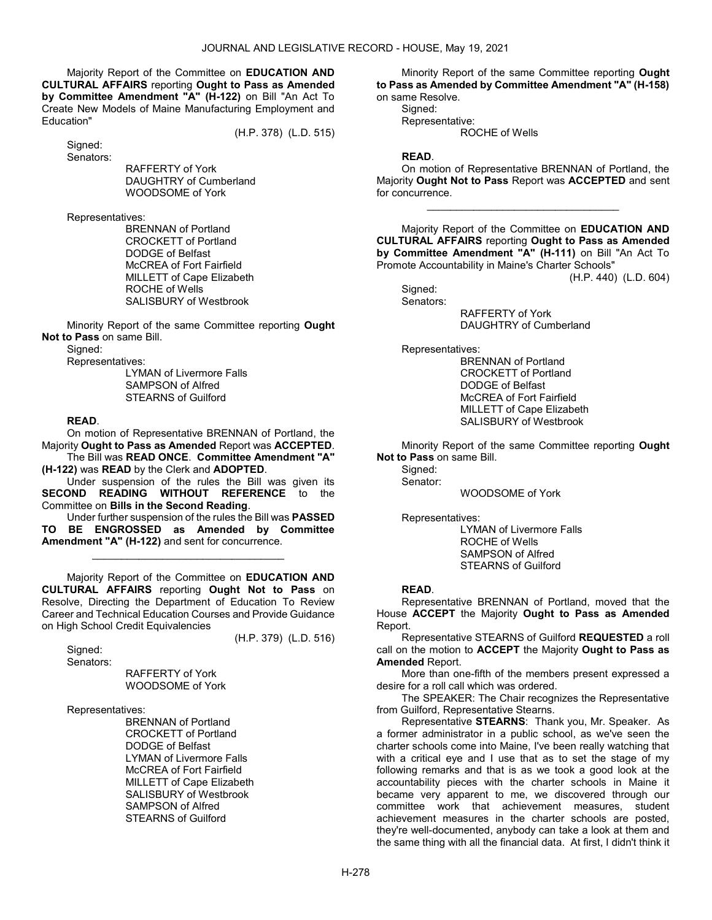Majority Report of the Committee on EDUCATION AND CULTURAL AFFAIRS reporting Ought to Pass as Amended by Committee Amendment "A" (H-122) on Bill "An Act To Create New Models of Maine Manufacturing Employment and Education"

(H.P. 378) (L.D. 515)

 Signed: Senators:

> RAFFERTY of York DAUGHTRY of Cumberland WOODSOME of York

Representatives:

 BRENNAN of Portland CROCKETT of Portland DODGE of Belfast McCREA of Fort Fairfield MILLETT of Cape Elizabeth ROCHE of Wells SALISBURY of Westbrook

 Minority Report of the same Committee reporting Ought Not to Pass on same Bill.

Signed:

Representatives:

 LYMAN of Livermore Falls SAMPSON of Alfred STEARNS of Guilford

### READ.

 On motion of Representative BRENNAN of Portland, the Majority Ought to Pass as Amended Report was ACCEPTED.

 The Bill was READ ONCE. Committee Amendment "A" (H-122) was READ by the Clerk and ADOPTED.

 Under suspension of the rules the Bill was given its SECOND READING WITHOUT REFERENCE to the Committee on Bills in the Second Reading.

 Under further suspension of the rules the Bill was PASSED TO BE ENGROSSED as Amended by Committee Amendment "A" (H-122) and sent for concurrence.

\_\_\_\_\_\_\_\_\_\_\_\_\_\_\_\_\_\_\_\_\_\_\_\_\_\_\_\_\_\_\_\_\_

 Majority Report of the Committee on EDUCATION AND CULTURAL AFFAIRS reporting Ought Not to Pass on Resolve, Directing the Department of Education To Review Career and Technical Education Courses and Provide Guidance on High School Credit Equivalencies

(H.P. 379) (L.D. 516)

 Signed: Senators:

 RAFFERTY of York WOODSOME of York

Representatives:

 BRENNAN of Portland CROCKETT of Portland DODGE of Belfast LYMAN of Livermore Falls McCREA of Fort Fairfield MILLETT of Cape Elizabeth SALISBURY of Westbrook SAMPSON of Alfred STEARNS of Guilford

 Minority Report of the same Committee reporting Ought to Pass as Amended by Committee Amendment "A" (H-158) on same Resolve.

 Signed: Representative: ROCHE of Wells

### READ.

 On motion of Representative BRENNAN of Portland, the Majority Ought Not to Pass Report was ACCEPTED and sent for concurrence.

\_\_\_\_\_\_\_\_\_\_\_\_\_\_\_\_\_\_\_\_\_\_\_\_\_\_\_\_\_\_\_\_\_

 Majority Report of the Committee on EDUCATION AND CULTURAL AFFAIRS reporting Ought to Pass as Amended by Committee Amendment "A" (H-111) on Bill "An Act To Promote Accountability in Maine's Charter Schools"

(H.P. 440) (L.D. 604)

 Signed: Senators:

 RAFFERTY of York DAUGHTRY of Cumberland

Representatives:

 BRENNAN of Portland CROCKETT of Portland DODGE of Belfast McCREA of Fort Fairfield MILLETT of Cape Elizabeth SALISBURY of Westbrook

 Minority Report of the same Committee reporting Ought Not to Pass on same Bill.

Signed: Senator:

WOODSOME of York

Representatives:

 LYMAN of Livermore Falls ROCHE of Wells SAMPSON of Alfred STEARNS of Guilford

#### READ.

 Representative BRENNAN of Portland, moved that the House ACCEPT the Majority Ought to Pass as Amended Report.

 Representative STEARNS of Guilford REQUESTED a roll call on the motion to ACCEPT the Majority Ought to Pass as Amended Report.

 More than one-fifth of the members present expressed a desire for a roll call which was ordered.

 The SPEAKER: The Chair recognizes the Representative from Guilford, Representative Stearns.

 Representative STEARNS: Thank you, Mr. Speaker. As a former administrator in a public school, as we've seen the charter schools come into Maine, I've been really watching that with a critical eye and I use that as to set the stage of my following remarks and that is as we took a good look at the accountability pieces with the charter schools in Maine it became very apparent to me, we discovered through our committee work that achievement measures, student achievement measures in the charter schools are posted, they're well-documented, anybody can take a look at them and the same thing with all the financial data. At first, I didn't think it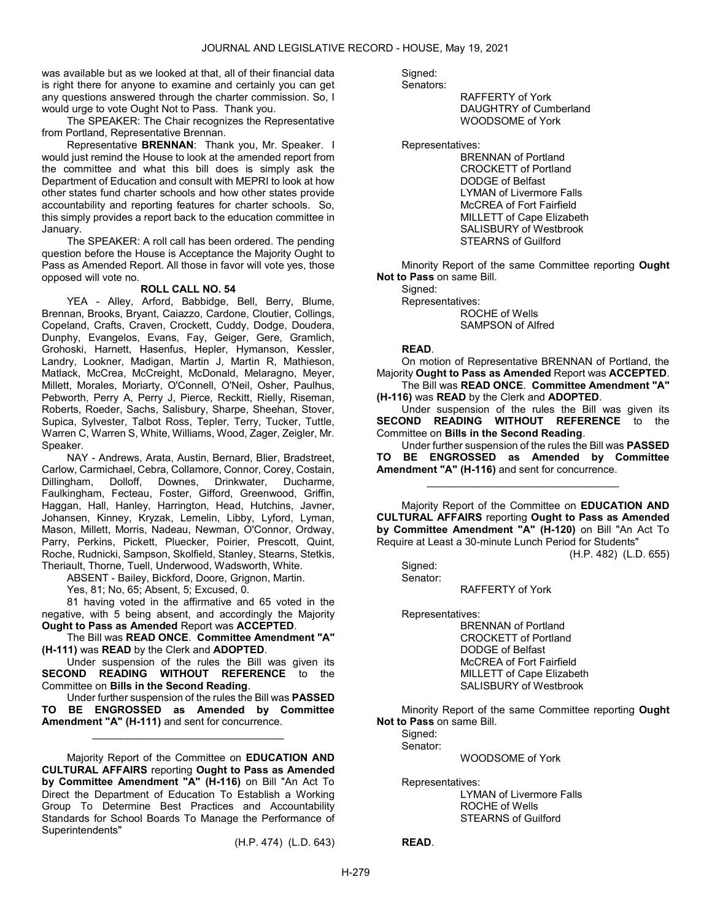was available but as we looked at that, all of their financial data is right there for anyone to examine and certainly you can get any questions answered through the charter commission. So, I would urge to vote Ought Not to Pass. Thank you.

 The SPEAKER: The Chair recognizes the Representative from Portland, Representative Brennan.

Representative **BRENNAN:** Thank you, Mr. Speaker. I would just remind the House to look at the amended report from the committee and what this bill does is simply ask the Department of Education and consult with MEPRI to look at how other states fund charter schools and how other states provide accountability and reporting features for charter schools. So, this simply provides a report back to the education committee in January.

 The SPEAKER: A roll call has been ordered. The pending question before the House is Acceptance the Majority Ought to Pass as Amended Report. All those in favor will vote yes, those opposed will vote no.

#### ROLL CALL NO. 54

 YEA - Alley, Arford, Babbidge, Bell, Berry, Blume, Brennan, Brooks, Bryant, Caiazzo, Cardone, Cloutier, Collings, Copeland, Crafts, Craven, Crockett, Cuddy, Dodge, Doudera, Dunphy, Evangelos, Evans, Fay, Geiger, Gere, Gramlich, Grohoski, Harnett, Hasenfus, Hepler, Hymanson, Kessler, Landry, Lookner, Madigan, Martin J, Martin R, Mathieson, Matlack, McCrea, McCreight, McDonald, Melaragno, Meyer, Millett, Morales, Moriarty, O'Connell, O'Neil, Osher, Paulhus, Pebworth, Perry A, Perry J, Pierce, Reckitt, Rielly, Riseman, Roberts, Roeder, Sachs, Salisbury, Sharpe, Sheehan, Stover, Supica, Sylvester, Talbot Ross, Tepler, Terry, Tucker, Tuttle, Warren C, Warren S, White, Williams, Wood, Zager, Zeigler, Mr. Speaker.

 NAY - Andrews, Arata, Austin, Bernard, Blier, Bradstreet, Carlow, Carmichael, Cebra, Collamore, Connor, Corey, Costain, Dillingham, Dolloff, Downes, Drinkwater, Ducharme, Faulkingham, Fecteau, Foster, Gifford, Greenwood, Griffin, Haggan, Hall, Hanley, Harrington, Head, Hutchins, Javner, Johansen, Kinney, Kryzak, Lemelin, Libby, Lyford, Lyman, Mason, Millett, Morris, Nadeau, Newman, O'Connor, Ordway, Parry, Perkins, Pickett, Pluecker, Poirier, Prescott, Quint, Roche, Rudnicki, Sampson, Skolfield, Stanley, Stearns, Stetkis, Theriault, Thorne, Tuell, Underwood, Wadsworth, White.

ABSENT - Bailey, Bickford, Doore, Grignon, Martin.

Yes, 81; No, 65; Absent, 5; Excused, 0.

 81 having voted in the affirmative and 65 voted in the negative, with 5 being absent, and accordingly the Majority Ought to Pass as Amended Report was ACCEPTED.

 The Bill was READ ONCE. Committee Amendment "A" (H-111) was READ by the Clerk and ADOPTED.

 Under suspension of the rules the Bill was given its SECOND READING WITHOUT REFERENCE to the Committee on Bills in the Second Reading.

 Under further suspension of the rules the Bill was PASSED TO BE ENGROSSED as Amended by Committee Amendment "A" (H-111) and sent for concurrence.

\_\_\_\_\_\_\_\_\_\_\_\_\_\_\_\_\_\_\_\_\_\_\_\_\_\_\_\_\_\_\_\_\_

 Majority Report of the Committee on EDUCATION AND CULTURAL AFFAIRS reporting Ought to Pass as Amended by Committee Amendment "A" (H-116) on Bill "An Act To Direct the Department of Education To Establish a Working Group To Determine Best Practices and Accountability Standards for School Boards To Manage the Performance of Superintendents"

(H.P. 474) (L.D. 643)

Signed:

Senators:

 RAFFERTY of York DAUGHTRY of Cumberland WOODSOME of York

Representatives:

 BRENNAN of Portland CROCKETT of Portland DODGE of Belfast LYMAN of Livermore Falls McCREA of Fort Fairfield MILLETT of Cape Elizabeth SALISBURY of Westbrook STEARNS of Guilford

 Minority Report of the same Committee reporting Ought Not to Pass on same Bill.

 Signed: Representatives: ROCHE of Wells SAMPSON of Alfred

### READ.

 On motion of Representative BRENNAN of Portland, the Majority Ought to Pass as Amended Report was ACCEPTED. The Bill was READ ONCE. Committee Amendment "A"

(H-116) was READ by the Clerk and ADOPTED.

 Under suspension of the rules the Bill was given its SECOND READING WITHOUT REFERENCE to the Committee on Bills in the Second Reading.

 Under further suspension of the rules the Bill was PASSED TO BE ENGROSSED as Amended by Committee Amendment "A" (H-116) and sent for concurrence.

\_\_\_\_\_\_\_\_\_\_\_\_\_\_\_\_\_\_\_\_\_\_\_\_\_\_\_\_\_\_\_\_\_

 Majority Report of the Committee on EDUCATION AND CULTURAL AFFAIRS reporting Ought to Pass as Amended by Committee Amendment "A" (H-120) on Bill "An Act To Require at Least a 30-minute Lunch Period for Students"

(H.P. 482) (L.D. 655)

 Signed: Senator:

RAFFERTY of York

Representatives:

 BRENNAN of Portland CROCKETT of Portland DODGE of Belfast McCREA of Fort Fairfield MILLETT of Cape Elizabeth SALISBURY of Westbrook

 Minority Report of the same Committee reporting Ought Not to Pass on same Bill.

Signed:

Senator:

WOODSOME of York

Representatives:

 LYMAN of Livermore Falls ROCHE of Wells STEARNS of Guilford

READ.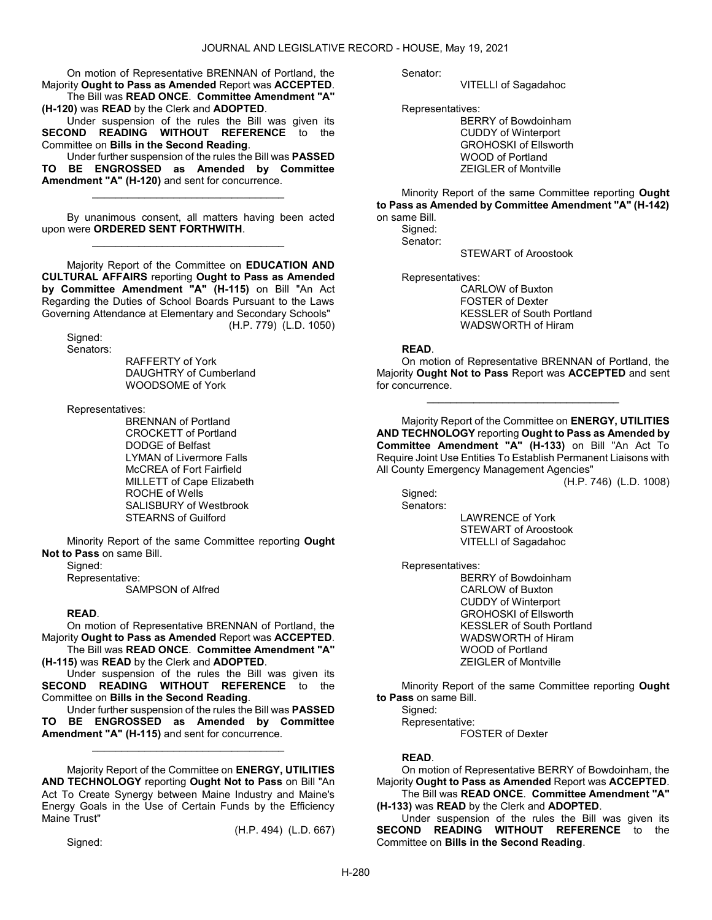On motion of Representative BRENNAN of Portland, the Majority Ought to Pass as Amended Report was ACCEPTED. The Bill was READ ONCE. Committee Amendment "A"

(H-120) was READ by the Clerk and ADOPTED.

 Under suspension of the rules the Bill was given its SECOND READING WITHOUT REFERENCE to the Committee on Bills in the Second Reading.

 Under further suspension of the rules the Bill was PASSED TO BE ENGROSSED as Amended by Committee Amendment "A" (H-120) and sent for concurrence.

\_\_\_\_\_\_\_\_\_\_\_\_\_\_\_\_\_\_\_\_\_\_\_\_\_\_\_\_\_\_\_\_\_

 By unanimous consent, all matters having been acted upon were ORDERED SENT FORTHWITH. \_\_\_\_\_\_\_\_\_\_\_\_\_\_\_\_\_\_\_\_\_\_\_\_\_\_\_\_\_\_\_\_\_

 Majority Report of the Committee on EDUCATION AND CULTURAL AFFAIRS reporting Ought to Pass as Amended by Committee Amendment "A" (H-115) on Bill "An Act Regarding the Duties of School Boards Pursuant to the Laws Governing Attendance at Elementary and Secondary Schools" (H.P. 779) (L.D. 1050)

 Signed: Senators:

 RAFFERTY of York DAUGHTRY of Cumberland WOODSOME of York

Representatives:

 BRENNAN of Portland CROCKETT of Portland DODGE of Belfast LYMAN of Livermore Falls McCREA of Fort Fairfield MILLETT of Cape Elizabeth ROCHE of Wells SALISBURY of Westbrook STEARNS of Guilford

 Minority Report of the same Committee reporting Ought Not to Pass on same Bill.

Signed:

 Representative: SAMPSON of Alfred

### READ.

 On motion of Representative BRENNAN of Portland, the Majority Ought to Pass as Amended Report was ACCEPTED.

 The Bill was READ ONCE. Committee Amendment "A" (H-115) was READ by the Clerk and ADOPTED.

 Under suspension of the rules the Bill was given its SECOND READING WITHOUT REFERENCE to the Committee on Bills in the Second Reading.

 Under further suspension of the rules the Bill was PASSED TO BE ENGROSSED as Amended by Committee Amendment "A" (H-115) and sent for concurrence.

\_\_\_\_\_\_\_\_\_\_\_\_\_\_\_\_\_\_\_\_\_\_\_\_\_\_\_\_\_\_\_\_\_

 Majority Report of the Committee on ENERGY, UTILITIES AND TECHNOLOGY reporting Ought Not to Pass on Bill "An Act To Create Synergy between Maine Industry and Maine's Energy Goals in the Use of Certain Funds by the Efficiency Maine Trust" (H.P. 494) (L.D. 667)

Signed:

Senator:

VITELLI of Sagadahoc

Representatives:

 BERRY of Bowdoinham CUDDY of Winterport GROHOSKI of Ellsworth WOOD of Portland ZEIGLER of Montville

 Minority Report of the same Committee reporting Ought to Pass as Amended by Committee Amendment "A" (H-142) on same Bill.

 Signed: Senator:

STEWART of Aroostook

Representatives:

 CARLOW of Buxton FOSTER of Dexter KESSLER of South Portland WADSWORTH of Hiram

### READ.

 On motion of Representative BRENNAN of Portland, the Majority Ought Not to Pass Report was ACCEPTED and sent for concurrence.

\_\_\_\_\_\_\_\_\_\_\_\_\_\_\_\_\_\_\_\_\_\_\_\_\_\_\_\_\_\_\_\_\_

 Majority Report of the Committee on ENERGY, UTILITIES AND TECHNOLOGY reporting Ought to Pass as Amended by Committee Amendment "A" (H-133) on Bill "An Act To Require Joint Use Entities To Establish Permanent Liaisons with All County Emergency Management Agencies"

(H.P. 746) (L.D. 1008)

 Signed: Senators:

 LAWRENCE of York STEWART of Aroostook VITELLI of Sagadahoc

Representatives:

 BERRY of Bowdoinham CARLOW of Buxton CUDDY of Winterport GROHOSKI of Ellsworth KESSLER of South Portland WADSWORTH of Hiram WOOD of Portland ZEIGLER of Montville

 Minority Report of the same Committee reporting Ought to Pass on same Bill.

Signed:

Representative:

FOSTER of Dexter

### READ.

 On motion of Representative BERRY of Bowdoinham, the Majority Ought to Pass as Amended Report was ACCEPTED. The Bill was READ ONCE. Committee Amendment "A"

(H-133) was READ by the Clerk and ADOPTED. Under suspension of the rules the Bill was given its

SECOND READING WITHOUT REFERENCE to the Committee on Bills in the Second Reading.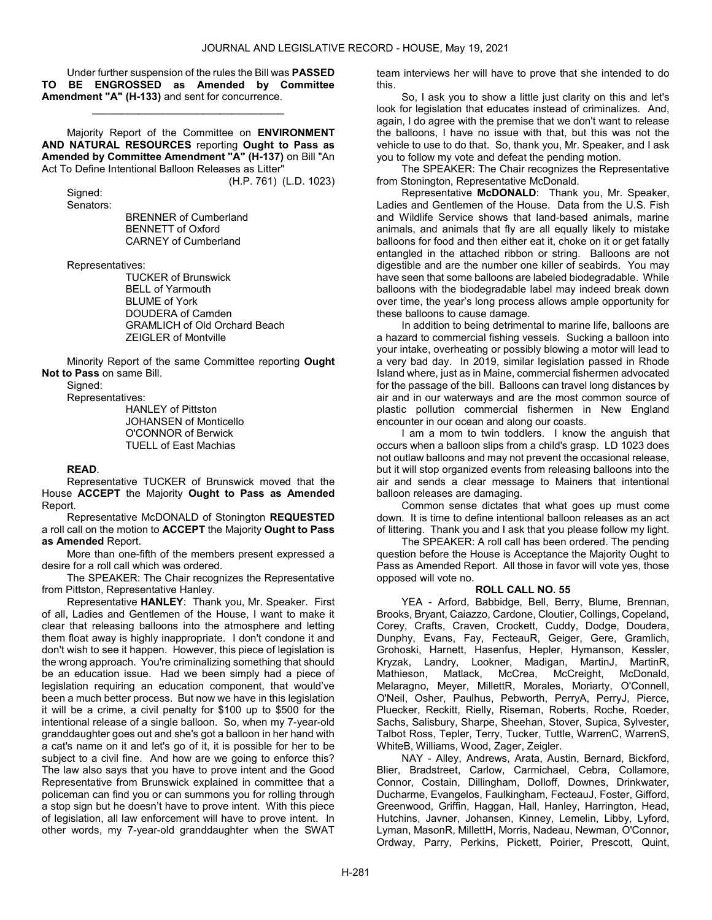Under further suspension of the rules the Bill was PASSED TO BE ENGROSSED as Amended by Committee Amendment "A" (H-133) and sent for concurrence.

\_\_\_\_\_\_\_\_\_\_\_\_\_\_\_\_\_\_\_\_\_\_\_\_\_\_\_\_\_\_\_\_\_

 Majority Report of the Committee on ENVIRONMENT AND NATURAL RESOURCES reporting Ought to Pass as Amended by Committee Amendment "A" (H-137) on Bill "An Act To Define Intentional Balloon Releases as Litter"

(H.P. 761) (L.D. 1023)

 Signed: Senators:

 BRENNER of Cumberland BENNETT of Oxford CARNEY of Cumberland

Representatives:

 TUCKER of Brunswick BELL of Yarmouth BLUME of York DOUDERA of Camden GRAMLICH of Old Orchard Beach ZEIGLER of Montville

 Minority Report of the same Committee reporting Ought Not to Pass on same Bill.

Signed:

Representatives:

 HANLEY of Pittston JOHANSEN of Monticello O'CONNOR of Berwick TUELL of East Machias

### READ.

 Representative TUCKER of Brunswick moved that the House ACCEPT the Majority Ought to Pass as Amended Report.

 Representative McDONALD of Stonington REQUESTED a roll call on the motion to ACCEPT the Majority Ought to Pass as Amended Report.

 More than one-fifth of the members present expressed a desire for a roll call which was ordered.

 The SPEAKER: The Chair recognizes the Representative from Pittston, Representative Hanley.

 Representative HANLEY: Thank you, Mr. Speaker. First of all, Ladies and Gentlemen of the House, I want to make it clear that releasing balloons into the atmosphere and letting them float away is highly inappropriate. I don't condone it and don't wish to see it happen. However, this piece of legislation is the wrong approach. You're criminalizing something that should be an education issue. Had we been simply had a piece of legislation requiring an education component, that would've been a much better process. But now we have in this legislation it will be a crime, a civil penalty for \$100 up to \$500 for the intentional release of a single balloon. So, when my 7-year-old granddaughter goes out and she's got a balloon in her hand with a cat's name on it and let's go of it, it is possible for her to be subject to a civil fine. And how are we going to enforce this? The law also says that you have to prove intent and the Good Representative from Brunswick explained in committee that a policeman can find you or can summons you for rolling through a stop sign but he doesn't have to prove intent. With this piece of legislation, all law enforcement will have to prove intent. In other words, my 7-year-old granddaughter when the SWAT

team interviews her will have to prove that she intended to do this.

 So, I ask you to show a little just clarity on this and let's look for legislation that educates instead of criminalizes. And, again, I do agree with the premise that we don't want to release the balloons, I have no issue with that, but this was not the vehicle to use to do that. So, thank you, Mr. Speaker, and I ask you to follow my vote and defeat the pending motion.

 The SPEAKER: The Chair recognizes the Representative from Stonington, Representative McDonald.

 Representative McDONALD: Thank you, Mr. Speaker, Ladies and Gentlemen of the House. Data from the U.S. Fish and Wildlife Service shows that land-based animals, marine animals, and animals that fly are all equally likely to mistake balloons for food and then either eat it, choke on it or get fatally entangled in the attached ribbon or string. Balloons are not digestible and are the number one killer of seabirds. You may have seen that some balloons are labeled biodegradable. While balloons with the biodegradable label may indeed break down over time, the year's long process allows ample opportunity for these balloons to cause damage.

 In addition to being detrimental to marine life, balloons are a hazard to commercial fishing vessels. Sucking a balloon into your intake, overheating or possibly blowing a motor will lead to a very bad day. In 2019, similar legislation passed in Rhode Island where, just as in Maine, commercial fishermen advocated for the passage of the bill. Balloons can travel long distances by air and in our waterways and are the most common source of plastic pollution commercial fishermen in New England encounter in our ocean and along our coasts.

 I am a mom to twin toddlers. I know the anguish that occurs when a balloon slips from a child's grasp. LD 1023 does not outlaw balloons and may not prevent the occasional release, but it will stop organized events from releasing balloons into the air and sends a clear message to Mainers that intentional balloon releases are damaging.

 Common sense dictates that what goes up must come down. It is time to define intentional balloon releases as an act of littering. Thank you and I ask that you please follow my light.

 The SPEAKER: A roll call has been ordered. The pending question before the House is Acceptance the Majority Ought to Pass as Amended Report. All those in favor will vote yes, those opposed will vote no.

### ROLL CALL NO. 55

 YEA - Arford, Babbidge, Bell, Berry, Blume, Brennan, Brooks, Bryant, Caiazzo, Cardone, Cloutier, Collings, Copeland, Corey, Crafts, Craven, Crockett, Cuddy, Dodge, Doudera, Dunphy, Evans, Fay, FecteauR, Geiger, Gere, Gramlich, Grohoski, Harnett, Hasenfus, Hepler, Hymanson, Kessler, Kryzak, Landry, Lookner, Madigan, MartinJ, MartinR, Mathieson, Matlack, McCrea, McCreight, McDonald, Melaragno, Meyer, MillettR, Morales, Moriarty, O'Connell, O'Neil, Osher, Paulhus, Pebworth, PerryA, PerryJ, Pierce, Pluecker, Reckitt, Rielly, Riseman, Roberts, Roche, Roeder, Sachs, Salisbury, Sharpe, Sheehan, Stover, Supica, Sylvester, Talbot Ross, Tepler, Terry, Tucker, Tuttle, WarrenC, WarrenS, WhiteB, Williams, Wood, Zager, Zeigler.

 NAY - Alley, Andrews, Arata, Austin, Bernard, Bickford, Blier, Bradstreet, Carlow, Carmichael, Cebra, Collamore, Connor, Costain, Dillingham, Dolloff, Downes, Drinkwater, Ducharme, Evangelos, Faulkingham, FecteauJ, Foster, Gifford, Greenwood, Griffin, Haggan, Hall, Hanley, Harrington, Head, Hutchins, Javner, Johansen, Kinney, Lemelin, Libby, Lyford, Lyman, MasonR, MillettH, Morris, Nadeau, Newman, O'Connor, Ordway, Parry, Perkins, Pickett, Poirier, Prescott, Quint,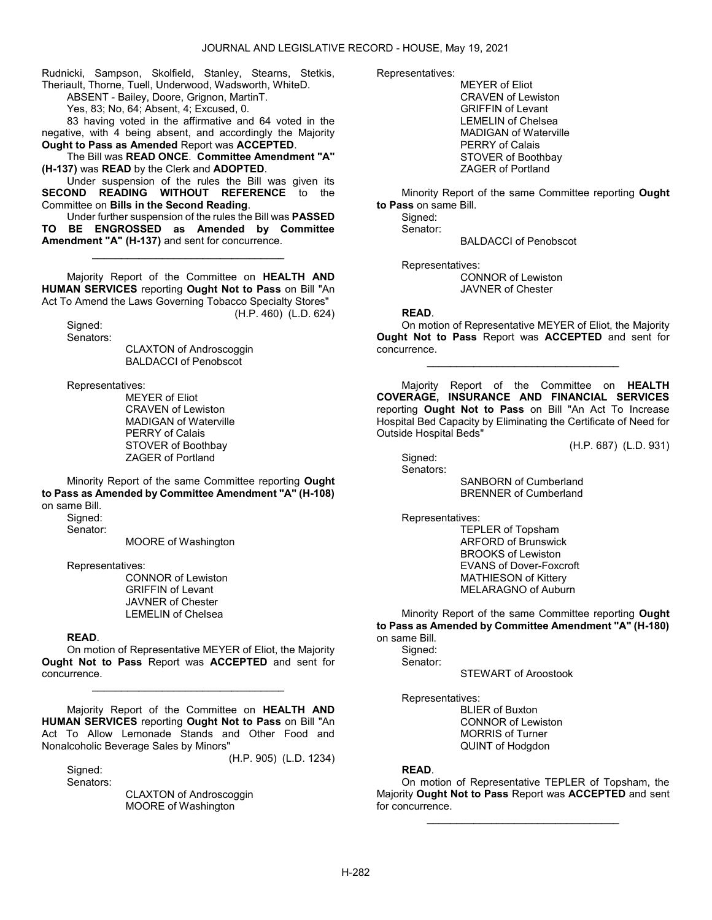Rudnicki, Sampson, Skolfield, Stanley, Stearns, Stetkis, Theriault, Thorne, Tuell, Underwood, Wadsworth, WhiteD.

ABSENT - Bailey, Doore, Grignon, MartinT.

Yes, 83; No, 64; Absent, 4; Excused, 0.

 83 having voted in the affirmative and 64 voted in the negative, with 4 being absent, and accordingly the Majority Ought to Pass as Amended Report was ACCEPTED.

 The Bill was READ ONCE. Committee Amendment "A" (H-137) was READ by the Clerk and ADOPTED.

 Under suspension of the rules the Bill was given its SECOND READING WITHOUT REFERENCE to the Committee on Bills in the Second Reading.

 Under further suspension of the rules the Bill was PASSED TO BE ENGROSSED as Amended by Committee Amendment "A" (H-137) and sent for concurrence.

\_\_\_\_\_\_\_\_\_\_\_\_\_\_\_\_\_\_\_\_\_\_\_\_\_\_\_\_\_\_\_\_\_

 Majority Report of the Committee on HEALTH AND HUMAN SERVICES reporting Ought Not to Pass on Bill "An Act To Amend the Laws Governing Tobacco Specialty Stores" (H.P. 460) (L.D. 624)

 Signed: Senators:

 CLAXTON of Androscoggin BALDACCI of Penobscot

Representatives:

 MEYER of Eliot CRAVEN of Lewiston MADIGAN of Waterville PERRY of Calais STOVER of Boothbay ZAGER of Portland

 Minority Report of the same Committee reporting Ought to Pass as Amended by Committee Amendment "A" (H-108) on same Bill.

Signed:

Senator:

MOORE of Washington

Representatives:

 CONNOR of Lewiston GRIFFIN of Levant JAVNER of Chester LEMELIN of Chelsea

READ.

 On motion of Representative MEYER of Eliot, the Majority Ought Not to Pass Report was ACCEPTED and sent for concurrence.

\_\_\_\_\_\_\_\_\_\_\_\_\_\_\_\_\_\_\_\_\_\_\_\_\_\_\_\_\_\_\_\_\_

 Majority Report of the Committee on HEALTH AND HUMAN SERVICES reporting Ought Not to Pass on Bill "An Act To Allow Lemonade Stands and Other Food and Nonalcoholic Beverage Sales by Minors"

(H.P. 905) (L.D. 1234)

Signed: Senators:

> CLAXTON of Androscoggin MOORE of Washington

Representatives:

 MEYER of Eliot CRAVEN of Lewiston GRIFFIN of Levant LEMELIN of Chelsea MADIGAN of Waterville PERRY of Calais STOVER of Boothbay ZAGER of Portland

 Minority Report of the same Committee reporting Ought to Pass on same Bill.

 Signed: Senator:

BALDACCI of Penobscot

Representatives:

 CONNOR of Lewiston JAVNER of Chester

### READ.

 On motion of Representative MEYER of Eliot, the Majority Ought Not to Pass Report was ACCEPTED and sent for concurrence.

\_\_\_\_\_\_\_\_\_\_\_\_\_\_\_\_\_\_\_\_\_\_\_\_\_\_\_\_\_\_\_\_\_

 Majority Report of the Committee on HEALTH COVERAGE, INSURANCE AND FINANCIAL SERVICES reporting Ought Not to Pass on Bill "An Act To Increase Hospital Bed Capacity by Eliminating the Certificate of Need for Outside Hospital Beds"

(H.P. 687) (L.D. 931)

 Signed: Senators:

 SANBORN of Cumberland BRENNER of Cumberland

Representatives:

 TEPLER of Topsham ARFORD of Brunswick BROOKS of Lewiston EVANS of Dover-Foxcroft MATHIESON of Kittery MELARAGNO of Auburn

 Minority Report of the same Committee reporting Ought to Pass as Amended by Committee Amendment "A" (H-180) on same Bill.

Signed: Senator:

STEWART of Aroostook

Representatives:

 BLIER of Buxton CONNOR of Lewiston MORRIS of Turner QUINT of Hodgdon

# READ.

 On motion of Representative TEPLER of Topsham, the Majority Ought Not to Pass Report was ACCEPTED and sent for concurrence.

\_\_\_\_\_\_\_\_\_\_\_\_\_\_\_\_\_\_\_\_\_\_\_\_\_\_\_\_\_\_\_\_\_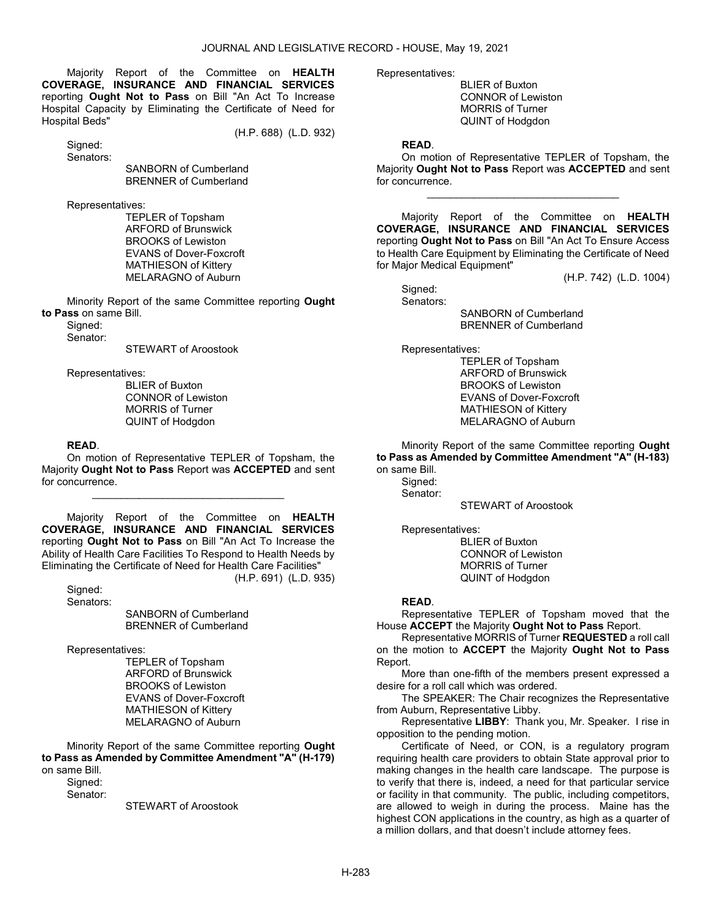Majority Report of the Committee on HEALTH COVERAGE, INSURANCE AND FINANCIAL SERVICES reporting Ought Not to Pass on Bill "An Act To Increase Hospital Capacity by Eliminating the Certificate of Need for Hospital Beds"

(H.P. 688) (L.D. 932)

 Signed: Senators:

 SANBORN of Cumberland BRENNER of Cumberland

Representatives:

 TEPLER of Topsham ARFORD of Brunswick BROOKS of Lewiston EVANS of Dover-Foxcroft MATHIESON of Kittery MELARAGNO of Auburn

 Minority Report of the same Committee reporting Ought to Pass on same Bill.

 Signed: Senator:

STEWART of Aroostook

Representatives:

 BLIER of Buxton CONNOR of Lewiston MORRIS of Turner QUINT of Hodgdon

### READ.

 On motion of Representative TEPLER of Topsham, the Majority Ought Not to Pass Report was ACCEPTED and sent for concurrence.

\_\_\_\_\_\_\_\_\_\_\_\_\_\_\_\_\_\_\_\_\_\_\_\_\_\_\_\_\_\_\_\_\_

 Majority Report of the Committee on HEALTH COVERAGE, INSURANCE AND FINANCIAL SERVICES reporting Ought Not to Pass on Bill "An Act To Increase the Ability of Health Care Facilities To Respond to Health Needs by Eliminating the Certificate of Need for Health Care Facilities" (H.P. 691) (L.D. 935)

 Signed: Senators:

 SANBORN of Cumberland BRENNER of Cumberland

Representatives:

 TEPLER of Topsham ARFORD of Brunswick BROOKS of Lewiston EVANS of Dover-Foxcroft MATHIESON of Kittery MELARAGNO of Auburn

 Minority Report of the same Committee reporting Ought to Pass as Amended by Committee Amendment "A" (H-179) on same Bill.

Sianed: Senator:

STEWART of Aroostook

Representatives:

 BLIER of Buxton CONNOR of Lewiston MORRIS of Turner QUINT of Hodgdon

### READ.

 On motion of Representative TEPLER of Topsham, the Majority Ought Not to Pass Report was ACCEPTED and sent for concurrence.

\_\_\_\_\_\_\_\_\_\_\_\_\_\_\_\_\_\_\_\_\_\_\_\_\_\_\_\_\_\_\_\_\_

 Majority Report of the Committee on HEALTH COVERAGE, INSURANCE AND FINANCIAL SERVICES reporting Ought Not to Pass on Bill "An Act To Ensure Access to Health Care Equipment by Eliminating the Certificate of Need for Major Medical Equipment"

(H.P. 742) (L.D. 1004)

 Signed: Senators:

 SANBORN of Cumberland BRENNER of Cumberland

Representatives:

 TEPLER of Topsham ARFORD of Brunswick BROOKS of Lewiston EVANS of Dover-Foxcroft MATHIESON of Kittery MELARAGNO of Auburn

 Minority Report of the same Committee reporting Ought to Pass as Amended by Committee Amendment "A" (H-183) on same Bill.

Sianed: Senator:

STEWART of Aroostook

Representatives:

 BLIER of Buxton CONNOR of Lewiston MORRIS of Turner QUINT of Hodgdon

### READ.

 Representative TEPLER of Topsham moved that the House ACCEPT the Majority Ought Not to Pass Report.

 Representative MORRIS of Turner REQUESTED a roll call on the motion to ACCEPT the Majority Ought Not to Pass Report.

 More than one-fifth of the members present expressed a desire for a roll call which was ordered.

 The SPEAKER: The Chair recognizes the Representative from Auburn, Representative Libby.

 Representative LIBBY: Thank you, Mr. Speaker. I rise in opposition to the pending motion.

 Certificate of Need, or CON, is a regulatory program requiring health care providers to obtain State approval prior to making changes in the health care landscape. The purpose is to verify that there is, indeed, a need for that particular service or facility in that community. The public, including competitors, are allowed to weigh in during the process. Maine has the highest CON applications in the country, as high as a quarter of a million dollars, and that doesn't include attorney fees.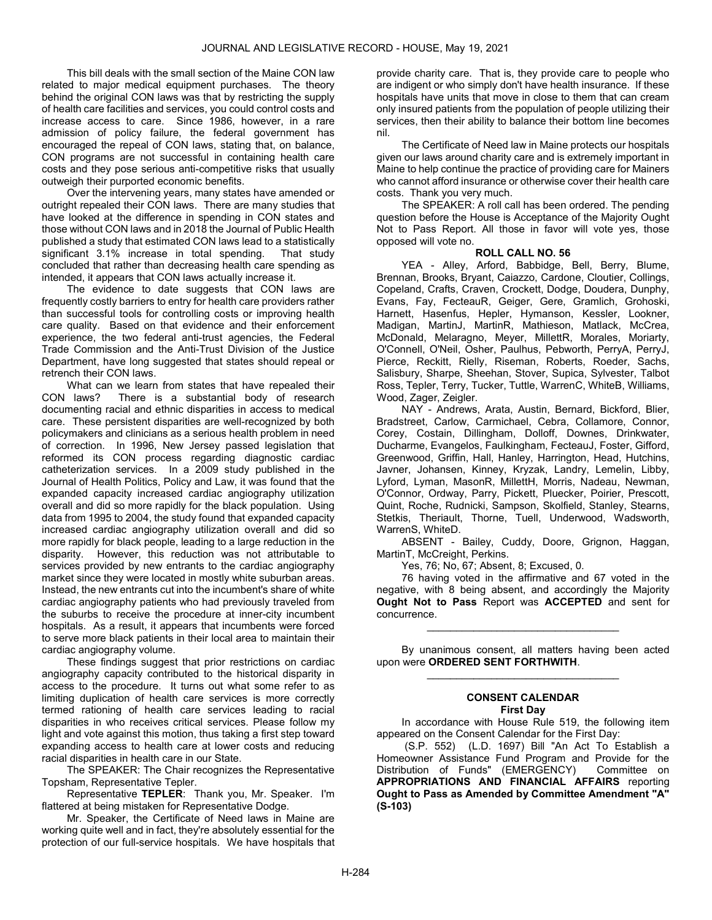This bill deals with the small section of the Maine CON law related to major medical equipment purchases. The theory behind the original CON laws was that by restricting the supply of health care facilities and services, you could control costs and increase access to care. Since 1986, however, in a rare admission of policy failure, the federal government has encouraged the repeal of CON laws, stating that, on balance, CON programs are not successful in containing health care costs and they pose serious anti-competitive risks that usually outweigh their purported economic benefits.

 Over the intervening years, many states have amended or outright repealed their CON laws. There are many studies that have looked at the difference in spending in CON states and those without CON laws and in 2018 the Journal of Public Health published a study that estimated CON laws lead to a statistically significant 3.1% increase in total spending. That study concluded that rather than decreasing health care spending as intended, it appears that CON laws actually increase it.

 The evidence to date suggests that CON laws are frequently costly barriers to entry for health care providers rather than successful tools for controlling costs or improving health care quality. Based on that evidence and their enforcement experience, the two federal anti-trust agencies, the Federal Trade Commission and the Anti-Trust Division of the Justice Department, have long suggested that states should repeal or retrench their CON laws.

 What can we learn from states that have repealed their CON laws? There is a substantial body of research documenting racial and ethnic disparities in access to medical care. These persistent disparities are well-recognized by both policymakers and clinicians as a serious health problem in need of correction. In 1996, New Jersey passed legislation that reformed its CON process regarding diagnostic cardiac catheterization services. In a 2009 study published in the Journal of Health Politics, Policy and Law, it was found that the expanded capacity increased cardiac angiography utilization overall and did so more rapidly for the black population. Using data from 1995 to 2004, the study found that expanded capacity increased cardiac angiography utilization overall and did so more rapidly for black people, leading to a large reduction in the disparity. However, this reduction was not attributable to services provided by new entrants to the cardiac angiography market since they were located in mostly white suburban areas. Instead, the new entrants cut into the incumbent's share of white cardiac angiography patients who had previously traveled from the suburbs to receive the procedure at inner-city incumbent hospitals. As a result, it appears that incumbents were forced to serve more black patients in their local area to maintain their cardiac angiography volume.

 These findings suggest that prior restrictions on cardiac angiography capacity contributed to the historical disparity in access to the procedure. It turns out what some refer to as limiting duplication of health care services is more correctly termed rationing of health care services leading to racial disparities in who receives critical services. Please follow my light and vote against this motion, thus taking a first step toward expanding access to health care at lower costs and reducing racial disparities in health care in our State.

 The SPEAKER: The Chair recognizes the Representative Topsham, Representative Tepler.

 Representative TEPLER: Thank you, Mr. Speaker. I'm flattered at being mistaken for Representative Dodge.

 Mr. Speaker, the Certificate of Need laws in Maine are working quite well and in fact, they're absolutely essential for the protection of our full-service hospitals. We have hospitals that

provide charity care. That is, they provide care to people who are indigent or who simply don't have health insurance. If these hospitals have units that move in close to them that can cream only insured patients from the population of people utilizing their services, then their ability to balance their bottom line becomes nil.

 The Certificate of Need law in Maine protects our hospitals given our laws around charity care and is extremely important in Maine to help continue the practice of providing care for Mainers who cannot afford insurance or otherwise cover their health care costs. Thank you very much.

 The SPEAKER: A roll call has been ordered. The pending question before the House is Acceptance of the Majority Ought Not to Pass Report. All those in favor will vote yes, those opposed will vote no.

#### ROLL CALL NO. 56

 YEA - Alley, Arford, Babbidge, Bell, Berry, Blume, Brennan, Brooks, Bryant, Caiazzo, Cardone, Cloutier, Collings, Copeland, Crafts, Craven, Crockett, Dodge, Doudera, Dunphy, Evans, Fay, FecteauR, Geiger, Gere, Gramlich, Grohoski, Harnett, Hasenfus, Hepler, Hymanson, Kessler, Lookner, Madigan, MartinJ, MartinR, Mathieson, Matlack, McCrea, McDonald, Melaragno, Meyer, MillettR, Morales, Moriarty, O'Connell, O'Neil, Osher, Paulhus, Pebworth, PerryA, PerryJ, Pierce, Reckitt, Rielly, Riseman, Roberts, Roeder, Sachs, Salisbury, Sharpe, Sheehan, Stover, Supica, Sylvester, Talbot Ross, Tepler, Terry, Tucker, Tuttle, WarrenC, WhiteB, Williams, Wood, Zager, Zeigler.

 NAY - Andrews, Arata, Austin, Bernard, Bickford, Blier, Bradstreet, Carlow, Carmichael, Cebra, Collamore, Connor, Corey, Costain, Dillingham, Dolloff, Downes, Drinkwater, Ducharme, Evangelos, Faulkingham, FecteauJ, Foster, Gifford, Greenwood, Griffin, Hall, Hanley, Harrington, Head, Hutchins, Javner, Johansen, Kinney, Kryzak, Landry, Lemelin, Libby, Lyford, Lyman, MasonR, MillettH, Morris, Nadeau, Newman, O'Connor, Ordway, Parry, Pickett, Pluecker, Poirier, Prescott, Quint, Roche, Rudnicki, Sampson, Skolfield, Stanley, Stearns, Stetkis, Theriault, Thorne, Tuell, Underwood, Wadsworth, WarrenS, WhiteD.

 ABSENT - Bailey, Cuddy, Doore, Grignon, Haggan, MartinT, McCreight, Perkins.

Yes, 76; No, 67; Absent, 8; Excused, 0.

 76 having voted in the affirmative and 67 voted in the negative, with 8 being absent, and accordingly the Majority Ought Not to Pass Report was ACCEPTED and sent for concurrence.

 By unanimous consent, all matters having been acted upon were ORDERED SENT FORTHWITH. \_\_\_\_\_\_\_\_\_\_\_\_\_\_\_\_\_\_\_\_\_\_\_\_\_\_\_\_\_\_\_\_\_

\_\_\_\_\_\_\_\_\_\_\_\_\_\_\_\_\_\_\_\_\_\_\_\_\_\_\_\_\_\_\_\_\_

#### CONSENT CALENDAR First Day

 In accordance with House Rule 519, the following item appeared on the Consent Calendar for the First Day:

 (S.P. 552) (L.D. 1697) Bill "An Act To Establish a Homeowner Assistance Fund Program and Provide for the Distribution of Funds" (EMERGENCY) Committee on APPROPRIATIONS AND FINANCIAL AFFAIRS reporting Ought to Pass as Amended by Committee Amendment "A" (S-103)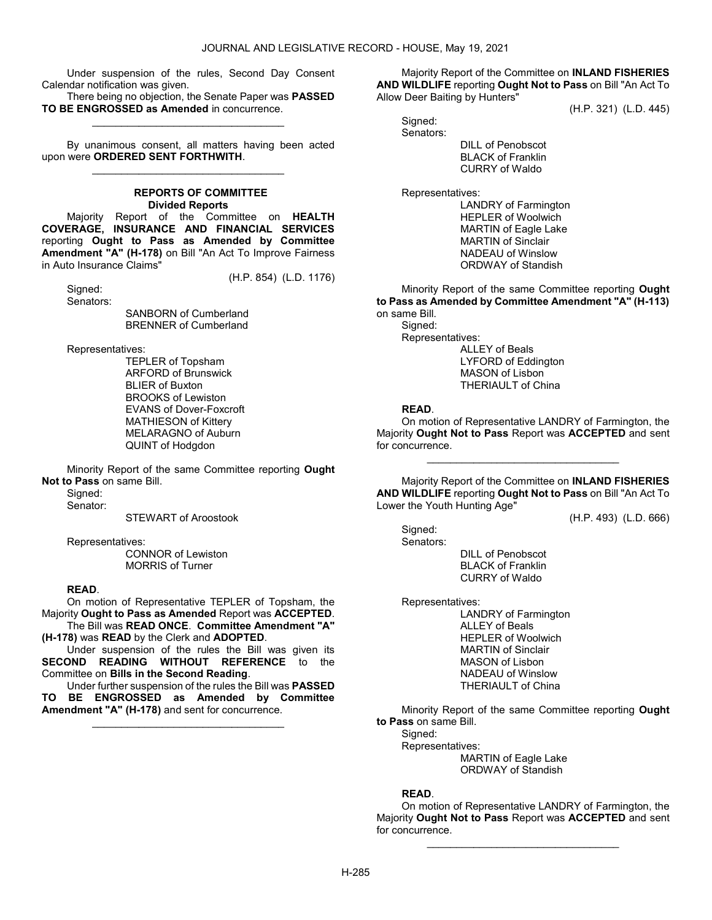Under suspension of the rules, Second Day Consent Calendar notification was given.

There being no objection, the Senate Paper was PASSED TO BE ENGROSSED as Amended in concurrence. \_\_\_\_\_\_\_\_\_\_\_\_\_\_\_\_\_\_\_\_\_\_\_\_\_\_\_\_\_\_\_\_\_

 By unanimous consent, all matters having been acted upon were ORDERED SENT FORTHWITH. \_\_\_\_\_\_\_\_\_\_\_\_\_\_\_\_\_\_\_\_\_\_\_\_\_\_\_\_\_\_\_\_\_

# REPORTS OF COMMITTEE Divided Reports

 Majority Report of the Committee on HEALTH COVERAGE, INSURANCE AND FINANCIAL SERVICES reporting Ought to Pass as Amended by Committee Amendment "A" (H-178) on Bill "An Act To Improve Fairness in Auto Insurance Claims"

(H.P. 854) (L.D. 1176)

 Signed: Senators:

> SANBORN of Cumberland BRENNER of Cumberland

Representatives:

 TEPLER of Topsham ARFORD of Brunswick BLIER of Buxton BROOKS of Lewiston EVANS of Dover-Foxcroft MATHIESON of Kittery MELARAGNO of Auburn QUINT of Hodgdon

 Minority Report of the same Committee reporting Ought Not to Pass on same Bill.

Sianed:

Senator:

STEWART of Aroostook

Representatives:

 CONNOR of Lewiston MORRIS of Turner

#### READ.

 On motion of Representative TEPLER of Topsham, the Majority Ought to Pass as Amended Report was ACCEPTED.

 The Bill was READ ONCE. Committee Amendment "A" (H-178) was READ by the Clerk and ADOPTED.

 Under suspension of the rules the Bill was given its SECOND READING WITHOUT REFERENCE to the Committee on Bills in the Second Reading.

 Under further suspension of the rules the Bill was PASSED TO BE ENGROSSED as Amended by Committee Amendment "A" (H-178) and sent for concurrence.

\_\_\_\_\_\_\_\_\_\_\_\_\_\_\_\_\_\_\_\_\_\_\_\_\_\_\_\_\_\_\_\_\_

 Majority Report of the Committee on INLAND FISHERIES AND WILDLIFE reporting Ought Not to Pass on Bill "An Act To Allow Deer Baiting by Hunters"

(H.P. 321) (L.D. 445)

 Signed: Senators:

 DILL of Penobscot BLACK of Franklin CURRY of Waldo

Representatives:

 LANDRY of Farmington HEPLER of Woolwich MARTIN of Eagle Lake MARTIN of Sinclair NADEAU of Winslow ORDWAY of Standish

 Minority Report of the same Committee reporting Ought to Pass as Amended by Committee Amendment "A" (H-113) on same Bill. Signed:

 Representatives: ALLEY of Beals LYFORD of Eddington MASON of Lisbon THERIAULT of China

#### READ.

 On motion of Representative LANDRY of Farmington, the Majority Ought Not to Pass Report was ACCEPTED and sent for concurrence.

\_\_\_\_\_\_\_\_\_\_\_\_\_\_\_\_\_\_\_\_\_\_\_\_\_\_\_\_\_\_\_\_\_

 Majority Report of the Committee on INLAND FISHERIES AND WILDLIFE reporting Ought Not to Pass on Bill "An Act To Lower the Youth Hunting Age"

(H.P. 493) (L.D. 666)

 Signed: Senators:

 DILL of Penobscot BLACK of Franklin CURRY of Waldo

Representatives:

 LANDRY of Farmington ALLEY of Beals HEPLER of Woolwich MARTIN of Sinclair MASON of Lisbon NADEAU of Winslow THERIAULT of China

 Minority Report of the same Committee reporting Ought to Pass on same Bill.

Signed:

Representatives:

 MARTIN of Eagle Lake ORDWAY of Standish

#### READ.

 On motion of Representative LANDRY of Farmington, the Majority Ought Not to Pass Report was ACCEPTED and sent for concurrence.

\_\_\_\_\_\_\_\_\_\_\_\_\_\_\_\_\_\_\_\_\_\_\_\_\_\_\_\_\_\_\_\_\_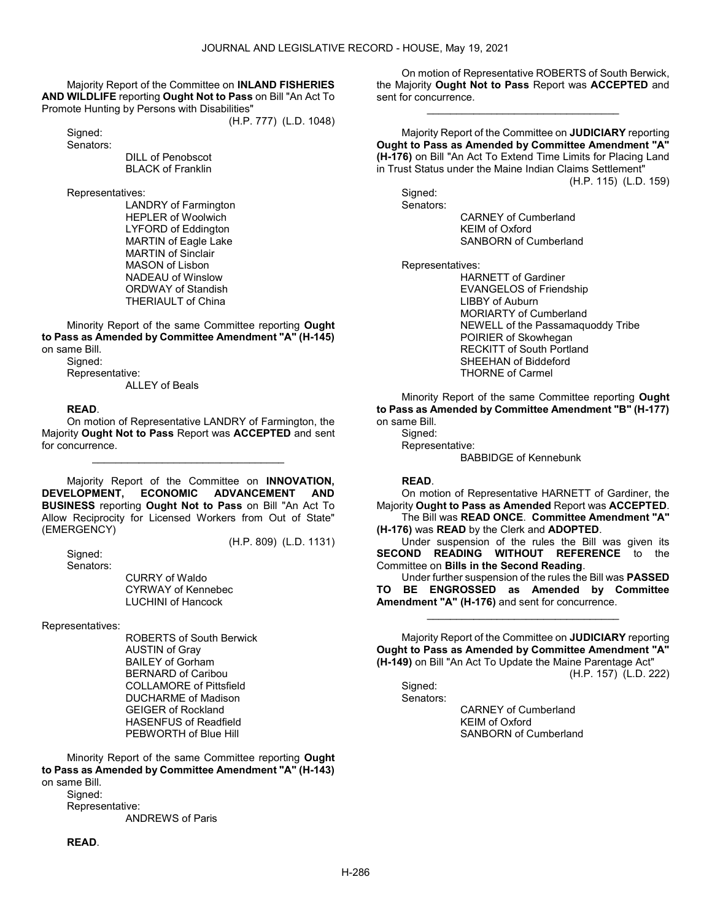Majority Report of the Committee on INLAND FISHERIES AND WILDLIFE reporting Ought Not to Pass on Bill "An Act To Promote Hunting by Persons with Disabilities"

(H.P. 777) (L.D. 1048)

Signed: Senators:

 DILL of Penobscot BLACK of Franklin

Representatives:

 LANDRY of Farmington HEPLER of Woolwich LYFORD of Eddington MARTIN of Eagle Lake MARTIN of Sinclair MASON of Lisbon NADEAU of Winslow ORDWAY of Standish THERIAULT of China

 Minority Report of the same Committee reporting Ought to Pass as Amended by Committee Amendment "A" (H-145) on same Bill.

Signed: Representative:

ALLEY of Beals

# READ.

 On motion of Representative LANDRY of Farmington, the Majority Ought Not to Pass Report was ACCEPTED and sent for concurrence.

\_\_\_\_\_\_\_\_\_\_\_\_\_\_\_\_\_\_\_\_\_\_\_\_\_\_\_\_\_\_\_\_\_

 Majority Report of the Committee on INNOVATION, DEVELOPMENT, ECONOMIC ADVANCEMENT AND BUSINESS reporting Ought Not to Pass on Bill "An Act To Allow Reciprocity for Licensed Workers from Out of State" (EMERGENCY) (H.P. 809) (L.D. 1131)

 Signed: Senators:

 CURRY of Waldo CYRWAY of Kennebec LUCHINI of Hancock

Representatives:

 ROBERTS of South Berwick AUSTIN of Gray BAILEY of Gorham BERNARD of Caribou COLLAMORE of Pittsfield DUCHARME of Madison GEIGER of Rockland HASENFUS of Readfield PEBWORTH of Blue Hill

 Minority Report of the same Committee reporting Ought to Pass as Amended by Committee Amendment "A" (H-143) on same Bill. Sianed:

 Representative: ANDREWS of Paris

### READ.

 On motion of Representative ROBERTS of South Berwick, the Majority Ought Not to Pass Report was ACCEPTED and sent for concurrence.

\_\_\_\_\_\_\_\_\_\_\_\_\_\_\_\_\_\_\_\_\_\_\_\_\_\_\_\_\_\_\_\_\_

 Majority Report of the Committee on JUDICIARY reporting Ought to Pass as Amended by Committee Amendment "A" (H-176) on Bill "An Act To Extend Time Limits for Placing Land in Trust Status under the Maine Indian Claims Settlement" (H.P. 115) (L.D. 159)

 Signed: Senators:

 CARNEY of Cumberland KEIM of Oxford SANBORN of Cumberland

Representatives:

 HARNETT of Gardiner EVANGELOS of Friendship LIBBY of Auburn MORIARTY of Cumberland NEWELL of the Passamaquoddy Tribe POIRIER of Skowhegan RECKITT of South Portland SHEEHAN of Biddeford THORNE of Carmel

 Minority Report of the same Committee reporting Ought to Pass as Amended by Committee Amendment "B" (H-177) on same Bill.

Signed: Representative: BABBIDGE of Kennebunk

### READ.

 On motion of Representative HARNETT of Gardiner, the Majority Ought to Pass as Amended Report was ACCEPTED.

 The Bill was READ ONCE. Committee Amendment "A" (H-176) was READ by the Clerk and ADOPTED.

 Under suspension of the rules the Bill was given its SECOND READING WITHOUT REFERENCE to the Committee on Bills in the Second Reading.

 Under further suspension of the rules the Bill was PASSED TO BE ENGROSSED as Amended by Committee Amendment "A" (H-176) and sent for concurrence.

\_\_\_\_\_\_\_\_\_\_\_\_\_\_\_\_\_\_\_\_\_\_\_\_\_\_\_\_\_\_\_\_\_

 Majority Report of the Committee on JUDICIARY reporting Ought to Pass as Amended by Committee Amendment "A" (H-149) on Bill "An Act To Update the Maine Parentage Act"

(H.P. 157) (L.D. 222)

Signed:

Senators:

 CARNEY of Cumberland KEIM of Oxford SANBORN of Cumberland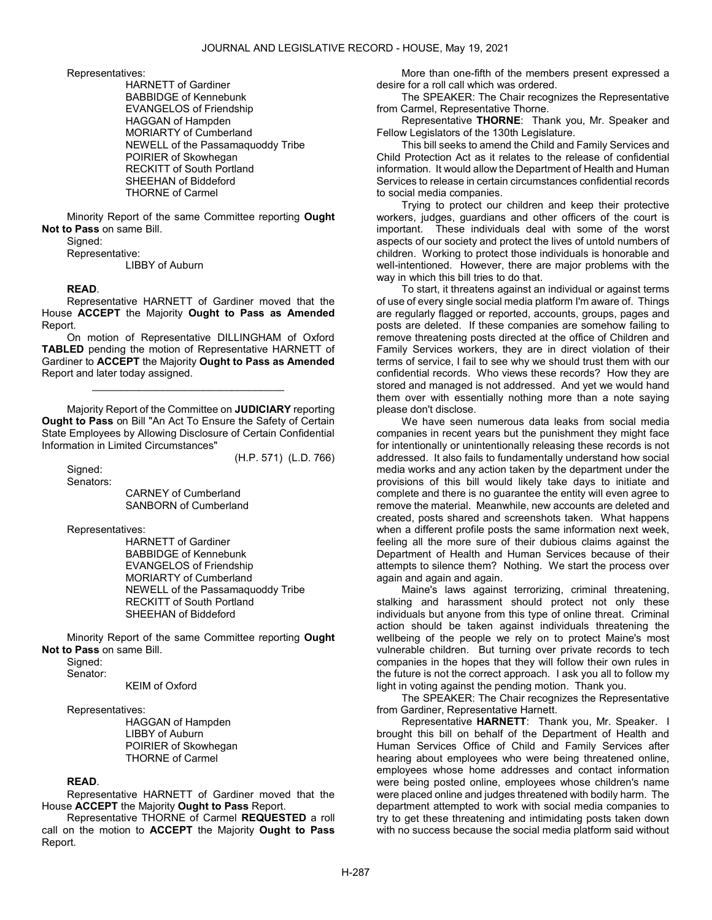Representatives:

 HARNETT of Gardiner BABBIDGE of Kennebunk EVANGELOS of Friendship HAGGAN of Hampden MORIARTY of Cumberland NEWELL of the Passamaquoddy Tribe POIRIER of Skowhegan RECKITT of South Portland SHEEHAN of Biddeford THORNE of Carmel

 Minority Report of the same Committee reporting Ought Not to Pass on same Bill.

Signed:

 Representative: LIBBY of Auburn

### READ.

 Representative HARNETT of Gardiner moved that the House ACCEPT the Majority Ought to Pass as Amended Report.

 On motion of Representative DILLINGHAM of Oxford TABLED pending the motion of Representative HARNETT of Gardiner to ACCEPT the Majority Ought to Pass as Amended Report and later today assigned.

\_\_\_\_\_\_\_\_\_\_\_\_\_\_\_\_\_\_\_\_\_\_\_\_\_\_\_\_\_\_\_\_\_

 Majority Report of the Committee on JUDICIARY reporting Ought to Pass on Bill "An Act To Ensure the Safety of Certain State Employees by Allowing Disclosure of Certain Confidential Information in Limited Circumstances"

(H.P. 571) (L.D. 766)

Signed: Senators:

 CARNEY of Cumberland SANBORN of Cumberland

Representatives:

 HARNETT of Gardiner BABBIDGE of Kennebunk EVANGELOS of Friendship MORIARTY of Cumberland NEWELL of the Passamaquoddy Tribe RECKITT of South Portland SHEEHAN of Biddeford

 Minority Report of the same Committee reporting Ought Not to Pass on same Bill.

Signed:

Senator:

KEIM of Oxford

Representatives:

 HAGGAN of Hampden LIBBY of Auburn POIRIER of Skowhegan THORNE of Carmel

### READ.

 Representative HARNETT of Gardiner moved that the House ACCEPT the Majority Ought to Pass Report.

 Representative THORNE of Carmel REQUESTED a roll call on the motion to ACCEPT the Majority Ought to Pass Report.

 More than one-fifth of the members present expressed a desire for a roll call which was ordered.

 The SPEAKER: The Chair recognizes the Representative from Carmel, Representative Thorne.

 Representative THORNE: Thank you, Mr. Speaker and Fellow Legislators of the 130th Legislature.

 This bill seeks to amend the Child and Family Services and Child Protection Act as it relates to the release of confidential information. It would allow the Department of Health and Human Services to release in certain circumstances confidential records to social media companies.

 Trying to protect our children and keep their protective workers, judges, guardians and other officers of the court is important. These individuals deal with some of the worst aspects of our society and protect the lives of untold numbers of children. Working to protect those individuals is honorable and well-intentioned. However, there are major problems with the way in which this bill tries to do that.

 To start, it threatens against an individual or against terms of use of every single social media platform I'm aware of. Things are regularly flagged or reported, accounts, groups, pages and posts are deleted. If these companies are somehow failing to remove threatening posts directed at the office of Children and Family Services workers, they are in direct violation of their terms of service, I fail to see why we should trust them with our confidential records. Who views these records? How they are stored and managed is not addressed. And yet we would hand them over with essentially nothing more than a note saying please don't disclose.

 We have seen numerous data leaks from social media companies in recent years but the punishment they might face for intentionally or unintentionally releasing these records is not addressed. It also fails to fundamentally understand how social media works and any action taken by the department under the provisions of this bill would likely take days to initiate and complete and there is no guarantee the entity will even agree to remove the material. Meanwhile, new accounts are deleted and created, posts shared and screenshots taken. What happens when a different profile posts the same information next week, feeling all the more sure of their dubious claims against the Department of Health and Human Services because of their attempts to silence them? Nothing. We start the process over again and again and again.

 Maine's laws against terrorizing, criminal threatening, stalking and harassment should protect not only these individuals but anyone from this type of online threat. Criminal action should be taken against individuals threatening the wellbeing of the people we rely on to protect Maine's most vulnerable children. But turning over private records to tech companies in the hopes that they will follow their own rules in the future is not the correct approach. I ask you all to follow my light in voting against the pending motion. Thank you.

 The SPEAKER: The Chair recognizes the Representative from Gardiner, Representative Harnett.

 Representative HARNETT: Thank you, Mr. Speaker. I brought this bill on behalf of the Department of Health and Human Services Office of Child and Family Services after hearing about employees who were being threatened online, employees whose home addresses and contact information were being posted online, employees whose children's name were placed online and judges threatened with bodily harm. The department attempted to work with social media companies to try to get these threatening and intimidating posts taken down with no success because the social media platform said without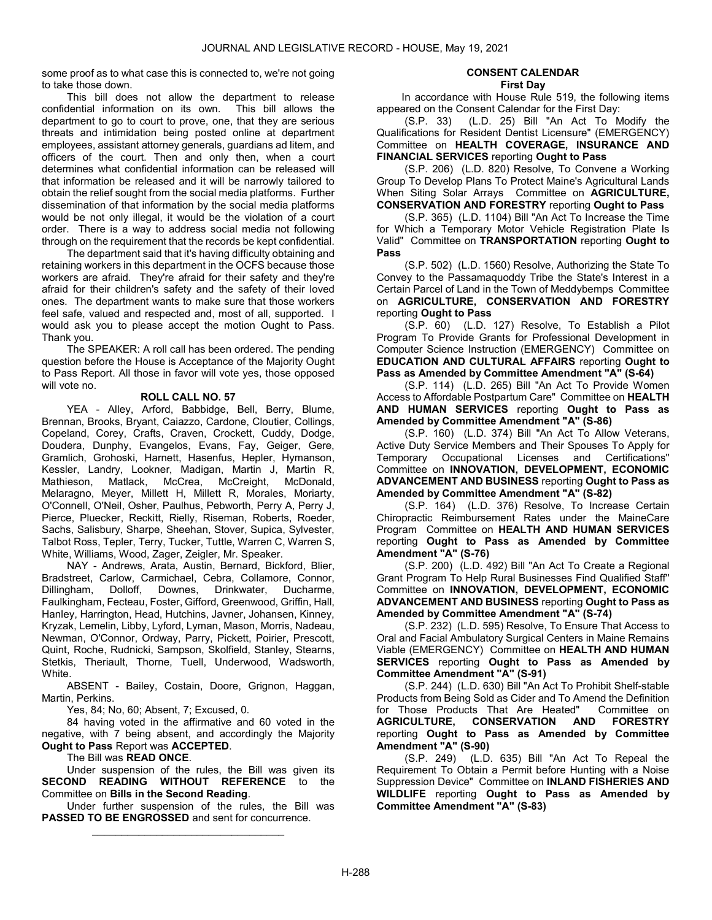some proof as to what case this is connected to, we're not going to take those down.

 This bill does not allow the department to release confidential information on its own. This bill allows the department to go to court to prove, one, that they are serious threats and intimidation being posted online at department employees, assistant attorney generals, guardians ad litem, and officers of the court. Then and only then, when a court determines what confidential information can be released will that information be released and it will be narrowly tailored to obtain the relief sought from the social media platforms. Further dissemination of that information by the social media platforms would be not only illegal, it would be the violation of a court order. There is a way to address social media not following through on the requirement that the records be kept confidential.

 The department said that it's having difficulty obtaining and retaining workers in this department in the OCFS because those workers are afraid. They're afraid for their safety and they're afraid for their children's safety and the safety of their loved ones. The department wants to make sure that those workers feel safe, valued and respected and, most of all, supported. I would ask you to please accept the motion Ought to Pass. Thank you.

 The SPEAKER: A roll call has been ordered. The pending question before the House is Acceptance of the Majority Ought to Pass Report. All those in favor will vote yes, those opposed will vote no.

### ROLL CALL NO. 57

 YEA - Alley, Arford, Babbidge, Bell, Berry, Blume, Brennan, Brooks, Bryant, Caiazzo, Cardone, Cloutier, Collings, Copeland, Corey, Crafts, Craven, Crockett, Cuddy, Dodge, Doudera, Dunphy, Evangelos, Evans, Fay, Geiger, Gere, Gramlich, Grohoski, Harnett, Hasenfus, Hepler, Hymanson, Kessler, Landry, Lookner, Madigan, Martin J, Martin R, Mathieson, Matlack, McCrea, McCreight, McDonald, Melaragno, Meyer, Millett H, Millett R, Morales, Moriarty, O'Connell, O'Neil, Osher, Paulhus, Pebworth, Perry A, Perry J, Pierce, Pluecker, Reckitt, Rielly, Riseman, Roberts, Roeder, Sachs, Salisbury, Sharpe, Sheehan, Stover, Supica, Sylvester, Talbot Ross, Tepler, Terry, Tucker, Tuttle, Warren C, Warren S, White, Williams, Wood, Zager, Zeigler, Mr. Speaker.

 NAY - Andrews, Arata, Austin, Bernard, Bickford, Blier, Bradstreet, Carlow, Carmichael, Cebra, Collamore, Connor, Dillingham, Dolloff, Downes, Drinkwater, Ducharme, Faulkingham, Fecteau, Foster, Gifford, Greenwood, Griffin, Hall, Hanley, Harrington, Head, Hutchins, Javner, Johansen, Kinney, Kryzak, Lemelin, Libby, Lyford, Lyman, Mason, Morris, Nadeau, Newman, O'Connor, Ordway, Parry, Pickett, Poirier, Prescott, Quint, Roche, Rudnicki, Sampson, Skolfield, Stanley, Stearns, Stetkis, Theriault, Thorne, Tuell, Underwood, Wadsworth, White.

 ABSENT - Bailey, Costain, Doore, Grignon, Haggan, Martin, Perkins.

Yes, 84; No, 60; Absent, 7; Excused, 0.

 84 having voted in the affirmative and 60 voted in the negative, with 7 being absent, and accordingly the Majority Ought to Pass Report was ACCEPTED.

The Bill was READ ONCE.

 Under suspension of the rules, the Bill was given its SECOND READING WITHOUT REFERENCE to the Committee on Bills in the Second Reading.

 Under further suspension of the rules, the Bill was PASSED TO BE ENGROSSED and sent for concurrence. \_\_\_\_\_\_\_\_\_\_\_\_\_\_\_\_\_\_\_\_\_\_\_\_\_\_\_\_\_\_\_\_\_

#### CONSENT CALENDAR First Day

In accordance with House Rule 519, the following items appeared on the Consent Calendar for the First Day:

 (S.P. 33) (L.D. 25) Bill "An Act To Modify the Qualifications for Resident Dentist Licensure" (EMERGENCY) Committee on HEALTH COVERAGE, INSURANCE AND FINANCIAL SERVICES reporting Ought to Pass

 (S.P. 206) (L.D. 820) Resolve, To Convene a Working Group To Develop Plans To Protect Maine's Agricultural Lands When Siting Solar Arrays Committee on AGRICULTURE, CONSERVATION AND FORESTRY reporting Ought to Pass

 (S.P. 365) (L.D. 1104) Bill "An Act To Increase the Time for Which a Temporary Motor Vehicle Registration Plate Is Valid" Committee on TRANSPORTATION reporting Ought to Pass

 (S.P. 502) (L.D. 1560) Resolve, Authorizing the State To Convey to the Passamaquoddy Tribe the State's Interest in a Certain Parcel of Land in the Town of Meddybemps Committee on AGRICULTURE, CONSERVATION AND FORESTRY reporting Ought to Pass

 (S.P. 60) (L.D. 127) Resolve, To Establish a Pilot Program To Provide Grants for Professional Development in Computer Science Instruction (EMERGENCY) Committee on EDUCATION AND CULTURAL AFFAIRS reporting Ought to Pass as Amended by Committee Amendment "A" (S-64)

 (S.P. 114) (L.D. 265) Bill "An Act To Provide Women Access to Affordable Postpartum Care" Committee on HEALTH AND HUMAN SERVICES reporting Ought to Pass as Amended by Committee Amendment "A" (S-86)

 (S.P. 160) (L.D. 374) Bill "An Act To Allow Veterans, Active Duty Service Members and Their Spouses To Apply for Temporary Occupational Licenses and Certifications" Committee on INNOVATION, DEVELOPMENT, ECONOMIC ADVANCEMENT AND BUSINESS reporting Ought to Pass as Amended by Committee Amendment "A" (S-82)

 (S.P. 164) (L.D. 376) Resolve, To Increase Certain Chiropractic Reimbursement Rates under the MaineCare Program Committee on HEALTH AND HUMAN SERVICES reporting Ought to Pass as Amended by Committee Amendment "A" (S-76)

 (S.P. 200) (L.D. 492) Bill "An Act To Create a Regional Grant Program To Help Rural Businesses Find Qualified Staff" Committee on INNOVATION, DEVELOPMENT, ECONOMIC ADVANCEMENT AND BUSINESS reporting Ought to Pass as Amended by Committee Amendment "A" (S-74)

 (S.P. 232) (L.D. 595) Resolve, To Ensure That Access to Oral and Facial Ambulatory Surgical Centers in Maine Remains Viable (EMERGENCY) Committee on HEALTH AND HUMAN SERVICES reporting Ought to Pass as Amended by Committee Amendment "A" (S-91)

 (S.P. 244) (L.D. 630) Bill "An Act To Prohibit Shelf-stable Products from Being Sold as Cider and To Amend the Definition for Those Products That Are Heated" Committee on<br>AGRICULTURE. CONSERVATION AND FORESTRY AGRICULTURE, CONSERVATION reporting Ought to Pass as Amended by Committee Amendment "A" (S-90)

 (S.P. 249) (L.D. 635) Bill "An Act To Repeal the Requirement To Obtain a Permit before Hunting with a Noise Suppression Device" Committee on INLAND FISHERIES AND WILDLIFE reporting Ought to Pass as Amended by Committee Amendment "A" (S-83)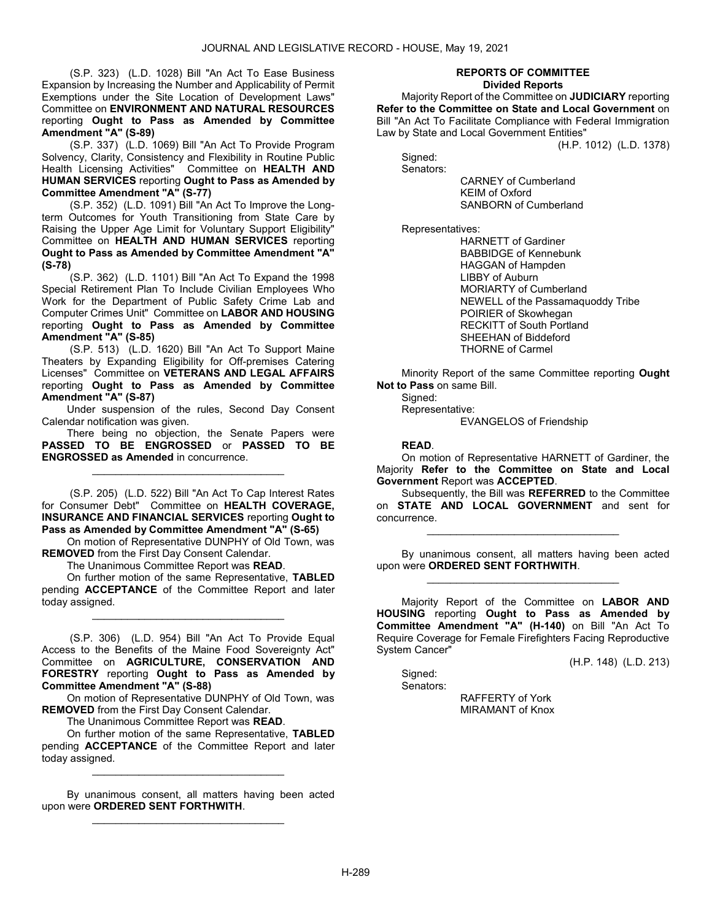(S.P. 323) (L.D. 1028) Bill "An Act To Ease Business Expansion by Increasing the Number and Applicability of Permit Exemptions under the Site Location of Development Laws" Committee on ENVIRONMENT AND NATURAL RESOURCES reporting Ought to Pass as Amended by Committee Amendment "A" (S-89)

 (S.P. 337) (L.D. 1069) Bill "An Act To Provide Program Solvency, Clarity, Consistency and Flexibility in Routine Public Health Licensing Activities" Committee on HEALTH AND HUMAN SERVICES reporting Ought to Pass as Amended by Committee Amendment "A" (S-77)

 (S.P. 352) (L.D. 1091) Bill "An Act To Improve the Longterm Outcomes for Youth Transitioning from State Care by Raising the Upper Age Limit for Voluntary Support Eligibility" Committee on HEALTH AND HUMAN SERVICES reporting Ought to Pass as Amended by Committee Amendment "A" (S-78)

 (S.P. 362) (L.D. 1101) Bill "An Act To Expand the 1998 Special Retirement Plan To Include Civilian Employees Who Work for the Department of Public Safety Crime Lab and Computer Crimes Unit" Committee on LABOR AND HOUSING reporting Ought to Pass as Amended by Committee Amendment "A" (S-85)

 (S.P. 513) (L.D. 1620) Bill "An Act To Support Maine Theaters by Expanding Eligibility for Off-premises Catering Licenses" Committee on VETERANS AND LEGAL AFFAIRS reporting Ought to Pass as Amended by Committee Amendment "A" (S-87)

 Under suspension of the rules, Second Day Consent Calendar notification was given.

 There being no objection, the Senate Papers were PASSED TO BE ENGROSSED or PASSED TO BE ENGROSSED as Amended in concurrence.

\_\_\_\_\_\_\_\_\_\_\_\_\_\_\_\_\_\_\_\_\_\_\_\_\_\_\_\_\_\_\_\_\_

 (S.P. 205) (L.D. 522) Bill "An Act To Cap Interest Rates for Consumer Debt" Committee on HEALTH COVERAGE, INSURANCE AND FINANCIAL SERVICES reporting Ought to Pass as Amended by Committee Amendment "A" (S-65)

 On motion of Representative DUNPHY of Old Town, was REMOVED from the First Day Consent Calendar.

The Unanimous Committee Report was READ.

 On further motion of the same Representative, TABLED pending ACCEPTANCE of the Committee Report and later today assigned.

\_\_\_\_\_\_\_\_\_\_\_\_\_\_\_\_\_\_\_\_\_\_\_\_\_\_\_\_\_\_\_\_\_

 (S.P. 306) (L.D. 954) Bill "An Act To Provide Equal Access to the Benefits of the Maine Food Sovereignty Act" Committee on AGRICULTURE, CONSERVATION AND FORESTRY reporting Ought to Pass as Amended by Committee Amendment "A" (S-88)

 On motion of Representative DUNPHY of Old Town, was REMOVED from the First Day Consent Calendar.

The Unanimous Committee Report was READ.

 On further motion of the same Representative, TABLED pending ACCEPTANCE of the Committee Report and later today assigned.

\_\_\_\_\_\_\_\_\_\_\_\_\_\_\_\_\_\_\_\_\_\_\_\_\_\_\_\_\_\_\_\_\_

 By unanimous consent, all matters having been acted upon were ORDERED SENT FORTHWITH. \_\_\_\_\_\_\_\_\_\_\_\_\_\_\_\_\_\_\_\_\_\_\_\_\_\_\_\_\_\_\_\_\_

#### REPORTS OF COMMITTEE Divided Reports

 Majority Report of the Committee on JUDICIARY reporting Refer to the Committee on State and Local Government on Bill "An Act To Facilitate Compliance with Federal Immigration Law by State and Local Government Entities"

(H.P. 1012) (L.D. 1378)

 Signed: Senators:

 CARNEY of Cumberland KEIM of Oxford SANBORN of Cumberland

Representatives:

 HARNETT of Gardiner BABBIDGE of Kennebunk HAGGAN of Hampden LIBBY of Auburn MORIARTY of Cumberland NEWELL of the Passamaquoddy Tribe POIRIER of Skowhegan RECKITT of South Portland SHEEHAN of Biddeford THORNE of Carmel

 Minority Report of the same Committee reporting Ought Not to Pass on same Bill.

 Signed: Representative: EVANGELOS of Friendship

READ.

 On motion of Representative HARNETT of Gardiner, the Majority Refer to the Committee on State and Local Government Report was ACCEPTED.

 Subsequently, the Bill was REFERRED to the Committee on STATE AND LOCAL GOVERNMENT and sent for concurrence.

\_\_\_\_\_\_\_\_\_\_\_\_\_\_\_\_\_\_\_\_\_\_\_\_\_\_\_\_\_\_\_\_\_

 By unanimous consent, all matters having been acted upon were ORDERED SENT FORTHWITH. \_\_\_\_\_\_\_\_\_\_\_\_\_\_\_\_\_\_\_\_\_\_\_\_\_\_\_\_\_\_\_\_\_

 Majority Report of the Committee on LABOR AND HOUSING reporting Ought to Pass as Amended by Committee Amendment "A" (H-140) on Bill "An Act To Require Coverage for Female Firefighters Facing Reproductive System Cancer"

(H.P. 148) (L.D. 213)

 Signed: Senators:

 RAFFERTY of York MIRAMANT of Knox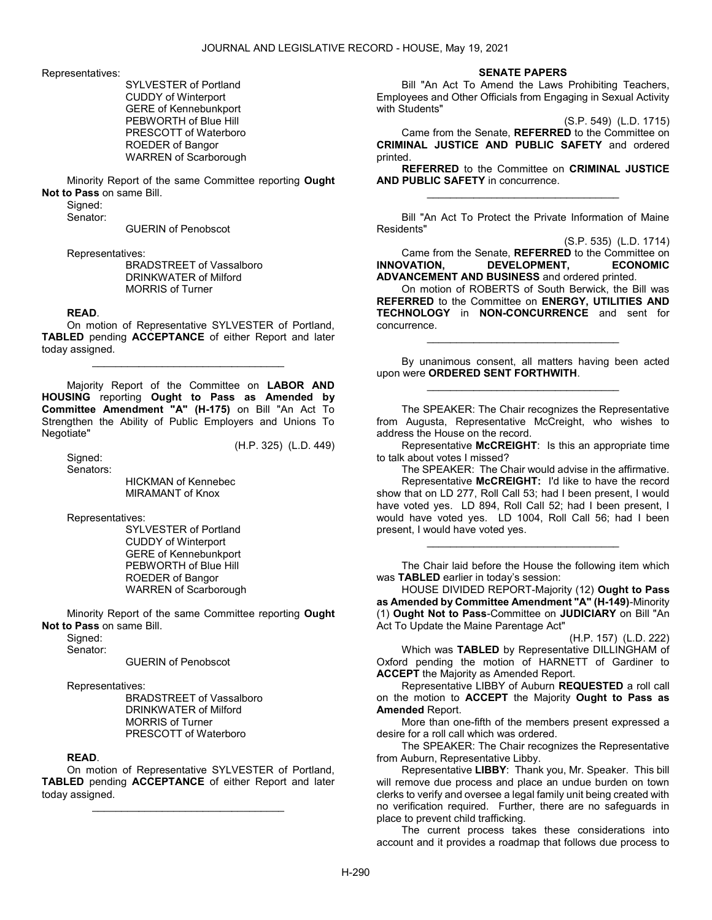Representatives:

 SYLVESTER of Portland CUDDY of Winterport GERE of Kennebunkport PEBWORTH of Blue Hill PRESCOTT of Waterboro ROEDER of Bangor WARREN of Scarborough

 Minority Report of the same Committee reporting Ought Not to Pass on same Bill.

Signed:

Senator:

GUERIN of Penobscot

Representatives:

 BRADSTREET of Vassalboro DRINKWATER of Milford MORRIS of Turner

#### READ.

 On motion of Representative SYLVESTER of Portland, TABLED pending ACCEPTANCE of either Report and later today assigned.

\_\_\_\_\_\_\_\_\_\_\_\_\_\_\_\_\_\_\_\_\_\_\_\_\_\_\_\_\_\_\_\_\_

 Majority Report of the Committee on LABOR AND HOUSING reporting Ought to Pass as Amended by Committee Amendment "A" (H-175) on Bill "An Act To Strengthen the Ability of Public Employers and Unions To Negotiate"

(H.P. 325) (L.D. 449)

 Signed: Senators:

> HICKMAN of Kennebec MIRAMANT of Knox

Representatives:

 SYLVESTER of Portland CUDDY of Winterport GERE of Kennebunkport PEBWORTH of Blue Hill ROEDER of Bangor WARREN of Scarborough

 Minority Report of the same Committee reporting Ought Not to Pass on same Bill.

Signed:

Senator:

GUERIN of Penobscot

Representatives:

 BRADSTREET of Vassalboro DRINKWATER of Milford MORRIS of Turner PRESCOTT of Waterboro

#### READ.

 On motion of Representative SYLVESTER of Portland, TABLED pending ACCEPTANCE of either Report and later today assigned.

\_\_\_\_\_\_\_\_\_\_\_\_\_\_\_\_\_\_\_\_\_\_\_\_\_\_\_\_\_\_\_\_\_

SENATE PAPERS

 Bill "An Act To Amend the Laws Prohibiting Teachers, Employees and Other Officials from Engaging in Sexual Activity with Students"

(S.P. 549) (L.D. 1715)

 Came from the Senate, REFERRED to the Committee on CRIMINAL JUSTICE AND PUBLIC SAFETY and ordered printed.

REFERRED to the Committee on CRIMINAL JUSTICE AND PUBLIC SAFETY in concurrence. \_\_\_\_\_\_\_\_\_\_\_\_\_\_\_\_\_\_\_\_\_\_\_\_\_\_\_\_\_\_\_\_\_

 Bill "An Act To Protect the Private Information of Maine Residents"

(S.P. 535) (L.D. 1714)

 Came from the Senate, REFERRED to the Committee on INNOVATION, DEVELOPMENT, ECONOMIC ADVANCEMENT AND BUSINESS and ordered printed.

 On motion of ROBERTS of South Berwick, the Bill was REFERRED to the Committee on ENERGY, UTILITIES AND TECHNOLOGY in NON-CONCURRENCE and sent for concurrence.

 By unanimous consent, all matters having been acted upon were ORDERED SENT FORTHWITH. \_\_\_\_\_\_\_\_\_\_\_\_\_\_\_\_\_\_\_\_\_\_\_\_\_\_\_\_\_\_\_\_\_

\_\_\_\_\_\_\_\_\_\_\_\_\_\_\_\_\_\_\_\_\_\_\_\_\_\_\_\_\_\_\_\_\_

 The SPEAKER: The Chair recognizes the Representative from Augusta, Representative McCreight, who wishes to address the House on the record.

 Representative McCREIGHT: Is this an appropriate time to talk about votes I missed?

The SPEAKER: The Chair would advise in the affirmative.

 Representative McCREIGHT: I'd like to have the record show that on LD 277, Roll Call 53; had I been present, I would have voted yes. LD 894, Roll Call 52; had I been present, I would have voted yes. LD 1004, Roll Call 56; had I been present, I would have voted yes.

 The Chair laid before the House the following item which was TABLED earlier in today's session:

\_\_\_\_\_\_\_\_\_\_\_\_\_\_\_\_\_\_\_\_\_\_\_\_\_\_\_\_\_\_\_\_\_

 HOUSE DIVIDED REPORT-Majority (12) Ought to Pass as Amended by Committee Amendment "A" (H-149)-Minority (1) Ought Not to Pass-Committee on JUDICIARY on Bill "An Act To Update the Maine Parentage Act"

(H.P. 157) (L.D. 222)

 Which was TABLED by Representative DILLINGHAM of Oxford pending the motion of HARNETT of Gardiner to **ACCEPT** the Majority as Amended Report.

 Representative LIBBY of Auburn REQUESTED a roll call on the motion to **ACCEPT** the Majority **Ought to Pass as** Amended Report.

 More than one-fifth of the members present expressed a desire for a roll call which was ordered.

 The SPEAKER: The Chair recognizes the Representative from Auburn, Representative Libby.

 Representative LIBBY: Thank you, Mr. Speaker. This bill will remove due process and place an undue burden on town clerks to verify and oversee a legal family unit being created with no verification required. Further, there are no safeguards in place to prevent child trafficking.

 The current process takes these considerations into account and it provides a roadmap that follows due process to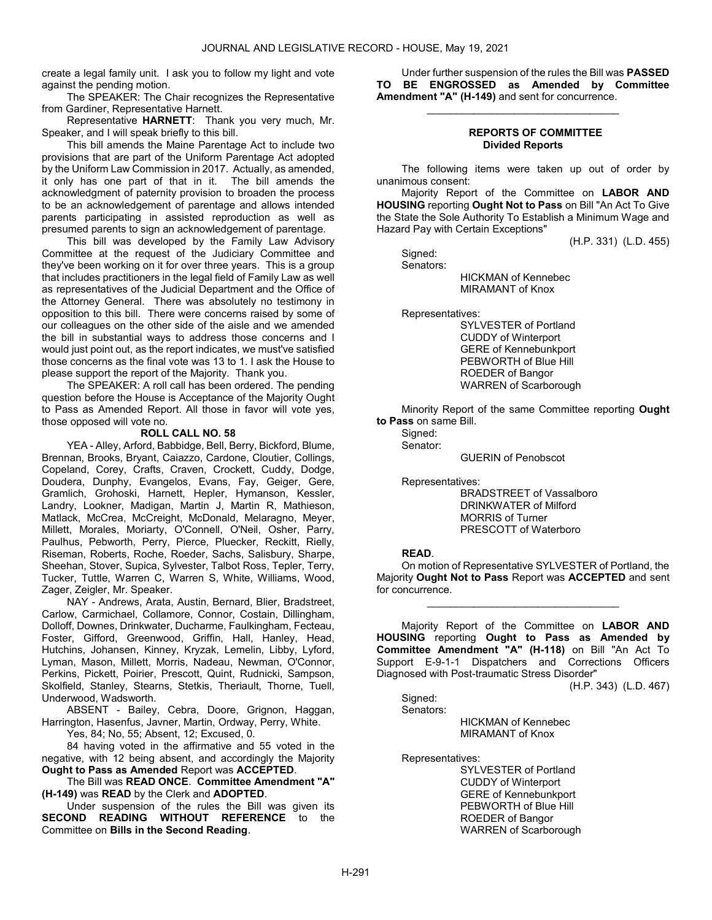create a legal family unit. I ask you to follow my light and vote against the pending motion.

 The SPEAKER: The Chair recognizes the Representative from Gardiner, Representative Harnett.

 Representative HARNETT: Thank you very much, Mr. Speaker, and I will speak briefly to this bill.

 This bill amends the Maine Parentage Act to include two provisions that are part of the Uniform Parentage Act adopted by the Uniform Law Commission in 2017. Actually, as amended, it only has one part of that in it. The bill amends the acknowledgment of paternity provision to broaden the process to be an acknowledgement of parentage and allows intended parents participating in assisted reproduction as well as presumed parents to sign an acknowledgement of parentage.

 This bill was developed by the Family Law Advisory Committee at the request of the Judiciary Committee and they've been working on it for over three years. This is a group that includes practitioners in the legal field of Family Law as well as representatives of the Judicial Department and the Office of the Attorney General. There was absolutely no testimony in opposition to this bill. There were concerns raised by some of our colleagues on the other side of the aisle and we amended the bill in substantial ways to address those concerns and I would just point out, as the report indicates, we must've satisfied those concerns as the final vote was 13 to 1. I ask the House to please support the report of the Majority. Thank you.

 The SPEAKER: A roll call has been ordered. The pending question before the House is Acceptance of the Majority Ought to Pass as Amended Report. All those in favor will vote yes, those opposed will vote no.

### ROLL CALL NO. 58

 YEA - Alley, Arford, Babbidge, Bell, Berry, Bickford, Blume, Brennan, Brooks, Bryant, Caiazzo, Cardone, Cloutier, Collings, Copeland, Corey, Crafts, Craven, Crockett, Cuddy, Dodge, Doudera, Dunphy, Evangelos, Evans, Fay, Geiger, Gere, Gramlich, Grohoski, Harnett, Hepler, Hymanson, Kessler, Landry, Lookner, Madigan, Martin J, Martin R, Mathieson, Matlack, McCrea, McCreight, McDonald, Melaragno, Meyer, Millett, Morales, Moriarty, O'Connell, O'Neil, Osher, Parry, Paulhus, Pebworth, Perry, Pierce, Pluecker, Reckitt, Rielly, Riseman, Roberts, Roche, Roeder, Sachs, Salisbury, Sharpe, Sheehan, Stover, Supica, Sylvester, Talbot Ross, Tepler, Terry, Tucker, Tuttle, Warren C, Warren S, White, Williams, Wood, Zager, Zeigler, Mr. Speaker.

 NAY - Andrews, Arata, Austin, Bernard, Blier, Bradstreet, Carlow, Carmichael, Collamore, Connor, Costain, Dillingham, Dolloff, Downes, Drinkwater, Ducharme, Faulkingham, Fecteau, Foster, Gifford, Greenwood, Griffin, Hall, Hanley, Head, Hutchins, Johansen, Kinney, Kryzak, Lemelin, Libby, Lyford, Lyman, Mason, Millett, Morris, Nadeau, Newman, O'Connor, Perkins, Pickett, Poirier, Prescott, Quint, Rudnicki, Sampson, Skolfield, Stanley, Stearns, Stetkis, Theriault, Thorne, Tuell, Underwood, Wadsworth.

 ABSENT - Bailey, Cebra, Doore, Grignon, Haggan, Harrington, Hasenfus, Javner, Martin, Ordway, Perry, White.

Yes, 84; No, 55; Absent, 12; Excused, 0.

 84 having voted in the affirmative and 55 voted in the negative, with 12 being absent, and accordingly the Majority Ought to Pass as Amended Report was ACCEPTED.

 The Bill was READ ONCE. Committee Amendment "A" (H-149) was READ by the Clerk and ADOPTED.

 Under suspension of the rules the Bill was given its SECOND READING WITHOUT REFERENCE to the Committee on Bills in the Second Reading.

 Under further suspension of the rules the Bill was PASSED TO BE ENGROSSED as Amended by Committee Amendment "A" (H-149) and sent for concurrence.

\_\_\_\_\_\_\_\_\_\_\_\_\_\_\_\_\_\_\_\_\_\_\_\_\_\_\_\_\_\_\_\_\_

### REPORTS OF COMMITTEE Divided Reports

 The following items were taken up out of order by unanimous consent:

 Majority Report of the Committee on LABOR AND HOUSING reporting Ought Not to Pass on Bill "An Act To Give the State the Sole Authority To Establish a Minimum Wage and Hazard Pay with Certain Exceptions"

(H.P. 331) (L.D. 455)

Signed:

Senators:

 HICKMAN of Kennebec MIRAMANT of Knox

Representatives:

 SYLVESTER of Portland CUDDY of Winterport GERE of Kennebunkport PEBWORTH of Blue Hill ROEDER of Bangor WARREN of Scarborough

 Minority Report of the same Committee reporting Ought to Pass on same Bill.

Signed: Senator:

GUERIN of Penobscot

Representatives:

 BRADSTREET of Vassalboro DRINKWATER of Milford MORRIS of Turner PRESCOTT of Waterboro

#### READ.

 On motion of Representative SYLVESTER of Portland, the Majority Ought Not to Pass Report was ACCEPTED and sent for concurrence.

\_\_\_\_\_\_\_\_\_\_\_\_\_\_\_\_\_\_\_\_\_\_\_\_\_\_\_\_\_\_\_\_\_

 Majority Report of the Committee on LABOR AND HOUSING reporting Ought to Pass as Amended by Committee Amendment "A" (H-118) on Bill "An Act To Support E-9-1-1 Dispatchers and Corrections Officers Diagnosed with Post-traumatic Stress Disorder"

(H.P. 343) (L.D. 467)

 Signed: Senators:

HICKMAN of Kennebec

MIRAMANT of Knox

Representatives:

 SYLVESTER of Portland CUDDY of Winterport GERE of Kennebunkport PEBWORTH of Blue Hill ROEDER of Bangor WARREN of Scarborough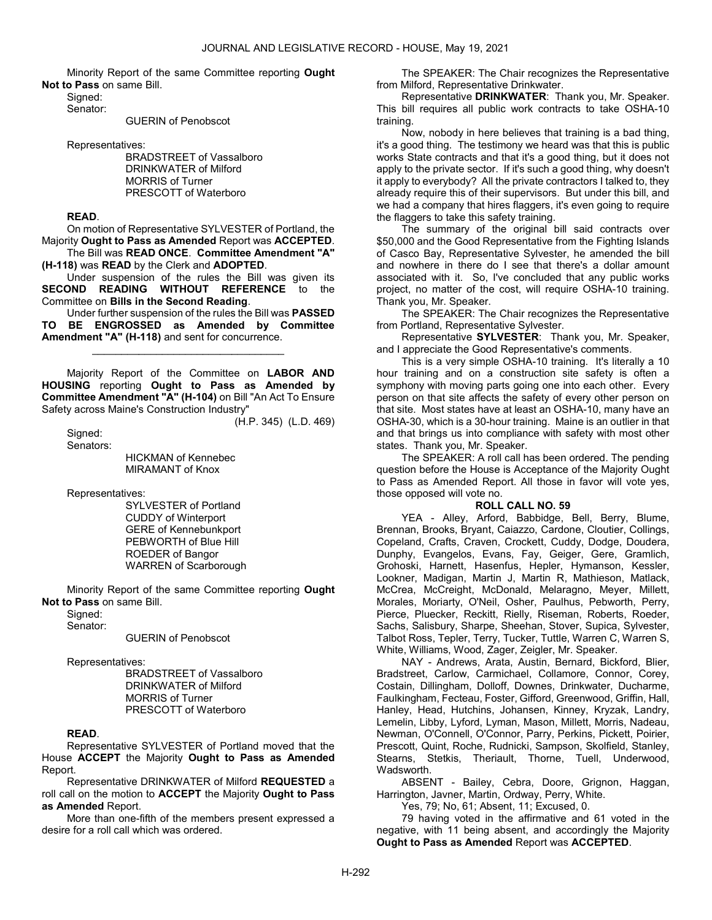Minority Report of the same Committee reporting Ought Not to Pass on same Bill.

 Signed: Senator:

GUERIN of Penobscot

Representatives:

 BRADSTREET of Vassalboro DRINKWATER of Milford MORRIS of Turner PRESCOTT of Waterboro

### READ.

 On motion of Representative SYLVESTER of Portland, the Majority Ought to Pass as Amended Report was ACCEPTED. The Bill was READ ONCE. Committee Amendment "A"

(H-118) was READ by the Clerk and ADOPTED.

 Under suspension of the rules the Bill was given its SECOND READING WITHOUT REFERENCE to the Committee on Bills in the Second Reading.

 Under further suspension of the rules the Bill was PASSED TO BE ENGROSSED as Amended by Committee Amendment "A" (H-118) and sent for concurrence.

\_\_\_\_\_\_\_\_\_\_\_\_\_\_\_\_\_\_\_\_\_\_\_\_\_\_\_\_\_\_\_\_\_

 Majority Report of the Committee on LABOR AND HOUSING reporting Ought to Pass as Amended by Committee Amendment "A" (H-104) on Bill "An Act To Ensure Safety across Maine's Construction Industry"

Sianed: Senators: (H.P. 345) (L.D. 469)

 HICKMAN of Kennebec MIRAMANT of Knox

Representatives:

 SYLVESTER of Portland CUDDY of Winterport GERE of Kennebunkport PEBWORTH of Blue Hill ROEDER of Bangor WARREN of Scarborough

 Minority Report of the same Committee reporting Ought Not to Pass on same Bill.

Signed:

Senator:

GUERIN of Penobscot

Representatives:

 BRADSTREET of Vassalboro DRINKWATER of Milford MORRIS of Turner PRESCOTT of Waterboro

### READ.

 Representative SYLVESTER of Portland moved that the House ACCEPT the Majority Ought to Pass as Amended Report.

 Representative DRINKWATER of Milford REQUESTED a roll call on the motion to ACCEPT the Majority Ought to Pass as Amended Report.

 More than one-fifth of the members present expressed a desire for a roll call which was ordered.

 The SPEAKER: The Chair recognizes the Representative from Milford, Representative Drinkwater.

 Representative DRINKWATER: Thank you, Mr. Speaker. This bill requires all public work contracts to take OSHA-10 training.

 Now, nobody in here believes that training is a bad thing, it's a good thing. The testimony we heard was that this is public works State contracts and that it's a good thing, but it does not apply to the private sector. If it's such a good thing, why doesn't it apply to everybody? All the private contractors I talked to, they already require this of their supervisors. But under this bill, and we had a company that hires flaggers, it's even going to require the flaggers to take this safety training.

 The summary of the original bill said contracts over \$50,000 and the Good Representative from the Fighting Islands of Casco Bay, Representative Sylvester, he amended the bill and nowhere in there do I see that there's a dollar amount associated with it. So, I've concluded that any public works project, no matter of the cost, will require OSHA-10 training. Thank you, Mr. Speaker.

 The SPEAKER: The Chair recognizes the Representative from Portland, Representative Sylvester.

 Representative SYLVESTER: Thank you, Mr. Speaker, and I appreciate the Good Representative's comments.

 This is a very simple OSHA-10 training. It's literally a 10 hour training and on a construction site safety is often a symphony with moving parts going one into each other. Every person on that site affects the safety of every other person on that site. Most states have at least an OSHA-10, many have an OSHA-30, which is a 30-hour training. Maine is an outlier in that and that brings us into compliance with safety with most other states. Thank you, Mr. Speaker.

 The SPEAKER: A roll call has been ordered. The pending question before the House is Acceptance of the Majority Ought to Pass as Amended Report. All those in favor will vote yes, those opposed will vote no.

### ROLL CALL NO. 59

 YEA - Alley, Arford, Babbidge, Bell, Berry, Blume, Brennan, Brooks, Bryant, Caiazzo, Cardone, Cloutier, Collings, Copeland, Crafts, Craven, Crockett, Cuddy, Dodge, Doudera, Dunphy, Evangelos, Evans, Fay, Geiger, Gere, Gramlich, Grohoski, Harnett, Hasenfus, Hepler, Hymanson, Kessler, Lookner, Madigan, Martin J, Martin R, Mathieson, Matlack, McCrea, McCreight, McDonald, Melaragno, Meyer, Millett, Morales, Moriarty, O'Neil, Osher, Paulhus, Pebworth, Perry, Pierce, Pluecker, Reckitt, Rielly, Riseman, Roberts, Roeder, Sachs, Salisbury, Sharpe, Sheehan, Stover, Supica, Sylvester, Talbot Ross, Tepler, Terry, Tucker, Tuttle, Warren C, Warren S, White, Williams, Wood, Zager, Zeigler, Mr. Speaker.

 NAY - Andrews, Arata, Austin, Bernard, Bickford, Blier, Bradstreet, Carlow, Carmichael, Collamore, Connor, Corey, Costain, Dillingham, Dolloff, Downes, Drinkwater, Ducharme, Faulkingham, Fecteau, Foster, Gifford, Greenwood, Griffin, Hall, Hanley, Head, Hutchins, Johansen, Kinney, Kryzak, Landry, Lemelin, Libby, Lyford, Lyman, Mason, Millett, Morris, Nadeau, Newman, O'Connell, O'Connor, Parry, Perkins, Pickett, Poirier, Prescott, Quint, Roche, Rudnicki, Sampson, Skolfield, Stanley, Stearns, Stetkis, Theriault, Thorne, Tuell, Underwood, Wadsworth.

 ABSENT - Bailey, Cebra, Doore, Grignon, Haggan, Harrington, Javner, Martin, Ordway, Perry, White.

Yes, 79; No, 61; Absent, 11; Excused, 0.

 79 having voted in the affirmative and 61 voted in the negative, with 11 being absent, and accordingly the Majority Ought to Pass as Amended Report was ACCEPTED.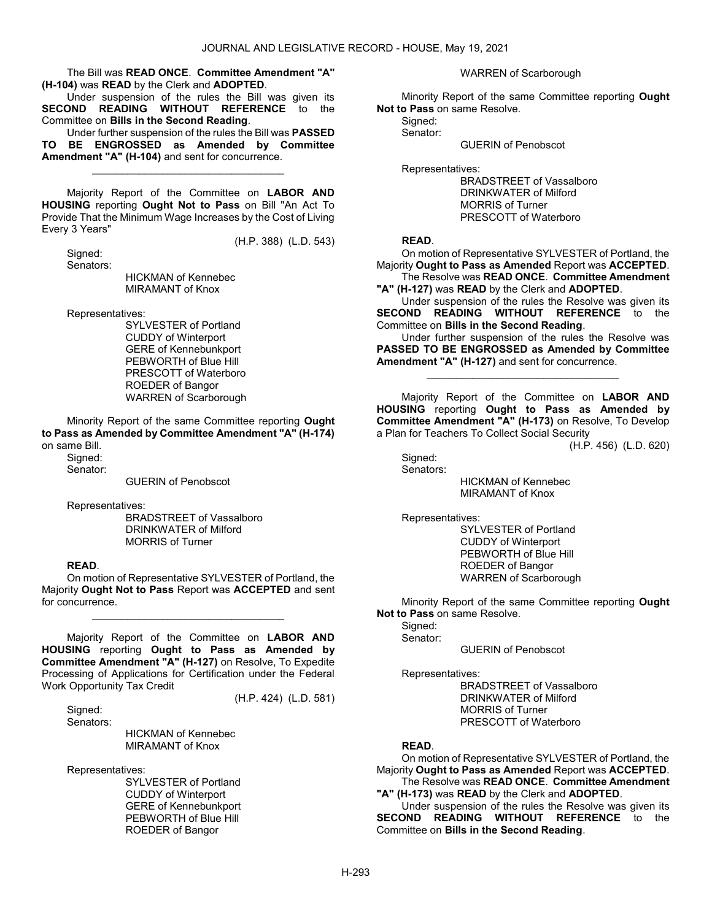The Bill was READ ONCE. Committee Amendment "A" (H-104) was READ by the Clerk and ADOPTED.

 Under suspension of the rules the Bill was given its SECOND READING WITHOUT REFERENCE to the Committee on Bills in the Second Reading.

 Under further suspension of the rules the Bill was PASSED TO BE ENGROSSED as Amended by Committee Amendment "A" (H-104) and sent for concurrence.

\_\_\_\_\_\_\_\_\_\_\_\_\_\_\_\_\_\_\_\_\_\_\_\_\_\_\_\_\_\_\_\_\_

 Majority Report of the Committee on LABOR AND HOUSING reporting Ought Not to Pass on Bill "An Act To Provide That the Minimum Wage Increases by the Cost of Living Every 3 Years"

(H.P. 388) (L.D. 543)

(H.P. 424) (L.D. 581)

 Signed: Senators:

 HICKMAN of Kennebec MIRAMANT of Knox

Representatives:

 SYLVESTER of Portland CUDDY of Winterport GERE of Kennebunkport PEBWORTH of Blue Hill PRESCOTT of Waterboro ROEDER of Bangor WARREN of Scarborough

 Minority Report of the same Committee reporting Ought to Pass as Amended by Committee Amendment "A" (H-174) on same Bill.

 Signed: Senator:

GUERIN of Penobscot

Representatives:

 BRADSTREET of Vassalboro DRINKWATER of Milford MORRIS of Turner

### READ.

 On motion of Representative SYLVESTER of Portland, the Majority Ought Not to Pass Report was ACCEPTED and sent for concurrence.

\_\_\_\_\_\_\_\_\_\_\_\_\_\_\_\_\_\_\_\_\_\_\_\_\_\_\_\_\_\_\_\_\_

 Majority Report of the Committee on LABOR AND HOUSING reporting Ought to Pass as Amended by Committee Amendment "A" (H-127) on Resolve, To Expedite Processing of Applications for Certification under the Federal Work Opportunity Tax Credit

Signed:

Senators:

 HICKMAN of Kennebec MIRAMANT of Knox

Representatives:

 SYLVESTER of Portland CUDDY of Winterport GERE of Kennebunkport PEBWORTH of Blue Hill ROEDER of Bangor

WARREN of Scarborough

 Minority Report of the same Committee reporting Ought Not to Pass on same Resolve.

Signed:

Senator:

GUERIN of Penobscot

Representatives:

 BRADSTREET of Vassalboro DRINKWATER of Milford MORRIS of Turner PRESCOTT of Waterboro

### READ.

 On motion of Representative SYLVESTER of Portland, the Majority Ought to Pass as Amended Report was ACCEPTED.

 The Resolve was READ ONCE. Committee Amendment "A" (H-127) was READ by the Clerk and ADOPTED.

 Under suspension of the rules the Resolve was given its SECOND READING WITHOUT REFERENCE to the Committee on Bills in the Second Reading.

 Under further suspension of the rules the Resolve was PASSED TO BE ENGROSSED as Amended by Committee Amendment "A" (H-127) and sent for concurrence.

\_\_\_\_\_\_\_\_\_\_\_\_\_\_\_\_\_\_\_\_\_\_\_\_\_\_\_\_\_\_\_\_\_

 Majority Report of the Committee on LABOR AND HOUSING reporting Ought to Pass as Amended by Committee Amendment "A" (H-173) on Resolve, To Develop a Plan for Teachers To Collect Social Security

(H.P. 456) (L.D. 620)

 Signed: Senators:

 HICKMAN of Kennebec MIRAMANT of Knox

Representatives:

 SYLVESTER of Portland CUDDY of Winterport PEBWORTH of Blue Hill ROEDER of Bangor WARREN of Scarborough

 Minority Report of the same Committee reporting Ought Not to Pass on same Resolve.

 Signed: Senator:

GUERIN of Penobscot

Representatives:

 BRADSTREET of Vassalboro DRINKWATER of Milford MORRIS of Turner PRESCOTT of Waterboro

### READ.

 On motion of Representative SYLVESTER of Portland, the Majority Ought to Pass as Amended Report was ACCEPTED. The Resolve was READ ONCE. Committee Amendment

"A" (H-173) was READ by the Clerk and ADOPTED.

 Under suspension of the rules the Resolve was given its SECOND READING WITHOUT REFERENCE to the Committee on Bills in the Second Reading.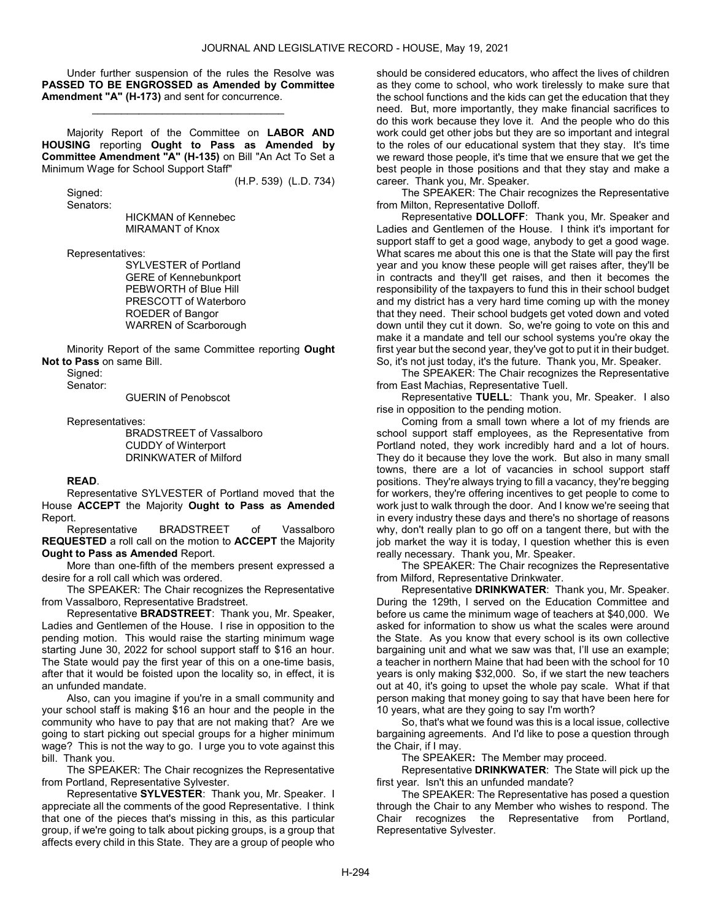Under further suspension of the rules the Resolve was PASSED TO BE ENGROSSED as Amended by Committee Amendment "A" (H-173) and sent for concurrence.

\_\_\_\_\_\_\_\_\_\_\_\_\_\_\_\_\_\_\_\_\_\_\_\_\_\_\_\_\_\_\_\_\_

 Majority Report of the Committee on LABOR AND HOUSING reporting Ought to Pass as Amended by Committee Amendment "A" (H-135) on Bill "An Act To Set a Minimum Wage for School Support Staff"

(H.P. 539) (L.D. 734)

 Signed: Senators:

 HICKMAN of Kennebec MIRAMANT of Knox

Representatives:

 SYLVESTER of Portland GERE of Kennebunkport PEBWORTH of Blue Hill PRESCOTT of Waterboro ROEDER of Bangor WARREN of Scarborough

 Minority Report of the same Committee reporting Ought Not to Pass on same Bill.

Signed:

Senator:

GUERIN of Penobscot

Representatives:

 BRADSTREET of Vassalboro CUDDY of Winterport DRINKWATER of Milford

READ.

 Representative SYLVESTER of Portland moved that the House ACCEPT the Majority Ought to Pass as Amended Report.

 Representative BRADSTREET of Vassalboro REQUESTED a roll call on the motion to ACCEPT the Majority Ought to Pass as Amended Report.

 More than one-fifth of the members present expressed a desire for a roll call which was ordered.

 The SPEAKER: The Chair recognizes the Representative from Vassalboro, Representative Bradstreet.

 Representative BRADSTREET: Thank you, Mr. Speaker, Ladies and Gentlemen of the House. I rise in opposition to the pending motion. This would raise the starting minimum wage starting June 30, 2022 for school support staff to \$16 an hour. The State would pay the first year of this on a one-time basis, after that it would be foisted upon the locality so, in effect, it is an unfunded mandate.

 Also, can you imagine if you're in a small community and your school staff is making \$16 an hour and the people in the community who have to pay that are not making that? Are we going to start picking out special groups for a higher minimum wage? This is not the way to go. I urge you to vote against this bill. Thank you.

 The SPEAKER: The Chair recognizes the Representative from Portland, Representative Sylvester.

 Representative SYLVESTER: Thank you, Mr. Speaker. I appreciate all the comments of the good Representative. I think that one of the pieces that's missing in this, as this particular group, if we're going to talk about picking groups, is a group that affects every child in this State. They are a group of people who should be considered educators, who affect the lives of children as they come to school, who work tirelessly to make sure that the school functions and the kids can get the education that they need. But, more importantly, they make financial sacrifices to do this work because they love it. And the people who do this work could get other jobs but they are so important and integral to the roles of our educational system that they stay. It's time we reward those people, it's time that we ensure that we get the best people in those positions and that they stay and make a career. Thank you, Mr. Speaker.

 The SPEAKER: The Chair recognizes the Representative from Milton, Representative Dolloff.

 Representative DOLLOFF: Thank you, Mr. Speaker and Ladies and Gentlemen of the House. I think it's important for support staff to get a good wage, anybody to get a good wage. What scares me about this one is that the State will pay the first year and you know these people will get raises after, they'll be in contracts and they'll get raises, and then it becomes the responsibility of the taxpayers to fund this in their school budget and my district has a very hard time coming up with the money that they need. Their school budgets get voted down and voted down until they cut it down. So, we're going to vote on this and make it a mandate and tell our school systems you're okay the first year but the second year, they've got to put it in their budget. So, it's not just today, it's the future. Thank you, Mr. Speaker.

 The SPEAKER: The Chair recognizes the Representative from East Machias, Representative Tuell.

 Representative TUELL: Thank you, Mr. Speaker. I also rise in opposition to the pending motion.

 Coming from a small town where a lot of my friends are school support staff employees, as the Representative from Portland noted, they work incredibly hard and a lot of hours. They do it because they love the work. But also in many small towns, there are a lot of vacancies in school support staff positions. They're always trying to fill a vacancy, they're begging for workers, they're offering incentives to get people to come to work just to walk through the door. And I know we're seeing that in every industry these days and there's no shortage of reasons why, don't really plan to go off on a tangent there, but with the job market the way it is today, I question whether this is even really necessary. Thank you, Mr. Speaker.

 The SPEAKER: The Chair recognizes the Representative from Milford, Representative Drinkwater.

 Representative DRINKWATER: Thank you, Mr. Speaker. During the 129th, I served on the Education Committee and before us came the minimum wage of teachers at \$40,000. We asked for information to show us what the scales were around the State. As you know that every school is its own collective bargaining unit and what we saw was that, I'll use an example; a teacher in northern Maine that had been with the school for 10 years is only making \$32,000. So, if we start the new teachers out at 40, it's going to upset the whole pay scale. What if that person making that money going to say that have been here for 10 years, what are they going to say I'm worth?

 So, that's what we found was this is a local issue, collective bargaining agreements. And I'd like to pose a question through the Chair, if I may.

The SPEAKER: The Member may proceed.

 Representative DRINKWATER: The State will pick up the first year. Isn't this an unfunded mandate?

 The SPEAKER: The Representative has posed a question through the Chair to any Member who wishes to respond. The Chair recognizes the Representative from Portland, Representative Sylvester.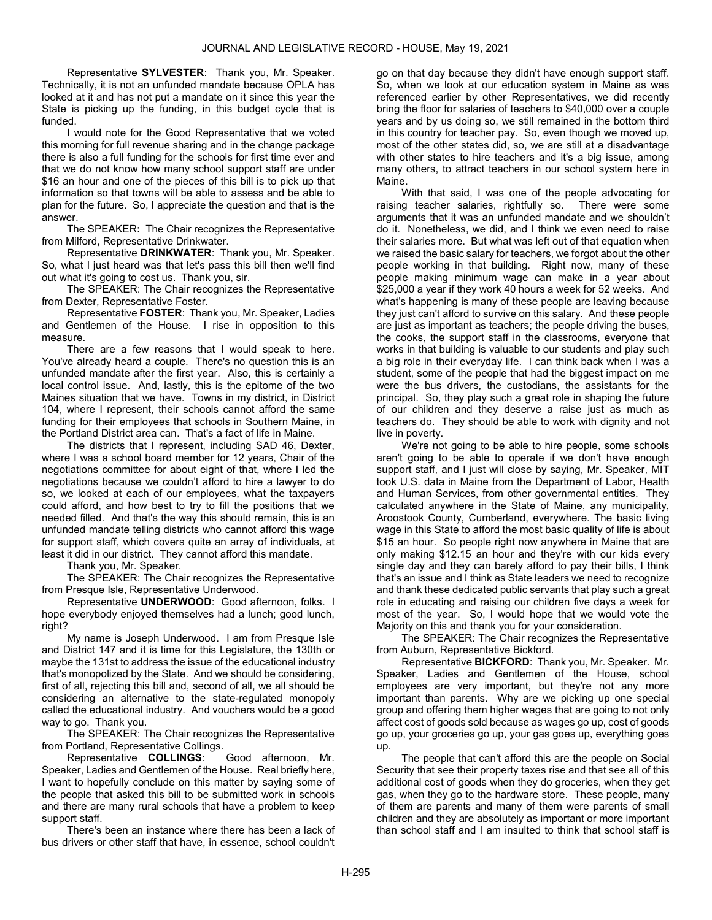Representative SYLVESTER: Thank you, Mr. Speaker. Technically, it is not an unfunded mandate because OPLA has looked at it and has not put a mandate on it since this year the State is picking up the funding, in this budget cycle that is funded.

 I would note for the Good Representative that we voted this morning for full revenue sharing and in the change package there is also a full funding for the schools for first time ever and that we do not know how many school support staff are under \$16 an hour and one of the pieces of this bill is to pick up that information so that towns will be able to assess and be able to plan for the future. So, I appreciate the question and that is the answer.

 The SPEAKER: The Chair recognizes the Representative from Milford, Representative Drinkwater.

 Representative DRINKWATER: Thank you, Mr. Speaker. So, what I just heard was that let's pass this bill then we'll find out what it's going to cost us. Thank you, sir.

 The SPEAKER: The Chair recognizes the Representative from Dexter, Representative Foster.

 Representative FOSTER: Thank you, Mr. Speaker, Ladies and Gentlemen of the House. I rise in opposition to this measure.

 There are a few reasons that I would speak to here. You've already heard a couple. There's no question this is an unfunded mandate after the first year. Also, this is certainly a local control issue. And, lastly, this is the epitome of the two Maines situation that we have. Towns in my district, in District 104, where I represent, their schools cannot afford the same funding for their employees that schools in Southern Maine, in the Portland District area can. That's a fact of life in Maine.

 The districts that I represent, including SAD 46, Dexter, where I was a school board member for 12 years, Chair of the negotiations committee for about eight of that, where I led the negotiations because we couldn't afford to hire a lawyer to do so, we looked at each of our employees, what the taxpayers could afford, and how best to try to fill the positions that we needed filled. And that's the way this should remain, this is an unfunded mandate telling districts who cannot afford this wage for support staff, which covers quite an array of individuals, at least it did in our district. They cannot afford this mandate.

Thank you, Mr. Speaker.

 The SPEAKER: The Chair recognizes the Representative from Presque Isle, Representative Underwood.

 Representative UNDERWOOD: Good afternoon, folks. I hope everybody enjoyed themselves had a lunch; good lunch, right?

 My name is Joseph Underwood. I am from Presque Isle and District 147 and it is time for this Legislature, the 130th or maybe the 131st to address the issue of the educational industry that's monopolized by the State. And we should be considering, first of all, rejecting this bill and, second of all, we all should be considering an alternative to the state-regulated monopoly called the educational industry. And vouchers would be a good way to go. Thank you.

 The SPEAKER: The Chair recognizes the Representative from Portland, Representative Collings.

 Representative COLLINGS: Good afternoon, Mr. Speaker, Ladies and Gentlemen of the House. Real briefly here, I want to hopefully conclude on this matter by saying some of the people that asked this bill to be submitted work in schools and there are many rural schools that have a problem to keep support staff.

 There's been an instance where there has been a lack of bus drivers or other staff that have, in essence, school couldn't

go on that day because they didn't have enough support staff. So, when we look at our education system in Maine as was referenced earlier by other Representatives, we did recently bring the floor for salaries of teachers to \$40,000 over a couple years and by us doing so, we still remained in the bottom third in this country for teacher pay. So, even though we moved up, most of the other states did, so, we are still at a disadvantage with other states to hire teachers and it's a big issue, among many others, to attract teachers in our school system here in Maine.

 With that said, I was one of the people advocating for raising teacher salaries, rightfully so. There were some arguments that it was an unfunded mandate and we shouldn't do it. Nonetheless, we did, and I think we even need to raise their salaries more. But what was left out of that equation when we raised the basic salary for teachers, we forgot about the other people working in that building. Right now, many of these people making minimum wage can make in a year about \$25,000 a year if they work 40 hours a week for 52 weeks. And what's happening is many of these people are leaving because they just can't afford to survive on this salary. And these people are just as important as teachers; the people driving the buses, the cooks, the support staff in the classrooms, everyone that works in that building is valuable to our students and play such a big role in their everyday life. I can think back when I was a student, some of the people that had the biggest impact on me were the bus drivers, the custodians, the assistants for the principal. So, they play such a great role in shaping the future of our children and they deserve a raise just as much as teachers do. They should be able to work with dignity and not live in poverty.

 We're not going to be able to hire people, some schools aren't going to be able to operate if we don't have enough support staff, and I just will close by saying, Mr. Speaker, MIT took U.S. data in Maine from the Department of Labor, Health and Human Services, from other governmental entities. They calculated anywhere in the State of Maine, any municipality, Aroostook County, Cumberland, everywhere. The basic living wage in this State to afford the most basic quality of life is about \$15 an hour. So people right now anywhere in Maine that are only making \$12.15 an hour and they're with our kids every single day and they can barely afford to pay their bills, I think that's an issue and I think as State leaders we need to recognize and thank these dedicated public servants that play such a great role in educating and raising our children five days a week for most of the year. So, I would hope that we would vote the Majority on this and thank you for your consideration.

 The SPEAKER: The Chair recognizes the Representative from Auburn, Representative Bickford.

 Representative BICKFORD: Thank you, Mr. Speaker. Mr. Speaker, Ladies and Gentlemen of the House, school employees are very important, but they're not any more important than parents. Why are we picking up one special group and offering them higher wages that are going to not only affect cost of goods sold because as wages go up, cost of goods go up, your groceries go up, your gas goes up, everything goes up.

 The people that can't afford this are the people on Social Security that see their property taxes rise and that see all of this additional cost of goods when they do groceries, when they get gas, when they go to the hardware store. These people, many of them are parents and many of them were parents of small children and they are absolutely as important or more important than school staff and I am insulted to think that school staff is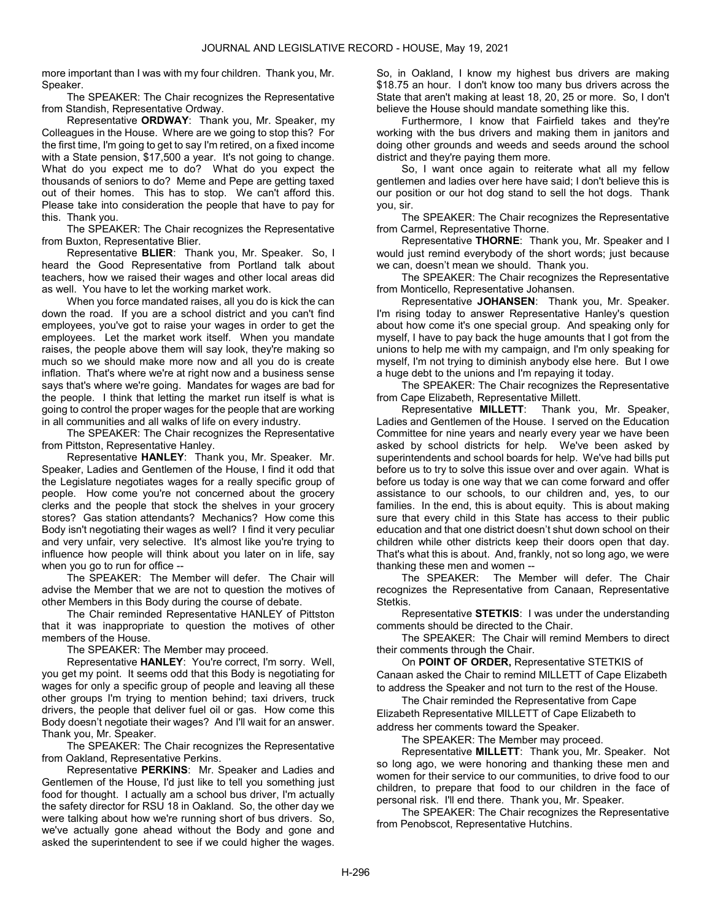more important than I was with my four children. Thank you, Mr. Speaker.

 The SPEAKER: The Chair recognizes the Representative from Standish, Representative Ordway.

 Representative ORDWAY: Thank you, Mr. Speaker, my Colleagues in the House. Where are we going to stop this? For the first time, I'm going to get to say I'm retired, on a fixed income with a State pension, \$17,500 a year. It's not going to change. What do you expect me to do? What do you expect the thousands of seniors to do? Meme and Pepe are getting taxed out of their homes. This has to stop. We can't afford this. Please take into consideration the people that have to pay for this. Thank you.

 The SPEAKER: The Chair recognizes the Representative from Buxton, Representative Blier.

 Representative BLIER: Thank you, Mr. Speaker. So, I heard the Good Representative from Portland talk about teachers, how we raised their wages and other local areas did as well. You have to let the working market work.

 When you force mandated raises, all you do is kick the can down the road. If you are a school district and you can't find employees, you've got to raise your wages in order to get the employees. Let the market work itself. When you mandate raises, the people above them will say look, they're making so much so we should make more now and all you do is create inflation. That's where we're at right now and a business sense says that's where we're going. Mandates for wages are bad for the people. I think that letting the market run itself is what is going to control the proper wages for the people that are working in all communities and all walks of life on every industry.

 The SPEAKER: The Chair recognizes the Representative from Pittston, Representative Hanley.

 Representative HANLEY: Thank you, Mr. Speaker. Mr. Speaker, Ladies and Gentlemen of the House, I find it odd that the Legislature negotiates wages for a really specific group of people. How come you're not concerned about the grocery clerks and the people that stock the shelves in your grocery stores? Gas station attendants? Mechanics? How come this Body isn't negotiating their wages as well? I find it very peculiar and very unfair, very selective. It's almost like you're trying to influence how people will think about you later on in life, say when you go to run for office --

 The SPEAKER: The Member will defer. The Chair will advise the Member that we are not to question the motives of other Members in this Body during the course of debate.

 The Chair reminded Representative HANLEY of Pittston that it was inappropriate to question the motives of other members of the House.

The SPEAKER: The Member may proceed.

 Representative HANLEY: You're correct, I'm sorry. Well, you get my point. It seems odd that this Body is negotiating for wages for only a specific group of people and leaving all these other groups I'm trying to mention behind; taxi drivers, truck drivers, the people that deliver fuel oil or gas. How come this Body doesn't negotiate their wages? And I'll wait for an answer. Thank you, Mr. Speaker.

 The SPEAKER: The Chair recognizes the Representative from Oakland, Representative Perkins.

 Representative PERKINS: Mr. Speaker and Ladies and Gentlemen of the House, I'd just like to tell you something just food for thought. I actually am a school bus driver, I'm actually the safety director for RSU 18 in Oakland. So, the other day we were talking about how we're running short of bus drivers. So, we've actually gone ahead without the Body and gone and asked the superintendent to see if we could higher the wages. So, in Oakland, I know my highest bus drivers are making \$18.75 an hour. I don't know too many bus drivers across the State that aren't making at least 18, 20, 25 or more. So, I don't believe the House should mandate something like this.

 Furthermore, I know that Fairfield takes and they're working with the bus drivers and making them in janitors and doing other grounds and weeds and seeds around the school district and they're paying them more.

 So, I want once again to reiterate what all my fellow gentlemen and ladies over here have said; I don't believe this is our position or our hot dog stand to sell the hot dogs. Thank you, sir.

 The SPEAKER: The Chair recognizes the Representative from Carmel, Representative Thorne.

 Representative THORNE: Thank you, Mr. Speaker and I would just remind everybody of the short words; just because we can, doesn't mean we should. Thank you.

 The SPEAKER: The Chair recognizes the Representative from Monticello, Representative Johansen.

 Representative JOHANSEN: Thank you, Mr. Speaker. I'm rising today to answer Representative Hanley's question about how come it's one special group. And speaking only for myself, I have to pay back the huge amounts that I got from the unions to help me with my campaign, and I'm only speaking for myself, I'm not trying to diminish anybody else here. But I owe a huge debt to the unions and I'm repaying it today.

 The SPEAKER: The Chair recognizes the Representative from Cape Elizabeth, Representative Millett.

 Representative MILLETT: Thank you, Mr. Speaker, Ladies and Gentlemen of the House. I served on the Education Committee for nine years and nearly every year we have been asked by school districts for help. We've been asked by superintendents and school boards for help. We've had bills put before us to try to solve this issue over and over again. What is before us today is one way that we can come forward and offer assistance to our schools, to our children and, yes, to our families. In the end, this is about equity. This is about making sure that every child in this State has access to their public education and that one district doesn't shut down school on their children while other districts keep their doors open that day. That's what this is about. And, frankly, not so long ago, we were thanking these men and women --

 The SPEAKER: The Member will defer. The Chair recognizes the Representative from Canaan, Representative Stetkis.

 Representative STETKIS: I was under the understanding comments should be directed to the Chair.

 The SPEAKER: The Chair will remind Members to direct their comments through the Chair.

On POINT OF ORDER, Representative STETKIS of Canaan asked the Chair to remind MILLETT of Cape Elizabeth to address the Speaker and not turn to the rest of the House.

 The Chair reminded the Representative from Cape Elizabeth Representative MILLETT of Cape Elizabeth to address her comments toward the Speaker.

The SPEAKER: The Member may proceed.

 Representative MILLETT: Thank you, Mr. Speaker. Not so long ago, we were honoring and thanking these men and women for their service to our communities, to drive food to our children, to prepare that food to our children in the face of personal risk. I'll end there. Thank you, Mr. Speaker.

 The SPEAKER: The Chair recognizes the Representative from Penobscot, Representative Hutchins.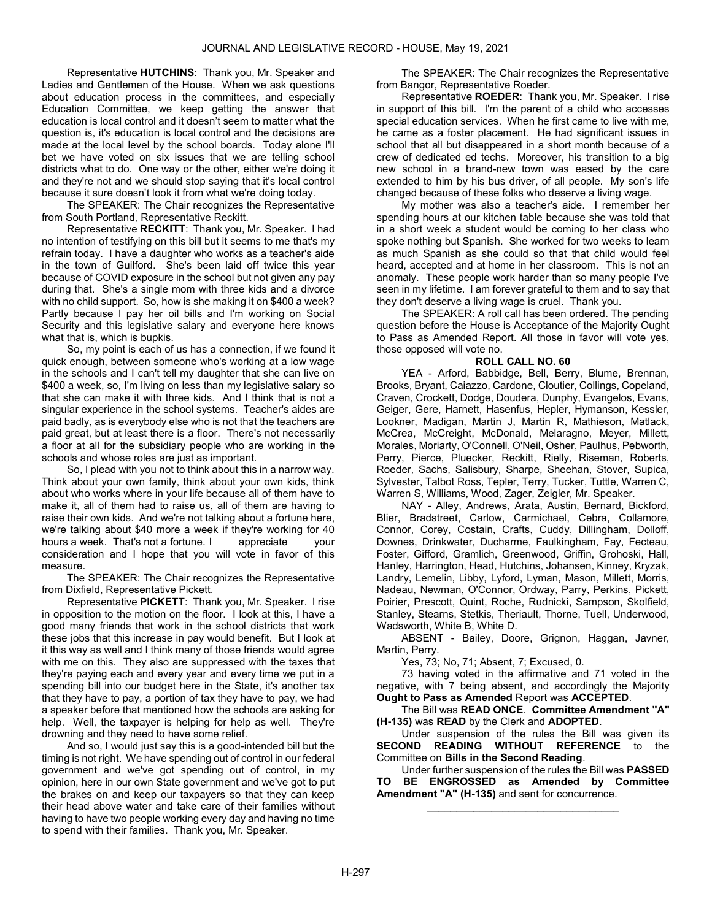Representative HUTCHINS: Thank you, Mr. Speaker and Ladies and Gentlemen of the House. When we ask questions about education process in the committees, and especially Education Committee, we keep getting the answer that education is local control and it doesn't seem to matter what the question is, it's education is local control and the decisions are made at the local level by the school boards. Today alone I'll bet we have voted on six issues that we are telling school districts what to do. One way or the other, either we're doing it and they're not and we should stop saying that it's local control because it sure doesn't look it from what we're doing today.

 The SPEAKER: The Chair recognizes the Representative from South Portland, Representative Reckitt.

 Representative RECKITT: Thank you, Mr. Speaker. I had no intention of testifying on this bill but it seems to me that's my refrain today. I have a daughter who works as a teacher's aide in the town of Guilford. She's been laid off twice this year because of COVID exposure in the school but not given any pay during that. She's a single mom with three kids and a divorce with no child support. So, how is she making it on \$400 a week? Partly because I pay her oil bills and I'm working on Social Security and this legislative salary and everyone here knows what that is, which is bupkis.

 So, my point is each of us has a connection, if we found it quick enough, between someone who's working at a low wage in the schools and I can't tell my daughter that she can live on \$400 a week, so, I'm living on less than my legislative salary so that she can make it with three kids. And I think that is not a singular experience in the school systems. Teacher's aides are paid badly, as is everybody else who is not that the teachers are paid great, but at least there is a floor. There's not necessarily a floor at all for the subsidiary people who are working in the schools and whose roles are just as important.

 So, I plead with you not to think about this in a narrow way. Think about your own family, think about your own kids, think about who works where in your life because all of them have to make it, all of them had to raise us, all of them are having to raise their own kids. And we're not talking about a fortune here, we're talking about \$40 more a week if they're working for 40 hours a week. That's not a fortune. I appreciate your consideration and I hope that you will vote in favor of this measure.

 The SPEAKER: The Chair recognizes the Representative from Dixfield, Representative Pickett.

 Representative PICKETT: Thank you, Mr. Speaker. I rise in opposition to the motion on the floor. I look at this, I have a good many friends that work in the school districts that work these jobs that this increase in pay would benefit. But I look at it this way as well and I think many of those friends would agree with me on this. They also are suppressed with the taxes that they're paying each and every year and every time we put in a spending bill into our budget here in the State, it's another tax that they have to pay, a portion of tax they have to pay, we had a speaker before that mentioned how the schools are asking for help. Well, the taxpayer is helping for help as well. They're drowning and they need to have some relief.

 And so, I would just say this is a good-intended bill but the timing is not right. We have spending out of control in our federal government and we've got spending out of control, in my opinion, here in our own State government and we've got to put the brakes on and keep our taxpayers so that they can keep their head above water and take care of their families without having to have two people working every day and having no time to spend with their families. Thank you, Mr. Speaker.

 The SPEAKER: The Chair recognizes the Representative from Bangor, Representative Roeder.

 Representative ROEDER: Thank you, Mr. Speaker. I rise in support of this bill. I'm the parent of a child who accesses special education services. When he first came to live with me, he came as a foster placement. He had significant issues in school that all but disappeared in a short month because of a crew of dedicated ed techs. Moreover, his transition to a big new school in a brand-new town was eased by the care extended to him by his bus driver, of all people. My son's life changed because of these folks who deserve a living wage.

 My mother was also a teacher's aide. I remember her spending hours at our kitchen table because she was told that in a short week a student would be coming to her class who spoke nothing but Spanish. She worked for two weeks to learn as much Spanish as she could so that that child would feel heard, accepted and at home in her classroom. This is not an anomaly. These people work harder than so many people I've seen in my lifetime. I am forever grateful to them and to say that they don't deserve a living wage is cruel. Thank you.

 The SPEAKER: A roll call has been ordered. The pending question before the House is Acceptance of the Majority Ought to Pass as Amended Report. All those in favor will vote yes, those opposed will vote no.

### ROLL CALL NO. 60

 YEA - Arford, Babbidge, Bell, Berry, Blume, Brennan, Brooks, Bryant, Caiazzo, Cardone, Cloutier, Collings, Copeland, Craven, Crockett, Dodge, Doudera, Dunphy, Evangelos, Evans, Geiger, Gere, Harnett, Hasenfus, Hepler, Hymanson, Kessler, Lookner, Madigan, Martin J, Martin R, Mathieson, Matlack, McCrea, McCreight, McDonald, Melaragno, Meyer, Millett, Morales, Moriarty, O'Connell, O'Neil, Osher, Paulhus, Pebworth, Perry, Pierce, Pluecker, Reckitt, Rielly, Riseman, Roberts, Roeder, Sachs, Salisbury, Sharpe, Sheehan, Stover, Supica, Sylvester, Talbot Ross, Tepler, Terry, Tucker, Tuttle, Warren C, Warren S, Williams, Wood, Zager, Zeigler, Mr. Speaker.

 NAY - Alley, Andrews, Arata, Austin, Bernard, Bickford, Blier, Bradstreet, Carlow, Carmichael, Cebra, Collamore, Connor, Corey, Costain, Crafts, Cuddy, Dillingham, Dolloff, Downes, Drinkwater, Ducharme, Faulkingham, Fay, Fecteau, Foster, Gifford, Gramlich, Greenwood, Griffin, Grohoski, Hall, Hanley, Harrington, Head, Hutchins, Johansen, Kinney, Kryzak, Landry, Lemelin, Libby, Lyford, Lyman, Mason, Millett, Morris, Nadeau, Newman, O'Connor, Ordway, Parry, Perkins, Pickett, Poirier, Prescott, Quint, Roche, Rudnicki, Sampson, Skolfield, Stanley, Stearns, Stetkis, Theriault, Thorne, Tuell, Underwood, Wadsworth, White B, White D.

 ABSENT - Bailey, Doore, Grignon, Haggan, Javner, Martin, Perry.

Yes, 73; No, 71; Absent, 7; Excused, 0.

 73 having voted in the affirmative and 71 voted in the negative, with 7 being absent, and accordingly the Majority Ought to Pass as Amended Report was ACCEPTED.

 The Bill was READ ONCE. Committee Amendment "A" (H-135) was READ by the Clerk and ADOPTED.

 Under suspension of the rules the Bill was given its SECOND READING WITHOUT REFERENCE to the Committee on Bills in the Second Reading.

 Under further suspension of the rules the Bill was PASSED TO BE ENGROSSED as Amended by Committee Amendment "A" (H-135) and sent for concurrence.

\_\_\_\_\_\_\_\_\_\_\_\_\_\_\_\_\_\_\_\_\_\_\_\_\_\_\_\_\_\_\_\_\_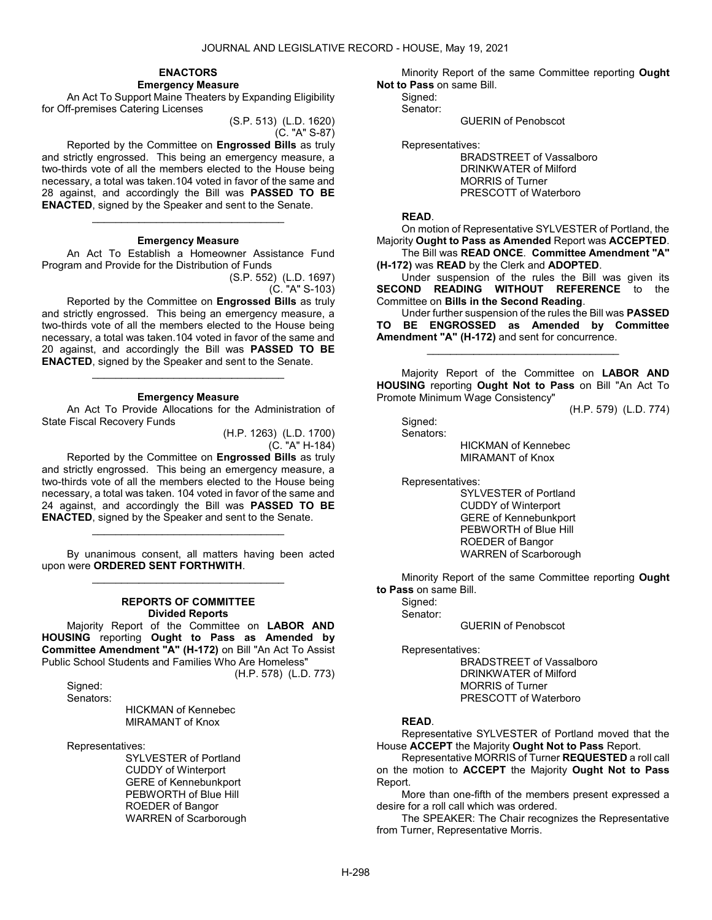#### ENACTORS Emergency Measure

 An Act To Support Maine Theaters by Expanding Eligibility for Off-premises Catering Licenses

> (S.P. 513) (L.D. 1620) (C. "A" S-87)

 Reported by the Committee on Engrossed Bills as truly and strictly engrossed. This being an emergency measure, a two-thirds vote of all the members elected to the House being necessary, a total was taken.104 voted in favor of the same and 28 against, and accordingly the Bill was PASSED TO BE ENACTED, signed by the Speaker and sent to the Senate.

#### Emergency Measure

\_\_\_\_\_\_\_\_\_\_\_\_\_\_\_\_\_\_\_\_\_\_\_\_\_\_\_\_\_\_\_\_\_

 An Act To Establish a Homeowner Assistance Fund Program and Provide for the Distribution of Funds

(S.P. 552) (L.D. 1697) (C. "A" S-103)

 Reported by the Committee on Engrossed Bills as truly and strictly engrossed. This being an emergency measure, a two-thirds vote of all the members elected to the House being necessary, a total was taken.104 voted in favor of the same and 20 against, and accordingly the Bill was PASSED TO BE ENACTED, signed by the Speaker and sent to the Senate.

#### Emergency Measure

\_\_\_\_\_\_\_\_\_\_\_\_\_\_\_\_\_\_\_\_\_\_\_\_\_\_\_\_\_\_\_\_\_

 An Act To Provide Allocations for the Administration of State Fiscal Recovery Funds

> (H.P. 1263) (L.D. 1700) (C. "A" H-184)

 Reported by the Committee on Engrossed Bills as truly and strictly engrossed. This being an emergency measure, a two-thirds vote of all the members elected to the House being necessary, a total was taken. 104 voted in favor of the same and 24 against, and accordingly the Bill was PASSED TO BE ENACTED, signed by the Speaker and sent to the Senate.

\_\_\_\_\_\_\_\_\_\_\_\_\_\_\_\_\_\_\_\_\_\_\_\_\_\_\_\_\_\_\_\_\_

 By unanimous consent, all matters having been acted upon were ORDERED SENT FORTHWITH. \_\_\_\_\_\_\_\_\_\_\_\_\_\_\_\_\_\_\_\_\_\_\_\_\_\_\_\_\_\_\_\_\_

#### REPORTS OF COMMITTEE Divided Reports

 Majority Report of the Committee on LABOR AND HOUSING reporting Ought to Pass as Amended by Committee Amendment "A" (H-172) on Bill "An Act To Assist Public School Students and Families Who Are Homeless" (H.P. 578) (L.D. 773)

Signed:

Senators:

 HICKMAN of Kennebec MIRAMANT of Knox

Representatives:

 SYLVESTER of Portland CUDDY of Winterport GERE of Kennebunkport PEBWORTH of Blue Hill ROEDER of Bangor WARREN of Scarborough

 Minority Report of the same Committee reporting Ought Not to Pass on same Bill.

 Signed: Senator:

GUERIN of Penobscot

Representatives:

 BRADSTREET of Vassalboro DRINKWATER of Milford MORRIS of Turner PRESCOTT of Waterboro

#### READ.

 On motion of Representative SYLVESTER of Portland, the Majority Ought to Pass as Amended Report was ACCEPTED.

 The Bill was READ ONCE. Committee Amendment "A" (H-172) was READ by the Clerk and ADOPTED.

 Under suspension of the rules the Bill was given its SECOND READING WITHOUT REFERENCE to the Committee on Bills in the Second Reading.

 Under further suspension of the rules the Bill was PASSED BE ENGROSSED as Amended by Committee Amendment "A" (H-172) and sent for concurrence.

\_\_\_\_\_\_\_\_\_\_\_\_\_\_\_\_\_\_\_\_\_\_\_\_\_\_\_\_\_\_\_\_\_

 Majority Report of the Committee on LABOR AND HOUSING reporting Ought Not to Pass on Bill "An Act To Promote Minimum Wage Consistency"

(H.P. 579) (L.D. 774)

 Signed: Senators:

 HICKMAN of Kennebec MIRAMANT of Knox

Representatives:

 SYLVESTER of Portland CUDDY of Winterport GERE of Kennebunkport PEBWORTH of Blue Hill ROEDER of Bangor WARREN of Scarborough

 Minority Report of the same Committee reporting Ought to Pass on same Bill.

Signed:

Senator:

GUERIN of Penobscot

Representatives:

 BRADSTREET of Vassalboro DRINKWATER of Milford MORRIS of Turner PRESCOTT of Waterboro

### READ.

 Representative SYLVESTER of Portland moved that the House ACCEPT the Majority Ought Not to Pass Report.

 Representative MORRIS of Turner REQUESTED a roll call on the motion to ACCEPT the Majority Ought Not to Pass Report.

 More than one-fifth of the members present expressed a desire for a roll call which was ordered.

 The SPEAKER: The Chair recognizes the Representative from Turner, Representative Morris.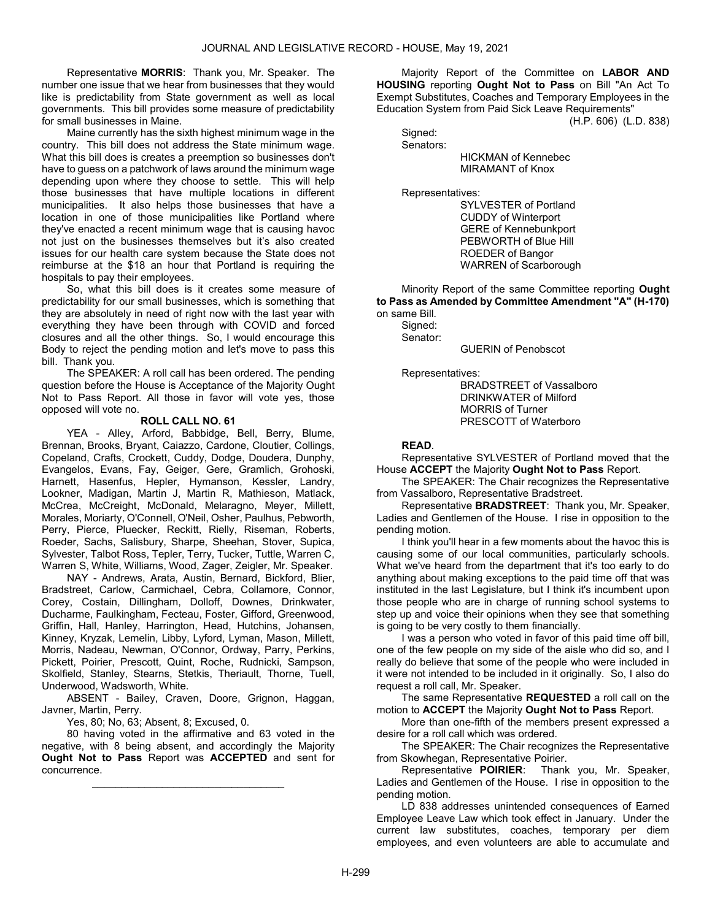Representative MORRIS: Thank you, Mr. Speaker. The number one issue that we hear from businesses that they would like is predictability from State government as well as local governments. This bill provides some measure of predictability for small businesses in Maine.

 Maine currently has the sixth highest minimum wage in the country. This bill does not address the State minimum wage. What this bill does is creates a preemption so businesses don't have to guess on a patchwork of laws around the minimum wage depending upon where they choose to settle. This will help those businesses that have multiple locations in different municipalities. It also helps those businesses that have a location in one of those municipalities like Portland where they've enacted a recent minimum wage that is causing havoc not just on the businesses themselves but it's also created issues for our health care system because the State does not reimburse at the \$18 an hour that Portland is requiring the hospitals to pay their employees.

 So, what this bill does is it creates some measure of predictability for our small businesses, which is something that they are absolutely in need of right now with the last year with everything they have been through with COVID and forced closures and all the other things. So, I would encourage this Body to reject the pending motion and let's move to pass this bill. Thank you.

 The SPEAKER: A roll call has been ordered. The pending question before the House is Acceptance of the Majority Ought Not to Pass Report. All those in favor will vote yes, those opposed will vote no.

#### ROLL CALL NO. 61

 YEA - Alley, Arford, Babbidge, Bell, Berry, Blume, Brennan, Brooks, Bryant, Caiazzo, Cardone, Cloutier, Collings, Copeland, Crafts, Crockett, Cuddy, Dodge, Doudera, Dunphy, Evangelos, Evans, Fay, Geiger, Gere, Gramlich, Grohoski, Harnett, Hasenfus, Hepler, Hymanson, Kessler, Landry, Lookner, Madigan, Martin J, Martin R, Mathieson, Matlack, McCrea, McCreight, McDonald, Melaragno, Meyer, Millett, Morales, Moriarty, O'Connell, O'Neil, Osher, Paulhus, Pebworth, Perry, Pierce, Pluecker, Reckitt, Rielly, Riseman, Roberts, Roeder, Sachs, Salisbury, Sharpe, Sheehan, Stover, Supica, Sylvester, Talbot Ross, Tepler, Terry, Tucker, Tuttle, Warren C, Warren S, White, Williams, Wood, Zager, Zeigler, Mr. Speaker.

 NAY - Andrews, Arata, Austin, Bernard, Bickford, Blier, Bradstreet, Carlow, Carmichael, Cebra, Collamore, Connor, Corey, Costain, Dillingham, Dolloff, Downes, Drinkwater, Ducharme, Faulkingham, Fecteau, Foster, Gifford, Greenwood, Griffin, Hall, Hanley, Harrington, Head, Hutchins, Johansen, Kinney, Kryzak, Lemelin, Libby, Lyford, Lyman, Mason, Millett, Morris, Nadeau, Newman, O'Connor, Ordway, Parry, Perkins, Pickett, Poirier, Prescott, Quint, Roche, Rudnicki, Sampson, Skolfield, Stanley, Stearns, Stetkis, Theriault, Thorne, Tuell, Underwood, Wadsworth, White.

 ABSENT - Bailey, Craven, Doore, Grignon, Haggan, Javner, Martin, Perry.

Yes, 80; No, 63; Absent, 8; Excused, 0.

 80 having voted in the affirmative and 63 voted in the negative, with 8 being absent, and accordingly the Majority Ought Not to Pass Report was ACCEPTED and sent for concurrence.

\_\_\_\_\_\_\_\_\_\_\_\_\_\_\_\_\_\_\_\_\_\_\_\_\_\_\_\_\_\_\_\_\_

 Majority Report of the Committee on LABOR AND HOUSING reporting Ought Not to Pass on Bill "An Act To Exempt Substitutes, Coaches and Temporary Employees in the Education System from Paid Sick Leave Requirements"

(H.P. 606) (L.D. 838)

 Signed: Senators:

| OGHALVIS. |                            |
|-----------|----------------------------|
|           | <b>HICKMAN of Kennebec</b> |
|           | MIRAMANT of Knox           |

Representatives:

 SYLVESTER of Portland CUDDY of Winterport GERE of Kennebunkport PEBWORTH of Blue Hill ROEDER of Bangor WARREN of Scarborough

 Minority Report of the same Committee reporting Ought to Pass as Amended by Committee Amendment "A" (H-170) on same Bill.

 Signed: Senator:

GUERIN of Penobscot

Representatives:

 BRADSTREET of Vassalboro DRINKWATER of Milford MORRIS of Turner PRESCOTT of Waterboro

### READ.

 Representative SYLVESTER of Portland moved that the House ACCEPT the Majority Ought Not to Pass Report.

 The SPEAKER: The Chair recognizes the Representative from Vassalboro, Representative Bradstreet.

 Representative BRADSTREET: Thank you, Mr. Speaker, Ladies and Gentlemen of the House. I rise in opposition to the pending motion.

 I think you'll hear in a few moments about the havoc this is causing some of our local communities, particularly schools. What we've heard from the department that it's too early to do anything about making exceptions to the paid time off that was instituted in the last Legislature, but I think it's incumbent upon those people who are in charge of running school systems to step up and voice their opinions when they see that something is going to be very costly to them financially.

 I was a person who voted in favor of this paid time off bill, one of the few people on my side of the aisle who did so, and I really do believe that some of the people who were included in it were not intended to be included in it originally. So, I also do request a roll call, Mr. Speaker.

 The same Representative REQUESTED a roll call on the motion to ACCEPT the Majority Ought Not to Pass Report.

 More than one-fifth of the members present expressed a desire for a roll call which was ordered.

 The SPEAKER: The Chair recognizes the Representative from Skowhegan, Representative Poirier.

 Representative POIRIER: Thank you, Mr. Speaker, Ladies and Gentlemen of the House. I rise in opposition to the pending motion.

 LD 838 addresses unintended consequences of Earned Employee Leave Law which took effect in January. Under the current law substitutes, coaches, temporary per diem employees, and even volunteers are able to accumulate and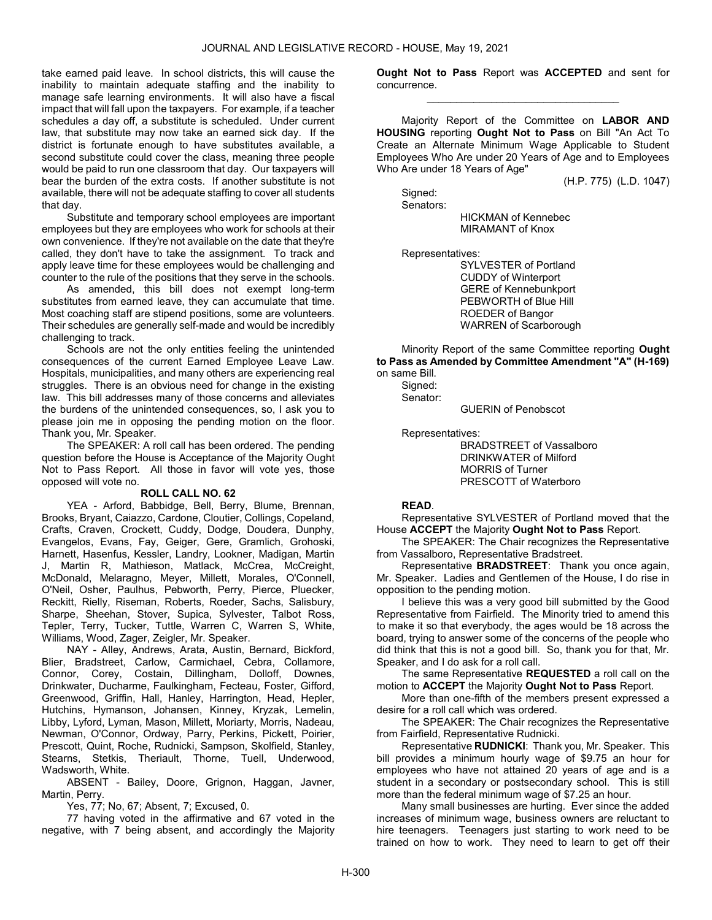take earned paid leave. In school districts, this will cause the inability to maintain adequate staffing and the inability to manage safe learning environments. It will also have a fiscal impact that will fall upon the taxpayers. For example, if a teacher schedules a day off, a substitute is scheduled. Under current law, that substitute may now take an earned sick day. If the district is fortunate enough to have substitutes available, a second substitute could cover the class, meaning three people would be paid to run one classroom that day. Our taxpayers will bear the burden of the extra costs. If another substitute is not available, there will not be adequate staffing to cover all students that day.

 Substitute and temporary school employees are important employees but they are employees who work for schools at their own convenience. If they're not available on the date that they're called, they don't have to take the assignment. To track and apply leave time for these employees would be challenging and counter to the rule of the positions that they serve in the schools.

 As amended, this bill does not exempt long-term substitutes from earned leave, they can accumulate that time. Most coaching staff are stipend positions, some are volunteers. Their schedules are generally self-made and would be incredibly challenging to track.

 Schools are not the only entities feeling the unintended consequences of the current Earned Employee Leave Law. Hospitals, municipalities, and many others are experiencing real struggles. There is an obvious need for change in the existing law. This bill addresses many of those concerns and alleviates the burdens of the unintended consequences, so, I ask you to please join me in opposing the pending motion on the floor. Thank you, Mr. Speaker.

 The SPEAKER: A roll call has been ordered. The pending question before the House is Acceptance of the Majority Ought Not to Pass Report. All those in favor will vote yes, those opposed will vote no.

#### ROLL CALL NO. 62

 YEA - Arford, Babbidge, Bell, Berry, Blume, Brennan, Brooks, Bryant, Caiazzo, Cardone, Cloutier, Collings, Copeland, Crafts, Craven, Crockett, Cuddy, Dodge, Doudera, Dunphy, Evangelos, Evans, Fay, Geiger, Gere, Gramlich, Grohoski, Harnett, Hasenfus, Kessler, Landry, Lookner, Madigan, Martin J, Martin R, Mathieson, Matlack, McCrea, McCreight, McDonald, Melaragno, Meyer, Millett, Morales, O'Connell, O'Neil, Osher, Paulhus, Pebworth, Perry, Pierce, Pluecker, Reckitt, Rielly, Riseman, Roberts, Roeder, Sachs, Salisbury, Sharpe, Sheehan, Stover, Supica, Sylvester, Talbot Ross, Tepler, Terry, Tucker, Tuttle, Warren C, Warren S, White, Williams, Wood, Zager, Zeigler, Mr. Speaker.

 NAY - Alley, Andrews, Arata, Austin, Bernard, Bickford, Blier, Bradstreet, Carlow, Carmichael, Cebra, Collamore, Connor, Corey, Costain, Dillingham, Dolloff, Downes, Drinkwater, Ducharme, Faulkingham, Fecteau, Foster, Gifford, Greenwood, Griffin, Hall, Hanley, Harrington, Head, Hepler, Hutchins, Hymanson, Johansen, Kinney, Kryzak, Lemelin, Libby, Lyford, Lyman, Mason, Millett, Moriarty, Morris, Nadeau, Newman, O'Connor, Ordway, Parry, Perkins, Pickett, Poirier, Prescott, Quint, Roche, Rudnicki, Sampson, Skolfield, Stanley, Stearns, Stetkis, Theriault, Thorne, Tuell, Underwood, Wadsworth, White.

 ABSENT - Bailey, Doore, Grignon, Haggan, Javner, Martin, Perry.

Yes, 77; No, 67; Absent, 7; Excused, 0.

 77 having voted in the affirmative and 67 voted in the negative, with 7 being absent, and accordingly the Majority Ought Not to Pass Report was ACCEPTED and sent for concurrence. \_\_\_\_\_\_\_\_\_\_\_\_\_\_\_\_\_\_\_\_\_\_\_\_\_\_\_\_\_\_\_\_\_

 Majority Report of the Committee on LABOR AND HOUSING reporting Ought Not to Pass on Bill "An Act To Create an Alternate Minimum Wage Applicable to Student Employees Who Are under 20 Years of Age and to Employees Who Are under 18 Years of Age"

(H.P. 775) (L.D. 1047)

 Signed: Senators:

> HICKMAN of Kennebec MIRAMANT of Knox

Representatives:

 SYLVESTER of Portland CUDDY of Winterport GERE of Kennebunkport PEBWORTH of Blue Hill ROEDER of Bangor WARREN of Scarborough

 Minority Report of the same Committee reporting Ought to Pass as Amended by Committee Amendment "A" (H-169) on same Bill.

 Signed: Senator:

GUERIN of Penobscot

Representatives:

 BRADSTREET of Vassalboro DRINKWATER of Milford MORRIS of Turner PRESCOTT of Waterboro

### READ.

 Representative SYLVESTER of Portland moved that the House ACCEPT the Majority Ought Not to Pass Report.

 The SPEAKER: The Chair recognizes the Representative from Vassalboro, Representative Bradstreet.

 Representative BRADSTREET: Thank you once again, Mr. Speaker. Ladies and Gentlemen of the House, I do rise in opposition to the pending motion.

 I believe this was a very good bill submitted by the Good Representative from Fairfield. The Minority tried to amend this to make it so that everybody, the ages would be 18 across the board, trying to answer some of the concerns of the people who did think that this is not a good bill. So, thank you for that, Mr. Speaker, and I do ask for a roll call.

 The same Representative REQUESTED a roll call on the motion to ACCEPT the Majority Ought Not to Pass Report.

 More than one-fifth of the members present expressed a desire for a roll call which was ordered.

 The SPEAKER: The Chair recognizes the Representative from Fairfield, Representative Rudnicki.

 Representative RUDNICKI: Thank you, Mr. Speaker. This bill provides a minimum hourly wage of \$9.75 an hour for employees who have not attained 20 years of age and is a student in a secondary or postsecondary school. This is still more than the federal minimum wage of \$7.25 an hour.

 Many small businesses are hurting. Ever since the added increases of minimum wage, business owners are reluctant to hire teenagers. Teenagers just starting to work need to be trained on how to work. They need to learn to get off their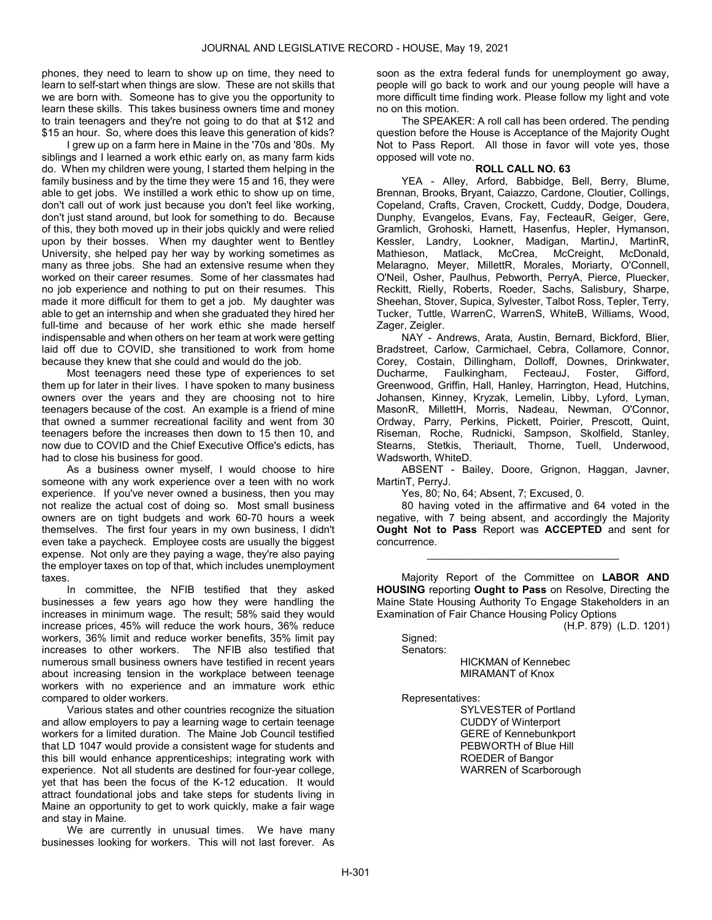phones, they need to learn to show up on time, they need to learn to self-start when things are slow. These are not skills that we are born with. Someone has to give you the opportunity to learn these skills. This takes business owners time and money to train teenagers and they're not going to do that at \$12 and \$15 an hour. So, where does this leave this generation of kids?

 I grew up on a farm here in Maine in the '70s and '80s. My siblings and I learned a work ethic early on, as many farm kids do. When my children were young, I started them helping in the family business and by the time they were 15 and 16, they were able to get jobs. We instilled a work ethic to show up on time, don't call out of work just because you don't feel like working, don't just stand around, but look for something to do. Because of this, they both moved up in their jobs quickly and were relied upon by their bosses. When my daughter went to Bentley University, she helped pay her way by working sometimes as many as three jobs. She had an extensive resume when they worked on their career resumes. Some of her classmates had no job experience and nothing to put on their resumes. This made it more difficult for them to get a job. My daughter was able to get an internship and when she graduated they hired her full-time and because of her work ethic she made herself indispensable and when others on her team at work were getting laid off due to COVID, she transitioned to work from home because they knew that she could and would do the job.

 Most teenagers need these type of experiences to set them up for later in their lives. I have spoken to many business owners over the years and they are choosing not to hire teenagers because of the cost. An example is a friend of mine that owned a summer recreational facility and went from 30 teenagers before the increases then down to 15 then 10, and now due to COVID and the Chief Executive Office's edicts, has had to close his business for good.

 As a business owner myself, I would choose to hire someone with any work experience over a teen with no work experience. If you've never owned a business, then you may not realize the actual cost of doing so. Most small business owners are on tight budgets and work 60-70 hours a week themselves. The first four years in my own business, I didn't even take a paycheck. Employee costs are usually the biggest expense. Not only are they paying a wage, they're also paying the employer taxes on top of that, which includes unemployment taxes.

 In committee, the NFIB testified that they asked businesses a few years ago how they were handling the increases in minimum wage. The result; 58% said they would increase prices, 45% will reduce the work hours, 36% reduce workers, 36% limit and reduce worker benefits, 35% limit pay increases to other workers. The NFIB also testified that numerous small business owners have testified in recent years about increasing tension in the workplace between teenage workers with no experience and an immature work ethic compared to older workers.

 Various states and other countries recognize the situation and allow employers to pay a learning wage to certain teenage workers for a limited duration. The Maine Job Council testified that LD 1047 would provide a consistent wage for students and this bill would enhance apprenticeships; integrating work with experience. Not all students are destined for four-year college, yet that has been the focus of the K-12 education. It would attract foundational jobs and take steps for students living in Maine an opportunity to get to work quickly, make a fair wage and stay in Maine.

We are currently in unusual times. We have many businesses looking for workers. This will not last forever. As

soon as the extra federal funds for unemployment go away, people will go back to work and our young people will have a more difficult time finding work. Please follow my light and vote no on this motion.

 The SPEAKER: A roll call has been ordered. The pending question before the House is Acceptance of the Majority Ought Not to Pass Report. All those in favor will vote yes, those opposed will vote no.

### ROLL CALL NO. 63

 YEA - Alley, Arford, Babbidge, Bell, Berry, Blume, Brennan, Brooks, Bryant, Caiazzo, Cardone, Cloutier, Collings, Copeland, Crafts, Craven, Crockett, Cuddy, Dodge, Doudera, Dunphy, Evangelos, Evans, Fay, FecteauR, Geiger, Gere, Gramlich, Grohoski, Harnett, Hasenfus, Hepler, Hymanson, Kessler, Landry, Lookner, Madigan, MartinJ, MartinR, Matlack, McCrea, McCreight, McDonald, Melaragno, Meyer, MillettR, Morales, Moriarty, O'Connell, O'Neil, Osher, Paulhus, Pebworth, PerryA, Pierce, Pluecker, Reckitt, Rielly, Roberts, Roeder, Sachs, Salisbury, Sharpe, Sheehan, Stover, Supica, Sylvester, Talbot Ross, Tepler, Terry, Tucker, Tuttle, WarrenC, WarrenS, WhiteB, Williams, Wood, Zager, Zeigler.

 NAY - Andrews, Arata, Austin, Bernard, Bickford, Blier, Bradstreet, Carlow, Carmichael, Cebra, Collamore, Connor, Corey, Costain, Dillingham, Dolloff, Downes, Drinkwater, Ducharme, Faulkingham, FecteauJ, Foster, Gifford, Greenwood, Griffin, Hall, Hanley, Harrington, Head, Hutchins, Johansen, Kinney, Kryzak, Lemelin, Libby, Lyford, Lyman, MasonR, MillettH, Morris, Nadeau, Newman, O'Connor, Ordway, Parry, Perkins, Pickett, Poirier, Prescott, Quint, Riseman, Roche, Rudnicki, Sampson, Skolfield, Stanley, Stearns, Stetkis, Theriault, Thorne, Tuell, Underwood, Wadsworth, WhiteD.

 ABSENT - Bailey, Doore, Grignon, Haggan, Javner, MartinT, PerryJ.

Yes, 80; No, 64; Absent, 7; Excused, 0.

 80 having voted in the affirmative and 64 voted in the negative, with 7 being absent, and accordingly the Majority Ought Not to Pass Report was ACCEPTED and sent for concurrence.

\_\_\_\_\_\_\_\_\_\_\_\_\_\_\_\_\_\_\_\_\_\_\_\_\_\_\_\_\_\_\_\_\_

 Majority Report of the Committee on LABOR AND HOUSING reporting Ought to Pass on Resolve, Directing the Maine State Housing Authority To Engage Stakeholders in an Examination of Fair Chance Housing Policy Options

(H.P. 879) (L.D. 1201)

 Signed: Senators:

 HICKMAN of Kennebec MIRAMANT of Knox

Representatives:

 SYLVESTER of Portland CUDDY of Winterport GERE of Kennebunkport PEBWORTH of Blue Hill ROEDER of Bangor WARREN of Scarborough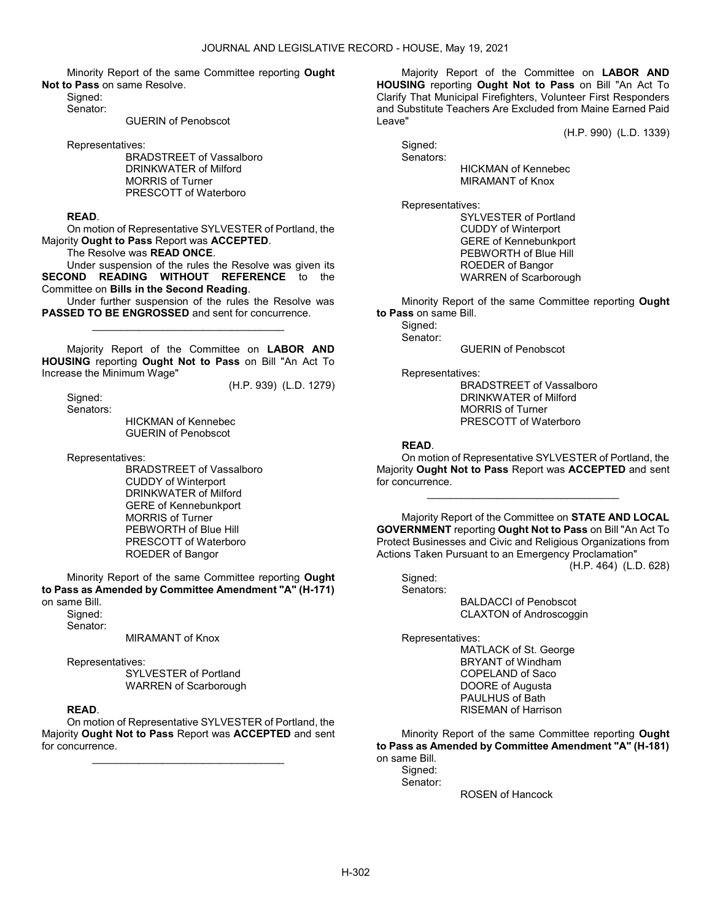Minority Report of the same Committee reporting Ought Not to Pass on same Resolve.

Signed:

Senator:

GUERIN of Penobscot

Representatives:

 BRADSTREET of Vassalboro DRINKWATER of Milford MORRIS of Turner PRESCOTT of Waterboro

### READ.

 On motion of Representative SYLVESTER of Portland, the Majority Ought to Pass Report was ACCEPTED.

The Resolve was READ ONCE.

 Under suspension of the rules the Resolve was given its SECOND READING WITHOUT REFERENCE to the Committee on Bills in the Second Reading.

 Under further suspension of the rules the Resolve was PASSED TO BE ENGROSSED and sent for concurrence. \_\_\_\_\_\_\_\_\_\_\_\_\_\_\_\_\_\_\_\_\_\_\_\_\_\_\_\_\_\_\_\_\_

 Majority Report of the Committee on LABOR AND HOUSING reporting Ought Not to Pass on Bill "An Act To Increase the Minimum Wage"

(H.P. 939) (L.D. 1279)

 Signed: Senators:

 HICKMAN of Kennebec GUERIN of Penobscot

Representatives:

 BRADSTREET of Vassalboro CUDDY of Winterport DRINKWATER of Milford GERE of Kennebunkport MORRIS of Turner PEBWORTH of Blue Hill PRESCOTT of Waterboro ROEDER of Bangor

 Minority Report of the same Committee reporting Ought to Pass as Amended by Committee Amendment "A" (H-171) on same Bill.

Signed:

Senator:

MIRAMANT of Knox

Representatives:

 SYLVESTER of Portland WARREN of Scarborough

# READ.

 On motion of Representative SYLVESTER of Portland, the Majority Ought Not to Pass Report was ACCEPTED and sent for concurrence.

\_\_\_\_\_\_\_\_\_\_\_\_\_\_\_\_\_\_\_\_\_\_\_\_\_\_\_\_\_\_\_\_\_

 Majority Report of the Committee on LABOR AND HOUSING reporting Ought Not to Pass on Bill "An Act To Clarify That Municipal Firefighters, Volunteer First Responders and Substitute Teachers Are Excluded from Maine Earned Paid Leave"

(H.P. 990) (L.D. 1339)

 Signed: Senators:

 HICKMAN of Kennebec MIRAMANT of Knox

Representatives:

 SYLVESTER of Portland CUDDY of Winterport GERE of Kennebunkport PEBWORTH of Blue Hill ROEDER of Bangor WARREN of Scarborough

 Minority Report of the same Committee reporting Ought to Pass on same Bill.

Signed: Senator:

GUERIN of Penobscot

Representatives:

 BRADSTREET of Vassalboro DRINKWATER of Milford MORRIS of Turner PRESCOTT of Waterboro

### READ.

 On motion of Representative SYLVESTER of Portland, the Majority Ought Not to Pass Report was ACCEPTED and sent for concurrence.

\_\_\_\_\_\_\_\_\_\_\_\_\_\_\_\_\_\_\_\_\_\_\_\_\_\_\_\_\_\_\_\_\_

 Majority Report of the Committee on STATE AND LOCAL GOVERNMENT reporting Ought Not to Pass on Bill "An Act To Protect Businesses and Civic and Religious Organizations from Actions Taken Pursuant to an Emergency Proclamation"

(H.P. 464) (L.D. 628)

 Signed: Senators:

 BALDACCI of Penobscot CLAXTON of Androscoggin

Representatives:

 MATLACK of St. George BRYANT of Windham COPELAND of Saco DOORE of Augusta PAULHUS of Bath RISEMAN of Harrison

 Minority Report of the same Committee reporting Ought to Pass as Amended by Committee Amendment "A" (H-181) on same Bill.

Signed:

Senator:

ROSEN of Hancock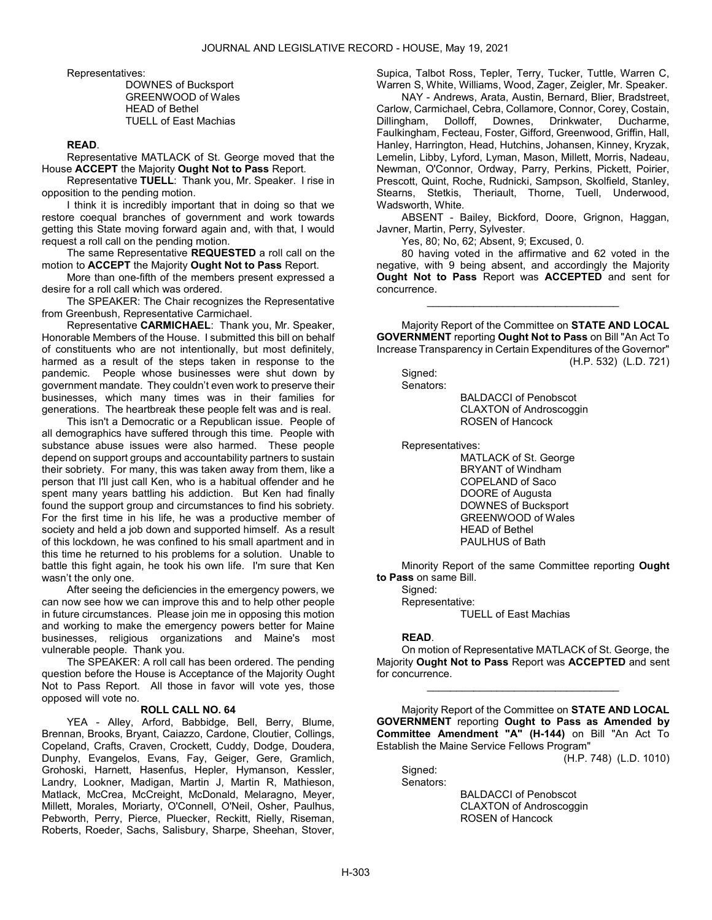Representatives:

 DOWNES of Bucksport GREENWOOD of Wales HEAD of Bethel TUELL of East Machias

### READ.

 Representative MATLACK of St. George moved that the House ACCEPT the Majority Ought Not to Pass Report.

 Representative TUELL: Thank you, Mr. Speaker. I rise in opposition to the pending motion.

 I think it is incredibly important that in doing so that we restore coequal branches of government and work towards getting this State moving forward again and, with that, I would request a roll call on the pending motion.

The same Representative REQUESTED a roll call on the motion to ACCEPT the Majority Ought Not to Pass Report.

 More than one-fifth of the members present expressed a desire for a roll call which was ordered.

 The SPEAKER: The Chair recognizes the Representative from Greenbush, Representative Carmichael.

 Representative CARMICHAEL: Thank you, Mr. Speaker, Honorable Members of the House. I submitted this bill on behalf of constituents who are not intentionally, but most definitely, harmed as a result of the steps taken in response to the pandemic. People whose businesses were shut down by government mandate. They couldn't even work to preserve their businesses, which many times was in their families for generations. The heartbreak these people felt was and is real.

 This isn't a Democratic or a Republican issue. People of all demographics have suffered through this time. People with substance abuse issues were also harmed. These people depend on support groups and accountability partners to sustain their sobriety. For many, this was taken away from them, like a person that I'll just call Ken, who is a habitual offender and he spent many years battling his addiction. But Ken had finally found the support group and circumstances to find his sobriety. For the first time in his life, he was a productive member of society and held a job down and supported himself. As a result of this lockdown, he was confined to his small apartment and in this time he returned to his problems for a solution. Unable to battle this fight again, he took his own life. I'm sure that Ken wasn't the only one.

 After seeing the deficiencies in the emergency powers, we can now see how we can improve this and to help other people in future circumstances. Please join me in opposing this motion and working to make the emergency powers better for Maine businesses, religious organizations and Maine's most vulnerable people. Thank you.

 The SPEAKER: A roll call has been ordered. The pending question before the House is Acceptance of the Majority Ought Not to Pass Report. All those in favor will vote yes, those opposed will vote no.

#### ROLL CALL NO. 64

 YEA - Alley, Arford, Babbidge, Bell, Berry, Blume, Brennan, Brooks, Bryant, Caiazzo, Cardone, Cloutier, Collings, Copeland, Crafts, Craven, Crockett, Cuddy, Dodge, Doudera, Dunphy, Evangelos, Evans, Fay, Geiger, Gere, Gramlich, Grohoski, Harnett, Hasenfus, Hepler, Hymanson, Kessler, Landry, Lookner, Madigan, Martin J, Martin R, Mathieson, Matlack, McCrea, McCreight, McDonald, Melaragno, Meyer, Millett, Morales, Moriarty, O'Connell, O'Neil, Osher, Paulhus, Pebworth, Perry, Pierce, Pluecker, Reckitt, Rielly, Riseman, Roberts, Roeder, Sachs, Salisbury, Sharpe, Sheehan, Stover, Supica, Talbot Ross, Tepler, Terry, Tucker, Tuttle, Warren C, Warren S, White, Williams, Wood, Zager, Zeigler, Mr. Speaker.

 NAY - Andrews, Arata, Austin, Bernard, Blier, Bradstreet, Carlow, Carmichael, Cebra, Collamore, Connor, Corey, Costain, Dillingham, Dolloff, Downes, Drinkwater, Ducharme, Faulkingham, Fecteau, Foster, Gifford, Greenwood, Griffin, Hall, Hanley, Harrington, Head, Hutchins, Johansen, Kinney, Kryzak, Lemelin, Libby, Lyford, Lyman, Mason, Millett, Morris, Nadeau, Newman, O'Connor, Ordway, Parry, Perkins, Pickett, Poirier, Prescott, Quint, Roche, Rudnicki, Sampson, Skolfield, Stanley, Stearns, Stetkis, Theriault, Thorne, Tuell, Underwood, Wadsworth, White.

 ABSENT - Bailey, Bickford, Doore, Grignon, Haggan, Javner, Martin, Perry, Sylvester.

Yes, 80; No, 62; Absent, 9; Excused, 0.

 80 having voted in the affirmative and 62 voted in the negative, with 9 being absent, and accordingly the Majority Ought Not to Pass Report was ACCEPTED and sent for concurrence.

\_\_\_\_\_\_\_\_\_\_\_\_\_\_\_\_\_\_\_\_\_\_\_\_\_\_\_\_\_\_\_\_\_

 Majority Report of the Committee on STATE AND LOCAL GOVERNMENT reporting Ought Not to Pass on Bill "An Act To Increase Transparency in Certain Expenditures of the Governor" (H.P. 532) (L.D. 721)

# Signed:

Senators:

 BALDACCI of Penobscot CLAXTON of Androscoggin ROSEN of Hancock

Representatives:

 MATLACK of St. George BRYANT of Windham COPELAND of Saco DOORE of Augusta DOWNES of Bucksport GREENWOOD of Wales HEAD of Bethel PAULHUS of Bath

 Minority Report of the same Committee reporting Ought to Pass on same Bill.

 Signed: Representative:

TUELL of East Machias

### READ.

 On motion of Representative MATLACK of St. George, the Majority Ought Not to Pass Report was ACCEPTED and sent for concurrence.

\_\_\_\_\_\_\_\_\_\_\_\_\_\_\_\_\_\_\_\_\_\_\_\_\_\_\_\_\_\_\_\_\_

 Majority Report of the Committee on STATE AND LOCAL GOVERNMENT reporting Ought to Pass as Amended by Committee Amendment "A" (H-144) on Bill "An Act To Establish the Maine Service Fellows Program"

(H.P. 748) (L.D. 1010)

Signed: Senators:

> BALDACCI of Penobscot CLAXTON of Androscoggin ROSEN of Hancock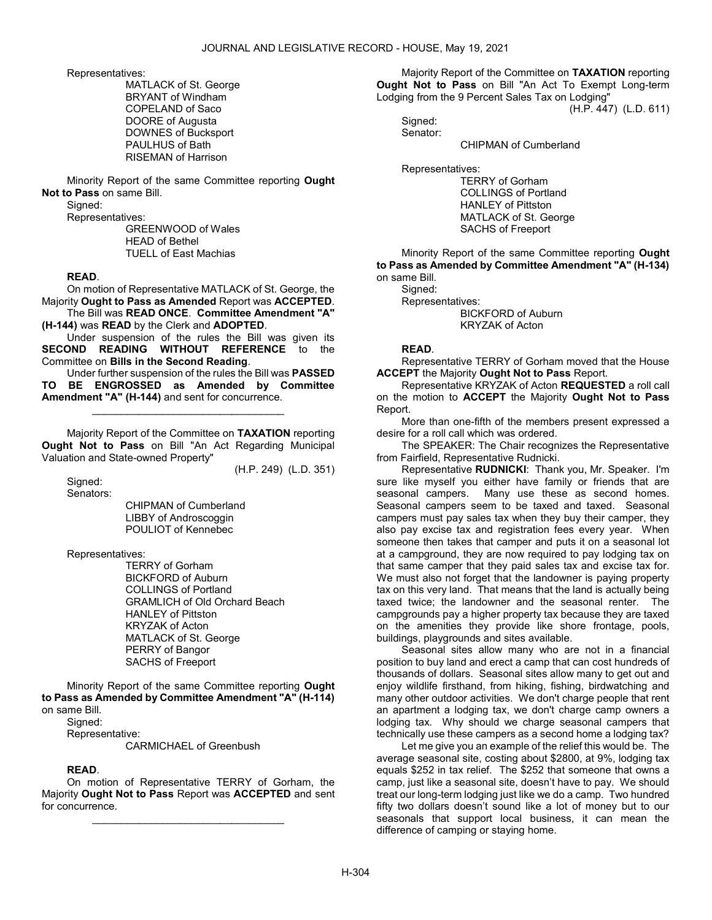Representatives:

 MATLACK of St. George BRYANT of Windham COPELAND of Saco DOORE of Augusta DOWNES of Bucksport PAULHUS of Bath RISEMAN of Harrison

 Minority Report of the same Committee reporting Ought Not to Pass on same Bill.

Signed:

Representatives:

 GREENWOOD of Wales HEAD of Bethel TUELL of East Machias

#### READ.

 On motion of Representative MATLACK of St. George, the Majority Ought to Pass as Amended Report was ACCEPTED.

 The Bill was READ ONCE. Committee Amendment "A" (H-144) was READ by the Clerk and ADOPTED.

 Under suspension of the rules the Bill was given its SECOND READING WITHOUT REFERENCE to the Committee on Bills in the Second Reading.

 Under further suspension of the rules the Bill was PASSED TO BE ENGROSSED as Amended by Committee Amendment "A" (H-144) and sent for concurrence.

\_\_\_\_\_\_\_\_\_\_\_\_\_\_\_\_\_\_\_\_\_\_\_\_\_\_\_\_\_\_\_\_\_ Majority Report of the Committee on TAXATION reporting

Ought Not to Pass on Bill "An Act Regarding Municipal Valuation and State-owned Property"

(H.P. 249) (L.D. 351)

Sianed: Senators:

 CHIPMAN of Cumberland LIBBY of Androscoggin POULIOT of Kennebec

Representatives:

 TERRY of Gorham BICKFORD of Auburn COLLINGS of Portland GRAMLICH of Old Orchard Beach HANLEY of Pittston KRYZAK of Acton MATLACK of St. George PERRY of Bangor SACHS of Freeport

 Minority Report of the same Committee reporting Ought to Pass as Amended by Committee Amendment "A" (H-114) on same Bill.

Signed:

Representative:

CARMICHAEL of Greenbush

# READ.

 On motion of Representative TERRY of Gorham, the Majority Ought Not to Pass Report was ACCEPTED and sent for concurrence.

\_\_\_\_\_\_\_\_\_\_\_\_\_\_\_\_\_\_\_\_\_\_\_\_\_\_\_\_\_\_\_\_\_

 Majority Report of the Committee on TAXATION reporting Ought Not to Pass on Bill "An Act To Exempt Long-term Lodging from the 9 Percent Sales Tax on Lodging"

(H.P. 447) (L.D. 611)

 Signed: Senator:

CHIPMAN of Cumberland

Representatives:

 TERRY of Gorham COLLINGS of Portland HANLEY of Pittston MATLACK of St. George SACHS of Freeport

 Minority Report of the same Committee reporting Ought to Pass as Amended by Committee Amendment "A" (H-134) on same Bill.

Signed:

Representatives:

 BICKFORD of Auburn KRYZAK of Acton

### READ.

 Representative TERRY of Gorham moved that the House ACCEPT the Majority Ought Not to Pass Report.

 Representative KRYZAK of Acton REQUESTED a roll call on the motion to ACCEPT the Majority Ought Not to Pass Report.

 More than one-fifth of the members present expressed a desire for a roll call which was ordered.

 The SPEAKER: The Chair recognizes the Representative from Fairfield, Representative Rudnicki.

 Representative RUDNICKI: Thank you, Mr. Speaker. I'm sure like myself you either have family or friends that are seasonal campers. Many use these as second homes. Seasonal campers seem to be taxed and taxed. Seasonal campers must pay sales tax when they buy their camper, they also pay excise tax and registration fees every year. When someone then takes that camper and puts it on a seasonal lot at a campground, they are now required to pay lodging tax on that same camper that they paid sales tax and excise tax for. We must also not forget that the landowner is paying property tax on this very land. That means that the land is actually being taxed twice; the landowner and the seasonal renter. The campgrounds pay a higher property tax because they are taxed on the amenities they provide like shore frontage, pools, buildings, playgrounds and sites available.

 Seasonal sites allow many who are not in a financial position to buy land and erect a camp that can cost hundreds of thousands of dollars. Seasonal sites allow many to get out and enjoy wildlife firsthand, from hiking, fishing, birdwatching and many other outdoor activities. We don't charge people that rent an apartment a lodging tax, we don't charge camp owners a lodging tax. Why should we charge seasonal campers that technically use these campers as a second home a lodging tax?

 Let me give you an example of the relief this would be. The average seasonal site, costing about \$2800, at 9%, lodging tax equals \$252 in tax relief. The \$252 that someone that owns a camp, just like a seasonal site, doesn't have to pay. We should treat our long-term lodging just like we do a camp. Two hundred fifty two dollars doesn't sound like a lot of money but to our seasonals that support local business, it can mean the difference of camping or staying home.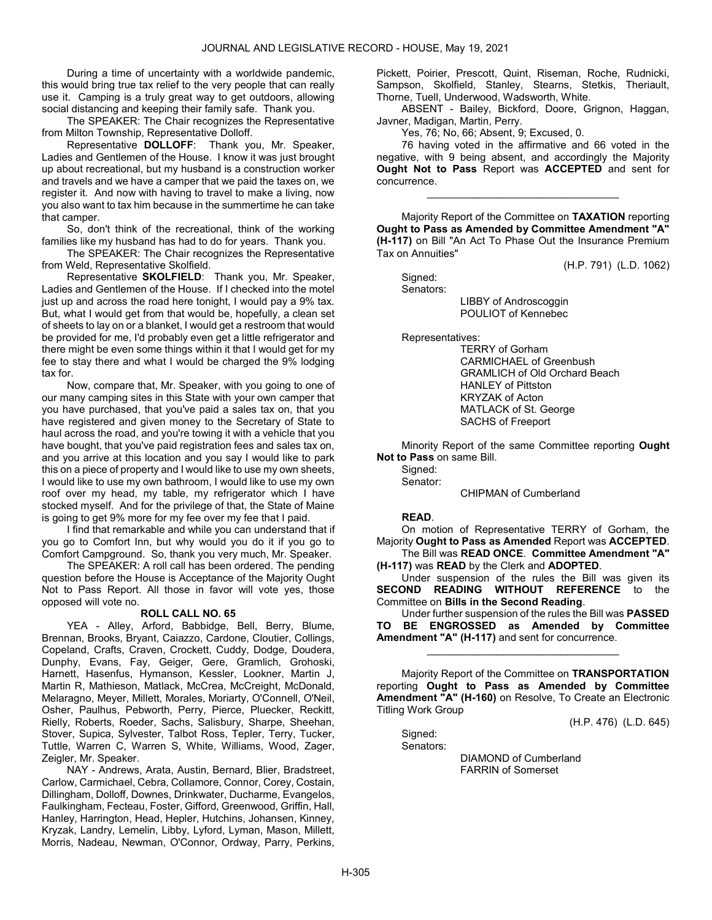During a time of uncertainty with a worldwide pandemic, this would bring true tax relief to the very people that can really use it. Camping is a truly great way to get outdoors, allowing social distancing and keeping their family safe. Thank you.

 The SPEAKER: The Chair recognizes the Representative from Milton Township, Representative Dolloff.

 Representative DOLLOFF: Thank you, Mr. Speaker, Ladies and Gentlemen of the House. I know it was just brought up about recreational, but my husband is a construction worker and travels and we have a camper that we paid the taxes on, we register it. And now with having to travel to make a living, now you also want to tax him because in the summertime he can take that camper.

 So, don't think of the recreational, think of the working families like my husband has had to do for years. Thank you.

 The SPEAKER: The Chair recognizes the Representative from Weld, Representative Skolfield.

 Representative SKOLFIELD: Thank you, Mr. Speaker, Ladies and Gentlemen of the House. If I checked into the motel just up and across the road here tonight, I would pay a 9% tax. But, what I would get from that would be, hopefully, a clean set of sheets to lay on or a blanket, I would get a restroom that would be provided for me, I'd probably even get a little refrigerator and there might be even some things within it that I would get for my fee to stay there and what I would be charged the 9% lodging tax for.

 Now, compare that, Mr. Speaker, with you going to one of our many camping sites in this State with your own camper that you have purchased, that you've paid a sales tax on, that you have registered and given money to the Secretary of State to haul across the road, and you're towing it with a vehicle that you have bought, that you've paid registration fees and sales tax on, and you arrive at this location and you say I would like to park this on a piece of property and I would like to use my own sheets, I would like to use my own bathroom, I would like to use my own roof over my head, my table, my refrigerator which I have stocked myself. And for the privilege of that, the State of Maine is going to get 9% more for my fee over my fee that I paid.

 I find that remarkable and while you can understand that if you go to Comfort Inn, but why would you do it if you go to Comfort Campground. So, thank you very much, Mr. Speaker.

 The SPEAKER: A roll call has been ordered. The pending question before the House is Acceptance of the Majority Ought Not to Pass Report. All those in favor will vote yes, those opposed will vote no.

#### ROLL CALL NO. 65

 YEA - Alley, Arford, Babbidge, Bell, Berry, Blume, Brennan, Brooks, Bryant, Caiazzo, Cardone, Cloutier, Collings, Copeland, Crafts, Craven, Crockett, Cuddy, Dodge, Doudera, Dunphy, Evans, Fay, Geiger, Gere, Gramlich, Grohoski, Harnett, Hasenfus, Hymanson, Kessler, Lookner, Martin J, Martin R, Mathieson, Matlack, McCrea, McCreight, McDonald, Melaragno, Meyer, Millett, Morales, Moriarty, O'Connell, O'Neil, Osher, Paulhus, Pebworth, Perry, Pierce, Pluecker, Reckitt, Rielly, Roberts, Roeder, Sachs, Salisbury, Sharpe, Sheehan, Stover, Supica, Sylvester, Talbot Ross, Tepler, Terry, Tucker, Tuttle, Warren C, Warren S, White, Williams, Wood, Zager, Zeigler, Mr. Speaker.

 NAY - Andrews, Arata, Austin, Bernard, Blier, Bradstreet, Carlow, Carmichael, Cebra, Collamore, Connor, Corey, Costain, Dillingham, Dolloff, Downes, Drinkwater, Ducharme, Evangelos, Faulkingham, Fecteau, Foster, Gifford, Greenwood, Griffin, Hall, Hanley, Harrington, Head, Hepler, Hutchins, Johansen, Kinney, Kryzak, Landry, Lemelin, Libby, Lyford, Lyman, Mason, Millett, Morris, Nadeau, Newman, O'Connor, Ordway, Parry, Perkins, Pickett, Poirier, Prescott, Quint, Riseman, Roche, Rudnicki, Sampson, Skolfield, Stanley, Stearns, Stetkis, Theriault, Thorne, Tuell, Underwood, Wadsworth, White.

 ABSENT - Bailey, Bickford, Doore, Grignon, Haggan, Javner, Madigan, Martin, Perry.

Yes, 76; No, 66; Absent, 9; Excused, 0.

 76 having voted in the affirmative and 66 voted in the negative, with 9 being absent, and accordingly the Majority Ought Not to Pass Report was ACCEPTED and sent for concurrence.

\_\_\_\_\_\_\_\_\_\_\_\_\_\_\_\_\_\_\_\_\_\_\_\_\_\_\_\_\_\_\_\_\_

 Majority Report of the Committee on TAXATION reporting Ought to Pass as Amended by Committee Amendment "A" (H-117) on Bill "An Act To Phase Out the Insurance Premium Tax on Annuities"

(H.P. 791) (L.D. 1062)

 Signed: Senators: LIBBY of Androscoggin POULIOT of Kennebec

Representatives:

 TERRY of Gorham CARMICHAEL of Greenbush GRAMLICH of Old Orchard Beach HANLEY of Pittston KRYZAK of Acton MATLACK of St. George SACHS of Freeport

 Minority Report of the same Committee reporting Ought Not to Pass on same Bill.

Signed: Senator:

CHIPMAN of Cumberland

### READ.

 On motion of Representative TERRY of Gorham, the Majority Ought to Pass as Amended Report was ACCEPTED.

 The Bill was READ ONCE. Committee Amendment "A" (H-117) was READ by the Clerk and ADOPTED.

 Under suspension of the rules the Bill was given its SECOND READING WITHOUT REFERENCE to the Committee on Bills in the Second Reading.

 Under further suspension of the rules the Bill was PASSED TO BE ENGROSSED as Amended by Committee Amendment "A" (H-117) and sent for concurrence.

\_\_\_\_\_\_\_\_\_\_\_\_\_\_\_\_\_\_\_\_\_\_\_\_\_\_\_\_\_\_\_\_\_

 Majority Report of the Committee on TRANSPORTATION reporting Ought to Pass as Amended by Committee Amendment "A" (H-160) on Resolve, To Create an Electronic Titling Work Group

(H.P. 476) (L.D. 645)

 Signed: Senators:

> DIAMOND of Cumberland FARRIN of Somerset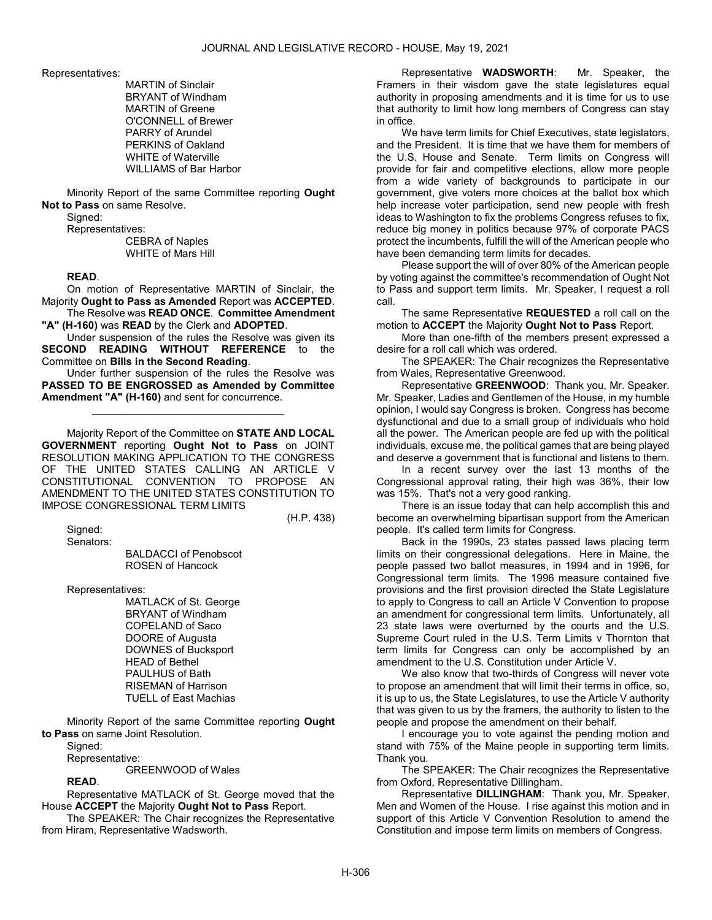Representatives:

 MARTIN of Sinclair BRYANT of Windham MARTIN of Greene O'CONNELL of Brewer PARRY of Arundel PERKINS of Oakland WHITE of Waterville WILLIAMS of Bar Harbor

 Minority Report of the same Committee reporting Ought Not to Pass on same Resolve.

Signed:

Representatives:

 CEBRA of Naples WHITE of Mars Hill

#### READ.

 On motion of Representative MARTIN of Sinclair, the Majority Ought to Pass as Amended Report was ACCEPTED. The Resolve was READ ONCE. Committee Amendment

"A" (H-160) was READ by the Clerk and ADOPTED.

 Under suspension of the rules the Resolve was given its SECOND READING WITHOUT REFERENCE to the Committee on Bills in the Second Reading.

 Under further suspension of the rules the Resolve was PASSED TO BE ENGROSSED as Amended by Committee Amendment "A" (H-160) and sent for concurrence.

\_\_\_\_\_\_\_\_\_\_\_\_\_\_\_\_\_\_\_\_\_\_\_\_\_\_\_\_\_\_\_\_\_

 Majority Report of the Committee on STATE AND LOCAL GOVERNMENT reporting Ought Not to Pass on JOINT RESOLUTION MAKING APPLICATION TO THE CONGRESS OF THE UNITED STATES CALLING AN ARTICLE V CONSTITUTIONAL CONVENTION TO PROPOSE AN AMENDMENT TO THE UNITED STATES CONSTITUTION TO IMPOSE CONGRESSIONAL TERM LIMITS

(H.P. 438)

Signed:

Senators:

 BALDACCI of Penobscot ROSEN of Hancock

Representatives:

 MATLACK of St. George BRYANT of Windham COPELAND of Saco DOORE of Augusta DOWNES of Bucksport HEAD of Bethel PAULHUS of Bath RISEMAN of Harrison TUELL of East Machias

 Minority Report of the same Committee reporting Ought to Pass on same Joint Resolution.

 Signed: Representative:

GREENWOOD of Wales

#### READ.

 Representative MATLACK of St. George moved that the House ACCEPT the Majority Ought Not to Pass Report.

 The SPEAKER: The Chair recognizes the Representative from Hiram, Representative Wadsworth.

 Representative WADSWORTH: Mr. Speaker, the Framers in their wisdom gave the state legislatures equal authority in proposing amendments and it is time for us to use that authority to limit how long members of Congress can stay in office.

 We have term limits for Chief Executives, state legislators, and the President. It is time that we have them for members of the U.S. House and Senate. Term limits on Congress will provide for fair and competitive elections, allow more people from a wide variety of backgrounds to participate in our government, give voters more choices at the ballot box which help increase voter participation, send new people with fresh ideas to Washington to fix the problems Congress refuses to fix, reduce big money in politics because 97% of corporate PACS protect the incumbents, fulfill the will of the American people who have been demanding term limits for decades.

 Please support the will of over 80% of the American people by voting against the committee's recommendation of Ought Not to Pass and support term limits. Mr. Speaker, I request a roll call.

 The same Representative REQUESTED a roll call on the motion to ACCEPT the Majority Ought Not to Pass Report.

 More than one-fifth of the members present expressed a desire for a roll call which was ordered.

 The SPEAKER: The Chair recognizes the Representative from Wales, Representative Greenwood.

 Representative GREENWOOD: Thank you, Mr. Speaker. Mr. Speaker, Ladies and Gentlemen of the House, in my humble opinion, I would say Congress is broken. Congress has become dysfunctional and due to a small group of individuals who hold all the power. The American people are fed up with the political individuals, excuse me, the political games that are being played and deserve a government that is functional and listens to them.

 In a recent survey over the last 13 months of the Congressional approval rating, their high was 36%, their low was 15%. That's not a very good ranking.

 There is an issue today that can help accomplish this and become an overwhelming bipartisan support from the American people. It's called term limits for Congress.

 Back in the 1990s, 23 states passed laws placing term limits on their congressional delegations. Here in Maine, the people passed two ballot measures, in 1994 and in 1996, for Congressional term limits. The 1996 measure contained five provisions and the first provision directed the State Legislature to apply to Congress to call an Article V Convention to propose an amendment for congressional term limits. Unfortunately, all 23 state laws were overturned by the courts and the U.S. Supreme Court ruled in the U.S. Term Limits v Thornton that term limits for Congress can only be accomplished by an amendment to the U.S. Constitution under Article V.

 We also know that two-thirds of Congress will never vote to propose an amendment that will limit their terms in office, so, it is up to us, the State Legislatures, to use the Article V authority that was given to us by the framers, the authority to listen to the people and propose the amendment on their behalf.

 I encourage you to vote against the pending motion and stand with 75% of the Maine people in supporting term limits. Thank you.

 The SPEAKER: The Chair recognizes the Representative from Oxford, Representative Dillingham.

 Representative DILLINGHAM: Thank you, Mr. Speaker, Men and Women of the House. I rise against this motion and in support of this Article V Convention Resolution to amend the Constitution and impose term limits on members of Congress.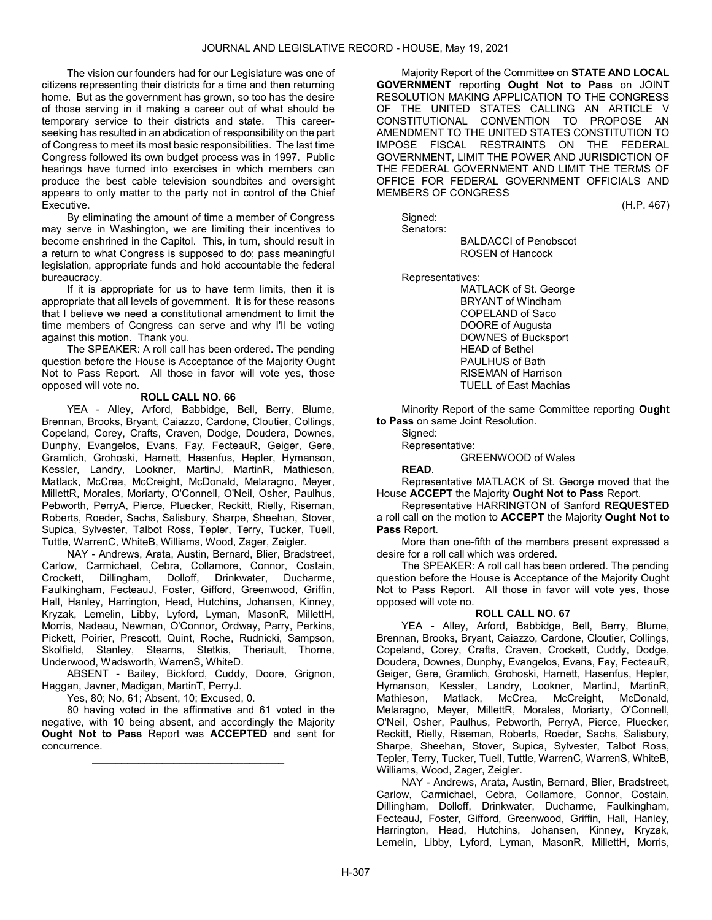The vision our founders had for our Legislature was one of citizens representing their districts for a time and then returning home. But as the government has grown, so too has the desire of those serving in it making a career out of what should be temporary service to their districts and state. This careerseeking has resulted in an abdication of responsibility on the part of Congress to meet its most basic responsibilities. The last time Congress followed its own budget process was in 1997. Public hearings have turned into exercises in which members can produce the best cable television soundbites and oversight appears to only matter to the party not in control of the Chief Executive.

 By eliminating the amount of time a member of Congress may serve in Washington, we are limiting their incentives to become enshrined in the Capitol. This, in turn, should result in a return to what Congress is supposed to do; pass meaningful legislation, appropriate funds and hold accountable the federal bureaucracy.

 If it is appropriate for us to have term limits, then it is appropriate that all levels of government. It is for these reasons that I believe we need a constitutional amendment to limit the time members of Congress can serve and why I'll be voting against this motion. Thank you.

 The SPEAKER: A roll call has been ordered. The pending question before the House is Acceptance of the Majority Ought Not to Pass Report. All those in favor will vote yes, those opposed will vote no.

### ROLL CALL NO. 66

 YEA - Alley, Arford, Babbidge, Bell, Berry, Blume, Brennan, Brooks, Bryant, Caiazzo, Cardone, Cloutier, Collings, Copeland, Corey, Crafts, Craven, Dodge, Doudera, Downes, Dunphy, Evangelos, Evans, Fay, FecteauR, Geiger, Gere, Gramlich, Grohoski, Harnett, Hasenfus, Hepler, Hymanson, Kessler, Landry, Lookner, MartinJ, MartinR, Mathieson, Matlack, McCrea, McCreight, McDonald, Melaragno, Meyer, MillettR, Morales, Moriarty, O'Connell, O'Neil, Osher, Paulhus, Pebworth, PerryA, Pierce, Pluecker, Reckitt, Rielly, Riseman, Roberts, Roeder, Sachs, Salisbury, Sharpe, Sheehan, Stover, Supica, Sylvester, Talbot Ross, Tepler, Terry, Tucker, Tuell, Tuttle, WarrenC, WhiteB, Williams, Wood, Zager, Zeigler.

 NAY - Andrews, Arata, Austin, Bernard, Blier, Bradstreet, Carlow, Carmichael, Cebra, Collamore, Connor, Costain, Crockett, Dillingham, Dolloff, Drinkwater, Ducharme, Faulkingham, FecteauJ, Foster, Gifford, Greenwood, Griffin, Hall, Hanley, Harrington, Head, Hutchins, Johansen, Kinney, Kryzak, Lemelin, Libby, Lyford, Lyman, MasonR, MillettH, Morris, Nadeau, Newman, O'Connor, Ordway, Parry, Perkins, Pickett, Poirier, Prescott, Quint, Roche, Rudnicki, Sampson, Skolfield, Stanley, Stearns, Stetkis, Theriault, Thorne, Underwood, Wadsworth, WarrenS, WhiteD.

 ABSENT - Bailey, Bickford, Cuddy, Doore, Grignon, Haggan, Javner, Madigan, MartinT, PerryJ.

Yes, 80; No, 61; Absent, 10; Excused, 0.

 80 having voted in the affirmative and 61 voted in the negative, with 10 being absent, and accordingly the Majority Ought Not to Pass Report was ACCEPTED and sent for concurrence.

\_\_\_\_\_\_\_\_\_\_\_\_\_\_\_\_\_\_\_\_\_\_\_\_\_\_\_\_\_\_\_\_\_

 Majority Report of the Committee on STATE AND LOCAL GOVERNMENT reporting Ought Not to Pass on JOINT RESOLUTION MAKING APPLICATION TO THE CONGRESS OF THE UNITED STATES CALLING AN ARTICLE V CONSTITUTIONAL CONVENTION TO PROPOSE AN AMENDMENT TO THE UNITED STATES CONSTITUTION TO IMPOSE FISCAL RESTRAINTS ON THE FEDERAL GOVERNMENT, LIMIT THE POWER AND JURISDICTION OF THE FEDERAL GOVERNMENT AND LIMIT THE TERMS OF OFFICE FOR FEDERAL GOVERNMENT OFFICIALS AND MEMBERS OF CONGRESS

(H.P. 467)

 Signed: Senators:

 BALDACCI of Penobscot ROSEN of Hancock

Representatives:

 MATLACK of St. George BRYANT of Windham COPELAND of Saco DOORE of Augusta DOWNES of Bucksport HEAD of Bethel PAULHUS of Bath RISEMAN of Harrison TUELL of East Machias

 Minority Report of the same Committee reporting Ought to Pass on same Joint Resolution.

Signed:

Representative:

GREENWOOD of Wales

READ.

 Representative MATLACK of St. George moved that the House ACCEPT the Majority Ought Not to Pass Report.

 Representative HARRINGTON of Sanford REQUESTED a roll call on the motion to ACCEPT the Majority Ought Not to Pass Report.

 More than one-fifth of the members present expressed a desire for a roll call which was ordered.

 The SPEAKER: A roll call has been ordered. The pending question before the House is Acceptance of the Majority Ought Not to Pass Report. All those in favor will vote yes, those opposed will vote no.

#### ROLL CALL NO. 67

 YEA - Alley, Arford, Babbidge, Bell, Berry, Blume, Brennan, Brooks, Bryant, Caiazzo, Cardone, Cloutier, Collings, Copeland, Corey, Crafts, Craven, Crockett, Cuddy, Dodge, Doudera, Downes, Dunphy, Evangelos, Evans, Fay, FecteauR, Geiger, Gere, Gramlich, Grohoski, Harnett, Hasenfus, Hepler, Hymanson, Kessler, Landry, Lookner, MartinJ, MartinR, Mathieson, Matlack, McCrea, McCreight, McDonald, Melaragno, Meyer, MillettR, Morales, Moriarty, O'Connell, O'Neil, Osher, Paulhus, Pebworth, PerryA, Pierce, Pluecker, Reckitt, Rielly, Riseman, Roberts, Roeder, Sachs, Salisbury, Sharpe, Sheehan, Stover, Supica, Sylvester, Talbot Ross, Tepler, Terry, Tucker, Tuell, Tuttle, WarrenC, WarrenS, WhiteB, Williams, Wood, Zager, Zeigler.

 NAY - Andrews, Arata, Austin, Bernard, Blier, Bradstreet, Carlow, Carmichael, Cebra, Collamore, Connor, Costain, Dillingham, Dolloff, Drinkwater, Ducharme, Faulkingham, FecteauJ, Foster, Gifford, Greenwood, Griffin, Hall, Hanley, Harrington, Head, Hutchins, Johansen, Kinney, Kryzak, Lemelin, Libby, Lyford, Lyman, MasonR, MillettH, Morris,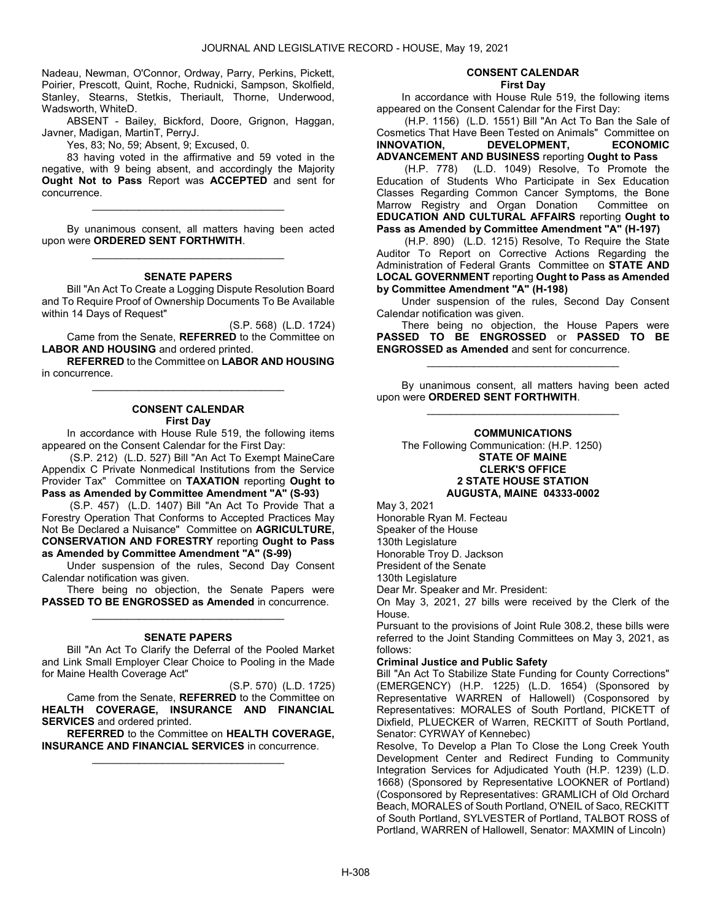Nadeau, Newman, O'Connor, Ordway, Parry, Perkins, Pickett, Poirier, Prescott, Quint, Roche, Rudnicki, Sampson, Skolfield, Stanley, Stearns, Stetkis, Theriault, Thorne, Underwood, Wadsworth, WhiteD.

 ABSENT - Bailey, Bickford, Doore, Grignon, Haggan, Javner, Madigan, MartinT, PerryJ.

Yes, 83; No, 59; Absent, 9; Excused, 0.

 83 having voted in the affirmative and 59 voted in the negative, with 9 being absent, and accordingly the Majority Ought Not to Pass Report was ACCEPTED and sent for concurrence.

\_\_\_\_\_\_\_\_\_\_\_\_\_\_\_\_\_\_\_\_\_\_\_\_\_\_\_\_\_\_\_\_\_

 By unanimous consent, all matters having been acted upon were ORDERED SENT FORTHWITH. \_\_\_\_\_\_\_\_\_\_\_\_\_\_\_\_\_\_\_\_\_\_\_\_\_\_\_\_\_\_\_\_\_

#### SENATE PAPERS

 Bill "An Act To Create a Logging Dispute Resolution Board and To Require Proof of Ownership Documents To Be Available within 14 Days of Request"

(S.P. 568) (L.D. 1724) Came from the Senate, REFERRED to the Committee on LABOR AND HOUSING and ordered printed.

REFERRED to the Committee on LABOR AND HOUSING in concurrence. \_\_\_\_\_\_\_\_\_\_\_\_\_\_\_\_\_\_\_\_\_\_\_\_\_\_\_\_\_\_\_\_\_

#### CONSENT CALENDAR First Day

 In accordance with House Rule 519, the following items appeared on the Consent Calendar for the First Day:

 (S.P. 212) (L.D. 527) Bill "An Act To Exempt MaineCare Appendix C Private Nonmedical Institutions from the Service Provider Tax" Committee on TAXATION reporting Ought to Pass as Amended by Committee Amendment "A" (S-93)

 (S.P. 457) (L.D. 1407) Bill "An Act To Provide That a Forestry Operation That Conforms to Accepted Practices May Not Be Declared a Nuisance" Committee on AGRICULTURE, CONSERVATION AND FORESTRY reporting Ought to Pass as Amended by Committee Amendment "A" (S-99)

 Under suspension of the rules, Second Day Consent Calendar notification was given.

 There being no objection, the Senate Papers were PASSED TO BE ENGROSSED as Amended in concurrence. \_\_\_\_\_\_\_\_\_\_\_\_\_\_\_\_\_\_\_\_\_\_\_\_\_\_\_\_\_\_\_\_\_

#### SENATE PAPERS

 Bill "An Act To Clarify the Deferral of the Pooled Market and Link Small Employer Clear Choice to Pooling in the Made for Maine Health Coverage Act"

(S.P. 570) (L.D. 1725) Came from the Senate, REFERRED to the Committee on HEALTH COVERAGE, INSURANCE AND FINANCIAL SERVICES and ordered printed.

REFERRED to the Committee on HEALTH COVERAGE, INSURANCE AND FINANCIAL SERVICES in concurrence. \_\_\_\_\_\_\_\_\_\_\_\_\_\_\_\_\_\_\_\_\_\_\_\_\_\_\_\_\_\_\_\_\_

# CONSENT CALENDAR

First Day

 In accordance with House Rule 519, the following items appeared on the Consent Calendar for the First Day:

 (H.P. 1156) (L.D. 1551) Bill "An Act To Ban the Sale of Cosmetics That Have Been Tested on Animals" Committee on<br> **INNOVATION.** DEVELOPMENT, ECONOMIC DEVELOPMENT. ECONOMIC ADVANCEMENT AND BUSINESS reporting Ought to Pass

 (H.P. 778) (L.D. 1049) Resolve, To Promote the Education of Students Who Participate in Sex Education Classes Regarding Common Cancer Symptoms, the Bone Marrow Registry and Organ Donation Committee on EDUCATION AND CULTURAL AFFAIRS reporting Ought to Pass as Amended by Committee Amendment "A" (H-197)

 (H.P. 890) (L.D. 1215) Resolve, To Require the State Auditor To Report on Corrective Actions Regarding the Administration of Federal Grants Committee on STATE AND LOCAL GOVERNMENT reporting Ought to Pass as Amended by Committee Amendment "A" (H-198)

 Under suspension of the rules, Second Day Consent Calendar notification was given.

 There being no objection, the House Papers were PASSED TO BE ENGROSSED or PASSED TO BE ENGROSSED as Amended and sent for concurrence.

\_\_\_\_\_\_\_\_\_\_\_\_\_\_\_\_\_\_\_\_\_\_\_\_\_\_\_\_\_\_\_\_\_

 By unanimous consent, all matters having been acted upon were ORDERED SENT FORTHWITH. \_\_\_\_\_\_\_\_\_\_\_\_\_\_\_\_\_\_\_\_\_\_\_\_\_\_\_\_\_\_\_\_\_

### COMMUNICATIONS

 The Following Communication: (H.P. 1250) STATE OF MAINE CLERK'S OFFICE 2 STATE HOUSE STATION AUGUSTA, MAINE 04333-0002

May 3, 2021

Honorable Ryan M. Fecteau Speaker of the House 130th Legislature Honorable Troy D. Jackson

President of the Senate

130th Legislature

Dear Mr. Speaker and Mr. President:

On May 3, 2021, 27 bills were received by the Clerk of the House.

Pursuant to the provisions of Joint Rule 308.2, these bills were referred to the Joint Standing Committees on May 3, 2021, as follows:

#### Criminal Justice and Public Safety

Bill "An Act To Stabilize State Funding for County Corrections" (EMERGENCY) (H.P. 1225) (L.D. 1654) (Sponsored by Representative WARREN of Hallowell) (Cosponsored by Representatives: MORALES of South Portland, PICKETT of Dixfield, PLUECKER of Warren, RECKITT of South Portland, Senator: CYRWAY of Kennebec)

Resolve, To Develop a Plan To Close the Long Creek Youth Development Center and Redirect Funding to Community Integration Services for Adjudicated Youth (H.P. 1239) (L.D. 1668) (Sponsored by Representative LOOKNER of Portland) (Cosponsored by Representatives: GRAMLICH of Old Orchard Beach, MORALES of South Portland, O'NEIL of Saco, RECKITT of South Portland, SYLVESTER of Portland, TALBOT ROSS of Portland, WARREN of Hallowell, Senator: MAXMIN of Lincoln)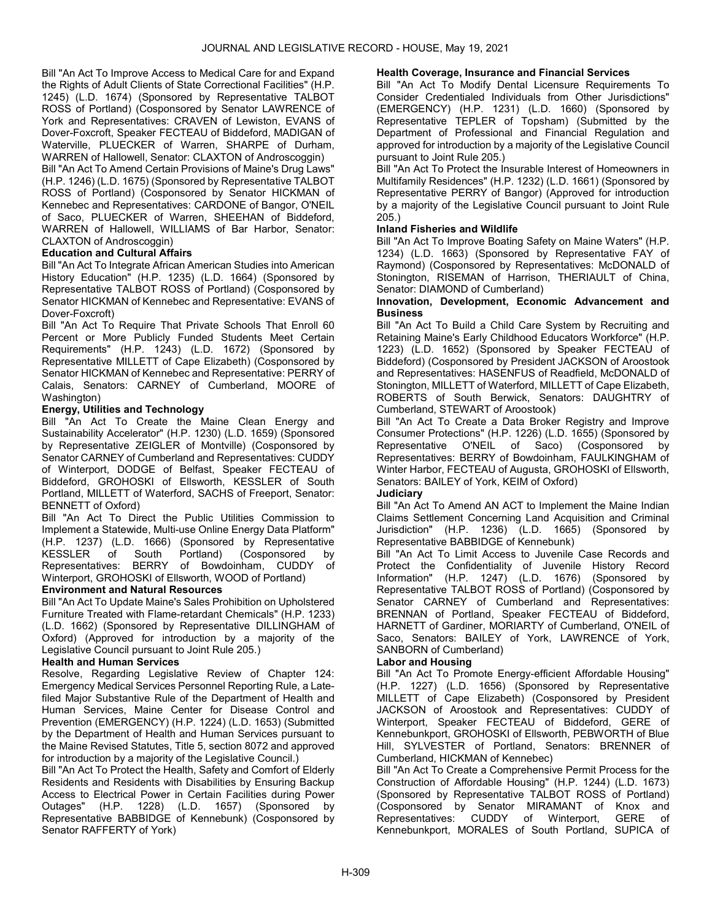Bill "An Act To Improve Access to Medical Care for and Expand the Rights of Adult Clients of State Correctional Facilities" (H.P. 1245) (L.D. 1674) (Sponsored by Representative TALBOT ROSS of Portland) (Cosponsored by Senator LAWRENCE of York and Representatives: CRAVEN of Lewiston, EVANS of Dover-Foxcroft, Speaker FECTEAU of Biddeford, MADIGAN of Waterville, PLUECKER of Warren, SHARPE of Durham, WARREN of Hallowell, Senator: CLAXTON of Androscoggin)

Bill "An Act To Amend Certain Provisions of Maine's Drug Laws" (H.P. 1246) (L.D. 1675) (Sponsored by Representative TALBOT ROSS of Portland) (Cosponsored by Senator HICKMAN of Kennebec and Representatives: CARDONE of Bangor, O'NEIL of Saco, PLUECKER of Warren, SHEEHAN of Biddeford, WARREN of Hallowell, WILLIAMS of Bar Harbor, Senator: CLAXTON of Androscoggin)

### Education and Cultural Affairs

Bill "An Act To Integrate African American Studies into American History Education" (H.P. 1235) (L.D. 1664) (Sponsored by Representative TALBOT ROSS of Portland) (Cosponsored by Senator HICKMAN of Kennebec and Representative: EVANS of Dover-Foxcroft)

Bill "An Act To Require That Private Schools That Enroll 60 Percent or More Publicly Funded Students Meet Certain Requirements" (H.P. 1243) (L.D. 1672) (Sponsored by Representative MILLETT of Cape Elizabeth) (Cosponsored by Senator HICKMAN of Kennebec and Representative: PERRY of Calais, Senators: CARNEY of Cumberland, MOORE of Washington)

### Energy, Utilities and Technology

Bill "An Act To Create the Maine Clean Energy and Sustainability Accelerator" (H.P. 1230) (L.D. 1659) (Sponsored by Representative ZEIGLER of Montville) (Cosponsored by Senator CARNEY of Cumberland and Representatives: CUDDY of Winterport, DODGE of Belfast, Speaker FECTEAU of Biddeford, GROHOSKI of Ellsworth, KESSLER of South Portland, MILLETT of Waterford, SACHS of Freeport, Senator: BENNETT of Oxford)

Bill "An Act To Direct the Public Utilities Commission to Implement a Statewide, Multi-use Online Energy Data Platform" (H.P. 1237) (L.D. 1666) (Sponsored by Representative KESSLER of South Portland) (Cosponsored by Representatives: BERRY of Bowdoinham, CUDDY of Winterport, GROHOSKI of Ellsworth, WOOD of Portland)

### Environment and Natural Resources

Bill "An Act To Update Maine's Sales Prohibition on Upholstered Furniture Treated with Flame-retardant Chemicals" (H.P. 1233) (L.D. 1662) (Sponsored by Representative DILLINGHAM of Oxford) (Approved for introduction by a majority of the Legislative Council pursuant to Joint Rule 205.)

### Health and Human Services

Resolve, Regarding Legislative Review of Chapter 124: Emergency Medical Services Personnel Reporting Rule, a Latefiled Major Substantive Rule of the Department of Health and Human Services, Maine Center for Disease Control and Prevention (EMERGENCY) (H.P. 1224) (L.D. 1653) (Submitted by the Department of Health and Human Services pursuant to the Maine Revised Statutes, Title 5, section 8072 and approved for introduction by a majority of the Legislative Council.)

Bill "An Act To Protect the Health, Safety and Comfort of Elderly Residents and Residents with Disabilities by Ensuring Backup Access to Electrical Power in Certain Facilities during Power Outages" (H.P. 1228) (L.D. 1657) (Sponsored by Representative BABBIDGE of Kennebunk) (Cosponsored by Senator RAFFERTY of York)

#### Health Coverage, Insurance and Financial Services

Bill "An Act To Modify Dental Licensure Requirements To Consider Credentialed Individuals from Other Jurisdictions" (EMERGENCY) (H.P. 1231) (L.D. 1660) (Sponsored by Representative TEPLER of Topsham) (Submitted by the Department of Professional and Financial Regulation and approved for introduction by a majority of the Legislative Council pursuant to Joint Rule 205.)

Bill "An Act To Protect the Insurable Interest of Homeowners in Multifamily Residences" (H.P. 1232) (L.D. 1661) (Sponsored by Representative PERRY of Bangor) (Approved for introduction by a majority of the Legislative Council pursuant to Joint Rule 205.)

### Inland Fisheries and Wildlife

Bill "An Act To Improve Boating Safety on Maine Waters" (H.P. 1234) (L.D. 1663) (Sponsored by Representative FAY of Raymond) (Cosponsored by Representatives: McDONALD of Stonington, RISEMAN of Harrison, THERIAULT of China, Senator: DIAMOND of Cumberland)

### Innovation, Development, Economic Advancement and Business

Bill "An Act To Build a Child Care System by Recruiting and Retaining Maine's Early Childhood Educators Workforce" (H.P. 1223) (L.D. 1652) (Sponsored by Speaker FECTEAU of Biddeford) (Cosponsored by President JACKSON of Aroostook and Representatives: HASENFUS of Readfield, McDONALD of Stonington, MILLETT of Waterford, MILLETT of Cape Elizabeth, ROBERTS of South Berwick, Senators: DAUGHTRY of Cumberland, STEWART of Aroostook)

Bill "An Act To Create a Data Broker Registry and Improve Consumer Protections" (H.P. 1226) (L.D. 1655) (Sponsored by Representative O'NEIL of Saco) (Cosponsored by Representatives: BERRY of Bowdoinham, FAULKINGHAM of Winter Harbor, FECTEAU of Augusta, GROHOSKI of Ellsworth, Senators: BAILEY of York, KEIM of Oxford)

### **Judiciary**

Bill "An Act To Amend AN ACT to Implement the Maine Indian Claims Settlement Concerning Land Acquisition and Criminal Jurisdiction" (H.P. 1236) (L.D. 1665) (Sponsored by Representative BABBIDGE of Kennebunk)

Bill "An Act To Limit Access to Juvenile Case Records and Protect the Confidentiality of Juvenile History Record Information" (H.P. 1247) (L.D. 1676) (Sponsored by Representative TALBOT ROSS of Portland) (Cosponsored by Senator CARNEY of Cumberland and Representatives: BRENNAN of Portland, Speaker FECTEAU of Biddeford, HARNETT of Gardiner, MORIARTY of Cumberland, O'NEIL of Saco, Senators: BAILEY of York, LAWRENCE of York, SANBORN of Cumberland)

### Labor and Housing

Bill "An Act To Promote Energy-efficient Affordable Housing" (H.P. 1227) (L.D. 1656) (Sponsored by Representative MILLETT of Cape Elizabeth) (Cosponsored by President JACKSON of Aroostook and Representatives: CUDDY of Winterport, Speaker FECTEAU of Biddeford, GERE of Kennebunkport, GROHOSKI of Ellsworth, PEBWORTH of Blue Hill, SYLVESTER of Portland, Senators: BRENNER of Cumberland, HICKMAN of Kennebec)

Bill "An Act To Create a Comprehensive Permit Process for the Construction of Affordable Housing" (H.P. 1244) (L.D. 1673) (Sponsored by Representative TALBOT ROSS of Portland) (Cosponsored by Senator MIRAMANT of Knox and Representatives: CUDDY of Winterport, GERE of Kennebunkport, MORALES of South Portland, SUPICA of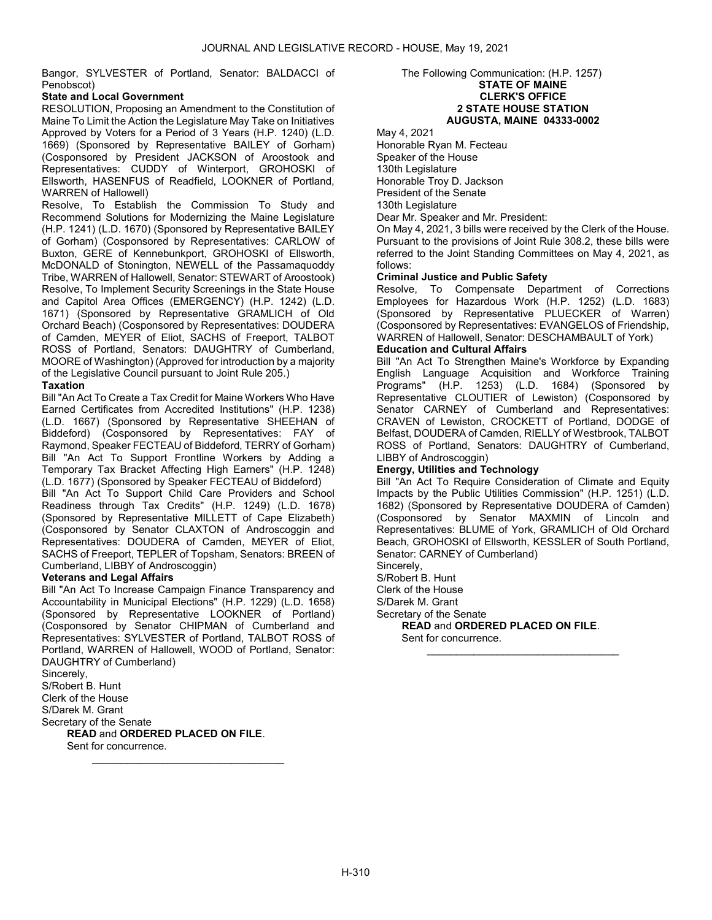Bangor, SYLVESTER of Portland, Senator: BALDACCI of Penobscot)

# State and Local Government

RESOLUTION, Proposing an Amendment to the Constitution of Maine To Limit the Action the Legislature May Take on Initiatives Approved by Voters for a Period of 3 Years (H.P. 1240) (L.D. 1669) (Sponsored by Representative BAILEY of Gorham) (Cosponsored by President JACKSON of Aroostook and Representatives: CUDDY of Winterport, GROHOSKI of Ellsworth, HASENFUS of Readfield, LOOKNER of Portland, WARREN of Hallowell)

Resolve, To Establish the Commission To Study and Recommend Solutions for Modernizing the Maine Legislature (H.P. 1241) (L.D. 1670) (Sponsored by Representative BAILEY of Gorham) (Cosponsored by Representatives: CARLOW of Buxton, GERE of Kennebunkport, GROHOSKI of Ellsworth, McDONALD of Stonington, NEWELL of the Passamaquoddy Tribe, WARREN of Hallowell, Senator: STEWART of Aroostook) Resolve, To Implement Security Screenings in the State House and Capitol Area Offices (EMERGENCY) (H.P. 1242) (L.D. 1671) (Sponsored by Representative GRAMLICH of Old Orchard Beach) (Cosponsored by Representatives: DOUDERA of Camden, MEYER of Eliot, SACHS of Freeport, TALBOT ROSS of Portland, Senators: DAUGHTRY of Cumberland, MOORE of Washington) (Approved for introduction by a majority of the Legislative Council pursuant to Joint Rule 205.)

# **Taxation**

Bill "An Act To Create a Tax Credit for Maine Workers Who Have Earned Certificates from Accredited Institutions" (H.P. 1238) (L.D. 1667) (Sponsored by Representative SHEEHAN of Biddeford) (Cosponsored by Representatives: FAY of Raymond, Speaker FECTEAU of Biddeford, TERRY of Gorham) Bill "An Act To Support Frontline Workers by Adding a Temporary Tax Bracket Affecting High Earners" (H.P. 1248) (L.D. 1677) (Sponsored by Speaker FECTEAU of Biddeford)

Bill "An Act To Support Child Care Providers and School Readiness through Tax Credits" (H.P. 1249) (L.D. 1678) (Sponsored by Representative MILLETT of Cape Elizabeth) (Cosponsored by Senator CLAXTON of Androscoggin and Representatives: DOUDERA of Camden, MEYER of Eliot, SACHS of Freeport, TEPLER of Topsham, Senators: BREEN of Cumberland, LIBBY of Androscoggin)

### Veterans and Legal Affairs

Bill "An Act To Increase Campaign Finance Transparency and Accountability in Municipal Elections" (H.P. 1229) (L.D. 1658) (Sponsored by Representative LOOKNER of Portland) (Cosponsored by Senator CHIPMAN of Cumberland and Representatives: SYLVESTER of Portland, TALBOT ROSS of Portland, WARREN of Hallowell, WOOD of Portland, Senator: DAUGHTRY of Cumberland)

\_\_\_\_\_\_\_\_\_\_\_\_\_\_\_\_\_\_\_\_\_\_\_\_\_\_\_\_\_\_\_\_\_

Sincerely, S/Robert B. Hunt Clerk of the House S/Darek M. Grant Secretary of the Senate

READ and ORDERED PLACED ON FILE.

Sent for concurrence.

### The Following Communication: (H.P. 1257) STATE OF MAINE CLERK'S OFFICE 2 STATE HOUSE STATION AUGUSTA, MAINE 04333-0002

May 4, 2021

Honorable Ryan M. Fecteau Speaker of the House 130th Legislature Honorable Troy D. Jackson

President of the Senate

130th Legislature

Dear Mr. Speaker and Mr. President:

On May 4, 2021, 3 bills were received by the Clerk of the House. Pursuant to the provisions of Joint Rule 308.2, these bills were referred to the Joint Standing Committees on May 4, 2021, as follows:

### Criminal Justice and Public Safety

Resolve, To Compensate Department of Corrections Employees for Hazardous Work (H.P. 1252) (L.D. 1683) (Sponsored by Representative PLUECKER of Warren) (Cosponsored by Representatives: EVANGELOS of Friendship, WARREN of Hallowell, Senator: DESCHAMBAULT of York)

### Education and Cultural Affairs

Bill "An Act To Strengthen Maine's Workforce by Expanding English Language Acquisition and Workforce Training Programs" (H.P. 1253) (L.D. 1684) (Sponsored by Representative CLOUTIER of Lewiston) (Cosponsored by Senator CARNEY of Cumberland and Representatives: CRAVEN of Lewiston, CROCKETT of Portland, DODGE of Belfast, DOUDERA of Camden, RIELLY of Westbrook, TALBOT ROSS of Portland, Senators: DAUGHTRY of Cumberland, LIBBY of Androscoggin)

### Energy, Utilities and Technology

Bill "An Act To Require Consideration of Climate and Equity Impacts by the Public Utilities Commission" (H.P. 1251) (L.D. 1682) (Sponsored by Representative DOUDERA of Camden) (Cosponsored by Senator MAXMIN of Lincoln and Representatives: BLUME of York, GRAMLICH of Old Orchard Beach, GROHOSKI of Ellsworth, KESSLER of South Portland, Senator: CARNEY of Cumberland)

\_\_\_\_\_\_\_\_\_\_\_\_\_\_\_\_\_\_\_\_\_\_\_\_\_\_\_\_\_\_\_\_\_

Sincerely,

S/Robert B. Hunt

Clerk of the House

S/Darek M. Grant

Secretary of the Senate

READ and ORDERED PLACED ON FILE. Sent for concurrence.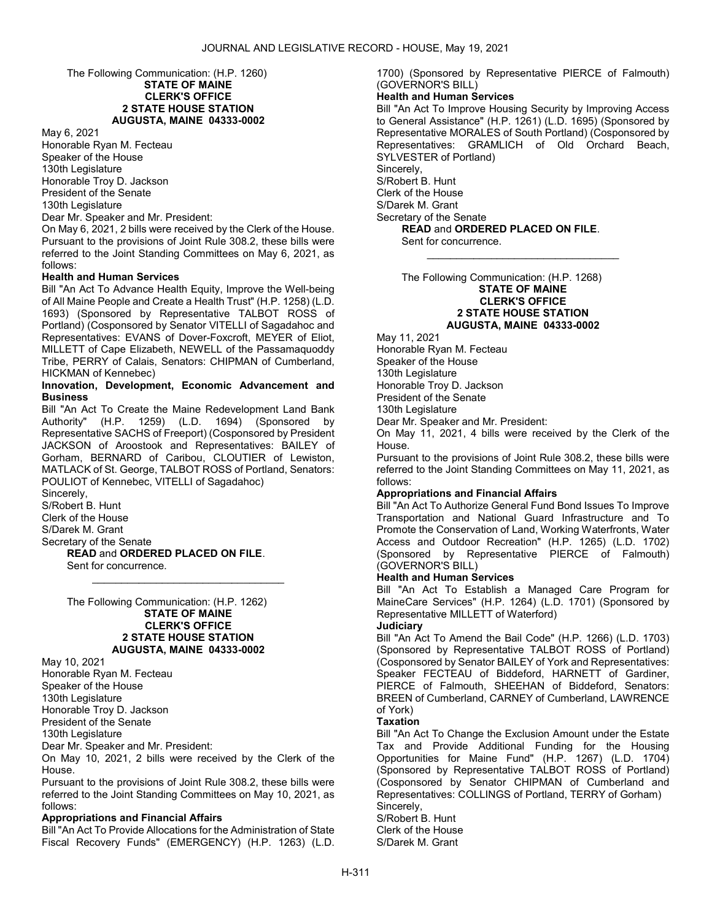The Following Communication: (H.P. 1260)

#### STATE OF MAINE CLERK'S OFFICE 2 STATE HOUSE STATION AUGUSTA, MAINE 04333-0002

May 6, 2021

Honorable Ryan M. Fecteau Speaker of the House 130th Legislature Honorable Troy D. Jackson President of the Senate 130th Legislature

Dear Mr. Speaker and Mr. President:

On May 6, 2021, 2 bills were received by the Clerk of the House. Pursuant to the provisions of Joint Rule 308.2, these bills were referred to the Joint Standing Committees on May 6, 2021, as follows:

### Health and Human Services

Bill "An Act To Advance Health Equity, Improve the Well-being of All Maine People and Create a Health Trust" (H.P. 1258) (L.D. 1693) (Sponsored by Representative TALBOT ROSS of Portland) (Cosponsored by Senator VITELLI of Sagadahoc and Representatives: EVANS of Dover-Foxcroft, MEYER of Eliot, MILLETT of Cape Elizabeth, NEWELL of the Passamaquoddy Tribe, PERRY of Calais, Senators: CHIPMAN of Cumberland, HICKMAN of Kennebec)

#### Innovation, Development, Economic Advancement and **Busingss**

Bill "An Act To Create the Maine Redevelopment Land Bank Authority" (H.P. 1259) (L.D. 1694) (Sponsored by Representative SACHS of Freeport) (Cosponsored by President JACKSON of Aroostook and Representatives: BAILEY of Gorham, BERNARD of Caribou, CLOUTIER of Lewiston, MATLACK of St. George, TALBOT ROSS of Portland, Senators: POULIOT of Kennebec, VITELLI of Sagadahoc) Sincerely,

\_\_\_\_\_\_\_\_\_\_\_\_\_\_\_\_\_\_\_\_\_\_\_\_\_\_\_\_\_\_\_\_\_

S/Robert B. Hunt Clerk of the House S/Darek M. Grant Secretary of the Senate

READ and ORDERED PLACED ON FILE. Sent for concurrence.

 The Following Communication: (H.P. 1262) STATE OF MAINE CLERK'S OFFICE 2 STATE HOUSE STATION AUGUSTA, MAINE 04333-0002

May 10, 2021 Honorable Ryan M. Fecteau Speaker of the House 130th Legislature Honorable Troy D. Jackson President of the Senate

130th Legislature

Dear Mr. Speaker and Mr. President:

On May 10, 2021, 2 bills were received by the Clerk of the House.

Pursuant to the provisions of Joint Rule 308.2, these bills were referred to the Joint Standing Committees on May 10, 2021, as follows:

### Appropriations and Financial Affairs

Bill "An Act To Provide Allocations for the Administration of State Fiscal Recovery Funds" (EMERGENCY) (H.P. 1263) (L.D. 1700) (Sponsored by Representative PIERCE of Falmouth) (GOVERNOR'S BILL)

# Health and Human Services

Bill "An Act To Improve Housing Security by Improving Access to General Assistance" (H.P. 1261) (L.D. 1695) (Sponsored by Representative MORALES of South Portland) (Cosponsored by Representatives: GRAMLICH of Old Orchard Beach, SYLVESTER of Portland) Sincerely, S/Robert B. Hunt Clerk of the House S/Darek M. Grant Secretary of the Senate READ and ORDERED PLACED ON FILE.

\_\_\_\_\_\_\_\_\_\_\_\_\_\_\_\_\_\_\_\_\_\_\_\_\_\_\_\_\_\_\_\_\_

Sent for concurrence.

 The Following Communication: (H.P. 1268) STATE OF MAINE CLERK'S OFFICE 2 STATE HOUSE STATION AUGUSTA, MAINE 04333-0002

May 11, 2021

Honorable Ryan M. Fecteau Speaker of the House 130th Legislature

Honorable Troy D. Jackson

President of the Senate 130th Legislature

Dear Mr. Speaker and Mr. President:

On May 11, 2021, 4 bills were received by the Clerk of the House.

Pursuant to the provisions of Joint Rule 308.2, these bills were referred to the Joint Standing Committees on May 11, 2021, as follows:

# Appropriations and Financial Affairs

Bill "An Act To Authorize General Fund Bond Issues To Improve Transportation and National Guard Infrastructure and To Promote the Conservation of Land, Working Waterfronts, Water Access and Outdoor Recreation" (H.P. 1265) (L.D. 1702) (Sponsored by Representative PIERCE of Falmouth) (GOVERNOR'S BILL)

### Health and Human Services

Bill "An Act To Establish a Managed Care Program for MaineCare Services" (H.P. 1264) (L.D. 1701) (Sponsored by Representative MILLETT of Waterford)

### **Judiciary**

Bill "An Act To Amend the Bail Code" (H.P. 1266) (L.D. 1703) (Sponsored by Representative TALBOT ROSS of Portland) (Cosponsored by Senator BAILEY of York and Representatives: Speaker FECTEAU of Biddeford, HARNETT of Gardiner, PIERCE of Falmouth, SHEEHAN of Biddeford, Senators: BREEN of Cumberland, CARNEY of Cumberland, LAWRENCE of York)

# **Taxation**

S/Darek M. Grant

Bill "An Act To Change the Exclusion Amount under the Estate Tax and Provide Additional Funding for the Housing Opportunities for Maine Fund" (H.P. 1267) (L.D. 1704) (Sponsored by Representative TALBOT ROSS of Portland) (Cosponsored by Senator CHIPMAN of Cumberland and Representatives: COLLINGS of Portland, TERRY of Gorham) Sincerely, S/Robert B. Hunt Clerk of the House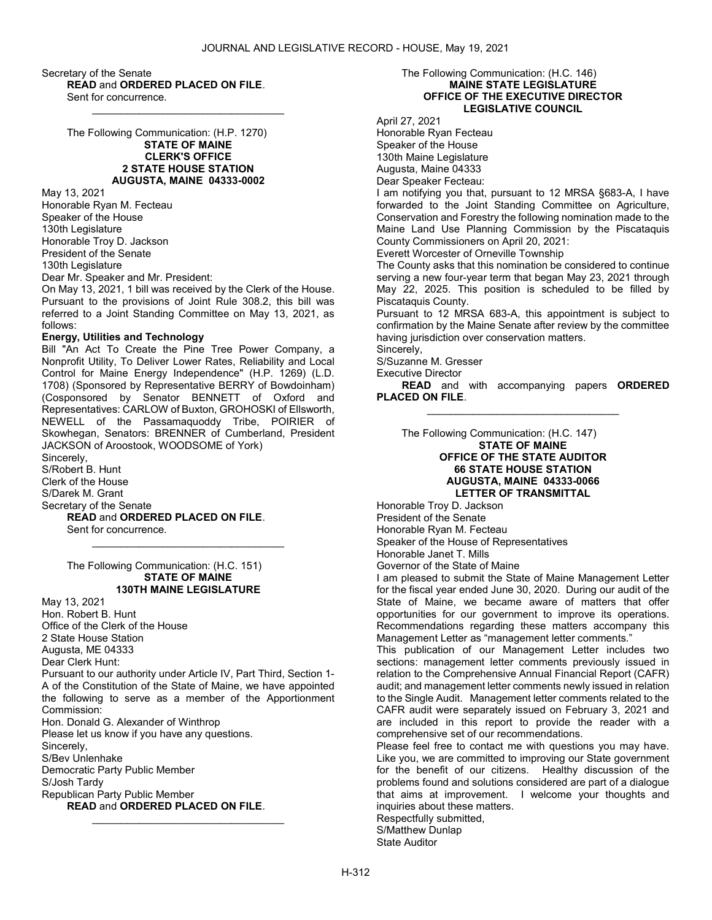Secretary of the Senate READ and ORDERED PLACED ON FILE. Sent for concurrence.

> The Following Communication: (H.P. 1270) STATE OF MAINE CLERK'S OFFICE

> > 2 STATE HOUSE STATION AUGUSTA, MAINE 04333-0002

\_\_\_\_\_\_\_\_\_\_\_\_\_\_\_\_\_\_\_\_\_\_\_\_\_\_\_\_\_\_\_\_\_

May 13, 2021 Honorable Ryan M. Fecteau Speaker of the House 130th Legislature Honorable Troy D. Jackson President of the Senate 130th Legislature Dear Mr. Speaker and Mr. President:

On May 13, 2021, 1 bill was received by the Clerk of the House. Pursuant to the provisions of Joint Rule 308.2, this bill was referred to a Joint Standing Committee on May 13, 2021, as follows:

### Energy, Utilities and Technology

Bill "An Act To Create the Pine Tree Power Company, a Nonprofit Utility, To Deliver Lower Rates, Reliability and Local Control for Maine Energy Independence" (H.P. 1269) (L.D. 1708) (Sponsored by Representative BERRY of Bowdoinham) (Cosponsored by Senator BENNETT of Oxford and Representatives: CARLOW of Buxton, GROHOSKI of Ellsworth, NEWELL of the Passamaquoddy Tribe, POIRIER of Skowhegan, Senators: BRENNER of Cumberland, President JACKSON of Aroostook, WOODSOME of York) Sincerely,

\_\_\_\_\_\_\_\_\_\_\_\_\_\_\_\_\_\_\_\_\_\_\_\_\_\_\_\_\_\_\_\_\_

S/Robert B. Hunt Clerk of the House S/Darek M. Grant Secretary of the Senate READ and ORDERED PLACED ON FILE. Sent for concurrence.

> The Following Communication: (H.C. 151) STATE OF MAINE 130TH MAINE LEGISLATURE

May 13, 2021 Hon. Robert B. Hunt Office of the Clerk of the House 2 State House Station Augusta, ME 04333 Dear Clerk Hunt: Pursuant to our authority under Article IV, Part Third, Section 1- A of the Constitution of the State of Maine, we have appointed the following to serve as a member of the Apportionment Commission: Hon. Donald G. Alexander of Winthrop Please let us know if you have any questions. Sincerely, S/Bev Unlenhake Democratic Party Public Member S/Josh Tardy

Republican Party Public Member

READ and ORDERED PLACED ON FILE.

\_\_\_\_\_\_\_\_\_\_\_\_\_\_\_\_\_\_\_\_\_\_\_\_\_\_\_\_\_\_\_\_\_

#### The Following Communication: (H.C. 146) MAINE STATE LEGISLATURE OFFICE OF THE EXECUTIVE DIRECTOR LEGISLATIVE COUNCIL

April 27, 2021

Honorable Ryan Fecteau Speaker of the House 130th Maine Legislature Augusta, Maine 04333 Dear Speaker Fecteau:

I am notifying you that, pursuant to 12 MRSA §683-A, I have forwarded to the Joint Standing Committee on Agriculture, Conservation and Forestry the following nomination made to the Maine Land Use Planning Commission by the Piscataquis County Commissioners on April 20, 2021:

Everett Worcester of Orneville Township

The County asks that this nomination be considered to continue serving a new four-year term that began May 23, 2021 through May 22, 2025. This position is scheduled to be filled by Piscataquis County.

Pursuant to 12 MRSA 683-A, this appointment is subject to confirmation by the Maine Senate after review by the committee having jurisdiction over conservation matters.

Sincerely, S/Suzanne M. Gresser

Executive Director

READ and with accompanying papers ORDERED PLACED ON FILE.

 The Following Communication: (H.C. 147) STATE OF MAINE

### OFFICE OF THE STATE AUDITOR 66 STATE HOUSE STATION AUGUSTA, MAINE 04333-0066 LETTER OF TRANSMITTAL

\_\_\_\_\_\_\_\_\_\_\_\_\_\_\_\_\_\_\_\_\_\_\_\_\_\_\_\_\_\_\_\_\_

Honorable Troy D. Jackson President of the Senate Honorable Ryan M. Fecteau Speaker of the House of Representatives Honorable Janet T. Mills Governor of the State of Maine

I am pleased to submit the State of Maine Management Letter for the fiscal year ended June 30, 2020. During our audit of the State of Maine, we became aware of matters that offer opportunities for our government to improve its operations. Recommendations regarding these matters accompany this Management Letter as "management letter comments."

This publication of our Management Letter includes two sections: management letter comments previously issued in relation to the Comprehensive Annual Financial Report (CAFR) audit; and management letter comments newly issued in relation to the Single Audit. Management letter comments related to the CAFR audit were separately issued on February 3, 2021 and are included in this report to provide the reader with a comprehensive set of our recommendations.

Please feel free to contact me with questions you may have. Like you, we are committed to improving our State government for the benefit of our citizens. Healthy discussion of the problems found and solutions considered are part of a dialogue that aims at improvement. I welcome your thoughts and inquiries about these matters.

Respectfully submitted, S/Matthew Dunlap State Auditor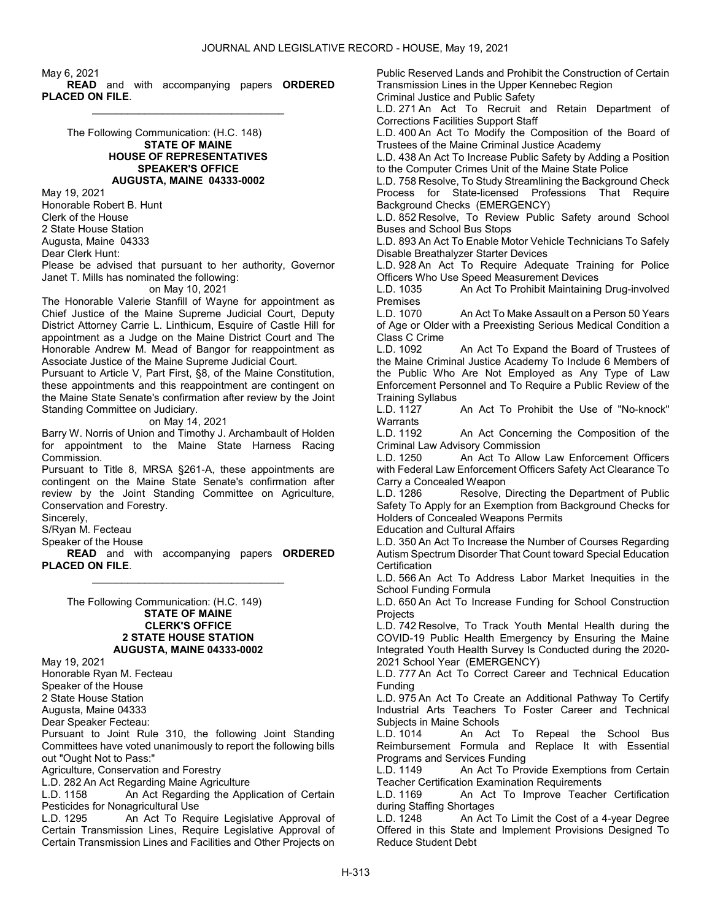May 6, 2021 READ and with accompanying papers ORDERED PLACED ON FILE.

\_\_\_\_\_\_\_\_\_\_\_\_\_\_\_\_\_\_\_\_\_\_\_\_\_\_\_\_\_\_\_\_\_

 The Following Communication: (H.C. 148) STATE OF MAINE HOUSE OF REPRESENTATIVES SPEAKER'S OFFICE AUGUSTA, MAINE 04333-0002

May 19, 2021 Honorable Robert B. Hunt Clerk of the House 2 State House Station Augusta, Maine 04333 Dear Clerk Hunt:

Please be advised that pursuant to her authority, Governor Janet T. Mills has nominated the following:

on May 10, 2021

The Honorable Valerie Stanfill of Wayne for appointment as Chief Justice of the Maine Supreme Judicial Court, Deputy District Attorney Carrie L. Linthicum, Esquire of Castle Hill for appointment as a Judge on the Maine District Court and The Honorable Andrew M. Mead of Bangor for reappointment as Associate Justice of the Maine Supreme Judicial Court.

Pursuant to Article V, Part First, §8, of the Maine Constitution, these appointments and this reappointment are contingent on the Maine State Senate's confirmation after review by the Joint Standing Committee on Judiciary.

on May 14, 2021

Barry W. Norris of Union and Timothy J. Archambault of Holden for appointment to the Maine State Harness Racing Commission.

Pursuant to Title 8, MRSA §261-A, these appointments are contingent on the Maine State Senate's confirmation after review by the Joint Standing Committee on Agriculture, Conservation and Forestry.

Sincerely,

S/Ryan M. Fecteau

Speaker of the House

READ and with accompanying papers ORDERED PLACED ON FILE. \_\_\_\_\_\_\_\_\_\_\_\_\_\_\_\_\_\_\_\_\_\_\_\_\_\_\_\_\_\_\_\_\_

 The Following Communication: (H.C. 149) STATE OF MAINE CLERK'S OFFICE 2 STATE HOUSE STATION AUGUSTA, MAINE 04333-0002

May 19, 2021

Honorable Ryan M. Fecteau

Speaker of the House

2 State House Station

Augusta, Maine 04333

Dear Speaker Fecteau:

Pursuant to Joint Rule 310, the following Joint Standing Committees have voted unanimously to report the following bills out "Ought Not to Pass:"

Agriculture, Conservation and Forestry

L.D. 282 An Act Regarding Maine Agriculture

L.D. 1158 An Act Regarding the Application of Certain Pesticides for Nonagricultural Use

L.D. 1295 An Act To Require Legislative Approval of Certain Transmission Lines, Require Legislative Approval of Certain Transmission Lines and Facilities and Other Projects on Public Reserved Lands and Prohibit the Construction of Certain Transmission Lines in the Upper Kennebec Region Criminal Justice and Public Safety

L.D. 271 An Act To Recruit and Retain Department of Corrections Facilities Support Staff

L.D. 400 An Act To Modify the Composition of the Board of Trustees of the Maine Criminal Justice Academy

L.D. 438 An Act To Increase Public Safety by Adding a Position to the Computer Crimes Unit of the Maine State Police

L.D. 758 Resolve, To Study Streamlining the Background Check Process for State-licensed Professions That Require Background Checks (EMERGENCY)

L.D. 852 Resolve, To Review Public Safety around School Buses and School Bus Stops

L.D. 893 An Act To Enable Motor Vehicle Technicians To Safely Disable Breathalyzer Starter Devices

L.D. 928 An Act To Require Adequate Training for Police Officers Who Use Speed Measurement Devices

L.D. 1035 An Act To Prohibit Maintaining Drug-involved Premises

L.D. 1070 An Act To Make Assault on a Person 50 Years of Age or Older with a Preexisting Serious Medical Condition a Class C Crime

L.D. 1092 An Act To Expand the Board of Trustees of the Maine Criminal Justice Academy To Include 6 Members of the Public Who Are Not Employed as Any Type of Law Enforcement Personnel and To Require a Public Review of the Training Syllabus<br>L.D. 1127

An Act To Prohibit the Use of "No-knock" Warrants<br>L.D. 1192

An Act Concerning the Composition of the Criminal Law Advisory Commission

L.D. 1250 An Act To Allow Law Enforcement Officers with Federal Law Enforcement Officers Safety Act Clearance To Carry a Concealed Weapon

L.D. 1286 Resolve, Directing the Department of Public Safety To Apply for an Exemption from Background Checks for Holders of Concealed Weapons Permits

Education and Cultural Affairs

L.D. 350 An Act To Increase the Number of Courses Regarding Autism Spectrum Disorder That Count toward Special Education **Certification** 

L.D. 566 An Act To Address Labor Market Inequities in the School Funding Formula

L.D. 650 An Act To Increase Funding for School Construction **Projects** 

L.D. 742 Resolve, To Track Youth Mental Health during the COVID-19 Public Health Emergency by Ensuring the Maine Integrated Youth Health Survey Is Conducted during the 2020- 2021 School Year (EMERGENCY)

L.D. 777 An Act To Correct Career and Technical Education Funding

L.D. 975 An Act To Create an Additional Pathway To Certify Industrial Arts Teachers To Foster Career and Technical Subjects in Maine Schools

An Act To Repeal the School Bus Reimbursement Formula and Replace It with Essential Programs and Services Funding

L.D. 1149 An Act To Provide Exemptions from Certain Teacher Certification Examination Requirements

L.D. 1169 An Act To Improve Teacher Certification during Staffing Shortages

L.D. 1248 An Act To Limit the Cost of a 4-year Degree Offered in this State and Implement Provisions Designed To Reduce Student Debt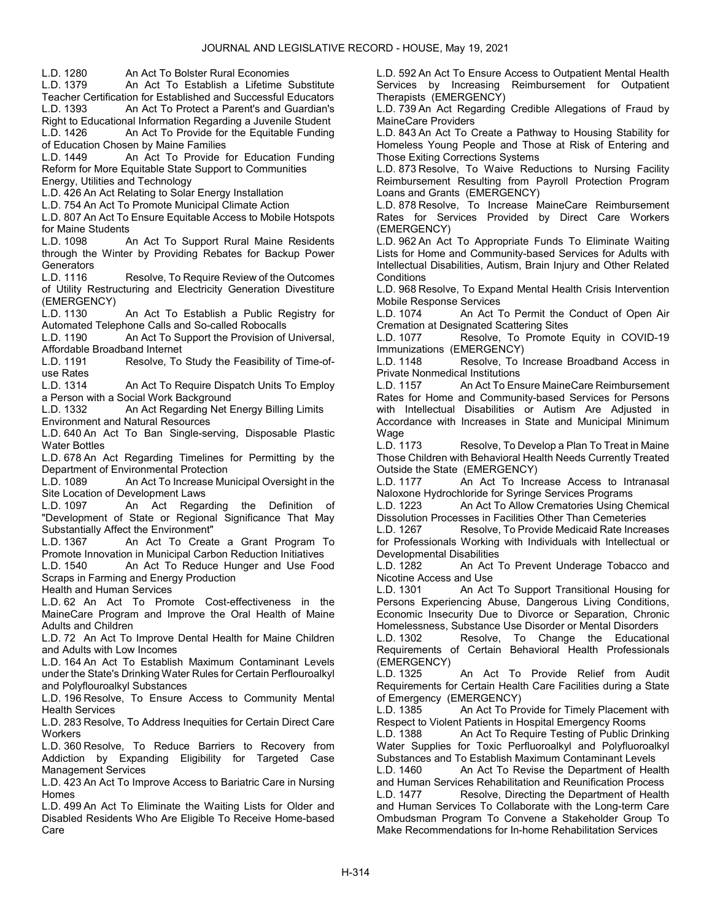L.D. 1280 An Act To Bolster Rural Economies

An Act To Establish a Lifetime Substitute Teacher Certification for Established and Successful Educators

L.D. 1393 An Act To Protect a Parent's and Guardian's

Right to Educational Information Regarding a Juvenile Student<br>L.D. 1426 – An Act To Provide for the Equitable Funding An Act To Provide for the Equitable Funding of Education Chosen by Maine Families

L.D. 1449 An Act To Provide for Education Funding Reform for More Equitable State Support to Communities

Energy, Utilities and Technology

L.D. 426 An Act Relating to Solar Energy Installation

L.D. 754 An Act To Promote Municipal Climate Action

L.D. 807 An Act To Ensure Equitable Access to Mobile Hotspots for Maine Students

L.D. 1098 An Act To Support Rural Maine Residents through the Winter by Providing Rebates for Backup Power **Generators** 

L.D. 1116 Resolve, To Require Review of the Outcomes of Utility Restructuring and Electricity Generation Divestiture (EMERGENCY)

L.D. 1130 An Act To Establish a Public Registry for Automated Telephone Calls and So-called Robocalls<br>L.D. 1190 An Act To Support the Provision of

An Act To Support the Provision of Universal, Affordable Broadband Internet

L.D. 1191 Resolve, To Study the Feasibility of Time-ofuse Rates

L.D. 1314 An Act To Require Dispatch Units To Employ a Person with a Social Work Background

L.D. 1332 An Act Regarding Net Energy Billing Limits Environment and Natural Resources

L.D. 640 An Act To Ban Single-serving, Disposable Plastic Water Bottles

L.D. 678 An Act Regarding Timelines for Permitting by the Department of Environmental Protection

L.D. 1089 An Act To Increase Municipal Oversight in the Site Location of Development Laws

L.D. 1097 An Act Regarding the Definition of "Development of State or Regional Significance That May Substantially Affect the Environment"

L.D. 1367 An Act To Create a Grant Program To Promote Innovation in Municipal Carbon Reduction Initiatives

L.D. 1540 An Act To Reduce Hunger and Use Food Scraps in Farming and Energy Production

Health and Human Services

L.D. 62 An Act To Promote Cost-effectiveness in the MaineCare Program and Improve the Oral Health of Maine Adults and Children

L.D. 72 An Act To Improve Dental Health for Maine Children and Adults with Low Incomes

L.D. 164 An Act To Establish Maximum Contaminant Levels under the State's Drinking Water Rules for Certain Perflouroalkyl and Polyflouroalkyl Substances

L.D. 196 Resolve, To Ensure Access to Community Mental Health Services

L.D. 283 Resolve, To Address Inequities for Certain Direct Care **Workers** 

L.D. 360 Resolve, To Reduce Barriers to Recovery from Addiction by Expanding Eligibility for Targeted Case Management Services

L.D. 423 An Act To Improve Access to Bariatric Care in Nursing Homes

L.D. 499 An Act To Eliminate the Waiting Lists for Older and Disabled Residents Who Are Eligible To Receive Home-based Care

L.D. 592 An Act To Ensure Access to Outpatient Mental Health Services by Increasing Reimbursement for Outpatient Therapists (EMERGENCY)

L.D. 739 An Act Regarding Credible Allegations of Fraud by MaineCare Providers

L.D. 843 An Act To Create a Pathway to Housing Stability for Homeless Young People and Those at Risk of Entering and Those Exiting Corrections Systems

L.D. 873 Resolve, To Waive Reductions to Nursing Facility Reimbursement Resulting from Payroll Protection Program Loans and Grants (EMERGENCY)

L.D. 878 Resolve, To Increase MaineCare Reimbursement Rates for Services Provided by Direct Care Workers (EMERGENCY)

L.D. 962 An Act To Appropriate Funds To Eliminate Waiting Lists for Home and Community-based Services for Adults with Intellectual Disabilities, Autism, Brain Injury and Other Related **Conditions** 

L.D. 968 Resolve, To Expand Mental Health Crisis Intervention Mobile Response Services

L.D. 1074 An Act To Permit the Conduct of Open Air Cremation at Designated Scattering Sites<br>L.D. 1077 – Resolve, To Promote

Resolve, To Promote Equity in COVID-19 Immunizations (EMERGENCY)

L.D. 1148 Resolve, To Increase Broadband Access in Private Nonmedical Institutions

L.D. 1157 An Act To Ensure MaineCare Reimbursement Rates for Home and Community-based Services for Persons with Intellectual Disabilities or Autism Are Adjusted in Accordance with Increases in State and Municipal Minimum Wage

L.D. 1173 Resolve, To Develop a Plan To Treat in Maine Those Children with Behavioral Health Needs Currently Treated Outside the State (EMERGENCY)

L.D. 1177 An Act To Increase Access to Intranasal Naloxone Hydrochloride for Syringe Services Programs

L.D. 1223 An Act To Allow Crematories Using Chemical Dissolution Processes in Facilities Other Than Cemeteries

L.D. 1267 Resolve, To Provide Medicaid Rate Increases for Professionals Working with Individuals with Intellectual or Developmental Disabilities

An Act To Prevent Underage Tobacco and Nicotine Access and Use

L.D. 1301 An Act To Support Transitional Housing for Persons Experiencing Abuse, Dangerous Living Conditions, Economic Insecurity Due to Divorce or Separation, Chronic Homelessness, Substance Use Disorder or Mental Disorders

L.D. 1302 Resolve, To Change the Educational Requirements of Certain Behavioral Health Professionals (EMERGENCY)

L.D. 1325 An Act To Provide Relief from Audit Requirements for Certain Health Care Facilities during a State of Emergency (EMERGENCY)

L.D. 1385 An Act To Provide for Timely Placement with Respect to Violent Patients in Hospital Emergency Rooms<br>L.D. 1388 – An Act To Reguire Testing of Public Drir

An Act To Require Testing of Public Drinking Water Supplies for Toxic Perfluoroalkyl and Polyfluoroalkyl Substances and To Establish Maximum Contaminant Levels

L.D. 1460 An Act To Revise the Department of Health and Human Services Rehabilitation and Reunification Process L.D. 1477 Resolve, Directing the Department of Health

and Human Services To Collaborate with the Long-term Care Ombudsman Program To Convene a Stakeholder Group To Make Recommendations for In-home Rehabilitation Services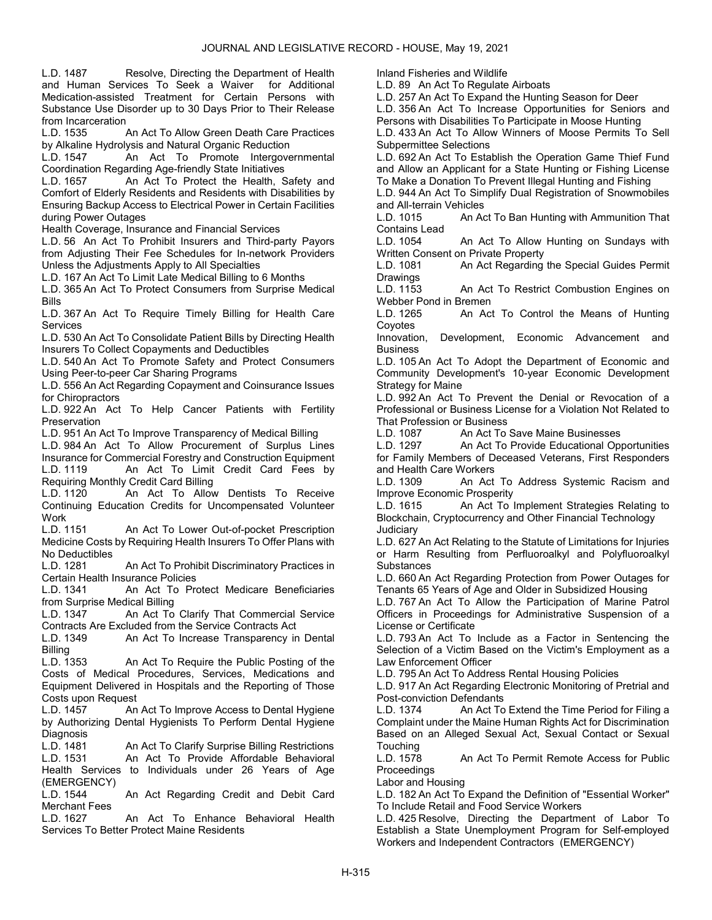L.D. 1487 Resolve, Directing the Department of Health and Human Services To Seek a Waiver for Additional Medication-assisted Treatment for Certain Persons with Substance Use Disorder up to 30 Days Prior to Their Release from Incarceration<br>L.D. 1535

An Act To Allow Green Death Care Practices by Alkaline Hydrolysis and Natural Organic Reduction

L.D. 1547 An Act To Promote Intergovernmental Coordination Regarding Age-friendly State Initiatives

L.D. 1657 An Act To Protect the Health, Safety and Comfort of Elderly Residents and Residents with Disabilities by Ensuring Backup Access to Electrical Power in Certain Facilities during Power Outages

Health Coverage, Insurance and Financial Services

L.D. 56 An Act To Prohibit Insurers and Third-party Payors from Adjusting Their Fee Schedules for In-network Providers Unless the Adjustments Apply to All Specialties

L.D. 167 An Act To Limit Late Medical Billing to 6 Months

L.D. 365 An Act To Protect Consumers from Surprise Medical Bills

L.D. 367 An Act To Require Timely Billing for Health Care Services

L.D. 530 An Act To Consolidate Patient Bills by Directing Health Insurers To Collect Copayments and Deductibles

L.D. 540 An Act To Promote Safety and Protect Consumers Using Peer-to-peer Car Sharing Programs

L.D. 556 An Act Regarding Copayment and Coinsurance Issues for Chiropractors

L.D. 922 An Act To Help Cancer Patients with Fertility Preservation

L.D. 951 An Act To Improve Transparency of Medical Billing

L.D. 984 An Act To Allow Procurement of Surplus Lines Insurance for Commercial Forestry and Construction Equipment L.D. 1119 An Act To Limit Credit Card Fees by Requiring Monthly Credit Card Billing

L.D. 1120 An Act To Allow Dentists To Receive Continuing Education Credits for Uncompensated Volunteer Work

L.D. 1151 An Act To Lower Out-of-pocket Prescription Medicine Costs by Requiring Health Insurers To Offer Plans with No Deductibles

L.D. 1281 An Act To Prohibit Discriminatory Practices in Certain Health Insurance Policies

L.D. 1341 An Act To Protect Medicare Beneficiaries from Surprise Medical Billing

L.D. 1347 An Act To Clarify That Commercial Service Contracts Are Excluded from the Service Contracts Act

L.D. 1349 An Act To Increase Transparency in Dental Billing

L.D. 1353 An Act To Require the Public Posting of the Costs of Medical Procedures, Services, Medications and Equipment Delivered in Hospitals and the Reporting of Those Costs upon Request

L.D. 1457 An Act To Improve Access to Dental Hygiene by Authorizing Dental Hygienists To Perform Dental Hygiene Diagnosis<br>L.D. 1481

An Act To Clarify Surprise Billing Restrictions L.D. 1531 An Act To Provide Affordable Behavioral Health Services to Individuals under 26 Years of Age (EMERGENCY)

L.D. 1544 An Act Regarding Credit and Debit Card Merchant Fees

L.D. 1627 An Act To Enhance Behavioral Health Services To Better Protect Maine Residents

Inland Fisheries and Wildlife

L.D. 89 An Act To Regulate Airboats

L.D. 257 An Act To Expand the Hunting Season for Deer

L.D. 356 An Act To Increase Opportunities for Seniors and Persons with Disabilities To Participate in Moose Hunting

L.D. 433 An Act To Allow Winners of Moose Permits To Sell Subpermittee Selections

L.D. 692 An Act To Establish the Operation Game Thief Fund and Allow an Applicant for a State Hunting or Fishing License To Make a Donation To Prevent Illegal Hunting and Fishing

L.D. 944 An Act To Simplify Dual Registration of Snowmobiles and All-terrain Vehicles

L.D. 1015 An Act To Ban Hunting with Ammunition That Contains Lead

L.D. 1054 An Act To Allow Hunting on Sundays with Written Consent on Private Property

L.D. 1081 An Act Regarding the Special Guides Permit **Drawings** 

L.D. 1153 An Act To Restrict Combustion Engines on Webber Pond in Bremen

L.D. 1265 An Act To Control the Means of Hunting **Covotes** 

Innovation, Development, Economic Advancement and **Business** 

L.D. 105 An Act To Adopt the Department of Economic and Community Development's 10-year Economic Development Strategy for Maine

L.D. 992 An Act To Prevent the Denial or Revocation of a Professional or Business License for a Violation Not Related to That Profession or Business

L.D. 1087 An Act To Save Maine Businesses

An Act To Provide Educational Opportunities for Family Members of Deceased Veterans, First Responders and Health Care Workers

L.D. 1309 An Act To Address Systemic Racism and Improve Economic Prosperity

L.D. 1615 An Act To Implement Strategies Relating to Blockchain, Cryptocurrency and Other Financial Technology **Judiciary** 

L.D. 627 An Act Relating to the Statute of Limitations for Injuries or Harm Resulting from Perfluoroalkyl and Polyfluoroalkyl **Substances** 

L.D. 660 An Act Regarding Protection from Power Outages for Tenants 65 Years of Age and Older in Subsidized Housing

L.D. 767 An Act To Allow the Participation of Marine Patrol Officers in Proceedings for Administrative Suspension of a License or Certificate

L.D. 793 An Act To Include as a Factor in Sentencing the Selection of a Victim Based on the Victim's Employment as a Law Enforcement Officer

L.D. 795 An Act To Address Rental Housing Policies

L.D. 917 An Act Regarding Electronic Monitoring of Pretrial and Post-conviction Defendants

L.D. 1374 An Act To Extend the Time Period for Filing a Complaint under the Maine Human Rights Act for Discrimination Based on an Alleged Sexual Act, Sexual Contact or Sexual **Touching** 

L.D. 1578 An Act To Permit Remote Access for Public **Proceedings** 

Labor and Housing

L.D. 182 An Act To Expand the Definition of "Essential Worker" To Include Retail and Food Service Workers

L.D. 425 Resolve, Directing the Department of Labor To Establish a State Unemployment Program for Self-employed Workers and Independent Contractors (EMERGENCY)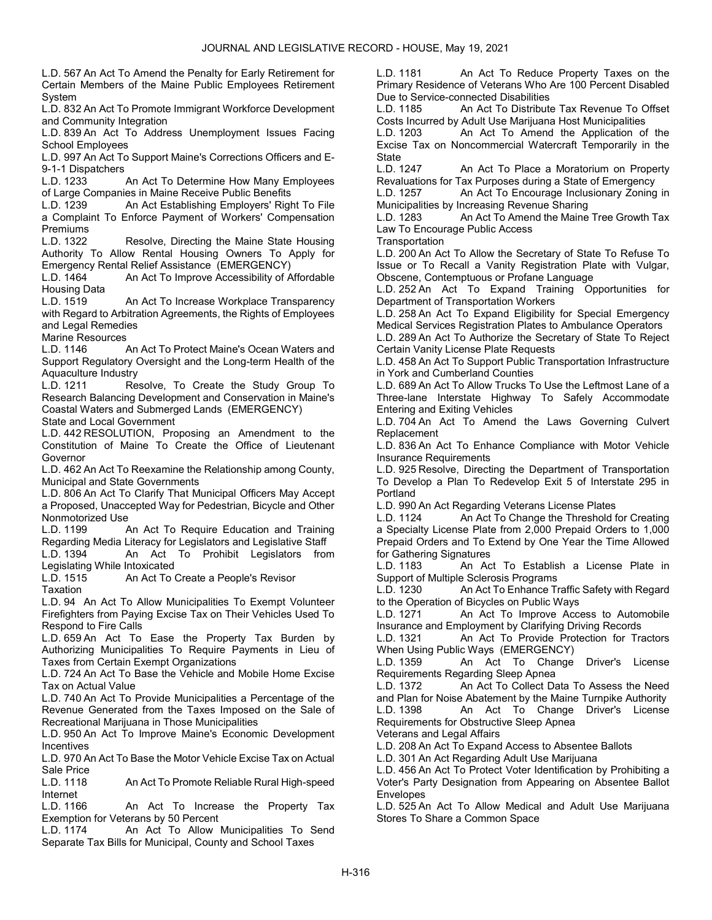L.D. 567 An Act To Amend the Penalty for Early Retirement for Certain Members of the Maine Public Employees Retirement System

L.D. 832 An Act To Promote Immigrant Workforce Development and Community Integration

L.D. 839 An Act To Address Unemployment Issues Facing School Employees

L.D. 997 An Act To Support Maine's Corrections Officers and E-9-1-1 Dispatchers

L.D. 1233 An Act To Determine How Many Employees of Large Companies in Maine Receive Public Benefits

L.D. 1239 An Act Establishing Employers' Right To File a Complaint To Enforce Payment of Workers' Compensation Premiums

L.D. 1322 Resolve, Directing the Maine State Housing Authority To Allow Rental Housing Owners To Apply for

Emergency Rental Relief Assistance (EMERGENCY)<br>L.D. 1464 – An Act To Improve Accessibility of A An Act To Improve Accessibility of Affordable Housing Data<br>L.D. 1519

An Act To Increase Workplace Transparency with Regard to Arbitration Agreements, the Rights of Employees and Legal Remedies

Marine Resources

L.D. 1146 An Act To Protect Maine's Ocean Waters and Support Regulatory Oversight and the Long-term Health of the Aquaculture Industry

L.D. 1211 Resolve, To Create the Study Group To Research Balancing Development and Conservation in Maine's Coastal Waters and Submerged Lands (EMERGENCY)

State and Local Government

L.D. 442 RESOLUTION, Proposing an Amendment to the Constitution of Maine To Create the Office of Lieutenant Governor

L.D. 462 An Act To Reexamine the Relationship among County, Municipal and State Governments

L.D. 806 An Act To Clarify That Municipal Officers May Accept a Proposed, Unaccepted Way for Pedestrian, Bicycle and Other Nonmotorized Use

L.D. 1199 An Act To Require Education and Training Regarding Media Literacy for Legislators and Legislative Staff

L.D. 1394 An Act To Prohibit Legislators from Legislating While Intoxicated

An Act To Create a People's Revisor **Taxation** 

L.D. 94 An Act To Allow Municipalities To Exempt Volunteer Firefighters from Paying Excise Tax on Their Vehicles Used To Respond to Fire Calls

L.D. 659 An Act To Ease the Property Tax Burden by Authorizing Municipalities To Require Payments in Lieu of Taxes from Certain Exempt Organizations

L.D. 724 An Act To Base the Vehicle and Mobile Home Excise Tax on Actual Value

L.D. 740 An Act To Provide Municipalities a Percentage of the Revenue Generated from the Taxes Imposed on the Sale of Recreational Marijuana in Those Municipalities

L.D. 950 An Act To Improve Maine's Economic Development Incentives

L.D. 970 An Act To Base the Motor Vehicle Excise Tax on Actual Sale Price

L.D. 1118 An Act To Promote Reliable Rural High-speed Internet

L.D. 1166 An Act To Increase the Property Tax Exemption for Veterans by 50 Percent

L.D. 1174 An Act To Allow Municipalities To Send Separate Tax Bills for Municipal, County and School Taxes

L.D. 1181 An Act To Reduce Property Taxes on the Primary Residence of Veterans Who Are 100 Percent Disabled Due to Service-connected Disabilities

L.D. 1185 An Act To Distribute Tax Revenue To Offset Costs Incurred by Adult Use Marijuana Host Municipalities

L.D. 1203 An Act To Amend the Application of the Excise Tax on Noncommercial Watercraft Temporarily in the **State** 

L.D. 1247 An Act To Place a Moratorium on Property Revaluations for Tax Purposes during a State of Emergency

L.D. 1257 An Act To Encourage Inclusionary Zoning in Municipalities by Increasing Revenue Sharing

L.D. 1283 An Act To Amend the Maine Tree Growth Tax Law To Encourage Public Access

**Transportation** 

L.D. 200 An Act To Allow the Secretary of State To Refuse To Issue or To Recall a Vanity Registration Plate with Vulgar, Obscene, Contemptuous or Profane Language

L.D. 252 An Act To Expand Training Opportunities for Department of Transportation Workers

L.D. 258 An Act To Expand Eligibility for Special Emergency Medical Services Registration Plates to Ambulance Operators L.D. 289 An Act To Authorize the Secretary of State To Reject Certain Vanity License Plate Requests

L.D. 458 An Act To Support Public Transportation Infrastructure in York and Cumberland Counties

L.D. 689 An Act To Allow Trucks To Use the Leftmost Lane of a Three-lane Interstate Highway To Safely Accommodate Entering and Exiting Vehicles

L.D. 704 An Act To Amend the Laws Governing Culvert Replacement

L.D. 836 An Act To Enhance Compliance with Motor Vehicle Insurance Requirements

L.D. 925 Resolve, Directing the Department of Transportation To Develop a Plan To Redevelop Exit 5 of Interstate 295 in Portland

L.D. 990 An Act Regarding Veterans License Plates

L.D. 1124 An Act To Change the Threshold for Creating a Specialty License Plate from 2,000 Prepaid Orders to 1,000 Prepaid Orders and To Extend by One Year the Time Allowed for Gathering Signatures

L.D. 1183 An Act To Establish a License Plate in Support of Multiple Sclerosis Programs

L.D. 1230 An Act To Enhance Traffic Safety with Regard to the Operation of Bicycles on Public Ways

L.D. 1271 An Act To Improve Access to Automobile Insurance and Employment by Clarifying Driving Records

L.D. 1321 An Act To Provide Protection for Tractors When Using Public Ways (EMERGENCY)

L.D. 1359 An Act To Change Driver's License Requirements Regarding Sleep Apnea

L.D. 1372 An Act To Collect Data To Assess the Need and Plan for Noise Abatement by the Maine Turnpike Authority

L.D. 1398 An Act To Change Driver's License Requirements for Obstructive Sleep Apnea

Veterans and Legal Affairs

L.D. 208 An Act To Expand Access to Absentee Ballots

L.D. 301 An Act Regarding Adult Use Marijuana

L.D. 456 An Act To Protect Voter Identification by Prohibiting a Voter's Party Designation from Appearing on Absentee Ballot Envelopes

L.D. 525 An Act To Allow Medical and Adult Use Marijuana Stores To Share a Common Space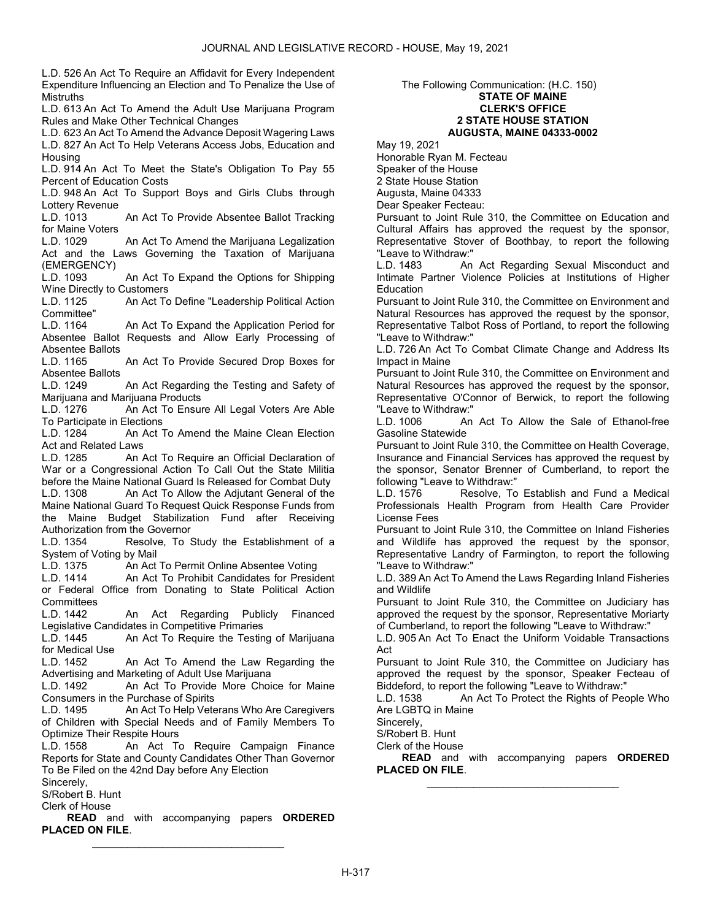L.D. 526 An Act To Require an Affidavit for Every Independent Expenditure Influencing an Election and To Penalize the Use of Mistruths

L.D. 613 An Act To Amend the Adult Use Marijuana Program Rules and Make Other Technical Changes

L.D. 623 An Act To Amend the Advance Deposit Wagering Laws L.D. 827 An Act To Help Veterans Access Jobs, Education and Housing

L.D. 914 An Act To Meet the State's Obligation To Pay 55 Percent of Education Costs

L.D. 948 An Act To Support Boys and Girls Clubs through Lottery Revenue

L.D. 1013 An Act To Provide Absentee Ballot Tracking for Maine Voters

L.D. 1029 An Act To Amend the Marijuana Legalization Act and the Laws Governing the Taxation of Marijuana (EMERGENCY)<br>L.D. 1093

An Act To Expand the Options for Shipping Wine Directly to Customers<br>L.D. 1125 An Act To

An Act To Define "Leadership Political Action Committee"<br>L.D. 1164

An Act To Expand the Application Period for Absentee Ballot Requests and Allow Early Processing of Absentee Ballots

L.D. 1165 An Act To Provide Secured Drop Boxes for Absentee Ballots

L.D. 1249 An Act Regarding the Testing and Safety of Marijuana and Marijuana Products<br>L.D. 1276 – An Act To Ensur

An Act To Ensure All Legal Voters Are Able To Participate in Elections<br>L.D. 1284 An Act<sup>-</sup>

An Act To Amend the Maine Clean Election Act and Related Laws

L.D. 1285 An Act To Require an Official Declaration of War or a Congressional Action To Call Out the State Militia before the Maine National Guard Is Released for Combat Duty L.D. 1308 An Act To Allow the Adjutant General of the

Maine National Guard To Request Quick Response Funds from the Maine Budget Stabilization Fund after Receiving Authorization from the Governor

L.D. 1354 Resolve, To Study the Establishment of a System of Voting by Mail<br>L.D. 1375 An Act

L.D. 1375 An Act To Permit Online Absentee Voting

An Act To Prohibit Candidates for President or Federal Office from Donating to State Political Action Committees<br>L.D. 1442

An Act Regarding Publicly Financed Legislative Candidates in Competitive Primaries

L.D. 1445 An Act To Require the Testing of Marijuana for Medical Use

L.D. 1452 An Act To Amend the Law Regarding the Advertising and Marketing of Adult Use Marijuana

L.D. 1492 An Act To Provide More Choice for Maine Consumers in the Purchase of Spirits

L.D. 1495 An Act To Help Veterans Who Are Caregivers of Children with Special Needs and of Family Members To Optimize Their Respite Hours<br>L.D. 1558 An Act To

An Act To Require Campaign Finance Reports for State and County Candidates Other Than Governor To Be Filed on the 42nd Day before Any Election

Sincerely,

S/Robert B. Hunt

Clerk of House

**READ** and with accompanying papers ORDERED PLACED ON FILE. \_\_\_\_\_\_\_\_\_\_\_\_\_\_\_\_\_\_\_\_\_\_\_\_\_\_\_\_\_\_\_\_\_

### The Following Communication: (H.C. 150) STATE OF MAINE CLERK'S OFFICE 2 STATE HOUSE STATION AUGUSTA, MAINE 04333-0002

May 19, 2021

Honorable Ryan M. Fecteau Speaker of the House 2 State House Station Augusta, Maine 04333

Dear Speaker Fecteau:

Pursuant to Joint Rule 310, the Committee on Education and Cultural Affairs has approved the request by the sponsor, Representative Stover of Boothbay, to report the following "Leave to Withdraw:"<br>ID. 1483 An

An Act Regarding Sexual Misconduct and Intimate Partner Violence Policies at Institutions of Higher **Education** 

Pursuant to Joint Rule 310, the Committee on Environment and Natural Resources has approved the request by the sponsor, Representative Talbot Ross of Portland, to report the following "Leave to Withdraw:"

L.D. 726 An Act To Combat Climate Change and Address Its Impact in Maine

Pursuant to Joint Rule 310, the Committee on Environment and Natural Resources has approved the request by the sponsor, Representative O'Connor of Berwick, to report the following "Leave to Withdraw:"<br>I.D. 1006 An

An Act To Allow the Sale of Ethanol-free Gasoline Statewide

Pursuant to Joint Rule 310, the Committee on Health Coverage, Insurance and Financial Services has approved the request by the sponsor, Senator Brenner of Cumberland, to report the following "Leave to Withdraw:"

L.D. 1576 Resolve, To Establish and Fund a Medical Professionals Health Program from Health Care Provider License Fees

Pursuant to Joint Rule 310, the Committee on Inland Fisheries and Wildlife has approved the request by the sponsor, Representative Landry of Farmington, to report the following "Leave to Withdraw:"

L.D. 389 An Act To Amend the Laws Regarding Inland Fisheries and Wildlife

Pursuant to Joint Rule 310, the Committee on Judiciary has approved the request by the sponsor, Representative Moriarty of Cumberland, to report the following "Leave to Withdraw:"

L.D. 905 An Act To Enact the Uniform Voidable Transactions Act

Pursuant to Joint Rule 310, the Committee on Judiciary has approved the request by the sponsor, Speaker Fecteau of Biddeford, to report the following "Leave to Withdraw:"

L.D. 1538 An Act To Protect the Rights of People Who Are LGBTQ in Maine

Sincerely,

S/Robert B. Hunt

Clerk of the House

READ and with accompanying papers ORDERED PLACED ON FILE. \_\_\_\_\_\_\_\_\_\_\_\_\_\_\_\_\_\_\_\_\_\_\_\_\_\_\_\_\_\_\_\_\_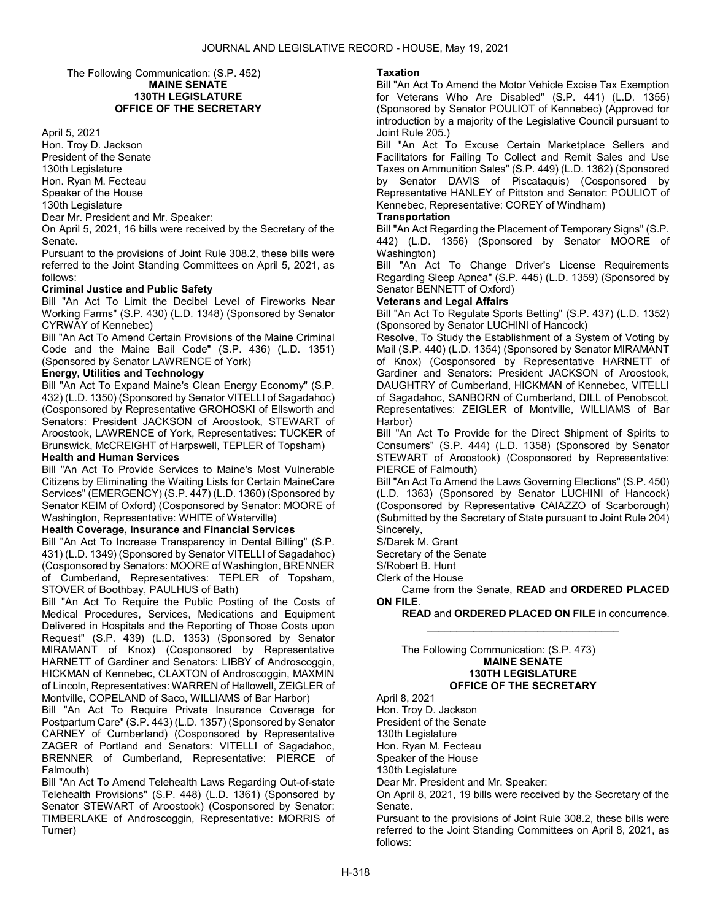### The Following Communication: (S.P. 452) MAINE SENATE 130TH LEGISLATURE OFFICE OF THE SECRETARY

#### April 5, 2021

Hon. Troy D. Jackson President of the Senate 130th Legislature Hon. Ryan M. Fecteau Speaker of the House 130th Legislature

Dear Mr. President and Mr. Speaker:

On April 5, 2021, 16 bills were received by the Secretary of the Senate.

Pursuant to the provisions of Joint Rule 308.2, these bills were referred to the Joint Standing Committees on April 5, 2021, as follows:

### Criminal Justice and Public Safety

Bill "An Act To Limit the Decibel Level of Fireworks Near Working Farms" (S.P. 430) (L.D. 1348) (Sponsored by Senator CYRWAY of Kennebec)

Bill "An Act To Amend Certain Provisions of the Maine Criminal Code and the Maine Bail Code" (S.P. 436) (L.D. 1351) (Sponsored by Senator LAWRENCE of York)

### Energy, Utilities and Technology

Bill "An Act To Expand Maine's Clean Energy Economy" (S.P. 432) (L.D. 1350) (Sponsored by Senator VITELLI of Sagadahoc) (Cosponsored by Representative GROHOSKI of Ellsworth and Senators: President JACKSON of Aroostook, STEWART of Aroostook, LAWRENCE of York, Representatives: TUCKER of Brunswick, McCREIGHT of Harpswell, TEPLER of Topsham) Health and Human Services

Bill "An Act To Provide Services to Maine's Most Vulnerable Citizens by Eliminating the Waiting Lists for Certain MaineCare Services" (EMERGENCY) (S.P. 447) (L.D. 1360) (Sponsored by Senator KEIM of Oxford) (Cosponsored by Senator: MOORE of Washington, Representative: WHITE of Waterville)

#### Health Coverage, Insurance and Financial Services

Bill "An Act To Increase Transparency in Dental Billing" (S.P. 431) (L.D. 1349) (Sponsored by Senator VITELLI of Sagadahoc) (Cosponsored by Senators: MOORE of Washington, BRENNER of Cumberland, Representatives: TEPLER of Topsham, STOVER of Boothbay, PAULHUS of Bath)

Bill "An Act To Require the Public Posting of the Costs of Medical Procedures, Services, Medications and Equipment Delivered in Hospitals and the Reporting of Those Costs upon Request" (S.P. 439) (L.D. 1353) (Sponsored by Senator MIRAMANT of Knox) (Cosponsored by Representative HARNETT of Gardiner and Senators: LIBBY of Androscoggin, HICKMAN of Kennebec, CLAXTON of Androscoggin, MAXMIN of Lincoln, Representatives: WARREN of Hallowell, ZEIGLER of Montville, COPELAND of Saco, WILLIAMS of Bar Harbor)

Bill "An Act To Require Private Insurance Coverage for Postpartum Care" (S.P. 443) (L.D. 1357) (Sponsored by Senator CARNEY of Cumberland) (Cosponsored by Representative ZAGER of Portland and Senators: VITELLI of Sagadahoc, BRENNER of Cumberland, Representative: PIERCE of Falmouth)

Bill "An Act To Amend Telehealth Laws Regarding Out-of-state Telehealth Provisions" (S.P. 448) (L.D. 1361) (Sponsored by Senator STEWART of Aroostook) (Cosponsored by Senator: TIMBERLAKE of Androscoggin, Representative: MORRIS of Turner)

### Taxation

Bill "An Act To Amend the Motor Vehicle Excise Tax Exemption for Veterans Who Are Disabled" (S.P. 441) (L.D. 1355) (Sponsored by Senator POULIOT of Kennebec) (Approved for introduction by a majority of the Legislative Council pursuant to Joint Rule 205.)

Bill "An Act To Excuse Certain Marketplace Sellers and Facilitators for Failing To Collect and Remit Sales and Use Taxes on Ammunition Sales" (S.P. 449) (L.D. 1362) (Sponsored by Senator DAVIS of Piscataquis) (Cosponsored by Representative HANLEY of Pittston and Senator: POULIOT of Kennebec, Representative: COREY of Windham)

#### **Transportation**

Bill "An Act Regarding the Placement of Temporary Signs" (S.P. 442) (L.D. 1356) (Sponsored by Senator MOORE of Washington)

Bill "An Act To Change Driver's License Requirements Regarding Sleep Apnea" (S.P. 445) (L.D. 1359) (Sponsored by Senator BENNETT of Oxford)

# Veterans and Legal Affairs

Bill "An Act To Regulate Sports Betting" (S.P. 437) (L.D. 1352) (Sponsored by Senator LUCHINI of Hancock)

Resolve, To Study the Establishment of a System of Voting by Mail (S.P. 440) (L.D. 1354) (Sponsored by Senator MIRAMANT of Knox) (Cosponsored by Representative HARNETT of Gardiner and Senators: President JACKSON of Aroostook, DAUGHTRY of Cumberland, HICKMAN of Kennebec, VITELLI of Sagadahoc, SANBORN of Cumberland, DILL of Penobscot, Representatives: ZEIGLER of Montville, WILLIAMS of Bar Harbor)

Bill "An Act To Provide for the Direct Shipment of Spirits to Consumers" (S.P. 444) (L.D. 1358) (Sponsored by Senator STEWART of Aroostook) (Cosponsored by Representative: PIERCE of Falmouth)

Bill "An Act To Amend the Laws Governing Elections" (S.P. 450) (L.D. 1363) (Sponsored by Senator LUCHINI of Hancock) (Cosponsored by Representative CAIAZZO of Scarborough) (Submitted by the Secretary of State pursuant to Joint Rule 204) Sincerely,

S/Darek M. Grant

Secretary of the Senate

S/Robert B. Hunt

Clerk of the House

 Came from the Senate, READ and ORDERED PLACED ON FILE.

\_\_\_\_\_\_\_\_\_\_\_\_\_\_\_\_\_\_\_\_\_\_\_\_\_\_\_\_\_\_\_\_\_

READ and ORDERED PLACED ON FILE in concurrence.

The Following Communication: (S.P. 473)

MAINE SENATE 130TH LEGISLATURE OFFICE OF THE SECRETARY

April 8, 2021

Hon. Troy D. Jackson President of the Senate

130th Legislature

Hon. Ryan M. Fecteau

Speaker of the House

130th Legislature

Dear Mr. President and Mr. Speaker:

On April 8, 2021, 19 bills were received by the Secretary of the Senate.

Pursuant to the provisions of Joint Rule 308.2, these bills were referred to the Joint Standing Committees on April 8, 2021, as follows: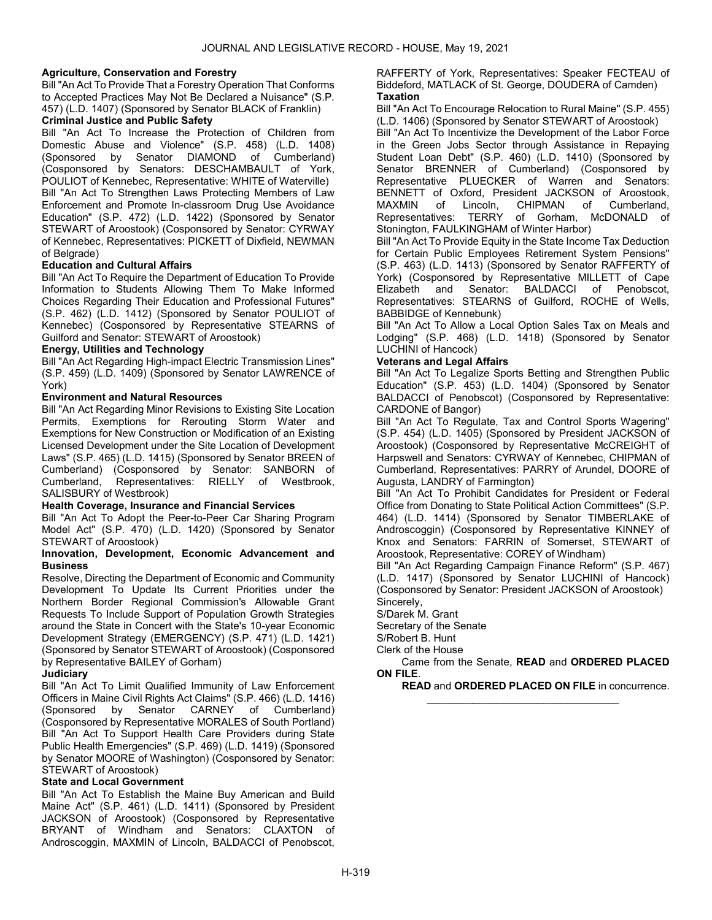### Agriculture, Conservation and Forestry

Bill "An Act To Provide That a Forestry Operation That Conforms to Accepted Practices May Not Be Declared a Nuisance" (S.P. 457) (L.D. 1407) (Sponsored by Senator BLACK of Franklin)

### Criminal Justice and Public Safety

Bill "An Act To Increase the Protection of Children from Domestic Abuse and Violence" (S.P. 458) (L.D. 1408) (Sponsored by Senator DIAMOND of Cumberland) (Cosponsored by Senators: DESCHAMBAULT of York, POULIOT of Kennebec, Representative: WHITE of Waterville) Bill "An Act To Strengthen Laws Protecting Members of Law Enforcement and Promote In-classroom Drug Use Avoidance Education" (S.P. 472) (L.D. 1422) (Sponsored by Senator STEWART of Aroostook) (Cosponsored by Senator: CYRWAY of Kennebec, Representatives: PICKETT of Dixfield, NEWMAN of Belgrade)

### Education and Cultural Affairs

Bill "An Act To Require the Department of Education To Provide Information to Students Allowing Them To Make Informed Choices Regarding Their Education and Professional Futures" (S.P. 462) (L.D. 1412) (Sponsored by Senator POULIOT of Kennebec) (Cosponsored by Representative STEARNS of Guilford and Senator: STEWART of Aroostook)

### Energy, Utilities and Technology

Bill "An Act Regarding High-impact Electric Transmission Lines" (S.P. 459) (L.D. 1409) (Sponsored by Senator LAWRENCE of York)

### Environment and Natural Resources

Bill "An Act Regarding Minor Revisions to Existing Site Location Permits, Exemptions for Rerouting Storm Water and Exemptions for New Construction or Modification of an Existing Licensed Development under the Site Location of Development Laws" (S.P. 465) (L.D. 1415) (Sponsored by Senator BREEN of Cumberland) (Cosponsored by Senator: SANBORN of Cumberland, Representatives: RIELLY of Westbrook, SALISBURY of Westbrook)

### Health Coverage, Insurance and Financial Services

Bill "An Act To Adopt the Peer-to-Peer Car Sharing Program Model Act" (S.P. 470) (L.D. 1420) (Sponsored by Senator STEWART of Aroostook)

#### Innovation, Development, Economic Advancement and **Business**

Resolve, Directing the Department of Economic and Community Development To Update Its Current Priorities under the Northern Border Regional Commission's Allowable Grant Requests To Include Support of Population Growth Strategies around the State in Concert with the State's 10-year Economic Development Strategy (EMERGENCY) (S.P. 471) (L.D. 1421) (Sponsored by Senator STEWART of Aroostook) (Cosponsored by Representative BAILEY of Gorham)

### **Judiciary**

Bill "An Act To Limit Qualified Immunity of Law Enforcement Officers in Maine Civil Rights Act Claims" (S.P. 466) (L.D. 1416) (Sponsored by Senator CARNEY of Cumberland) (Cosponsored by Representative MORALES of South Portland) Bill "An Act To Support Health Care Providers during State Public Health Emergencies" (S.P. 469) (L.D. 1419) (Sponsored by Senator MOORE of Washington) (Cosponsored by Senator: STEWART of Aroostook)

### State and Local Government

Bill "An Act To Establish the Maine Buy American and Build Maine Act" (S.P. 461) (L.D. 1411) (Sponsored by President JACKSON of Aroostook) (Cosponsored by Representative BRYANT of Windham and Senators: CLAXTON of Androscoggin, MAXMIN of Lincoln, BALDACCI of Penobscot,

RAFFERTY of York, Representatives: Speaker FECTEAU of Biddeford, MATLACK of St. George, DOUDERA of Camden) **Taxation** 

Bill "An Act To Encourage Relocation to Rural Maine" (S.P. 455) (L.D. 1406) (Sponsored by Senator STEWART of Aroostook)

Bill "An Act To Incentivize the Development of the Labor Force in the Green Jobs Sector through Assistance in Repaying Student Loan Debt" (S.P. 460) (L.D. 1410) (Sponsored by Senator BRENNER of Cumberland) (Cosponsored by Representative PLUECKER of Warren and Senators: BENNETT of Oxford, President JACKSON of Aroostook, MAXMIN of Lincoln, CHIPMAN of Cumberland, Representatives: TERRY of Gorham, McDONALD of Stonington, FAULKINGHAM of Winter Harbor)

Bill "An Act To Provide Equity in the State Income Tax Deduction for Certain Public Employees Retirement System Pensions" (S.P. 463) (L.D. 1413) (Sponsored by Senator RAFFERTY of York) (Cosponsored by Representative MILLETT of Cape Elizabeth and Senator: BALDACCI of Penobscot, Representatives: STEARNS of Guilford, ROCHE of Wells, BABBIDGE of Kennebunk)

Bill "An Act To Allow a Local Option Sales Tax on Meals and Lodging" (S.P. 468) (L.D. 1418) (Sponsored by Senator LUCHINI of Hancock)

### Veterans and Legal Affairs

Bill "An Act To Legalize Sports Betting and Strengthen Public Education" (S.P. 453) (L.D. 1404) (Sponsored by Senator BALDACCI of Penobscot) (Cosponsored by Representative: CARDONE of Bangor)

Bill "An Act To Regulate, Tax and Control Sports Wagering" (S.P. 454) (L.D. 1405) (Sponsored by President JACKSON of Aroostook) (Cosponsored by Representative McCREIGHT of Harpswell and Senators: CYRWAY of Kennebec, CHIPMAN of Cumberland, Representatives: PARRY of Arundel, DOORE of Augusta, LANDRY of Farmington)

Bill "An Act To Prohibit Candidates for President or Federal Office from Donating to State Political Action Committees" (S.P. 464) (L.D. 1414) (Sponsored by Senator TIMBERLAKE of Androscoggin) (Cosponsored by Representative KINNEY of Knox and Senators: FARRIN of Somerset, STEWART of Aroostook, Representative: COREY of Windham)

Bill "An Act Regarding Campaign Finance Reform" (S.P. 467) (L.D. 1417) (Sponsored by Senator LUCHINI of Hancock) (Cosponsored by Senator: President JACKSON of Aroostook) Sincerely,

S/Darek M. Grant

Secretary of the Senate

S/Robert B. Hunt

Clerk of the House

 Came from the Senate, READ and ORDERED PLACED ON FILE.

\_\_\_\_\_\_\_\_\_\_\_\_\_\_\_\_\_\_\_\_\_\_\_\_\_\_\_\_\_\_\_\_\_

READ and ORDERED PLACED ON FILE in concurrence.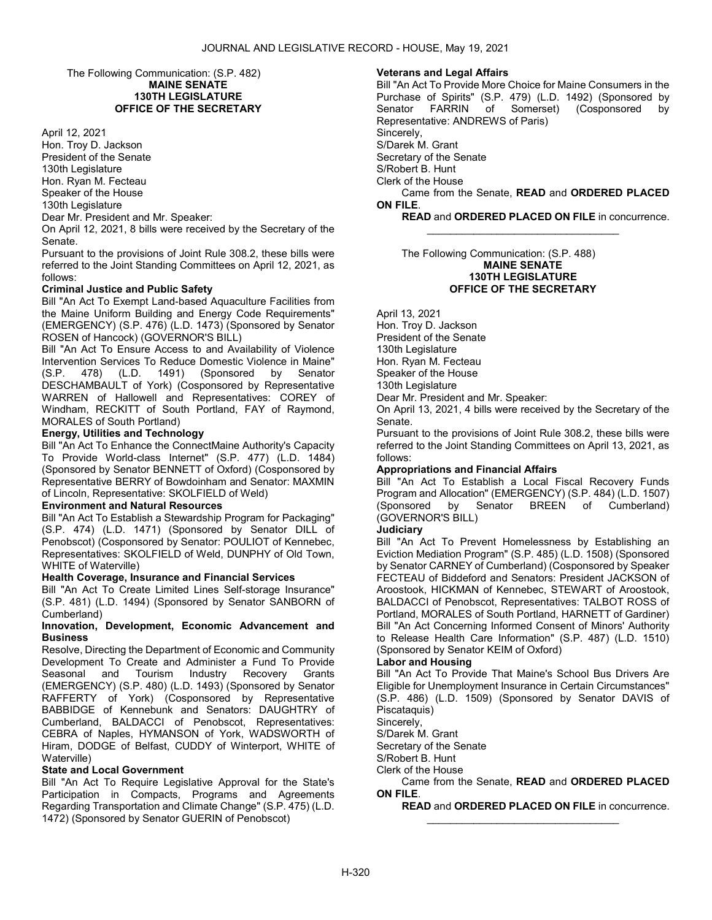The Following Communication: (S.P. 482) MAINE SENATE 130TH LEGISLATURE OFFICE OF THE SECRETARY

April 12, 2021

Hon. Troy D. Jackson President of the Senate 130th Legislature Hon. Ryan M. Fecteau Speaker of the House 130th Legislature Dear Mr. President and Mr. Speaker:

On April 12, 2021, 8 bills were received by the Secretary of the Senate.

Pursuant to the provisions of Joint Rule 308.2, these bills were referred to the Joint Standing Committees on April 12, 2021, as follows:

### Criminal Justice and Public Safety

Bill "An Act To Exempt Land-based Aquaculture Facilities from the Maine Uniform Building and Energy Code Requirements" (EMERGENCY) (S.P. 476) (L.D. 1473) (Sponsored by Senator ROSEN of Hancock) (GOVERNOR'S BILL)

Bill "An Act To Ensure Access to and Availability of Violence Intervention Services To Reduce Domestic Violence in Maine" (S.P. 478) (L.D. 1491) (Sponsored by Senator DESCHAMBAULT of York) (Cosponsored by Representative WARREN of Hallowell and Representatives: COREY of Windham, RECKITT of South Portland, FAY of Raymond, MORALES of South Portland)

### Energy, Utilities and Technology

Bill "An Act To Enhance the ConnectMaine Authority's Capacity To Provide World-class Internet" (S.P. 477) (L.D. 1484) (Sponsored by Senator BENNETT of Oxford) (Cosponsored by Representative BERRY of Bowdoinham and Senator: MAXMIN of Lincoln, Representative: SKOLFIELD of Weld)

#### Environment and Natural Resources

Bill "An Act To Establish a Stewardship Program for Packaging" (S.P. 474) (L.D. 1471) (Sponsored by Senator DILL of Penobscot) (Cosponsored by Senator: POULIOT of Kennebec, Representatives: SKOLFIELD of Weld, DUNPHY of Old Town, WHITE of Waterville)

#### Health Coverage, Insurance and Financial Services

Bill "An Act To Create Limited Lines Self-storage Insurance" (S.P. 481) (L.D. 1494) (Sponsored by Senator SANBORN of Cumberland)

#### Innovation, Development, Economic Advancement and **Business**

Resolve, Directing the Department of Economic and Community Development To Create and Administer a Fund To Provide Seasonal and Tourism Industry Recovery Grants (EMERGENCY) (S.P. 480) (L.D. 1493) (Sponsored by Senator RAFFERTY of York) (Cosponsored by Representative BABBIDGE of Kennebunk and Senators: DAUGHTRY of Cumberland, BALDACCI of Penobscot, Representatives: CEBRA of Naples, HYMANSON of York, WADSWORTH of Hiram, DODGE of Belfast, CUDDY of Winterport, WHITE of Waterville)

### State and Local Government

Bill "An Act To Require Legislative Approval for the State's Participation in Compacts, Programs and Agreements Regarding Transportation and Climate Change" (S.P. 475) (L.D. 1472) (Sponsored by Senator GUERIN of Penobscot)

#### Veterans and Legal Affairs

Bill "An Act To Provide More Choice for Maine Consumers in the Purchase of Spirits" (S.P. 479) (L.D. 1492) (Sponsored by Senator FARRIN of Somerset) (Cosponsored by Representative: ANDREWS of Paris) Sincerely. S/Darek M. Grant Secretary of the Senate S/Robert B. Hunt Clerk of the House Came from the Senate, READ and ORDERED PLACED ON FILE.

READ and ORDERED PLACED ON FILE in concurrence.

\_\_\_\_\_\_\_\_\_\_\_\_\_\_\_\_\_\_\_\_\_\_\_\_\_\_\_\_\_\_\_\_\_

#### The Following Communication: (S.P. 488) MAINE SENATE 130TH LEGISLATURE OFFICE OF THE SECRETARY

April 13, 2021

Hon. Troy D. Jackson

President of the Senate

130th Legislature

Hon. Ryan M. Fecteau Speaker of the House

130th Legislature

Dear Mr. President and Mr. Speaker:

On April 13, 2021, 4 bills were received by the Secretary of the Senate.

Pursuant to the provisions of Joint Rule 308.2, these bills were referred to the Joint Standing Committees on April 13, 2021, as follows:

#### Appropriations and Financial Affairs

Bill "An Act To Establish a Local Fiscal Recovery Funds Program and Allocation" (EMERGENCY) (S.P. 484) (L.D. 1507) (Sponsored by Senator BREEN of Cumberland) (GOVERNOR'S BILL)

## **Judiciary**

Bill "An Act To Prevent Homelessness by Establishing an Eviction Mediation Program" (S.P. 485) (L.D. 1508) (Sponsored by Senator CARNEY of Cumberland) (Cosponsored by Speaker FECTEAU of Biddeford and Senators: President JACKSON of Aroostook, HICKMAN of Kennebec, STEWART of Aroostook, BALDACCI of Penobscot, Representatives: TALBOT ROSS of Portland, MORALES of South Portland, HARNETT of Gardiner) Bill "An Act Concerning Informed Consent of Minors' Authority to Release Health Care Information" (S.P. 487) (L.D. 1510) (Sponsored by Senator KEIM of Oxford)

#### Labor and Housing

Bill "An Act To Provide That Maine's School Bus Drivers Are Eligible for Unemployment Insurance in Certain Circumstances" (S.P. 486) (L.D. 1509) (Sponsored by Senator DAVIS of Piscataquis)

Sincerely,

S/Darek M. Grant

Secretary of the Senate

S/Robert B. Hunt

Clerk of the House

 Came from the Senate, READ and ORDERED PLACED ON FILE.

\_\_\_\_\_\_\_\_\_\_\_\_\_\_\_\_\_\_\_\_\_\_\_\_\_\_\_\_\_\_\_\_\_

READ and ORDERED PLACED ON FILE in concurrence.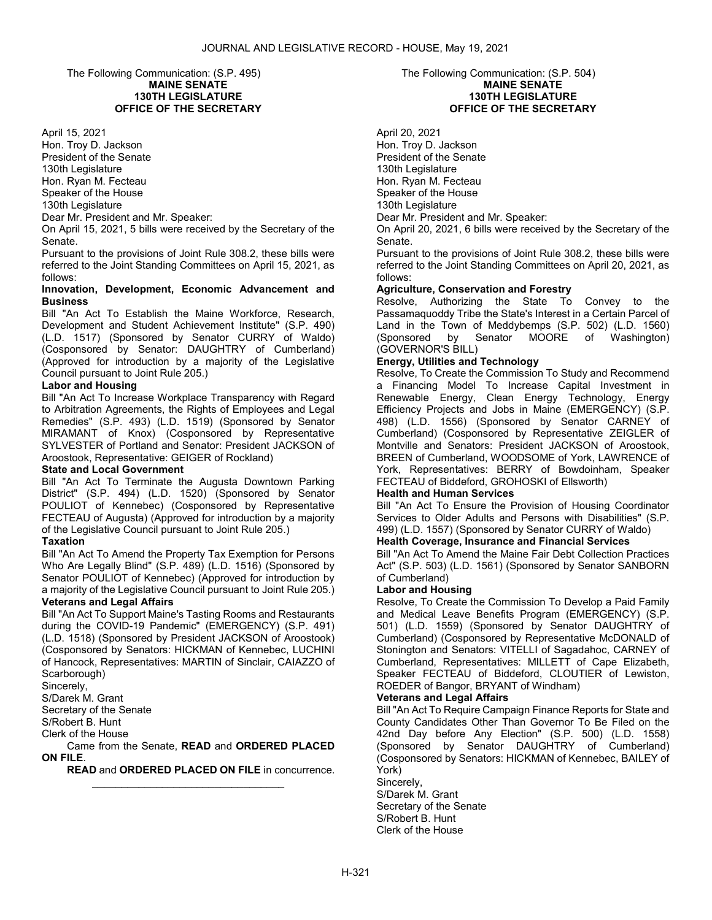The Following Communication: (S.P. 495) MAINE SENATE 130TH LEGISLATURE OFFICE OF THE SECRETARY

April 15, 2021

Hon. Troy D. Jackson President of the Senate 130th Legislature Hon. Ryan M. Fecteau Speaker of the House 130th Legislature Dear Mr. President and Mr. Speaker:

On April 15, 2021, 5 bills were received by the Secretary of the Senate.

Pursuant to the provisions of Joint Rule 308.2, these bills were referred to the Joint Standing Committees on April 15, 2021, as follows:

### Innovation, Development, Economic Advancement and Business

Bill "An Act To Establish the Maine Workforce, Research, Development and Student Achievement Institute" (S.P. 490) (L.D. 1517) (Sponsored by Senator CURRY of Waldo) (Cosponsored by Senator: DAUGHTRY of Cumberland) (Approved for introduction by a majority of the Legislative Council pursuant to Joint Rule 205.)

### Labor and Housing

Bill "An Act To Increase Workplace Transparency with Regard to Arbitration Agreements, the Rights of Employees and Legal Remedies" (S.P. 493) (L.D. 1519) (Sponsored by Senator MIRAMANT of Knox) (Cosponsored by Representative SYLVESTER of Portland and Senator: President JACKSON of Aroostook, Representative: GEIGER of Rockland)

### State and Local Government

Bill "An Act To Terminate the Augusta Downtown Parking District" (S.P. 494) (L.D. 1520) (Sponsored by Senator POULIOT of Kennebec) (Cosponsored by Representative FECTEAU of Augusta) (Approved for introduction by a majority of the Legislative Council pursuant to Joint Rule 205.)

### **Taxation**

Bill "An Act To Amend the Property Tax Exemption for Persons Who Are Legally Blind" (S.P. 489) (L.D. 1516) (Sponsored by Senator POULIOT of Kennebec) (Approved for introduction by a majority of the Legislative Council pursuant to Joint Rule 205.)

# Veterans and Legal Affairs

Bill "An Act To Support Maine's Tasting Rooms and Restaurants during the COVID-19 Pandemic" (EMERGENCY) (S.P. 491) (L.D. 1518) (Sponsored by President JACKSON of Aroostook) (Cosponsored by Senators: HICKMAN of Kennebec, LUCHINI of Hancock, Representatives: MARTIN of Sinclair, CAIAZZO of Scarborough)

Sincerely,

S/Darek M. Grant

Secretary of the Senate

S/Robert B. Hunt

Clerk of the House

 Came from the Senate, READ and ORDERED PLACED ON FILE.

\_\_\_\_\_\_\_\_\_\_\_\_\_\_\_\_\_\_\_\_\_\_\_\_\_\_\_\_\_\_\_\_\_

READ and ORDERED PLACED ON FILE in concurrence.

### The Following Communication: (S.P. 504) MAINE SENATE 130TH LEGISLATURE OFFICE OF THE SECRETARY

April 20, 2021 Hon. Troy D. Jackson President of the Senate 130th Legislature Hon. Ryan M. Fecteau Speaker of the House 130th Legislature Dear Mr. President and Mr. Speaker:

On April 20, 2021, 6 bills were received by the Secretary of the Senate.

Pursuant to the provisions of Joint Rule 308.2, these bills were referred to the Joint Standing Committees on April 20, 2021, as follows:

### Agriculture, Conservation and Forestry

Resolve, Authorizing the State To Convey to the Passamaquoddy Tribe the State's Interest in a Certain Parcel of Land in the Town of Meddybemps (S.P. 502) (L.D. 1560) (Sponsored by Senator MOORE of Washington) (GOVERNOR'S BILL)

### Energy, Utilities and Technology

Resolve, To Create the Commission To Study and Recommend a Financing Model To Increase Capital Investment in Renewable Energy, Clean Energy Technology, Energy Efficiency Projects and Jobs in Maine (EMERGENCY) (S.P. 498) (L.D. 1556) (Sponsored by Senator CARNEY of Cumberland) (Cosponsored by Representative ZEIGLER of Montville and Senators: President JACKSON of Aroostook, BREEN of Cumberland, WOODSOME of York, LAWRENCE of York, Representatives: BERRY of Bowdoinham, Speaker FECTEAU of Biddeford, GROHOSKI of Ellsworth)

### Health and Human Services

Bill "An Act To Ensure the Provision of Housing Coordinator Services to Older Adults and Persons with Disabilities" (S.P. 499) (L.D. 1557) (Sponsored by Senator CURRY of Waldo)

### Health Coverage, Insurance and Financial Services

Bill "An Act To Amend the Maine Fair Debt Collection Practices Act" (S.P. 503) (L.D. 1561) (Sponsored by Senator SANBORN of Cumberland)

### Labor and Housing

Resolve, To Create the Commission To Develop a Paid Family and Medical Leave Benefits Program (EMERGENCY) (S.P. 501) (L.D. 1559) (Sponsored by Senator DAUGHTRY of Cumberland) (Cosponsored by Representative McDONALD of Stonington and Senators: VITELLI of Sagadahoc, CARNEY of Cumberland, Representatives: MILLETT of Cape Elizabeth, Speaker FECTEAU of Biddeford, CLOUTIER of Lewiston, ROEDER of Bangor, BRYANT of Windham)

### Veterans and Legal Affairs

Bill "An Act To Require Campaign Finance Reports for State and County Candidates Other Than Governor To Be Filed on the 42nd Day before Any Election" (S.P. 500) (L.D. 1558) (Sponsored by Senator DAUGHTRY of Cumberland) (Cosponsored by Senators: HICKMAN of Kennebec, BAILEY of York)

Sincerely, S/Darek M. Grant Secretary of the Senate S/Robert B. Hunt Clerk of the House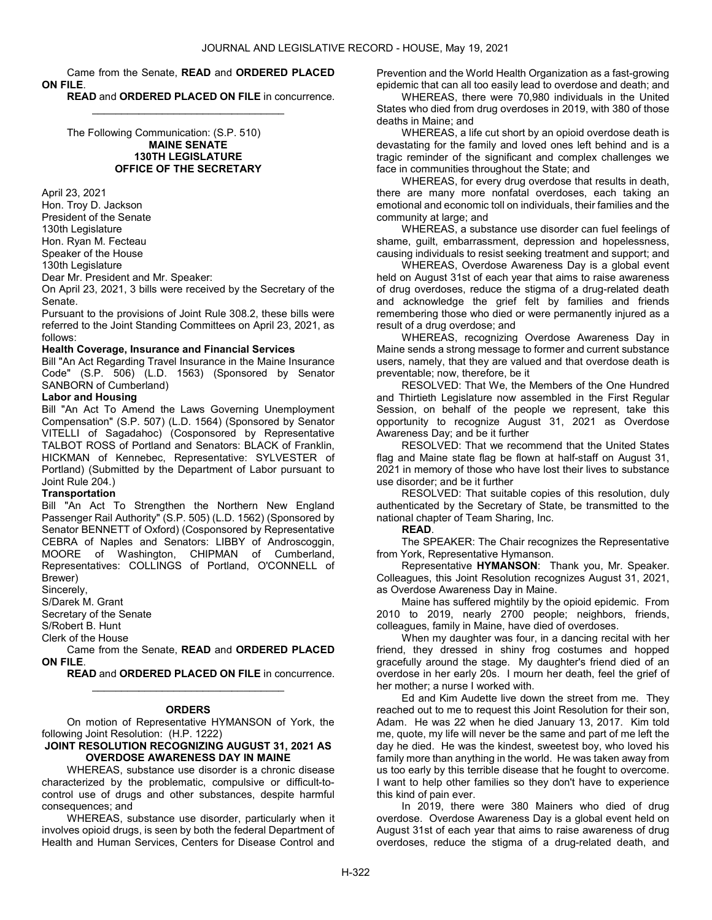### Came from the Senate, READ and ORDERED PLACED ON FILE.

\_\_\_\_\_\_\_\_\_\_\_\_\_\_\_\_\_\_\_\_\_\_\_\_\_\_\_\_\_\_\_\_\_

READ and ORDERED PLACED ON FILE in concurrence.

 The Following Communication: (S.P. 510) MAINE SENATE 130TH LEGISLATURE OFFICE OF THE SECRETARY

April 23, 2021

Hon. Troy D. Jackson President of the Senate 130th Legislature Hon. Ryan M. Fecteau Speaker of the House

130th Legislature

Dear Mr. President and Mr. Speaker:

On April 23, 2021, 3 bills were received by the Secretary of the Senate.

Pursuant to the provisions of Joint Rule 308.2, these bills were referred to the Joint Standing Committees on April 23, 2021, as follows:

#### Health Coverage, Insurance and Financial Services

Bill "An Act Regarding Travel Insurance in the Maine Insurance Code" (S.P. 506) (L.D. 1563) (Sponsored by Senator SANBORN of Cumberland)

### Labor and Housing

Bill "An Act To Amend the Laws Governing Unemployment Compensation" (S.P. 507) (L.D. 1564) (Sponsored by Senator VITELLI of Sagadahoc) (Cosponsored by Representative TALBOT ROSS of Portland and Senators: BLACK of Franklin, HICKMAN of Kennebec, Representative: SYLVESTER of Portland) (Submitted by the Department of Labor pursuant to Joint Rule 204.)

#### Transportation

Bill "An Act To Strengthen the Northern New England Passenger Rail Authority" (S.P. 505) (L.D. 1562) (Sponsored by Senator BENNETT of Oxford) (Cosponsored by Representative CEBRA of Naples and Senators: LIBBY of Androscoggin, MOORE of Washington, CHIPMAN of Cumberland, Representatives: COLLINGS of Portland, O'CONNELL of Brewer)

Sincerely,

S/Darek M. Grant

Secretary of the Senate

S/Robert B. Hunt

Clerk of the House

 Came from the Senate, READ and ORDERED PLACED ON FILE.

\_\_\_\_\_\_\_\_\_\_\_\_\_\_\_\_\_\_\_\_\_\_\_\_\_\_\_\_\_\_\_\_\_

READ and ORDERED PLACED ON FILE in concurrence.

#### **ORDERS**

 On motion of Representative HYMANSON of York, the following Joint Resolution: (H.P. 1222)

#### JOINT RESOLUTION RECOGNIZING AUGUST 31, 2021 AS OVERDOSE AWARENESS DAY IN MAINE

 WHEREAS, substance use disorder is a chronic disease characterized by the problematic, compulsive or difficult-tocontrol use of drugs and other substances, despite harmful consequences; and

 WHEREAS, substance use disorder, particularly when it involves opioid drugs, is seen by both the federal Department of Health and Human Services, Centers for Disease Control and Prevention and the World Health Organization as a fast-growing epidemic that can all too easily lead to overdose and death; and

 WHEREAS, there were 70,980 individuals in the United States who died from drug overdoses in 2019, with 380 of those deaths in Maine; and

 WHEREAS, a life cut short by an opioid overdose death is devastating for the family and loved ones left behind and is a tragic reminder of the significant and complex challenges we face in communities throughout the State; and

WHEREAS, for every drug overdose that results in death. there are many more nonfatal overdoses, each taking an emotional and economic toll on individuals, their families and the community at large; and

 WHEREAS, a substance use disorder can fuel feelings of shame, guilt, embarrassment, depression and hopelessness, causing individuals to resist seeking treatment and support; and

 WHEREAS, Overdose Awareness Day is a global event held on August 31st of each year that aims to raise awareness of drug overdoses, reduce the stigma of a drug-related death and acknowledge the grief felt by families and friends remembering those who died or were permanently injured as a result of a drug overdose; and

 WHEREAS, recognizing Overdose Awareness Day in Maine sends a strong message to former and current substance users, namely, that they are valued and that overdose death is preventable; now, therefore, be it

 RESOLVED: That We, the Members of the One Hundred and Thirtieth Legislature now assembled in the First Regular Session, on behalf of the people we represent, take this opportunity to recognize August 31, 2021 as Overdose Awareness Day; and be it further

 RESOLVED: That we recommend that the United States flag and Maine state flag be flown at half-staff on August 31, 2021 in memory of those who have lost their lives to substance use disorder; and be it further

 RESOLVED: That suitable copies of this resolution, duly authenticated by the Secretary of State, be transmitted to the national chapter of Team Sharing, Inc.

READ.

 The SPEAKER: The Chair recognizes the Representative from York, Representative Hymanson.

 Representative HYMANSON: Thank you, Mr. Speaker. Colleagues, this Joint Resolution recognizes August 31, 2021, as Overdose Awareness Day in Maine.

 Maine has suffered mightily by the opioid epidemic. From 2010 to 2019, nearly 2700 people; neighbors, friends, colleagues, family in Maine, have died of overdoses.

 When my daughter was four, in a dancing recital with her friend, they dressed in shiny frog costumes and hopped gracefully around the stage. My daughter's friend died of an overdose in her early 20s. I mourn her death, feel the grief of her mother; a nurse I worked with.

 Ed and Kim Audette live down the street from me. They reached out to me to request this Joint Resolution for their son, Adam. He was 22 when he died January 13, 2017. Kim told me, quote, my life will never be the same and part of me left the day he died. He was the kindest, sweetest boy, who loved his family more than anything in the world. He was taken away from us too early by this terrible disease that he fought to overcome. I want to help other families so they don't have to experience this kind of pain ever.

 In 2019, there were 380 Mainers who died of drug overdose. Overdose Awareness Day is a global event held on August 31st of each year that aims to raise awareness of drug overdoses, reduce the stigma of a drug-related death, and